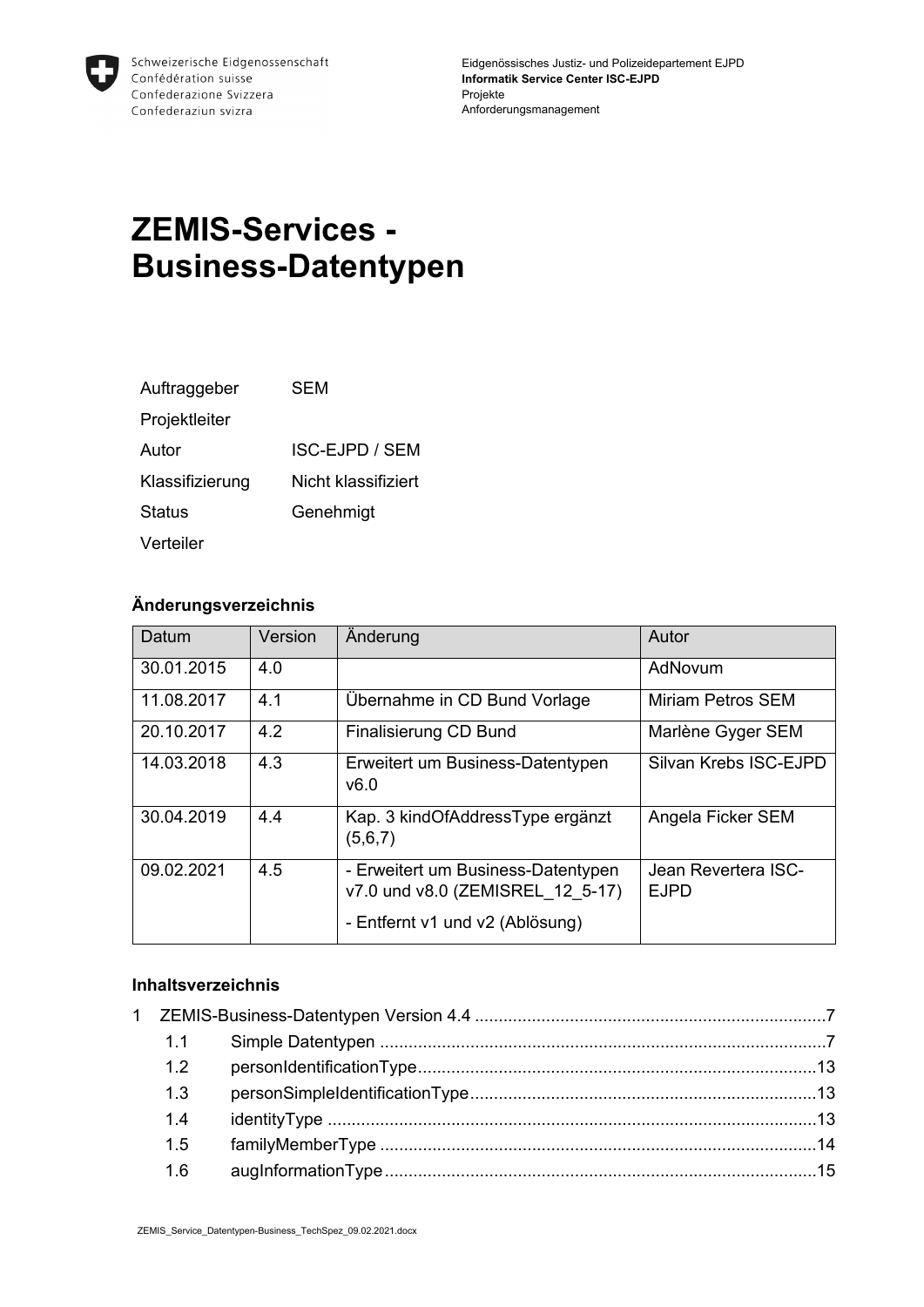

# **ZEMIS-Services - Business-Datentypen**

| Auftraggeber    | SFM                 |
|-----------------|---------------------|
| Projektleiter   |                     |
| Autor           | ISC-EJPD / SEM      |
| Klassifizierung | Nicht klassifiziert |
| Status          | Genehmigt           |
| Verteiler       |                     |

#### **Änderungsverzeichnis**

| Datum      | Version | Anderung                                                                                                  | Autor                              |
|------------|---------|-----------------------------------------------------------------------------------------------------------|------------------------------------|
| 30.01.2015 | 4.0     |                                                                                                           | AdNovum                            |
| 11.08.2017 | 4.1     | Übernahme in CD Bund Vorlage                                                                              | Miriam Petros SEM                  |
| 20.10.2017 | 4.2     | <b>Finalisierung CD Bund</b>                                                                              | Marlène Gyger SEM                  |
| 14.03.2018 | 4.3     | Erweitert um Business-Datentypen<br>v6.0                                                                  | Silvan Krebs ISC-EJPD              |
| 30.04.2019 | 4.4     | Kap. 3 kindOfAddressType ergänzt<br>(5,6,7)                                                               | Angela Ficker SEM                  |
| 09.02.2021 | 4.5     | - Erweitert um Business-Datentypen<br>v7.0 und v8.0 (ZEMISREL 12 5-17)<br>- Entfernt v1 und v2 (Ablösung) | Jean Revertera ISC-<br><b>EJPD</b> |

#### **Inhaltsverzeichnis**

| 1.1 |  |
|-----|--|
| 1.2 |  |
| 1.3 |  |
| 1.4 |  |
| 1.5 |  |
| 1.6 |  |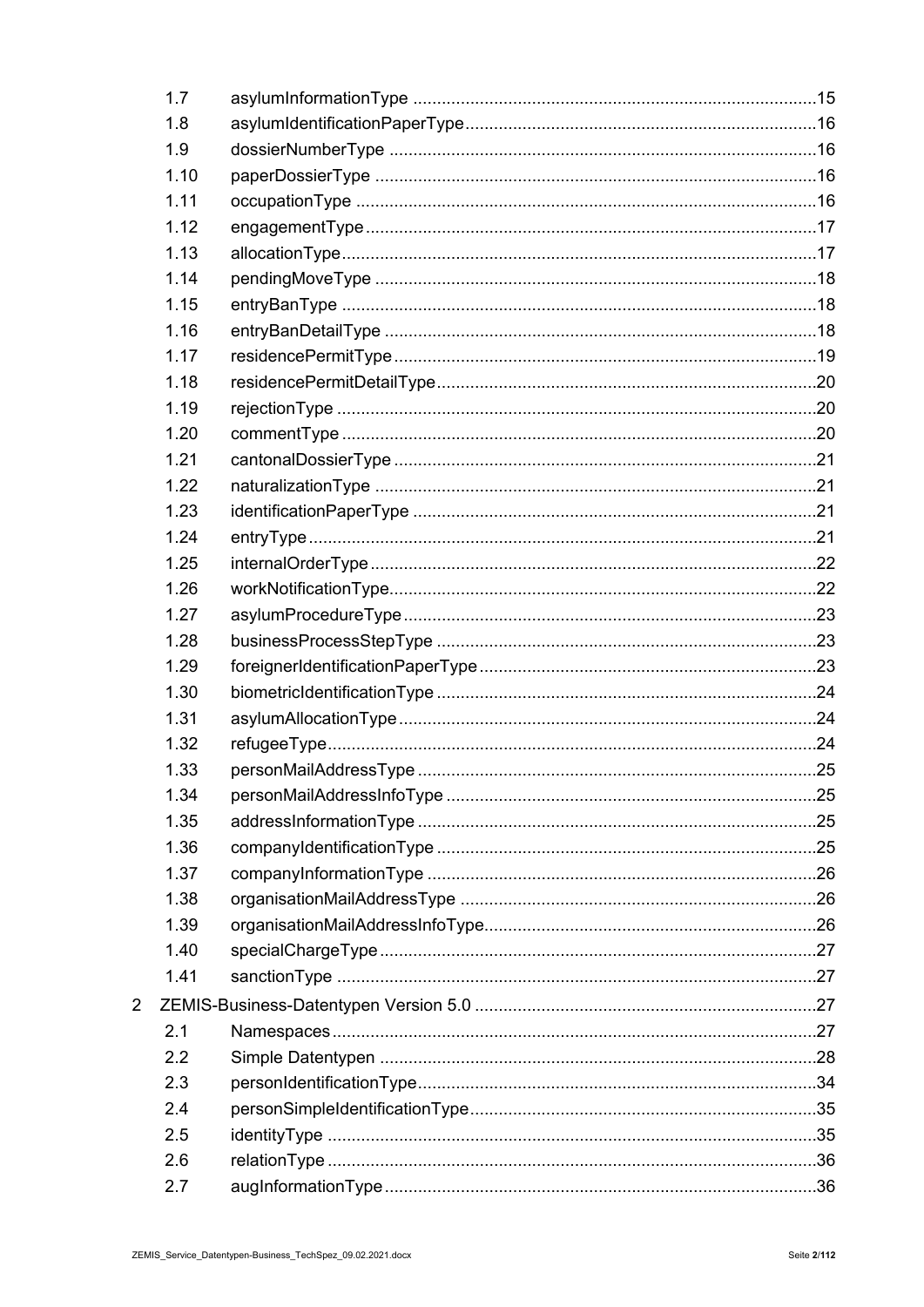| 1.7  |  |
|------|--|
| 1.8  |  |
| 1.9  |  |
| 1.10 |  |
| 1.11 |  |
| 1.12 |  |
| 1.13 |  |
| 1.14 |  |
| 1.15 |  |
| 1.16 |  |
| 1.17 |  |
| 1.18 |  |
| 1.19 |  |
| 1.20 |  |
| 1.21 |  |
| 1.22 |  |
| 1.23 |  |
| 1.24 |  |
| 1.25 |  |
| 1.26 |  |
| 1.27 |  |
| 1.28 |  |
| 1.29 |  |
| 1.30 |  |
| 1.31 |  |
| 1.32 |  |
| 1.33 |  |
| 1.34 |  |
| 1.35 |  |
| 1.36 |  |
| 1.37 |  |
| 1.38 |  |
| 1.39 |  |
| 1.40 |  |
| 1.41 |  |
|      |  |
| 2.1  |  |
| 2.2  |  |
| 2.3  |  |
| 2.4  |  |
| 2.5  |  |
| 2.6  |  |
| 2.7  |  |

 $\overline{2}$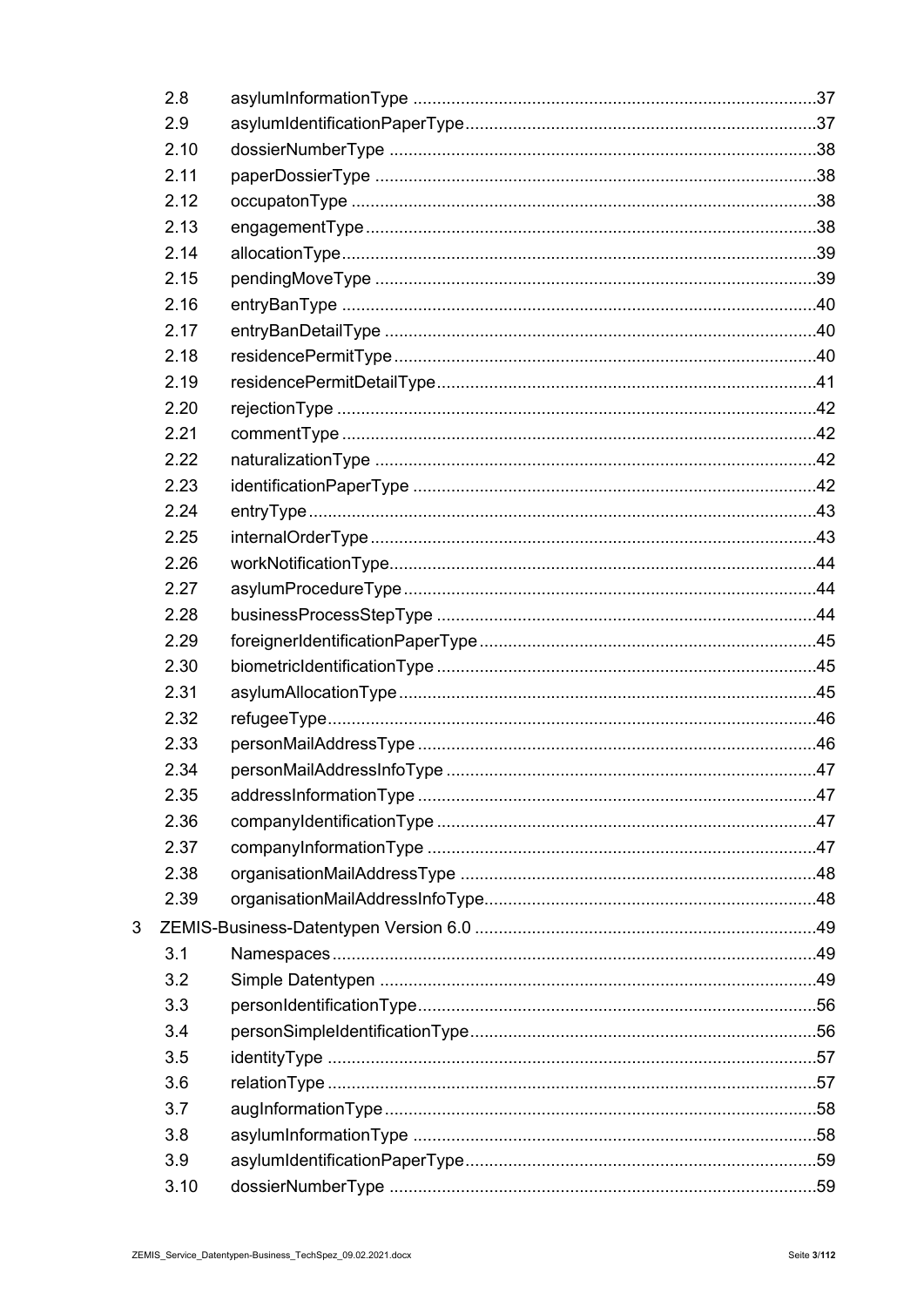| 2.8  |  |
|------|--|
| 2.9  |  |
| 2.10 |  |
| 2.11 |  |
| 2.12 |  |
| 2.13 |  |
| 2.14 |  |
| 2.15 |  |
| 2.16 |  |
| 2.17 |  |
| 2.18 |  |
| 2.19 |  |
| 2.20 |  |
| 2.21 |  |
| 2.22 |  |
| 2.23 |  |
| 2.24 |  |
| 2.25 |  |
| 2.26 |  |
| 2.27 |  |
| 2.28 |  |
| 2.29 |  |
| 2.30 |  |
| 2.31 |  |
| 2.32 |  |
| 2.33 |  |
| 2.34 |  |
| 2.35 |  |
| 2.36 |  |
| 2.37 |  |
| 2.38 |  |
| 2.39 |  |
|      |  |
| 3.1  |  |
| 3.2  |  |
| 3.3  |  |
| 3.4  |  |
| 3.5  |  |
| 3.6  |  |
| 3.7  |  |
| 3.8  |  |
| 3.9  |  |
| 3.10 |  |

 $\overline{3}$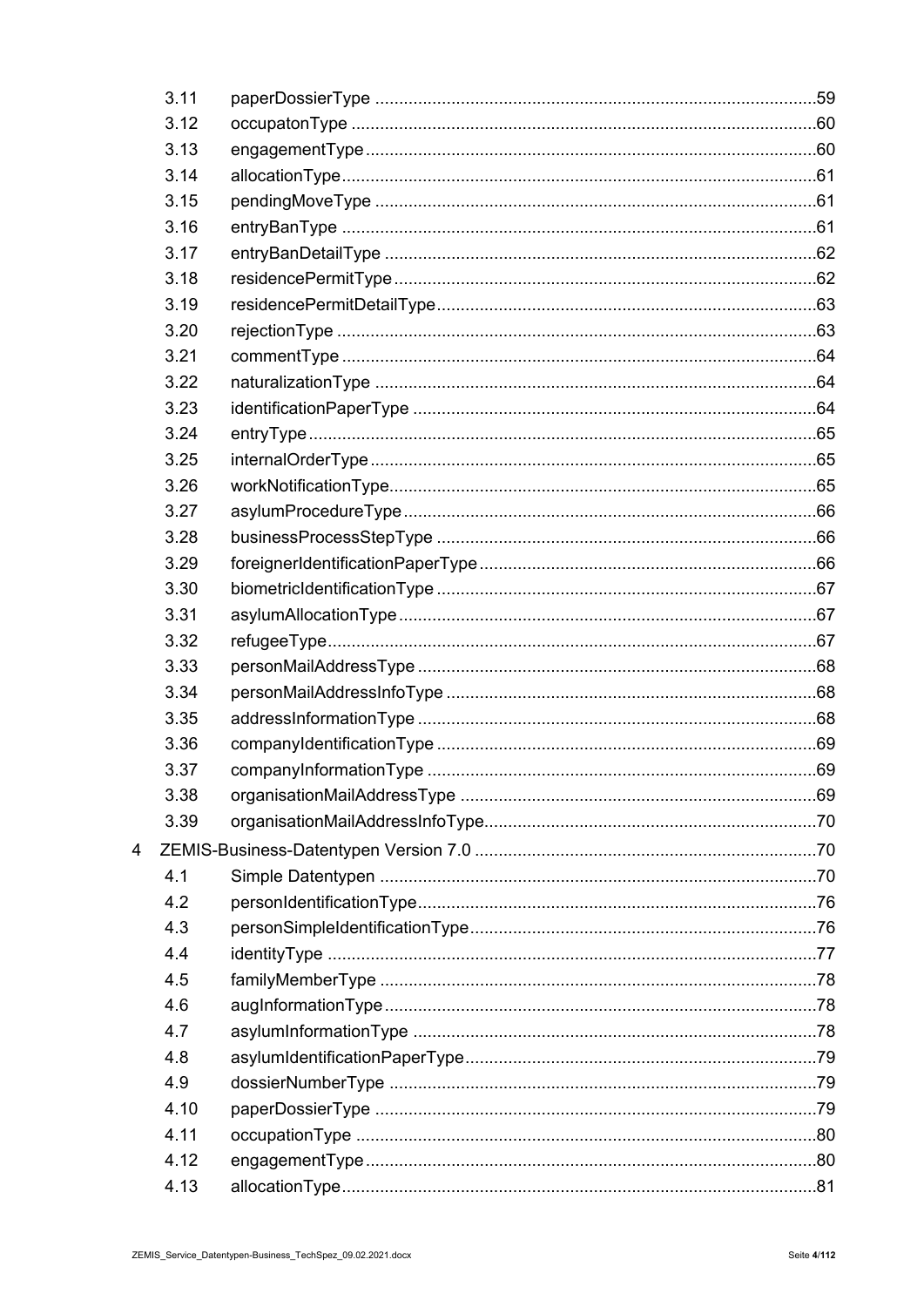| 3.11 |  |
|------|--|
| 3.12 |  |
| 3.13 |  |
| 3.14 |  |
| 3.15 |  |
| 3.16 |  |
| 3.17 |  |
| 3.18 |  |
| 3.19 |  |
| 3.20 |  |
| 3.21 |  |
| 3.22 |  |
| 3.23 |  |
| 3.24 |  |
| 3.25 |  |
| 3.26 |  |
| 3.27 |  |
| 3.28 |  |
| 3.29 |  |
| 3.30 |  |
| 3.31 |  |
| 3.32 |  |
| 3.33 |  |
| 3.34 |  |
| 3.35 |  |
| 3.36 |  |
| 3.37 |  |
| 3.38 |  |
| 3.39 |  |
|      |  |
| 4.1  |  |
| 4.2  |  |
| 4.3  |  |
| 4.4  |  |
| 4.5  |  |
| 4.6  |  |
| 4.7  |  |
| 4.8  |  |
| 4.9  |  |
| 4.10 |  |
| 4.11 |  |
| 4.12 |  |
| 4.13 |  |

 $\overline{4}$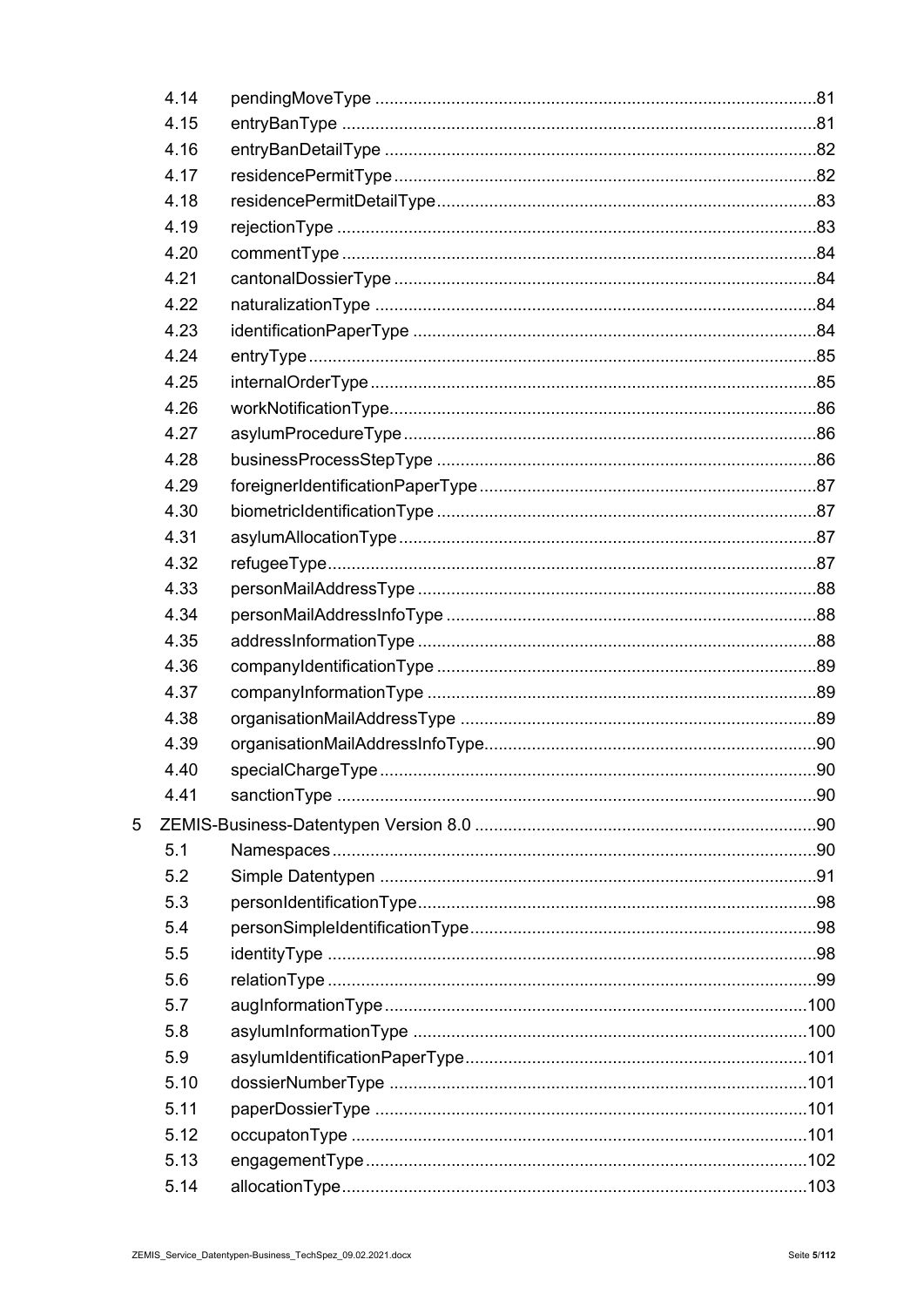| 4.14 |  |
|------|--|
| 4.15 |  |
| 4.16 |  |
| 4.17 |  |
| 4.18 |  |
| 4.19 |  |
| 4.20 |  |
| 4.21 |  |
| 4.22 |  |
| 4.23 |  |
| 4.24 |  |
| 4.25 |  |
| 4.26 |  |
| 4.27 |  |
| 4.28 |  |
| 4.29 |  |
| 4.30 |  |
| 4.31 |  |
| 4.32 |  |
| 4.33 |  |
| 4.34 |  |
| 4.35 |  |
| 4.36 |  |
| 4.37 |  |
| 4.38 |  |
| 4.39 |  |
| 4.40 |  |
| 4.41 |  |
|      |  |
| 5.1  |  |
| 5.2  |  |
| 5.3  |  |
| 5.4  |  |
| 5.5  |  |
| 5.6  |  |
| 5.7  |  |
| 5.8  |  |
| 5.9  |  |
| 5.10 |  |
| 5.11 |  |
| 5.12 |  |
| 5.13 |  |
| 5.14 |  |

 $\overline{5}$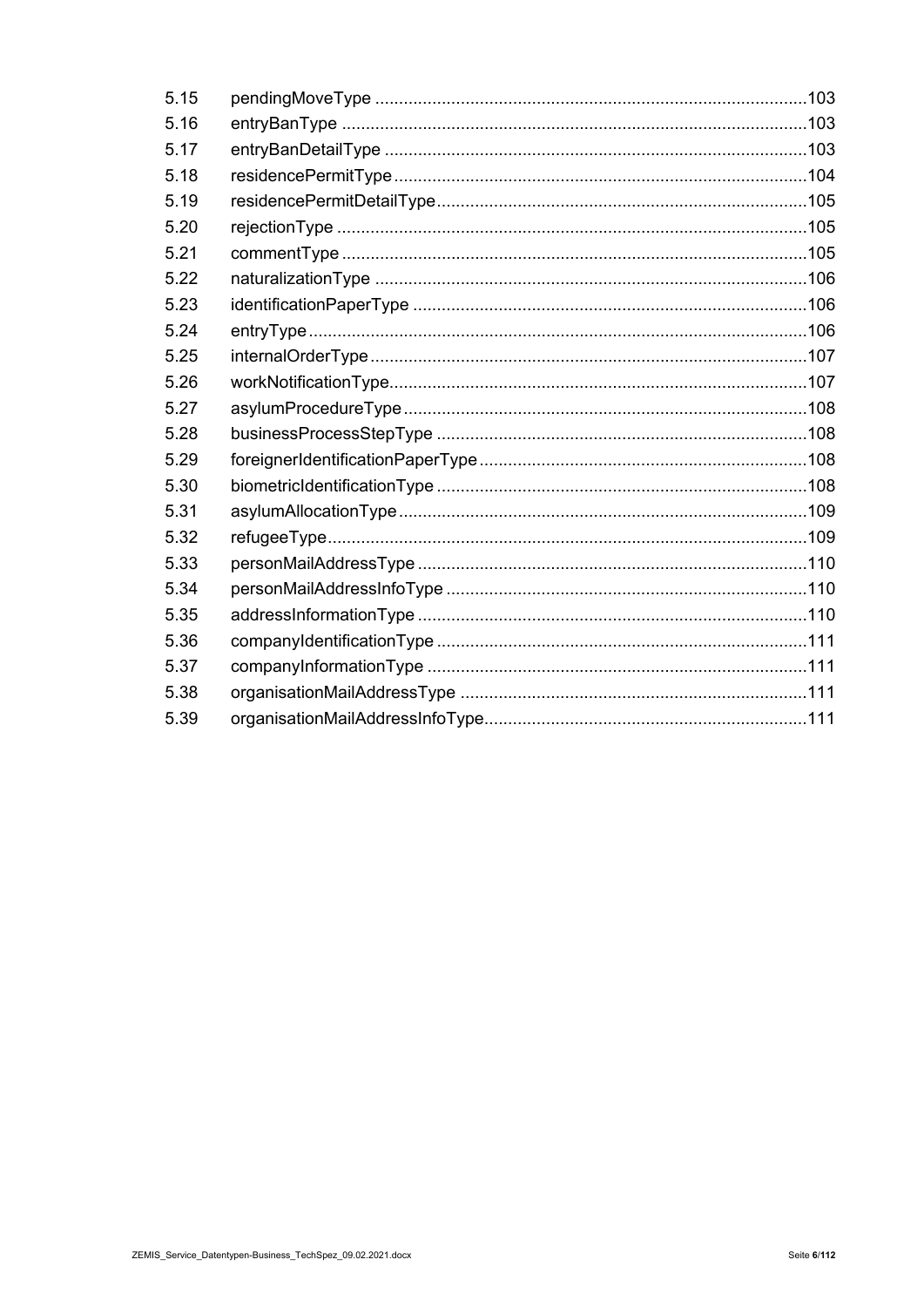| 5.15 |  |
|------|--|
| 5.16 |  |
| 5.17 |  |
| 5.18 |  |
| 5.19 |  |
| 5.20 |  |
| 5.21 |  |
| 5.22 |  |
| 5.23 |  |
| 5.24 |  |
| 5.25 |  |
| 5.26 |  |
| 5.27 |  |
| 5.28 |  |
| 5.29 |  |
| 5.30 |  |
| 5.31 |  |
| 5.32 |  |
| 5.33 |  |
| 5.34 |  |
| 5.35 |  |
| 5.36 |  |
| 5.37 |  |
| 5.38 |  |
| 5.39 |  |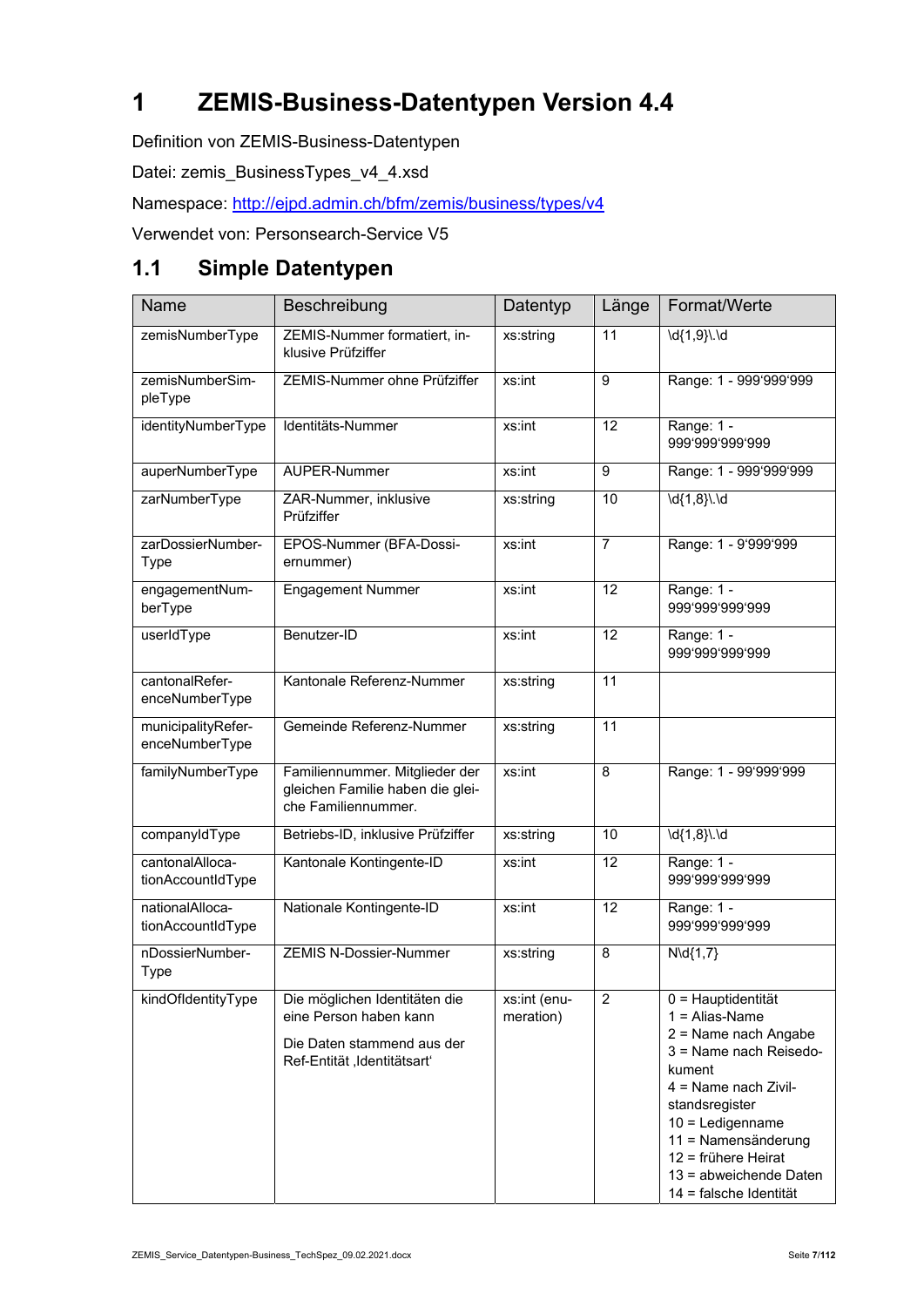# **1 ZEMIS-Business-Datentypen Version 4.4**

Definition von ZEMIS-Business-Datentypen

Datei: zemis\_BusinessTypes\_v4\_4.xsd

Namespace: http://ejpd.admin.ch/bfm/zemis/business/types/v4

Verwendet von: Personsearch-Service V5

#### **1.1 Simple Datentypen**

| Name                                 | Beschreibung                                                                                                         | Datentyp                  | Länge          | Format/Werte                                                                                                                                                                                                                                                             |
|--------------------------------------|----------------------------------------------------------------------------------------------------------------------|---------------------------|----------------|--------------------------------------------------------------------------------------------------------------------------------------------------------------------------------------------------------------------------------------------------------------------------|
| zemisNumberType                      | ZEMIS-Nummer formatiert, in-<br>klusive Prüfziffer                                                                   | xs:string                 | 11             | $\overline{d[1,9]} \cdot \overline{d}$                                                                                                                                                                                                                                   |
| zemisNumberSim-<br>pleType           | ZEMIS-Nummer ohne Prüfziffer                                                                                         | xs:int                    | 9              | Range: 1 - 999'999'999                                                                                                                                                                                                                                                   |
| identityNumberType                   | Identitäts-Nummer                                                                                                    | xs:int                    | 12             | Range: 1 -<br>999'999'999'999                                                                                                                                                                                                                                            |
| auperNumberType                      | <b>AUPER-Nummer</b>                                                                                                  | xs:int                    | 9              | Range: 1 - 999'999'999                                                                                                                                                                                                                                                   |
| zarNumberType                        | ZAR-Nummer, inklusive<br>Prüfziffer                                                                                  | xs:string                 | 10             | $\overline{d\{1,8\}l}$ . $\overline{d}$                                                                                                                                                                                                                                  |
| zarDossierNumber-<br><b>Type</b>     | EPOS-Nummer (BFA-Dossi-<br>ernummer)                                                                                 | xs:int                    | $\overline{7}$ | Range: 1 - 9'999'999                                                                                                                                                                                                                                                     |
| engagementNum-<br>berType            | <b>Engagement Nummer</b>                                                                                             | xs:int                    | 12             | Range: 1 -<br>999'999'999'999                                                                                                                                                                                                                                            |
| userIdType                           | Benutzer-ID                                                                                                          | xs:int                    | 12             | Range: 1 -<br>999'999'999'999                                                                                                                                                                                                                                            |
| cantonalRefer-<br>enceNumberType     | Kantonale Referenz-Nummer                                                                                            | xs:string                 | 11             |                                                                                                                                                                                                                                                                          |
| municipalityRefer-<br>enceNumberType | Gemeinde Referenz-Nummer                                                                                             | xs:string                 | 11             |                                                                                                                                                                                                                                                                          |
| familyNumberType                     | Familiennummer. Mitglieder der<br>gleichen Familie haben die glei-<br>che Familiennummer.                            | xs:int                    | 8              | Range: 1 - 99'999'999                                                                                                                                                                                                                                                    |
| companyIdType                        | Betriebs-ID, inklusive Prüfziffer                                                                                    | xs:string                 | 10             | $\overline{d{1,8}}\ldots$                                                                                                                                                                                                                                                |
| cantonalAlloca-<br>tionAccountIdType | Kantonale Kontingente-ID                                                                                             | xs:int                    | 12             | Range: 1 -<br>999'999'999'999                                                                                                                                                                                                                                            |
| nationalAlloca-<br>tionAccountIdType | Nationale Kontingente-ID                                                                                             | xs:int                    | 12             | Range: 1 -<br>999'999'999'999                                                                                                                                                                                                                                            |
| nDossierNumber-<br><b>Type</b>       | <b>ZEMIS N-Dossier-Nummer</b>                                                                                        | xs:string                 | 8              | $N\ldotp 1,7$                                                                                                                                                                                                                                                            |
| kindOfIdentityType                   | Die möglichen Identitäten die<br>eine Person haben kann<br>Die Daten stammend aus der<br>Ref-Entität, Identitätsart' | xs:int (enu-<br>meration) | $\overline{2}$ | $0 =$ Hauptidentität<br>$1 =$ Alias-Name<br>2 = Name nach Angabe<br>3 = Name nach Reisedo-<br>kument<br>$4 =$ Name nach Zivil-<br>standsregister<br>$10 =$ Ledigenname<br>11 = Namensänderung<br>12 = frühere Heirat<br>13 = abweichende Daten<br>14 = falsche Identität |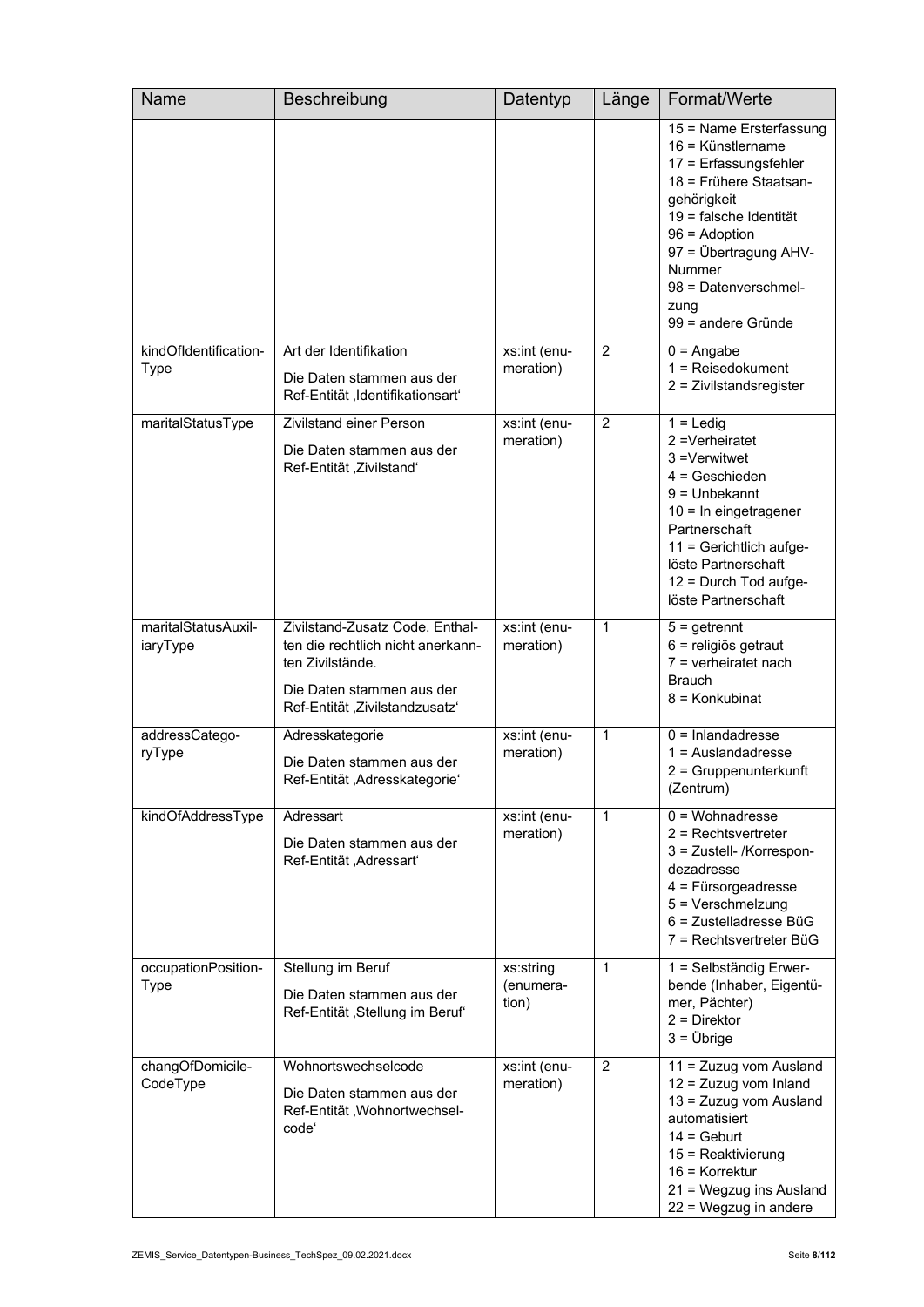| Name                               | Beschreibung                                                                                                                                            | Datentyp                        | Länge          | Format/Werte                                                                                                                                                                                                                                         |
|------------------------------------|---------------------------------------------------------------------------------------------------------------------------------------------------------|---------------------------------|----------------|------------------------------------------------------------------------------------------------------------------------------------------------------------------------------------------------------------------------------------------------------|
|                                    |                                                                                                                                                         |                                 |                | 15 = Name Ersterfassung<br>16 = Künstlername<br>17 = Erfassungsfehler<br>18 = Frühere Staatsan-<br>gehörigkeit<br>19 = falsche Identität<br>$96 =$ Adoption<br>97 = Übertragung AHV-<br>Nummer<br>98 = Datenverschmel-<br>zung<br>99 = andere Gründe |
| kindOfIdentification-<br>Type      | Art der Identifikation<br>Die Daten stammen aus der<br>Ref-Entität, Identifikationsart'                                                                 | xs:int (enu-<br>meration)       | $\overline{2}$ | $0 =$ Angabe<br>$1 =$ Reisedokument<br>2 = Zivilstandsregister                                                                                                                                                                                       |
| maritalStatusType                  | <b>Zivilstand einer Person</b><br>Die Daten stammen aus der<br>Ref-Entität, Zivilstand'                                                                 | xs:int (enu-<br>meration)       | $\overline{2}$ | $1 =$ Ledig<br>2 = Verheiratet<br>3 = Verwitwet<br>$4 =$ Geschieden<br>$9 =$ Unbekannt<br>10 = In eingetragener<br>Partnerschaft<br>11 = Gerichtlich aufge-<br>löste Partnerschaft<br>12 = Durch Tod aufge-<br>löste Partnerschaft                   |
| maritalStatusAuxil-<br>iaryType    | Zivilstand-Zusatz Code. Enthal-<br>ten die rechtlich nicht anerkann-<br>ten Zivilstände.<br>Die Daten stammen aus der<br>Ref-Entität, Zivilstandzusatz' | xs:int (enu-<br>meration)       | 1              | $5 =$ getrennt<br>6 = religiös getraut<br>$7$ = verheiratet nach<br><b>Brauch</b><br>8 = Konkubinat                                                                                                                                                  |
| addressCatego-<br>ryType           | Adresskategorie<br>Die Daten stammen aus der<br>Ref-Entität, Adresskategorie'                                                                           | xs:int (enu-<br>meration)       | 1              | $0 =$ Inlandadresse<br>$1 =$ Auslandadresse<br>2 = Gruppenunterkunft<br>(Zentrum)                                                                                                                                                                    |
| kindOfAddressType                  | Adressart<br>Die Daten stammen aus der<br>Ref-Entität, Adressart'                                                                                       | xs:int (enu-<br>meration)       | $\mathbf{1}$   | $0 =$ Wohnadresse<br>$2$ = Rechtsvertreter<br>3 = Zustell- /Korrespon-<br>dezadresse<br>$4$ = Fürsorgeadresse<br>5 = Verschmelzung<br>$6$ = Zustelladresse BüG<br>7 = Rechtsvertreter BüG                                                            |
| occupationPosition-<br><b>Type</b> | Stellung im Beruf<br>Die Daten stammen aus der<br>Ref-Entität, Stellung im Beruf                                                                        | xs:string<br>(enumera-<br>tion) | $\mathbf{1}$   | 1 = Selbständig Erwer-<br>bende (Inhaber, Eigentü-<br>mer, Pächter)<br>$2 =$ Direktor<br>$3 = \ddot{\cup}$ brige                                                                                                                                     |
| changOfDomicile-<br>CodeType       | Wohnortswechselcode<br>Die Daten stammen aus der<br>Ref-Entität, Wohnortwechsel-<br>code <sup>'</sup>                                                   | xs:int (enu-<br>meration)       | 2              | 11 = Zuzug vom Ausland<br>$12 = Zuzug$ vom Inland<br>13 = Zuzug vom Ausland<br>automatisiert<br>$14 = \text{Gebut}$<br>15 = Reaktivierung<br>$16$ = Korrektur<br>21 = Wegzug ins Ausland<br>22 = Wegzug in andere                                    |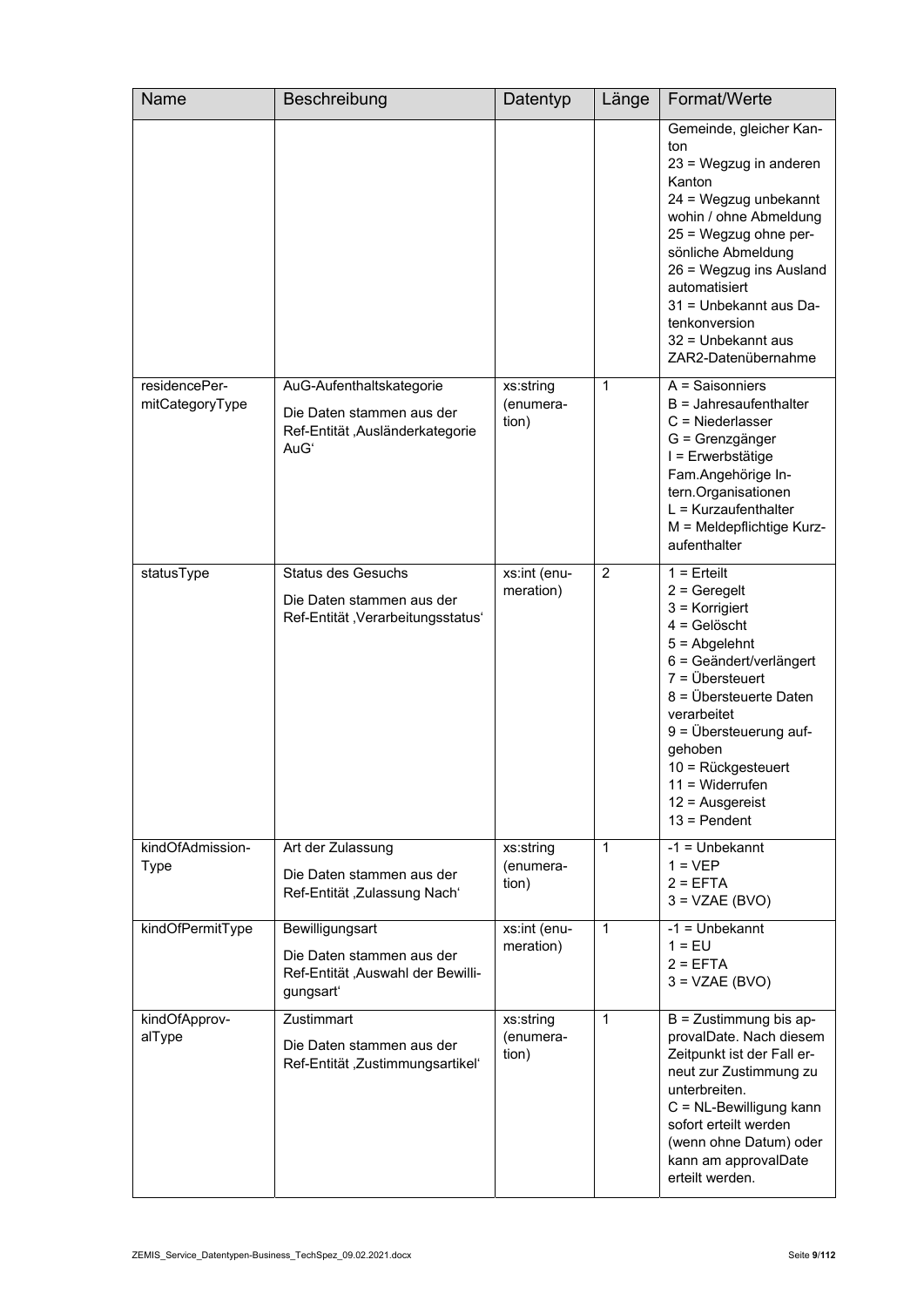| Name                             | Beschreibung                                                                                     | Datentyp                        | Länge | Format/Werte                                                                                                                                                                                                                                                                                                                  |
|----------------------------------|--------------------------------------------------------------------------------------------------|---------------------------------|-------|-------------------------------------------------------------------------------------------------------------------------------------------------------------------------------------------------------------------------------------------------------------------------------------------------------------------------------|
|                                  |                                                                                                  |                                 |       | Gemeinde, gleicher Kan-<br>ton<br>23 = Wegzug in anderen<br>Kanton<br>24 = Wegzug unbekannt<br>wohin / ohne Abmeldung<br>25 = Wegzug ohne per-<br>sönliche Abmeldung<br>26 = Wegzug ins Ausland<br>automatisiert<br>31 = Unbekannt aus Da-<br>tenkonversion<br>32 = Unbekannt aus<br>ZAR2-Datenübernahme                      |
| residencePer-<br>mitCategoryType | AuG-Aufenthaltskategorie<br>Die Daten stammen aus der<br>Ref-Entität, Ausländerkategorie<br>AuGʻ | xs:string<br>(enumera-<br>tion) | 1     | $\overline{A}$ = Saisonniers<br>$B =$ Jahresaufenthalter<br>$C =$ Niederlasser<br>G = Grenzgänger<br>I = Erwerbstätige<br>Fam.Angehörige In-<br>tern.Organisationen<br>$L = Kurzaufenthalter$<br>M = Meldepflichtige Kurz-<br>aufenthalter                                                                                    |
| statusType                       | <b>Status des Gesuchs</b><br>Die Daten stammen aus der<br>Ref-Entität, Verarbeitungsstatus'      | xs:int (enu-<br>meration)       | 2     | $1 =$ Erteilt<br>$2 =$ Geregelt<br>$3$ = Korrigiert<br>$4 =$ Gelöscht<br>$5 =$ Abgelehnt<br>6 = Geändert/verlängert<br>$7 = \ddot{U}$ bersteuert<br>8 = Übersteuerte Daten<br>verarbeitet<br>$9 = \ddot{\cup}$ bersteuerung auf-<br>gehoben<br>10 = Rückgesteuert<br>$11 = Widerrufen$<br>$12$ = Ausgereist<br>$13 = Pendent$ |
| kindOfAdmission-<br><b>Type</b>  | Art der Zulassung<br>Die Daten stammen aus der<br>Ref-Entität, Zulassung Nach'                   | xs:string<br>(enumera-<br>tion) | 1     | $-1 =$ Unbekannt<br>$1 = VEP$<br>$2 = EFTA$<br>$3 = VZAE(BVO)$                                                                                                                                                                                                                                                                |
| kindOfPermitType                 | Bewilligungsart<br>Die Daten stammen aus der<br>Ref-Entität, Auswahl der Bewilli-<br>gungsart'   | xs:int (enu-<br>meration)       | 1     | $-1 =$ Unbekannt<br>$1 = EU$<br>$2 = EFTA$<br>$3 = VZAE(BVO)$                                                                                                                                                                                                                                                                 |
| kindOfApprov-<br>alType          | Zustimmart<br>Die Daten stammen aus der<br>Ref-Entität, Zustimmungsartikel'                      | xs:string<br>(enumera-<br>tion) | 1     | $B =$ Zustimmung bis ap-<br>provalDate. Nach diesem<br>Zeitpunkt ist der Fall er-<br>neut zur Zustimmung zu<br>unterbreiten.<br>C = NL-Bewilligung kann<br>sofort erteilt werden<br>(wenn ohne Datum) oder<br>kann am approvalDate<br>erteilt werden.                                                                         |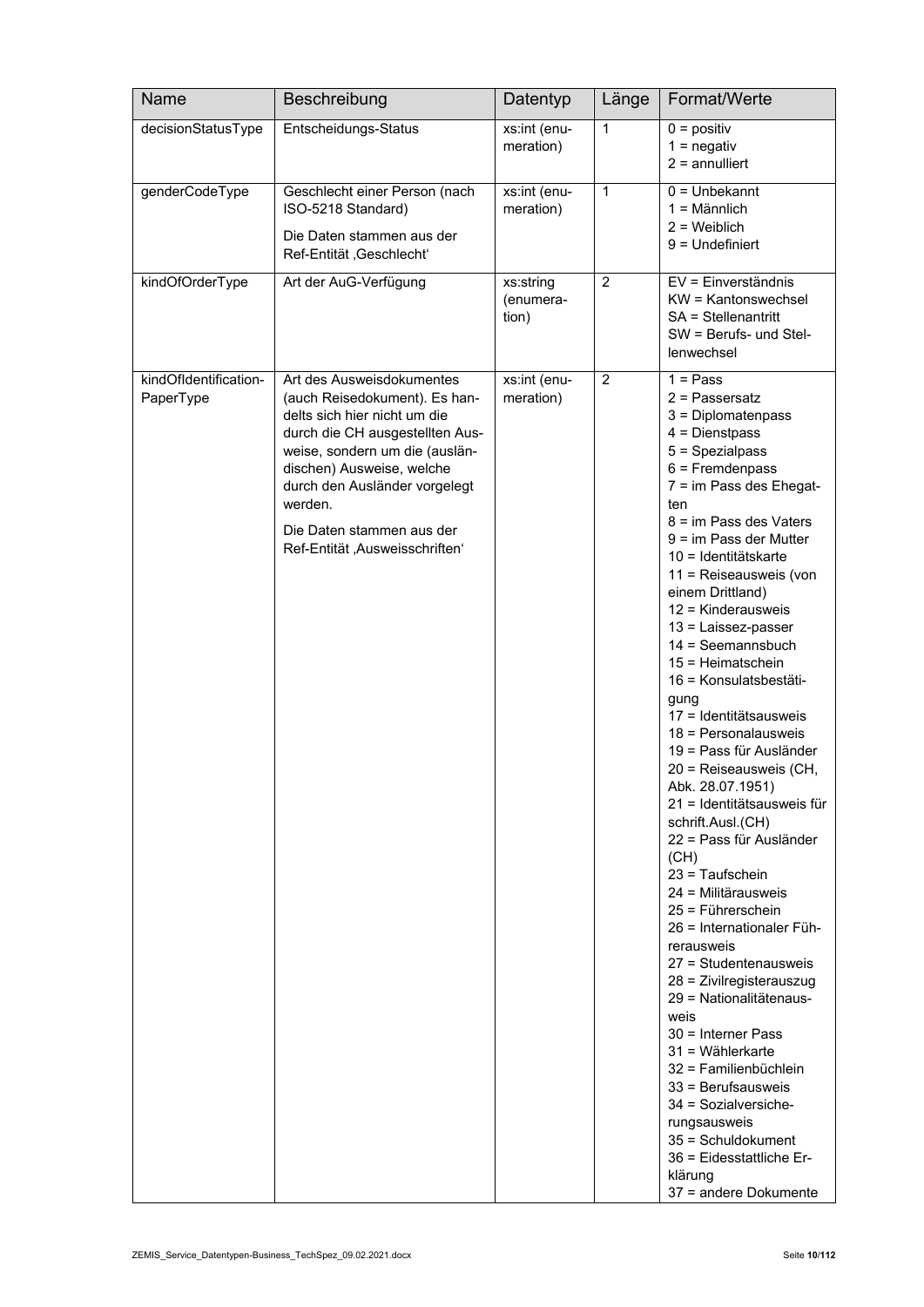| Name                               | Beschreibung                                                                                                                                                                                                                                                                                            | Datentyp                        | Länge          | Format/Werte                                                                                                                                                                                                                                                                                                                                                                                                                                                                                                                                                                                                                                                                                                                                                                                                                                                                                                                                                                                                                                                    |
|------------------------------------|---------------------------------------------------------------------------------------------------------------------------------------------------------------------------------------------------------------------------------------------------------------------------------------------------------|---------------------------------|----------------|-----------------------------------------------------------------------------------------------------------------------------------------------------------------------------------------------------------------------------------------------------------------------------------------------------------------------------------------------------------------------------------------------------------------------------------------------------------------------------------------------------------------------------------------------------------------------------------------------------------------------------------------------------------------------------------------------------------------------------------------------------------------------------------------------------------------------------------------------------------------------------------------------------------------------------------------------------------------------------------------------------------------------------------------------------------------|
| decisionStatusType                 | Entscheidungs-Status                                                                                                                                                                                                                                                                                    | xs:int (enu-<br>meration)       | $\mathbf{1}$   | $0 =$ positiv<br>$1 =$ negativ<br>$2 =$ annulliert                                                                                                                                                                                                                                                                                                                                                                                                                                                                                                                                                                                                                                                                                                                                                                                                                                                                                                                                                                                                              |
| genderCodeType                     | Geschlecht einer Person (nach<br>ISO-5218 Standard)<br>Die Daten stammen aus der<br>Ref-Entität, Geschlecht'                                                                                                                                                                                            | xs:int (enu-<br>meration)       | $\mathbf{1}$   | $0 =$ Unbekannt<br>$1 =$ Männlich<br>$2 =$ Weiblich<br>$9 =$ Undefiniert                                                                                                                                                                                                                                                                                                                                                                                                                                                                                                                                                                                                                                                                                                                                                                                                                                                                                                                                                                                        |
| kindOfOrderType                    | Art der AuG-Verfügung                                                                                                                                                                                                                                                                                   | xs:string<br>(enumera-<br>tion) | $\overline{2}$ | EV = Einverständnis<br>KW = Kantonswechsel<br>SA = Stellenantritt<br>$SW =$ Berufs- und Stel-<br>lenwechsel                                                                                                                                                                                                                                                                                                                                                                                                                                                                                                                                                                                                                                                                                                                                                                                                                                                                                                                                                     |
| kindOfIdentification-<br>PaperType | Art des Ausweisdokumentes<br>(auch Reisedokument). Es han-<br>delts sich hier nicht um die<br>durch die CH ausgestellten Aus-<br>weise, sondern um die (auslän-<br>dischen) Ausweise, welche<br>durch den Ausländer vorgelegt<br>werden.<br>Die Daten stammen aus der<br>Ref-Entität, Ausweisschriften' | xs:int (enu-<br>meration)       | 2              | $1 = Pass$<br>$2$ = Passersatz<br>3 = Diplomatenpass<br>$4 =$ Dienstpass<br>$5 =$ Spezialpass<br>$6$ = Fremdenpass<br>7 = im Pass des Ehegat-<br>ten<br>8 = im Pass des Vaters<br>$9 = im Pass der Mutter$<br>10 = Identitätskarte<br>11 = Reiseausweis (von<br>einem Drittland)<br>12 = Kinderausweis<br>13 = Laissez-passer<br>$14 =$ Seemannsbuch<br>$15 = Heimatschein$<br>16 = Konsulatsbestäti-<br>gung<br>17 = Identitätsausweis<br>$18$ = Personalausweis<br>19 = Pass für Ausländer<br>20 = Reiseausweis (CH,<br>Abk. 28.07.1951)<br>21 = Identitätsausweis für<br>schrift.Ausl.(CH)<br>22 = Pass für Ausländer<br>(CH)<br>$23 =$ Taufschein<br>24 = Militärausweis<br>25 = Führerschein<br>26 = Internationaler Füh-<br>rerausweis<br>27 = Studentenausweis<br>28 = Zivilregisterauszug<br>29 = Nationalitätenaus-<br>weis<br>30 = Interner Pass<br>$31 =$ Wählerkarte<br>32 = Familienbüchlein<br>$33$ = Berufsausweis<br>34 = Sozialversiche-<br>rungsausweis<br>35 = Schuldokument<br>36 = Eidesstattliche Er-<br>klärung<br>37 = andere Dokumente |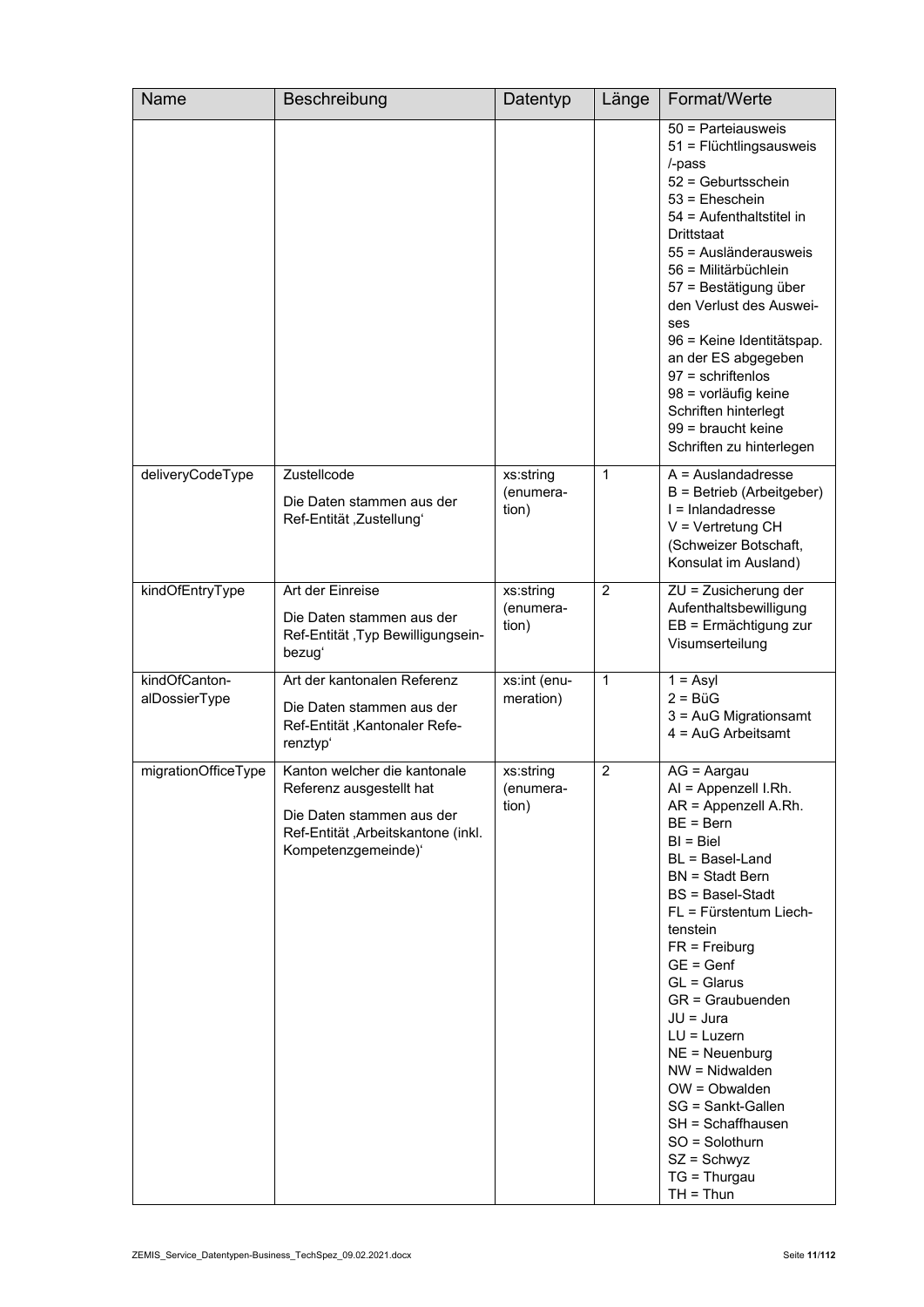| <b>Name</b>                    | Beschreibung                                                                                                                                       | Datentyp                        | Länge          | Format/Werte                                                                                                                                                                                                                                                                                                                                                                                                                                                                       |
|--------------------------------|----------------------------------------------------------------------------------------------------------------------------------------------------|---------------------------------|----------------|------------------------------------------------------------------------------------------------------------------------------------------------------------------------------------------------------------------------------------------------------------------------------------------------------------------------------------------------------------------------------------------------------------------------------------------------------------------------------------|
|                                |                                                                                                                                                    |                                 |                | 50 = Parteiausweis<br>51 = Flüchtlingsausweis<br>/-pass<br>52 = Geburtsschein<br>$53$ = Eheschein<br>54 = Aufenthaltstitel in<br>Drittstaat<br>55 = Ausländerausweis<br>56 = Militärbüchlein<br>57 = Bestätigung über<br>den Verlust des Auswei-<br>ses<br>96 = Keine Identitätspap.<br>an der ES abgegeben<br>$97$ = schriftenlos<br>98 = vorläufig keine<br>Schriften hinterlegt<br>99 = braucht keine<br>Schriften zu hinterlegen                                               |
| deliveryCodeType               | Zustellcode<br>Die Daten stammen aus der<br>Ref-Entität, Zustellungʻ                                                                               | xs:string<br>(enumera-<br>tion) | 1              | $A =$ Auslandadresse<br>B = Betrieb (Arbeitgeber)<br>$I = Inlanda$ dresse<br>$V = V$ ertretung CH<br>(Schweizer Botschaft,<br>Konsulat im Ausland)                                                                                                                                                                                                                                                                                                                                 |
| kindOfEntryType                | Art der Einreise<br>Die Daten stammen aus der<br>Ref-Entität , Typ Bewilligungsein-<br>bezugʻ                                                      | xs:string<br>(enumera-<br>tion) | $\overline{c}$ | ZU = Zusicherung der<br>Aufenthaltsbewilligung<br>EB = Ermächtigung zur<br>Visumserteilung                                                                                                                                                                                                                                                                                                                                                                                         |
| kindOfCanton-<br>alDossierType | Art der kantonalen Referenz<br>Die Daten stammen aus der<br>Ref-Entität, Kantonaler Refe-<br>renztyp'                                              | xs:int (enu-<br>meration)       | 1              | $1 = Asyl$<br>$2 = BiG$<br>3 = AuG Migrationsamt<br>$4 = Aug$ Arbeitsamt                                                                                                                                                                                                                                                                                                                                                                                                           |
| migrationOfficeType            | Kanton welcher die kantonale<br>Referenz ausgestellt hat<br>Die Daten stammen aus der<br>Ref-Entität, Arbeitskantone (inkl.<br>Kompetenzgemeinde)' | xs:string<br>(enumera-<br>tion) | $\overline{2}$ | $AG = Aargau$<br>AI = Appenzell I.Rh.<br>AR = Appenzell A.Rh.<br>$BE = Bern$<br>$BI = Biel$<br>BL = Basel-Land<br>$BN = Stadt Bern$<br><b>BS</b> = Basel-Stadt<br>FL = Fürstentum Liech-<br>tenstein<br>$FR = Freiburg$<br>$GE = Genf$<br>$GL = Glarus$<br>GR = Graubuenden<br>JU = Jura<br>$LU = Luxern$<br>$NE = Neuenburg$<br>$NW = Nidwalden$<br>$OW = Obwalden$<br>SG = Sankt-Gallen<br>SH = Schaffhausen<br>SO = Solothurn<br>$SZ =$ Schwyz<br>$TG = Thurgau$<br>$TH = Thun$ |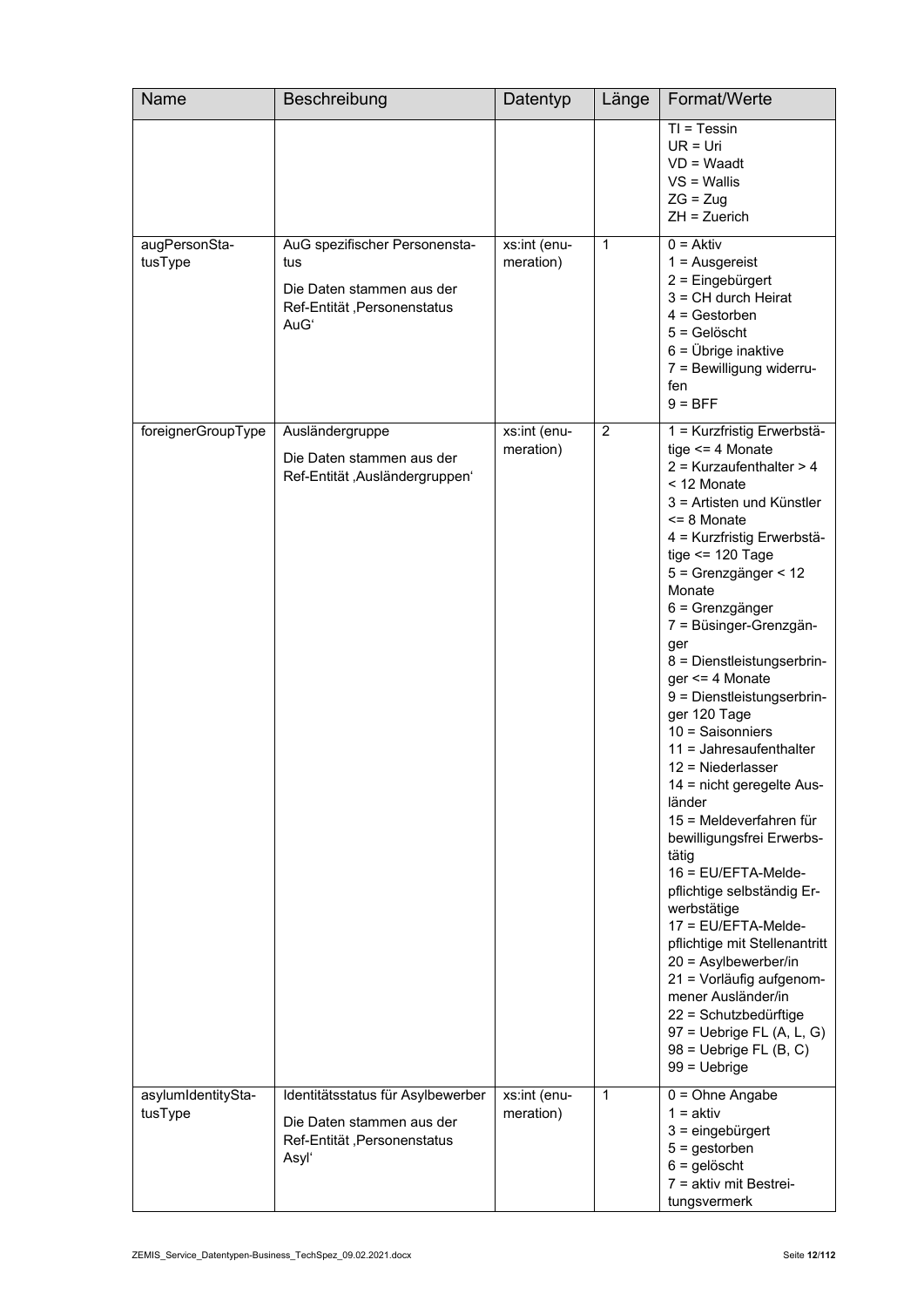| Name                          | Beschreibung                                                                                             | Datentyp                  | Länge          | Format/Werte                                                                                                                                                                                                                                                                                                                                                                                                                                                                                                                                                                                                                                                                                                                                                                                                                                                                               |
|-------------------------------|----------------------------------------------------------------------------------------------------------|---------------------------|----------------|--------------------------------------------------------------------------------------------------------------------------------------------------------------------------------------------------------------------------------------------------------------------------------------------------------------------------------------------------------------------------------------------------------------------------------------------------------------------------------------------------------------------------------------------------------------------------------------------------------------------------------------------------------------------------------------------------------------------------------------------------------------------------------------------------------------------------------------------------------------------------------------------|
|                               |                                                                                                          |                           |                | $TI = Tessin$<br>$UR = Uri$<br>$VD = Waadt$<br>$VS =$ Wallis<br>$ZG = Zug$<br>$ZH = Zuerich$                                                                                                                                                                                                                                                                                                                                                                                                                                                                                                                                                                                                                                                                                                                                                                                               |
| augPersonSta-<br>tusType      | AuG spezifischer Personensta-<br>tus<br>Die Daten stammen aus der<br>Ref-Entität, Personenstatus<br>AuGʻ | xs:int (enu-<br>meration) | $\mathbf{1}$   | $0 = Aktiv$<br>$1 =$ Ausgereist<br>2 = Eingebürgert<br>$3 = CH$ durch Heirat<br>$4 =$ Gestorben<br>$5 =$ Gelöscht<br>$6 = \ddot{\text{U}}$ brige inaktive<br>7 = Bewilligung widerru-<br>fen<br>$9 = BFF$                                                                                                                                                                                                                                                                                                                                                                                                                                                                                                                                                                                                                                                                                  |
| foreignerGroupType            | Ausländergruppe<br>Die Daten stammen aus der<br>Ref-Entität, Ausländergruppen'                           | xs:int (enu-<br>meration) | $\overline{c}$ | 1 = Kurzfristig Erwerbstä-<br>tige $\leq$ 4 Monate<br>$2$ = Kurzaufenthalter > 4<br>< 12 Monate<br>3 = Artisten und Künstler<br>$<$ 8 Monate<br>4 = Kurzfristig Erwerbstä-<br>tige $\le$ 120 Tage<br>5 = Grenzgänger < 12<br>Monate<br>6 = Grenzgänger<br>7 = Büsinger-Grenzgän-<br>ger<br>8 = Dienstleistungserbrin-<br>$ger \leq 4$ Monate<br>9 = Dienstleistungserbrin-<br>ger 120 Tage<br>$10 =$ Saisonniers<br>$11 =$ Jahresaufenthalter<br>$12$ = Niederlasser<br>14 = nicht geregelte Aus-<br>länder<br>15 = Meldeverfahren für<br>bewilligungsfrei Erwerbs-<br>tätig<br>16 = EU/EFTA-Melde-<br>pflichtige selbständig Er-<br>werbstätige<br>17 = EU/EFTA-Melde-<br>pflichtige mit Stellenantritt<br>$20 =$ Asylbewerber/in<br>21 = Vorläufig aufgenom-<br>mener Ausländer/in<br>22 = Schutzbedürftige<br>$97$ = Uebrige FL (A, L, G)<br>$98$ = Uebrige FL (B, C)<br>$99 = Uebrige$ |
| asylumIdentitySta-<br>tusType | Identitätsstatus für Asylbewerber<br>Die Daten stammen aus der<br>Ref-Entität, Personenstatus<br>Asyl'   | xs:int (enu-<br>meration) | 1              | $0 = Ohne$ Angabe<br>$1 = aktiv$<br>$3 =$ eingebürgert<br>$5 =$ gestorben<br>$6 =$ gelöscht<br>7 = aktiv mit Bestrei-<br>tungsvermerk                                                                                                                                                                                                                                                                                                                                                                                                                                                                                                                                                                                                                                                                                                                                                      |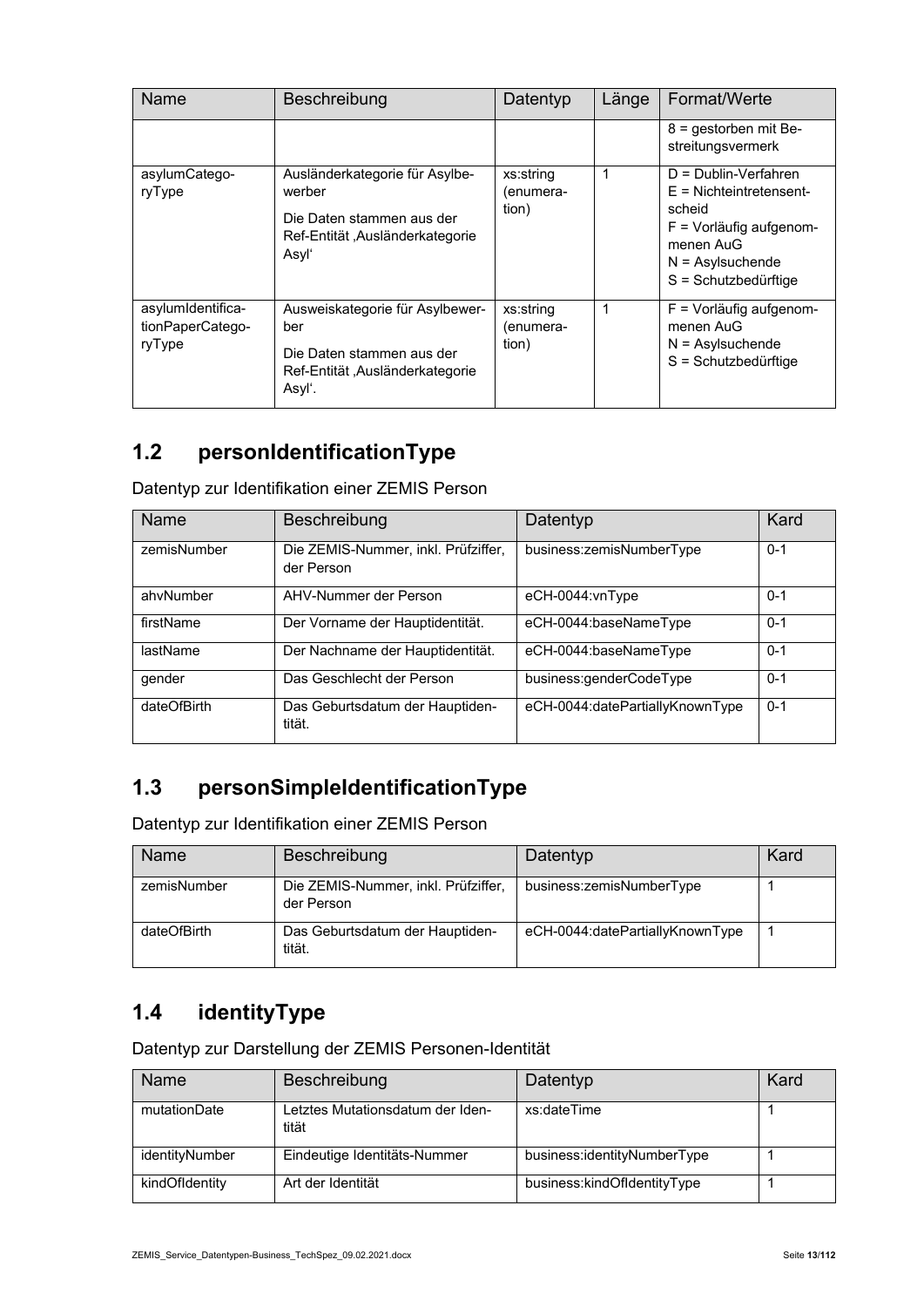| <b>Name</b>                                     | <b>Beschreibung</b>                                                                                               | Datentyp                        | Länge | Format/Werte                                                                                                                                            |
|-------------------------------------------------|-------------------------------------------------------------------------------------------------------------------|---------------------------------|-------|---------------------------------------------------------------------------------------------------------------------------------------------------------|
|                                                 |                                                                                                                   |                                 |       | $8 =$ gestorben mit Be-<br>streitungsvermerk                                                                                                            |
| asylumCatego-<br>ryType                         | Ausländerkategorie für Asylbe-<br>werber<br>Die Daten stammen aus der<br>Ref-Entität "Ausländerkategorie<br>Asyl' | xs:string<br>/enumera-<br>tion) | 1     | $D = Dublin-Verfahren$<br>$E =$ Nichteintretensent-<br>scheid<br>$F =$ Vorläufig aufgenom-<br>menen AuG<br>$N =$ Asylsuchende<br>$S =$ Schutzbedürftige |
| asylumIdentifica-<br>tionPaperCatego-<br>ryType | Ausweiskategorie für Asylbewer-<br>ber<br>Die Daten stammen aus der<br>Ref-Entität, Ausländerkategorie<br>Asyl'.  | xs:string<br>(enumera-<br>tion) | 1     | F = Vorläufig aufgenom-<br>menen AuG<br>$N =$ Asylsuchende<br>$S =$ Schutzbedürftige                                                                    |

#### **1.2 personIdentificationType**

Datentyp zur Identifikation einer ZEMIS Person

| <b>Name</b> | Beschreibung                                      | Datentyp                        | Kard    |
|-------------|---------------------------------------------------|---------------------------------|---------|
| zemisNumber | Die ZEMIS-Nummer, inkl. Prüfziffer,<br>der Person | business:zemisNumberType        | $0 - 1$ |
| ahvNumber   | AHV-Nummer der Person                             | eCH-0044:vnType                 | $0 - 1$ |
| firstName   | Der Vorname der Hauptidentität.                   | eCH-0044:baseNameType           | $0 - 1$ |
| lastName    | Der Nachname der Hauptidentität.                  | eCH-0044:baseNameType           | $0 - 1$ |
| gender      | Das Geschlecht der Person                         | business:genderCodeType         | $0 - 1$ |
| dateOfBirth | Das Geburtsdatum der Hauptiden-<br>tität.         | eCH-0044:datePartiallyKnownType | $0 - 1$ |

#### **1.3 personSimpleIdentificationType**

Datentyp zur Identifikation einer ZEMIS Person

| Name        | Beschreibung                                      | Datentyp                        | Kard |
|-------------|---------------------------------------------------|---------------------------------|------|
| zemisNumber | Die ZEMIS-Nummer, inkl. Prüfziffer,<br>der Person | business:zemisNumberType        |      |
| dateOfBirth | Das Geburtsdatum der Hauptiden-<br>tität.         | eCH-0044:datePartiallyKnownType |      |

#### **1.4 identityType**

Datentyp zur Darstellung der ZEMIS Personen-Identität

| Name           | Beschreibung                              | Datentyp                    | Kard |
|----------------|-------------------------------------------|-----------------------------|------|
| mutationDate   | Letztes Mutationsdatum der Iden-<br>tität | xs:dateTime                 |      |
| identityNumber | Eindeutige Identitäts-Nummer              | business:identityNumberType |      |
| kindOfldentity | Art der Identität                         | business:kindOfldentityType |      |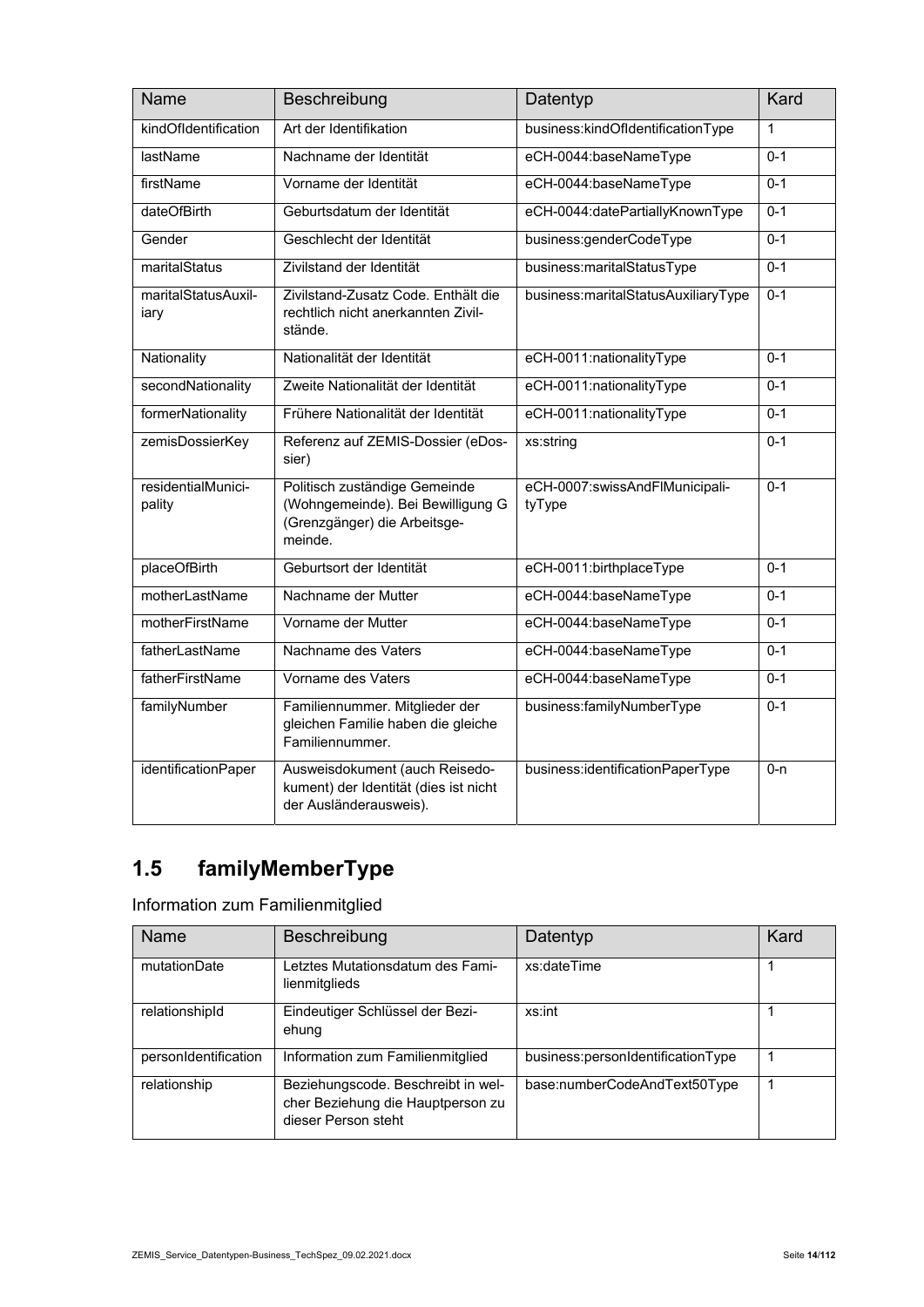| <b>Name</b>                  | Beschreibung                                                                                                  | Datentyp                                 | Kard         |
|------------------------------|---------------------------------------------------------------------------------------------------------------|------------------------------------------|--------------|
| kindOfIdentification         | Art der Identifikation                                                                                        | business:kindOfldentificationType        | $\mathbf{1}$ |
| <b>lastName</b>              | Nachname der Identität                                                                                        | eCH-0044:baseNameType                    | $0 - 1$      |
| firstName                    | Vorname der Identität                                                                                         | eCH-0044:baseNameType                    | $0 - 1$      |
| dateOfBirth                  | Geburtsdatum der Identität                                                                                    | eCH-0044:datePartiallyKnownType          | $0 - 1$      |
| Gender                       | Geschlecht der Identität                                                                                      | business:genderCodeType                  | $0 - 1$      |
| maritalStatus                | Zivilstand der Identität                                                                                      | business:maritalStatusType               | $0 - 1$      |
| maritalStatusAuxil-<br>iarv  | Zivilstand-Zusatz Code, Enthält die<br>rechtlich nicht anerkannten Zivil-<br>stände.                          | business:maritalStatusAuxiliaryType      | $0 - 1$      |
| Nationality                  | Nationalität der Identität                                                                                    | eCH-0011:nationalityType                 | $0 - 1$      |
| secondNationality            | Zweite Nationalität der Identität                                                                             | eCH-0011:nationalityType                 | $0 - 1$      |
| formerNationality            | Frühere Nationalität der Identität                                                                            | eCH-0011:nationalityType                 | $0 - 1$      |
| zemisDossierKey              | Referenz auf ZEMIS-Dossier (eDos-<br>sier)                                                                    | xs:string                                | $0 - 1$      |
| residentialMunici-<br>pality | Politisch zuständige Gemeinde<br>(Wohngemeinde). Bei Bewilligung G<br>(Grenzgänger) die Arbeitsge-<br>meinde. | eCH-0007:swissAndFlMunicipali-<br>tyType | $0 - 1$      |
| placeOfBirth                 | Geburtsort der Identität                                                                                      | eCH-0011:birthplaceType                  | $0 - 1$      |
| motherLastName               | Nachname der Mutter                                                                                           | eCH-0044:baseNameType                    | $0 - 1$      |
| motherFirstName              | Vorname der Mutter                                                                                            | eCH-0044:baseNameType                    | $0 - 1$      |
| fatherLastName               | Nachname des Vaters                                                                                           | eCH-0044:baseNameType                    | $0 - 1$      |
| fatherFirstName              | Vorname des Vaters                                                                                            | eCH-0044:baseNameType                    | $0 - 1$      |
| familyNumber                 | Familiennummer. Mitglieder der<br>gleichen Familie haben die gleiche<br>Familiennummer.                       | business:familyNumberType                | $0 - 1$      |
| identificationPaper          | Ausweisdokument (auch Reisedo-<br>kument) der Identität (dies ist nicht<br>der Ausländerausweis).             | business:identificationPaperType         | $0 - n$      |

# **1.5 familyMemberType**

Information zum Familienmitglied

| <b>Name</b>          | Beschreibung                                                                                   | Datentyp                          | Kard |
|----------------------|------------------------------------------------------------------------------------------------|-----------------------------------|------|
| mutationDate         | Letztes Mutationsdatum des Fami-<br>lienmitglieds                                              | xs:dateTime                       |      |
| relationshipId       | Eindeutiger Schlüssel der Bezi-<br>ehung                                                       | xs:int                            |      |
| personIdentification | Information zum Familienmitglied                                                               | business:personIdentificationType |      |
| relationship         | Beziehungscode. Beschreibt in wel-<br>cher Beziehung die Hauptperson zu<br>dieser Person steht | base:numberCodeAndText50Type      |      |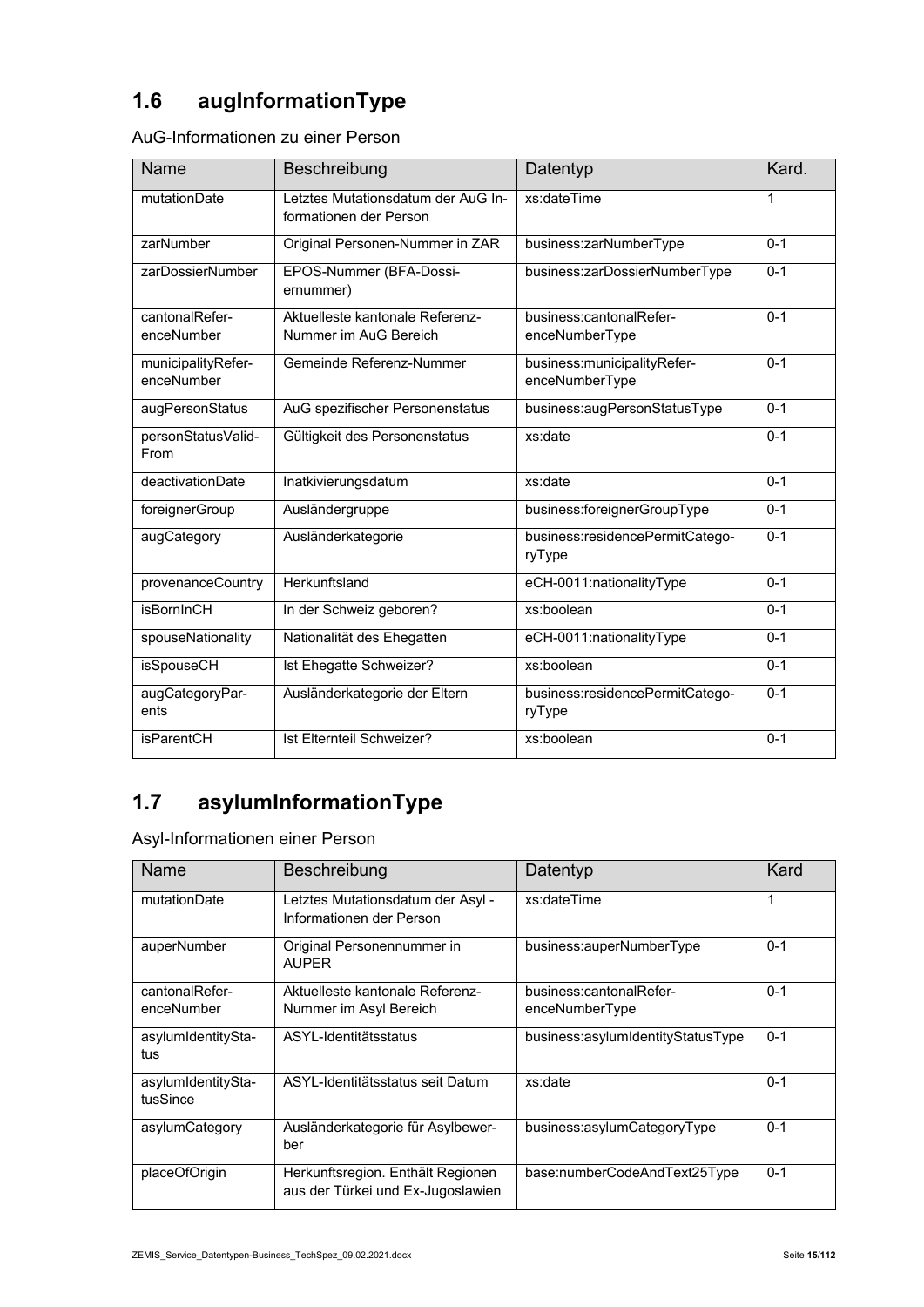# **1.6 augInformationType**

| AuG-Informationen zu einer Person |  |
|-----------------------------------|--|
|-----------------------------------|--|

| Name                             | Beschreibung                                                 | Datentyp                                        | Kard.   |
|----------------------------------|--------------------------------------------------------------|-------------------------------------------------|---------|
| mutationDate                     | Letztes Mutationsdatum der AuG In-<br>formationen der Person | xs:dateTime                                     | 1       |
| zarNumber                        | Original Personen-Nummer in ZAR                              | business:zarNumberType                          | $0 - 1$ |
| zarDossierNumber                 | EPOS-Nummer (BFA-Dossi-<br>ernummer)                         | business:zarDossierNumberType                   | $0 - 1$ |
| cantonalRefer-<br>enceNumber     | Aktuelleste kantonale Referenz-<br>Nummer im AuG Bereich     | business:cantonalRefer-<br>enceNumberType       | $0 - 1$ |
| municipalityRefer-<br>enceNumber | Gemeinde Referenz-Nummer                                     | business: municipality Refer-<br>enceNumberType | $0 - 1$ |
| augPersonStatus                  | AuG spezifischer Personenstatus                              | business:augPersonStatusType                    | $0 - 1$ |
| personStatusValid-<br>From       | Gültigkeit des Personenstatus                                | xs:date                                         | $0 - 1$ |
| deactivationDate                 | Inatkivierungsdatum                                          | xs:date                                         | $0 - 1$ |
| foreignerGroup                   | Ausländergruppe                                              | business:foreignerGroupType                     | $0 - 1$ |
| augCategory                      | Ausländerkategorie                                           | business:residencePermitCatego-<br>ryType       | $0 - 1$ |
| provenanceCountry                | Herkunftsland                                                | eCH-0011:nationalityType                        | $0 - 1$ |
| <b>isBornInCH</b>                | In der Schweiz geboren?                                      | xs:boolean                                      | $0 - 1$ |
| spouseNationality                | Nationalität des Ehegatten                                   | eCH-0011:nationalityType                        | $0 - 1$ |
| isSpouseCH                       | Ist Ehegatte Schweizer?                                      | xs:boolean                                      | $0 - 1$ |
| augCategoryPar-<br>ents          | Ausländerkategorie der Eltern                                | business:residencePermitCatego-<br>ryType       | $0 - 1$ |
| <b>isParentCH</b>                | Ist Fiternteil Schweizer?                                    | xs:boolean                                      | $0 - 1$ |

# **1.7 asylumInformationType**

Asyl-Informationen einer Person

| <b>Name</b>                    | Beschreibung                                                           | Datentyp                          | Kard    |
|--------------------------------|------------------------------------------------------------------------|-----------------------------------|---------|
| mutationDate                   | Letztes Mutationsdatum der Asyl -<br>Informationen der Person          | xs:dateTime                       | 1       |
| auperNumber                    | Original Personennummer in<br><b>AUPFR</b>                             | business:auperNumberType          | $0 - 1$ |
| cantonalRefer-                 | Aktuelleste kantonale Referenz-                                        | business:cantonalRefer-           | $0 - 1$ |
| enceNumber                     | Nummer im Asyl Bereich                                                 | enceNumberType                    |         |
| asylumIdentitySta-<br>tus      | ASYL-Identitätsstatus                                                  | business:asylumIdentityStatusType | $0 - 1$ |
| asylumIdentitySta-<br>tusSince | ASYL-Identitätsstatus seit Datum                                       | xs:date                           | $0 - 1$ |
| asylumCategory                 | Ausländerkategorie für Asylbewer-<br>ber                               | business:asylumCategoryType       | $0 - 1$ |
| placeOfOrigin                  | Herkunftsregion. Enthält Regionen<br>aus der Türkei und Ex-Jugoslawien | base:numberCodeAndText25Type      | $0 - 1$ |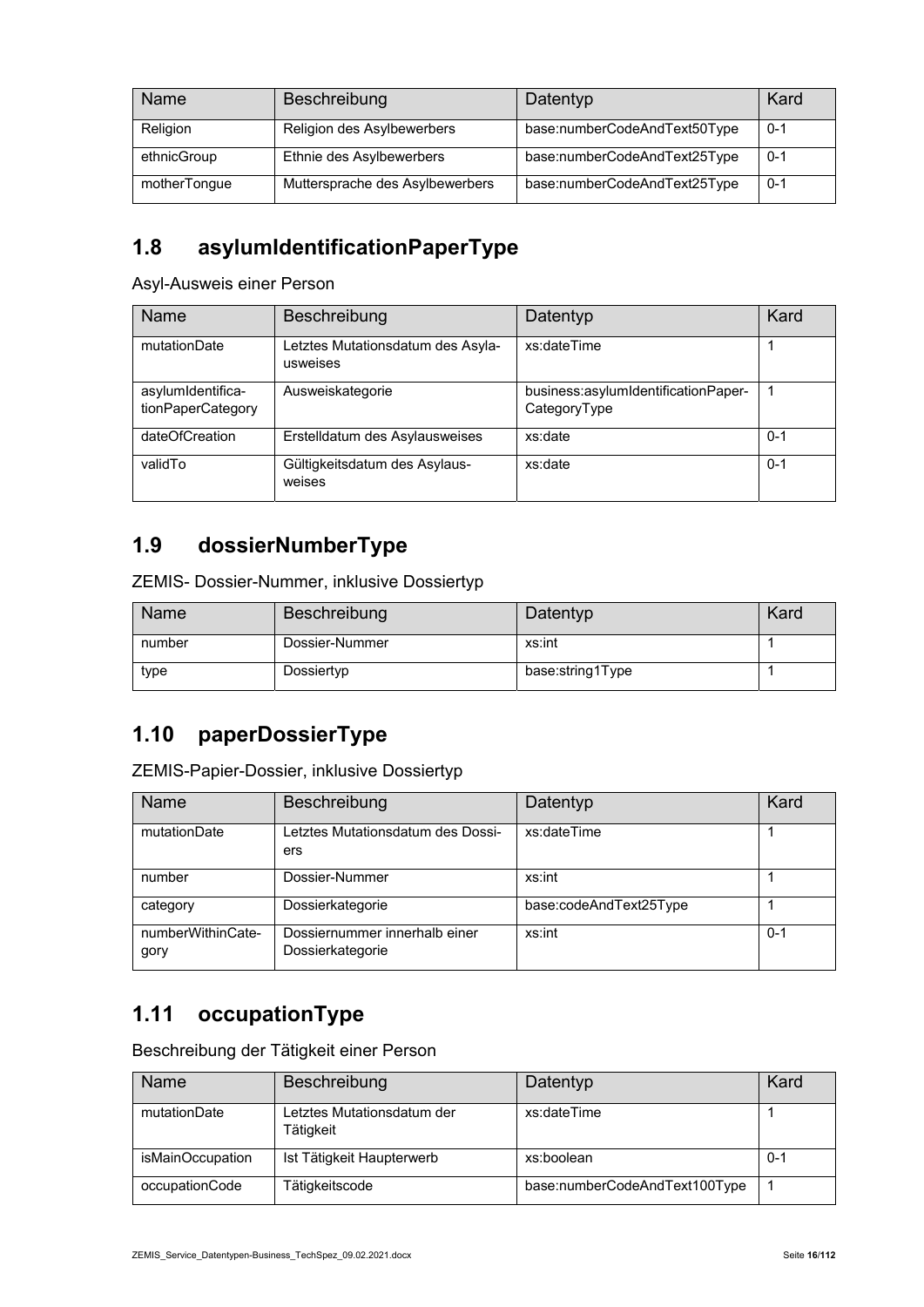| Name         | Beschreibung                    | Datentyp                     | Kard    |
|--------------|---------------------------------|------------------------------|---------|
| Religion     | Religion des Asylbewerbers      | base:numberCodeAndText50Type | $0 - 1$ |
| ethnicGroup  | Ethnie des Asylbewerbers        | base:numberCodeAndText25Type | $0 - 1$ |
| motherTongue | Muttersprache des Asylbewerbers | base:numberCodeAndText25Type | $0 - 1$ |

# **1.8 asylumIdentificationPaperType**

Asyl-Ausweis einer Person

| <b>Name</b>                            | Beschreibung                                  | Datentyp                                            | Kard    |
|----------------------------------------|-----------------------------------------------|-----------------------------------------------------|---------|
| mutationDate                           | Letztes Mutationsdatum des Asyla-<br>usweises | xs:dateTime                                         |         |
| asylumIdentifica-<br>tionPaperCategory | Ausweiskategorie                              | business:asylumIdentificationPaper-<br>CategoryType |         |
| dateOfCreation                         | Erstelldatum des Asylausweises                | xs:date                                             | $0 - 1$ |
| validTo                                | Gültigkeitsdatum des Asylaus-<br>weises       | xs:date                                             | $0 - 1$ |

#### **1.9 dossierNumberType**

ZEMIS- Dossier-Nummer, inklusive Dossiertyp

| Name   | Beschreibung   | Datentyp         | Kard |
|--------|----------------|------------------|------|
| number | Dossier-Nummer | xs:int           |      |
| type   | Dossiertyp     | base:string1Type |      |

#### **1.10 paperDossierType**

ZEMIS-Papier-Dossier, inklusive Dossiertyp

| Name                      | Beschreibung                                      | Datentyp               | Kard    |
|---------------------------|---------------------------------------------------|------------------------|---------|
| mutationDate              | Letztes Mutationsdatum des Dossi-<br>ers          | xs:dateTime            |         |
| number                    | Dossier-Nummer                                    | xs:int                 |         |
| category                  | Dossierkategorie                                  | base:codeAndText25Type |         |
| numberWithinCate-<br>gory | Dossiernummer innerhalb einer<br>Dossierkategorie | xs:int                 | $0 - 1$ |

#### **1.11 occupationType**

Beschreibung der Tätigkeit einer Person

| <b>Name</b>      | Beschreibung                            | Datentyp                      | Kard |
|------------------|-----------------------------------------|-------------------------------|------|
| mutationDate     | Letztes Mutationsdatum der<br>Tätigkeit | xs:dateTime                   |      |
| isMainOccupation | Ist Tätigkeit Haupterwerb               | xs:boolean                    | 0-1  |
| occupationCode   | Tätigkeitscode                          | base:numberCodeAndText100Type |      |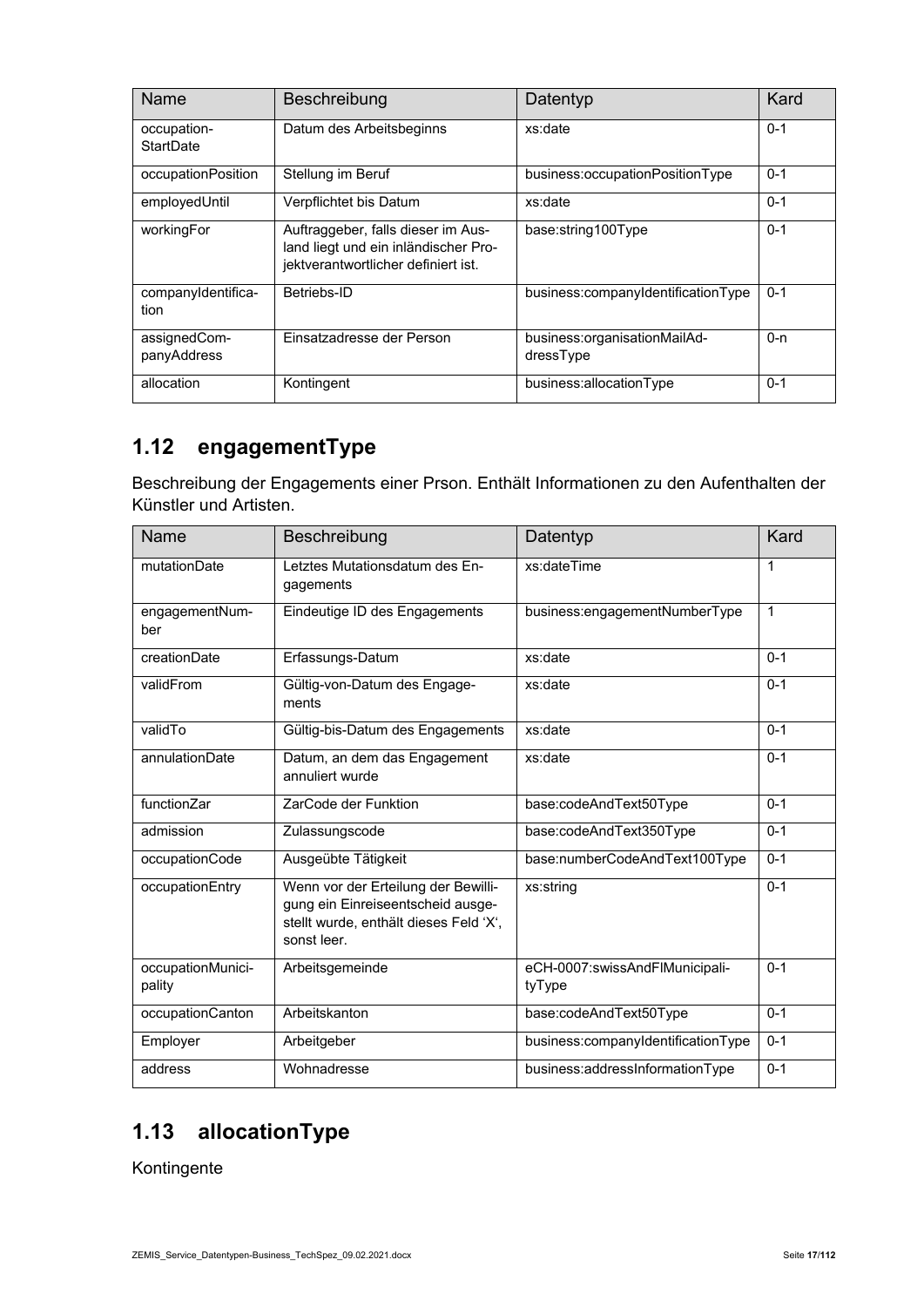| Name                        | Beschreibung                                                                                                      | Datentyp                                  | Kard    |
|-----------------------------|-------------------------------------------------------------------------------------------------------------------|-------------------------------------------|---------|
| occupation-<br>StartDate    | Datum des Arbeitsbeginns                                                                                          | xs:date                                   | $0 - 1$ |
| occupationPosition          | Stellung im Beruf                                                                                                 | business:occupationPositionType           | $0 - 1$ |
| employedUntil               | Verpflichtet bis Datum                                                                                            | xs:date                                   | $0 - 1$ |
| workingFor                  | Auftraggeber, falls dieser im Aus-<br>land liegt und ein inländischer Pro-<br>jektverantwortlicher definiert ist. | base:string100Type                        | $0 - 1$ |
| companyIdentifica-<br>tion  | Betriebs-ID                                                                                                       | business:companyIdentificationType        | $0 - 1$ |
| assignedCom-<br>panyAddress | Einsatzadresse der Person                                                                                         | business:organisationMailAd-<br>dressType | $0 - n$ |
| allocation                  | Kontingent                                                                                                        | business:allocationType                   | $0 - 1$ |

### **1.12 engagementType**

Beschreibung der Engagements einer Prson. Enthält Informationen zu den Aufenthalten der Künstler und Artisten.

| Name                        | Beschreibung                                                                                                                      | Datentyp                                 | Kard           |
|-----------------------------|-----------------------------------------------------------------------------------------------------------------------------------|------------------------------------------|----------------|
| mutationDate                | Letztes Mutationsdatum des En-<br>gagements                                                                                       | xs:dateTime                              | 1              |
| engagementNum-<br>ber       | Eindeutige ID des Engagements                                                                                                     | business:engagementNumberType            | $\overline{1}$ |
| creationDate                | Erfassungs-Datum                                                                                                                  | xs:date                                  | $0 - 1$        |
| validFrom                   | Gültig-von-Datum des Engage-<br>ments                                                                                             | xs:date                                  | $0 - 1$        |
| validTo                     | Gültig-bis-Datum des Engagements                                                                                                  | xs:date                                  | $0 - 1$        |
| annulationDate              | Datum, an dem das Engagement<br>annuliert wurde                                                                                   | xs:date                                  | $0 - 1$        |
| functionZar                 | ZarCode der Funktion                                                                                                              | base:codeAndText50Type                   | $0 - 1$        |
| admission                   | Zulassungscode                                                                                                                    | base:codeAndText350Type                  | $0 - 1$        |
| occupationCode              | Ausgeübte Tätigkeit                                                                                                               | base:numberCodeAndText100Type            | $0 - 1$        |
| occupationEntry             | Wenn vor der Erteilung der Bewilli-<br>gung ein Einreiseentscheid ausge-<br>stellt wurde, enthält dieses Feld 'X',<br>sonst leer. | xs:string                                | $0 - 1$        |
| occupationMunici-<br>pality | Arbeitsgemeinde                                                                                                                   | eCH-0007:swissAndFlMunicipali-<br>tyType | $0 - 1$        |
| occupationCanton            | Arbeitskanton                                                                                                                     | base:codeAndText50Type                   | $0 - 1$        |
| Employer                    | Arbeitgeber                                                                                                                       | business:companyIdentificationType       | $0 - 1$        |
| address                     | Wohnadresse                                                                                                                       | business:addressInformationType          | $0 - 1$        |

### **1.13 allocationType**

Kontingente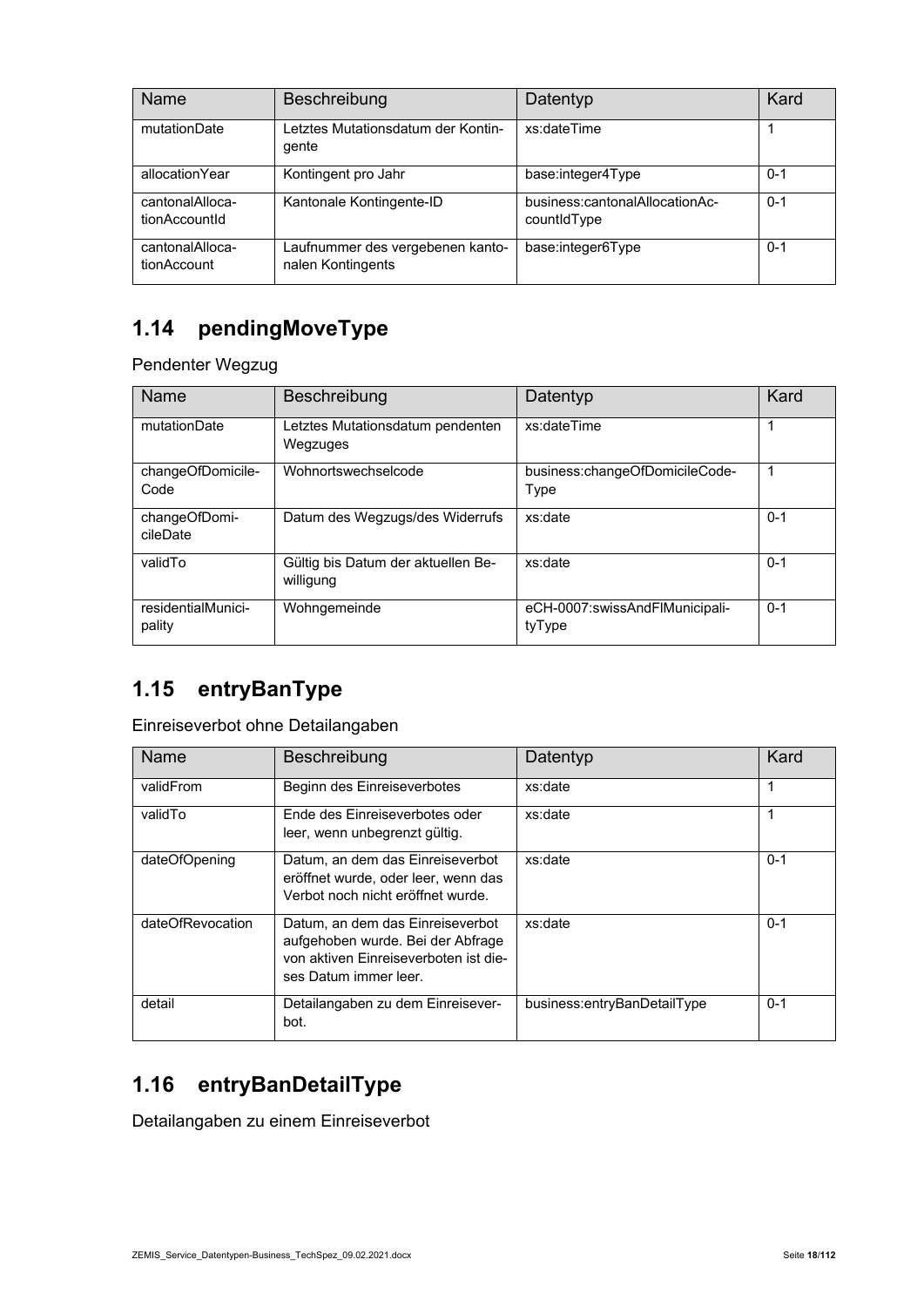| Name                             | Beschreibung                                          | Datentyp                                      | Kard    |
|----------------------------------|-------------------------------------------------------|-----------------------------------------------|---------|
| mutationDate                     | Letztes Mutationsdatum der Kontin-<br>gente           | xs:dateTime                                   |         |
| allocationYear                   | Kontingent pro Jahr                                   | base:integer4Type                             | $0 - 1$ |
| cantonalAlloca-<br>tionAccountId | Kantonale Kontingente-ID                              | business:cantonalAllocationAc-<br>countidType | $0 - 1$ |
| cantonalAlloca-<br>tionAccount   | Laufnummer des vergebenen kanto-<br>nalen Kontingents | base:integer6Type                             | $0 - 1$ |

### **1.14 pendingMoveType**

Pendenter Wegzug

| Name                         | Beschreibung                                    | Datentyp                                 | Kard    |
|------------------------------|-------------------------------------------------|------------------------------------------|---------|
| mutationDate                 | Letztes Mutationsdatum pendenten<br>Wegzuges    | xs:dateTime                              | 1       |
| changeOfDomicile-<br>Code    | Wohnortswechselcode                             | business:changeOfDomicileCode-<br>Type   | 1       |
| changeOfDomi-<br>cileDate    | Datum des Wegzugs/des Widerrufs                 | xs:date                                  | $0 - 1$ |
| validTo                      | Gültig bis Datum der aktuellen Be-<br>willigung | xs:date                                  | $0 - 1$ |
| residentialMunici-<br>pality | Wohngemeinde                                    | eCH-0007:swissAndFlMunicipali-<br>tyType | $0 - 1$ |

# **1.15 entryBanType**

Einreiseverbot ohne Detailangaben

| Name             | <b>Beschreibung</b>                                                                                                                     | Datentyp                    | Kard    |
|------------------|-----------------------------------------------------------------------------------------------------------------------------------------|-----------------------------|---------|
| validFrom        | Beginn des Einreiseverbotes                                                                                                             | xs:date                     | 1       |
| validTo          | Ende des Finreiseverbotes oder<br>leer, wenn unbegrenzt gültig.                                                                         | xs:date                     | 1       |
| dateOfOpening    | Datum, an dem das Einreiseverbot<br>eröffnet wurde, oder leer, wenn das<br>Verbot noch nicht eröffnet wurde.                            | xs:date                     | $0 - 1$ |
| dateOfRevocation | Datum, an dem das Einreiseverbot<br>aufgehoben wurde. Bei der Abfrage<br>von aktiven Finreiseverboten ist die-<br>ses Datum immer leer. | xs:date                     | $0 - 1$ |
| detail           | Detailangaben zu dem Einreisever-<br>bot.                                                                                               | business:entryBanDetailType | $0 - 1$ |

### **1.16 entryBanDetailType**

Detailangaben zu einem Einreiseverbot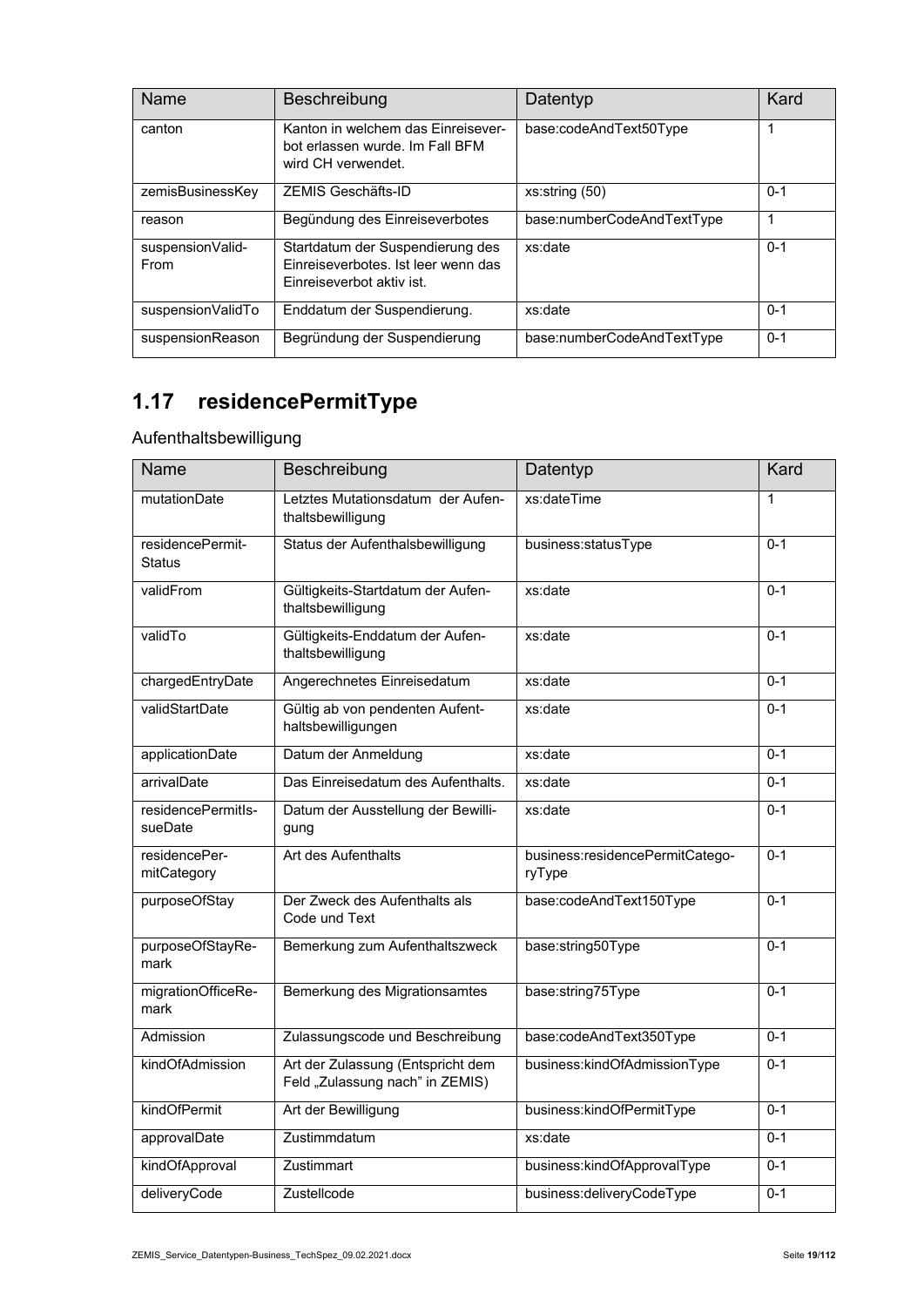| Name                     | Beschreibung                                                                                         | Datentyp                   | Kard    |
|--------------------------|------------------------------------------------------------------------------------------------------|----------------------------|---------|
| canton                   | Kanton in welchem das Einreisever-<br>bot erlassen wurde. Im Fall BFM<br>wird CH verwendet.          | base:codeAndText50Type     | 1       |
| zemisBusinessKey         | ZEMIS Geschäfts-ID                                                                                   | xs:string(50)              | $0 - 1$ |
| reason                   | Begündung des Einreiseverbotes                                                                       | base:numberCodeAndTextType | 1       |
| suspensionValid-<br>From | Startdatum der Suspendierung des<br>Finreiseverbotes. Ist leer wenn das<br>Finreiseverbot aktiv ist. | xs:date                    | $0 - 1$ |
| suspensionValidTo        | Enddatum der Suspendierung.                                                                          | xs:date                    | $0 - 1$ |
| suspensionReason         | Begründung der Suspendierung                                                                         | base:numberCodeAndTextType | $0 - 1$ |

# **1.17 residencePermitType**

Aufenthaltsbewilligung

| Name                              | Beschreibung                                                         | Datentyp                                  | Kard    |
|-----------------------------------|----------------------------------------------------------------------|-------------------------------------------|---------|
| mutationDate                      | Letztes Mutationsdatum der Aufen-<br>thaltsbewilligung               | xs:dateTime                               | 1       |
| residencePermit-<br><b>Status</b> | Status der Aufenthalsbewilligung                                     | business:statusType                       | $0 - 1$ |
| validFrom                         | Gültigkeits-Startdatum der Aufen-<br>thaltsbewilligung               | xs:date                                   | $0 - 1$ |
| validTo                           | Gültigkeits-Enddatum der Aufen-<br>thaltsbewilligung                 | xs:date                                   | $0 - 1$ |
| chargedEntryDate                  | Angerechnetes Einreisedatum                                          | xs:date                                   | $0 - 1$ |
| validStartDate                    | Gültig ab von pendenten Aufent-<br>haltsbewilligungen                | xs:date                                   | $0 - 1$ |
| applicationDate                   | Datum der Anmeldung                                                  | xs:date                                   | $0 - 1$ |
| arrivalDate                       | Das Einreisedatum des Aufenthalts.                                   | xs:date                                   | $0 - 1$ |
| residencePermitls-<br>sueDate     | Datum der Ausstellung der Bewilli-<br>gung                           | xs:date                                   | $0 - 1$ |
| residencePer-<br>mitCategory      | Art des Aufenthalts                                                  | business:residencePermitCatego-<br>ryType | $0 - 1$ |
| purposeOfStay                     | Der Zweck des Aufenthalts als<br>Code und Text                       | base:codeAndText150Type                   | $0 - 1$ |
| purposeOfStayRe-<br>mark          | Bemerkung zum Aufenthaltszweck                                       | base:string50Type                         | $0 - 1$ |
| migrationOfficeRe-<br>mark        | Bemerkung des Migrationsamtes                                        | base:string75Type                         | $0 - 1$ |
| Admission                         | Zulassungscode und Beschreibung                                      | base:codeAndText350Type                   | $0 - 1$ |
| kindOfAdmission                   | Art der Zulassung (Entspricht dem<br>Feld "Zulassung nach" in ZEMIS) | business:kindOfAdmissionType              | $0 - 1$ |
| kindOfPermit                      | Art der Bewilligung                                                  | business:kindOfPermitType                 | $0 - 1$ |
| approvalDate                      | Zustimmdatum                                                         | xs:date                                   | $0 - 1$ |
| kindOfApproval                    | Zustimmart                                                           | business:kindOfApprovalType               | $0 - 1$ |
| deliveryCode                      | Zustellcode                                                          | business:deliveryCodeType                 | $0 - 1$ |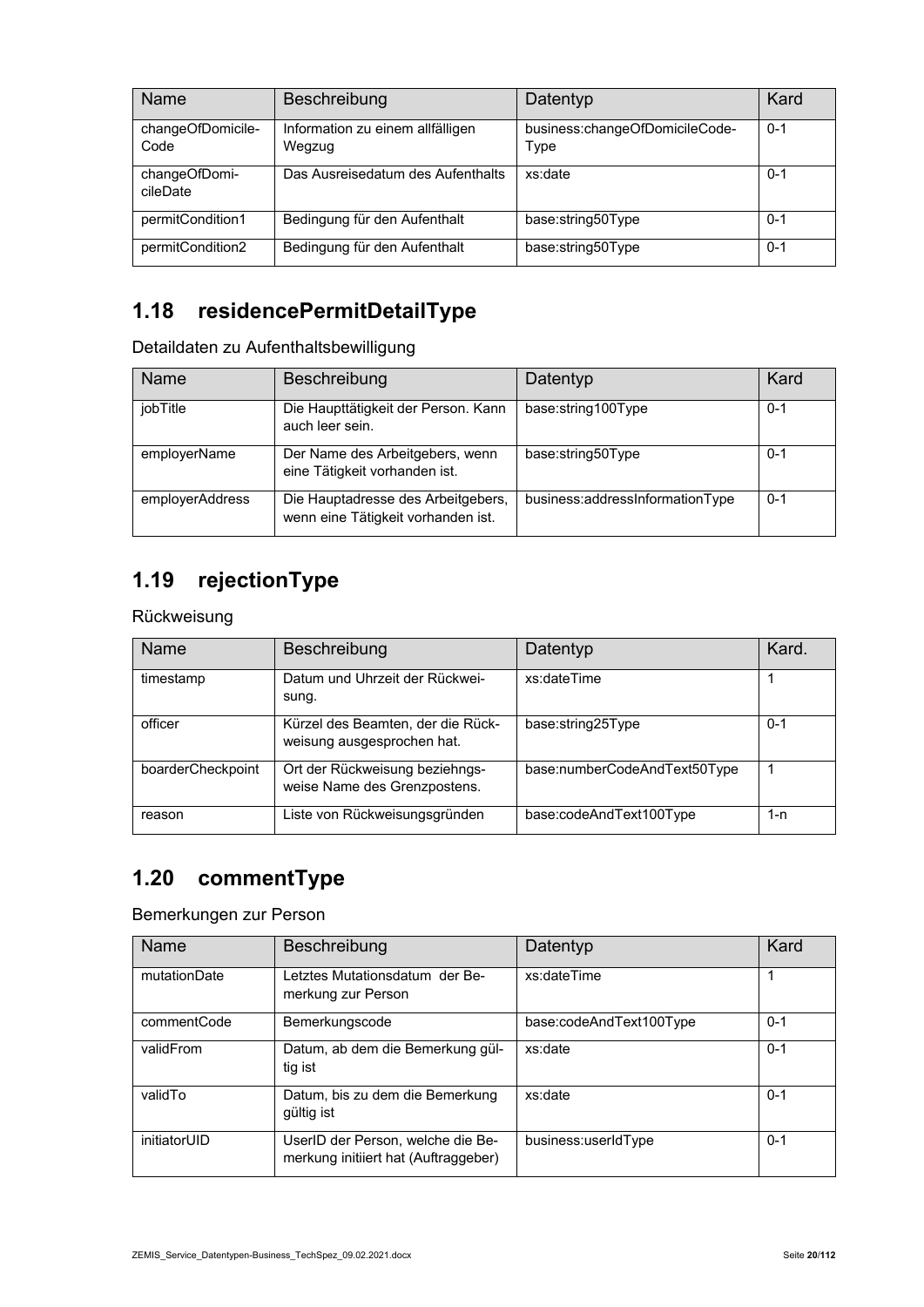| Name                      | Beschreibung                               | Datentyp                               | Kard    |
|---------------------------|--------------------------------------------|----------------------------------------|---------|
| changeOfDomicile-<br>Code | Information zu einem allfälligen<br>Wegzug | business:changeOfDomicileCode-<br>Type | $0 - 1$ |
| changeOfDomi-<br>cileDate | Das Ausreisedatum des Aufenthalts          | xs:date                                | $0 - 1$ |
| permitCondition1          | Bedingung für den Aufenthalt               | base:string50Type                      | $0 - 1$ |
| permitCondition2          | Bedingung für den Aufenthalt               | base:string50Type                      | $0 - 1$ |

### **1.18 residencePermitDetailType**

Detaildaten zu Aufenthaltsbewilligung

| Name            | Beschreibung                                                             | Datentyp                        | Kard    |
|-----------------|--------------------------------------------------------------------------|---------------------------------|---------|
| jobTitle        | Die Haupttätigkeit der Person. Kann<br>auch leer sein.                   | base:string100Type              | $0 - 1$ |
| employerName    | Der Name des Arbeitgebers, wenn<br>eine Tätigkeit vorhanden ist.         | base:string50Type               | 0-1     |
| employerAddress | Die Hauptadresse des Arbeitgebers,<br>wenn eine Tätigkeit vorhanden ist. | business:addressInformationType | $0 - 1$ |

### **1.19 rejectionType**

#### Rückweisung

| Name              | <b>Beschreibung</b>                                             | Datentyp                     | Kard.   |
|-------------------|-----------------------------------------------------------------|------------------------------|---------|
| timestamp         | Datum und Uhrzeit der Rückwei-<br>sung.                         | xs:dateTime                  |         |
| officer           | Kürzel des Beamten, der die Rück-<br>weisung ausgesprochen hat. | base:string25Type            | $0 - 1$ |
| boarderCheckpoint | Ort der Rückweisung beziehngs-<br>weise Name des Grenzpostens.  | base:numberCodeAndText50Type |         |
| reason            | Liste von Rückweisungsgründen                                   | base:codeAndText100Type      | 1-n     |

#### **1.20 commentType**

#### Bemerkungen zur Person

| Name         | Beschreibung                                                              | Datentyp                | Kard    |
|--------------|---------------------------------------------------------------------------|-------------------------|---------|
| mutationDate | Letztes Mutationsdatum der Be-<br>merkung zur Person                      | xs:dateTime             |         |
| commentCode  | Bemerkungscode                                                            | base:codeAndText100Type | $0 - 1$ |
| validFrom    | Datum, ab dem die Bemerkung gül-<br>tig ist                               | xs:date                 | $0 - 1$ |
| validTo      | Datum, bis zu dem die Bemerkung<br>gültig ist                             | xs:date                 | $0 - 1$ |
| initiatorUID | UserID der Person, welche die Be-<br>merkung initiiert hat (Auftraggeber) | business:userIdType     | $0 - 1$ |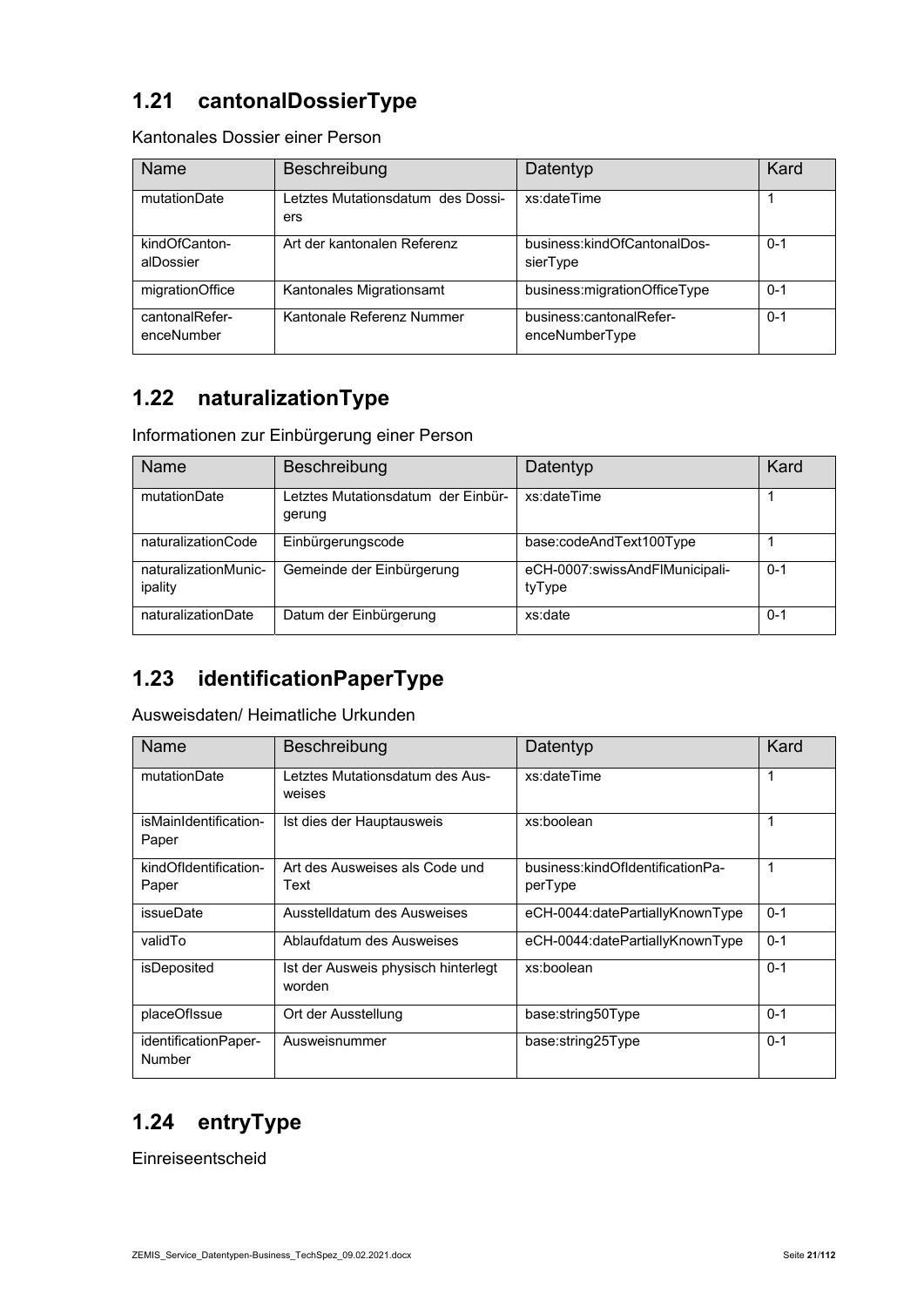### **1.21 cantonalDossierType**

Kantonales Dossier einer Person

| Name                         | Beschreibung                             | Datentyp                                  | Kard    |
|------------------------------|------------------------------------------|-------------------------------------------|---------|
| mutationDate                 | Letztes Mutationsdatum des Dossi-<br>ers | xs:dateTime                               |         |
| kindOfCanton-<br>alDossier   | Art der kantonalen Referenz              | business:kindOfCantonalDos-<br>sierType   | $0 - 1$ |
| migrationOffice              | Kantonales Migrationsamt                 | business:migrationOfficeType              | $0 - 1$ |
| cantonalRefer-<br>enceNumber | Kantonale Referenz Nummer                | business:cantonalRefer-<br>enceNumberType | $0 - 1$ |

#### **1.22 naturalizationType**

Informationen zur Einbürgerung einer Person

| Name                            | Beschreibung                                 | Datentyp                                 | Kard    |
|---------------------------------|----------------------------------------------|------------------------------------------|---------|
| mutationDate                    | Letztes Mutationsdatum der Einbür-<br>gerung | xs:dateTime                              |         |
| naturalizationCode              | Einbürgerungscode                            | base:codeAndText100Type                  |         |
| naturalizationMunic-<br>ipality | Gemeinde der Einbürgerung                    | eCH-0007:swissAndFlMunicipali-<br>tyType | $0 - 1$ |
| naturalizationDate              | Datum der Einbürgerung                       | xs:date                                  | $0 - 1$ |

# **1.23 identificationPaperType**

Ausweisdaten/ Heimatliche Urkunden

| Name                           | Beschreibung                                  | Datentyp                                    | Kard    |
|--------------------------------|-----------------------------------------------|---------------------------------------------|---------|
| mutationDate                   | Letztes Mutationsdatum des Aus-<br>weises     | xs:dateTime                                 | 1       |
| isMainIdentification-<br>Paper | Ist dies der Hauptausweis                     | xs:boolean                                  | 1       |
| kindOfIdentification-<br>Paper | Art des Ausweises als Code und<br>Text        | business:kindOfIdentificationPa-<br>perType | 1       |
| issueDate                      | Ausstelldatum des Ausweises                   | eCH-0044:datePartiallyKnownType             | $0 - 1$ |
| validTo                        | Ablaufdatum des Ausweises                     | eCH-0044:datePartiallyKnownType             | $0 - 1$ |
| isDeposited                    | Ist der Ausweis physisch hinterlegt<br>worden | xs:boolean                                  | $0 - 1$ |
| placeOfIssue                   | Ort der Ausstellung                           | base:string50Type                           | $0 - 1$ |
| identificationPaper-<br>Number | Ausweisnummer                                 | base:string25Type                           | $0 - 1$ |

### **1.24 entryType**

Einreiseentscheid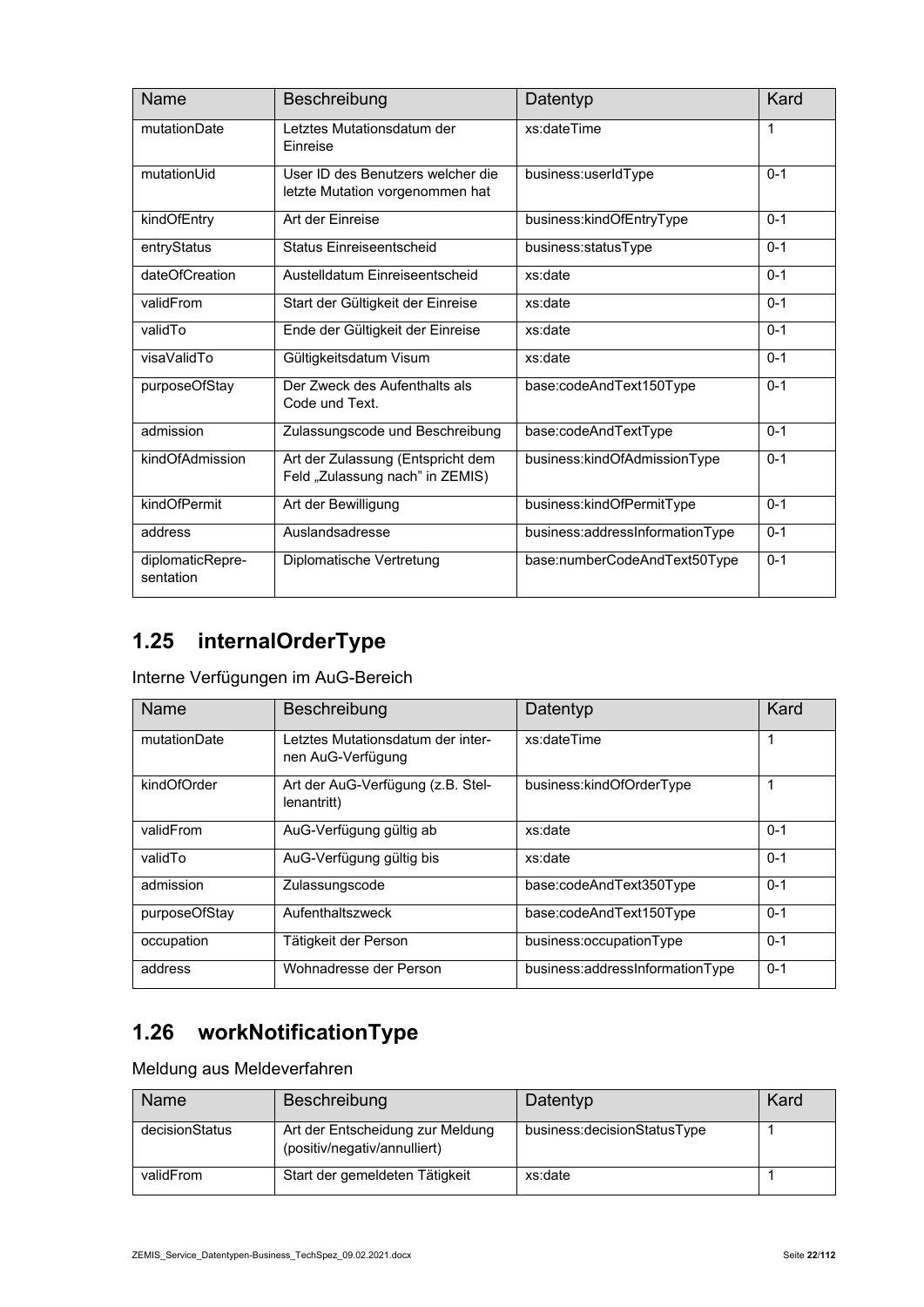| Name                          | Beschreibung                                                         | Datentyp                        | Kard    |
|-------------------------------|----------------------------------------------------------------------|---------------------------------|---------|
| mutationDate                  | Letztes Mutationsdatum der<br>Einreise                               | xs:dateTime                     | 1       |
| mutationUid                   | User ID des Benutzers welcher die<br>letzte Mutation vorgenommen hat | business:userIdType             | $0 - 1$ |
| kindOfEntry                   | Art der Finreise                                                     | business:kindOfEntryType        | $0 - 1$ |
| entryStatus                   | Status Finreiseentscheid                                             | business:statusType             | $0 - 1$ |
| dateOfCreation                | Austelldatum Finreiseentscheid                                       | xs:date                         | $0 - 1$ |
| validFrom                     | Start der Gültigkeit der Einreise                                    | xs:date                         | $0 - 1$ |
| validTo                       | Ende der Gültigkeit der Einreise                                     | xs:date                         | $0 - 1$ |
| visaValidTo                   | Gültigkeitsdatum Visum                                               | xs:date                         | $0 - 1$ |
| purposeOfStay                 | Der Zweck des Aufenthalts als<br>Code und Text.                      | base:codeAndText150Type         | $0 - 1$ |
| admission                     | Zulassungscode und Beschreibung                                      | base:codeAndTextType            | $0 - 1$ |
| kindOfAdmission               | Art der Zulassung (Entspricht dem<br>Feld "Zulassung nach" in ZEMIS) | business:kindOfAdmissionType    | $0 - 1$ |
| kindOfPermit                  | Art der Bewilligung                                                  | business:kindOfPermitType       | $0 - 1$ |
| address                       | Auslandsadresse                                                      | business:addressInformationType | $0 - 1$ |
| diplomaticRepre-<br>sentation | Diplomatische Vertretung                                             | base:numberCodeAndText50Type    | $0 - 1$ |

### **1.25 internalOrderType**

Interne Verfügungen im AuG-Bereich

| Name          | Beschreibung                                           | Datentyp                        | Kard    |
|---------------|--------------------------------------------------------|---------------------------------|---------|
| mutationDate  | Letztes Mutationsdatum der inter-<br>nen AuG-Verfügung | xs:dateTime                     |         |
| kindOfOrder   | Art der AuG-Verfügung (z.B. Stel-<br>lenantritt)       | business:kindOfOrderType        |         |
| validFrom     | AuG-Verfügung gültig ab                                | xs:date                         | $0 - 1$ |
| validTo       | AuG-Verfügung gültig bis                               | xs:date                         | $0 - 1$ |
| admission     | Zulassungscode                                         | base:codeAndText350Type         | $0 - 1$ |
| purposeOfStay | Aufenthaltszweck                                       | base:codeAndText150Type         | $0 - 1$ |
| occupation    | Tätigkeit der Person                                   | business:occupationType         | $0 - 1$ |
| address       | Wohnadresse der Person                                 | business:addressInformationType | $0 - 1$ |

# **1.26 workNotificationType**

Meldung aus Meldeverfahren

| Name           | <b>Beschreibung</b>                                              | Datentyp                       | Kard |
|----------------|------------------------------------------------------------------|--------------------------------|------|
| decisionStatus | Art der Entscheidung zur Meldung<br>(positiv/negativ/annulliert) | business: decision Status Type |      |
| validFrom      | Start der gemeldeten Tätigkeit                                   | xs:date                        |      |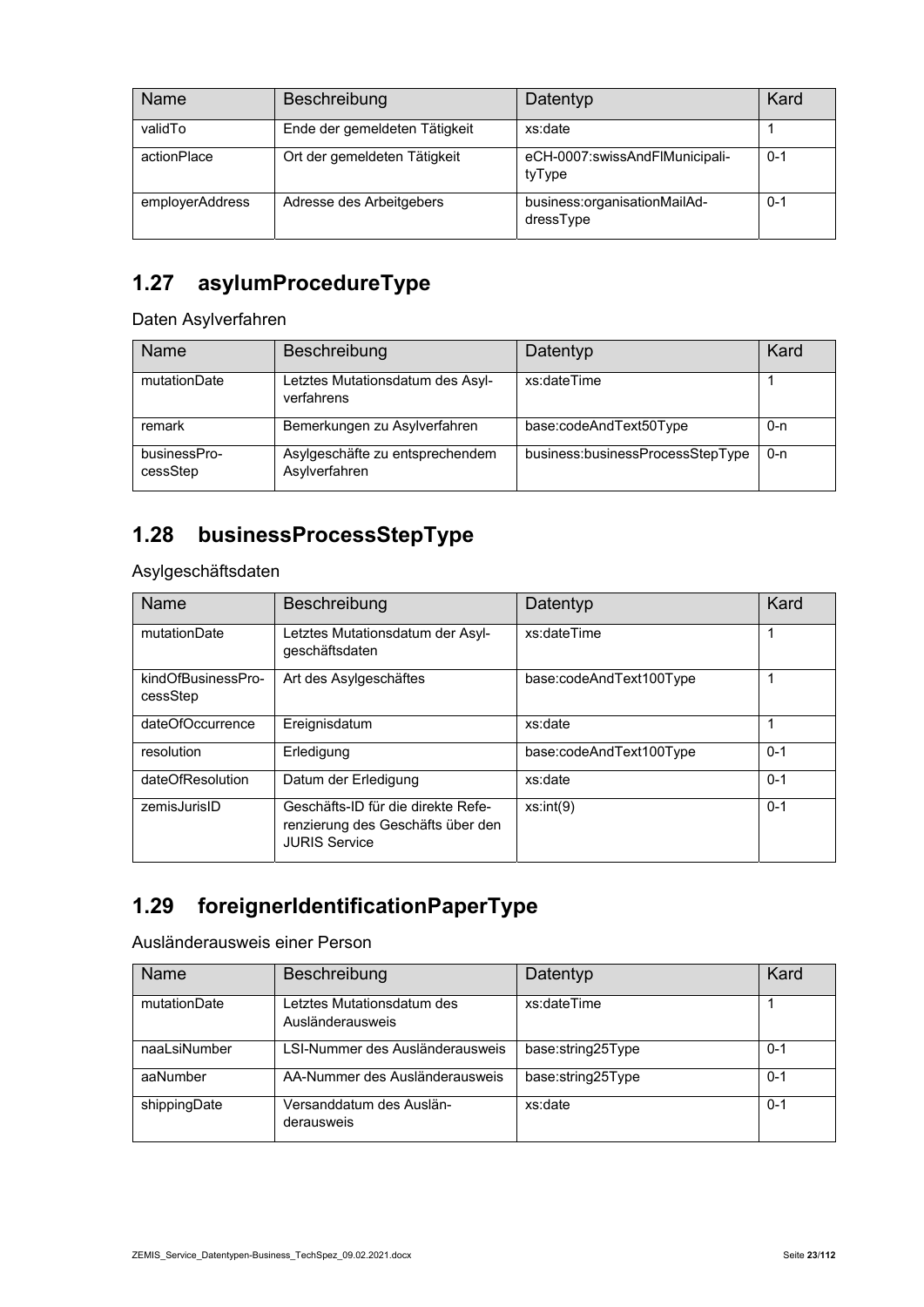| <b>Name</b>     | Beschreibung                  | Datentyp                                  | Kard    |
|-----------------|-------------------------------|-------------------------------------------|---------|
| validTo         | Ende der gemeldeten Tätigkeit | xs:date                                   |         |
| actionPlace     | Ort der gemeldeten Tätigkeit  | eCH-0007:swissAndFlMunicipali-<br>tyType  | $0 - 1$ |
| employerAddress | Adresse des Arbeitgebers      | business:organisationMailAd-<br>dressType | $0 - 1$ |

#### **1.27 asylumProcedureType**

Daten Asylverfahren

| Name                     | Beschreibung                                     | Datentyp                         | Kard |
|--------------------------|--------------------------------------------------|----------------------------------|------|
| mutationDate             | Letztes Mutationsdatum des Asyl-<br>verfahrens   | xs:dateTime                      |      |
| remark                   | Bemerkungen zu Asylverfahren                     | base:codeAndText50Type           | 0-n  |
| businessPro-<br>cessStep | Asylgeschäfte zu entsprechendem<br>Asylverfahren | business:businessProcessStepType | 0-n  |

#### **1.28 businessProcessStepType**

Asylgeschäftsdaten

| Name                           | Beschreibung                                                                                    | Datentyp                | Kard    |
|--------------------------------|-------------------------------------------------------------------------------------------------|-------------------------|---------|
| mutationDate                   | Letztes Mutationsdatum der Asyl-<br>geschäftsdaten                                              | xs:dateTime             | 1       |
| kindOfBusinessPro-<br>cessStep | Art des Asylgeschäftes                                                                          | base:codeAndText100Type | 1       |
| dateOfOccurrence               | Ereignisdatum                                                                                   | xs:date                 |         |
| resolution                     | Erledigung                                                                                      | base:codeAndText100Type | $0 - 1$ |
| dateOfResolution               | Datum der Erledigung                                                                            | xs:date                 | $0 - 1$ |
| zemisJurisID                   | Geschäfts-ID für die direkte Refe-<br>renzierung des Geschäfts über den<br><b>JURIS Service</b> | xs:int(9)               | $0 - 1$ |

#### **1.29 foreignerIdentificationPaperType**

Ausländerausweis einer Person

| Name         | Beschreibung                                   | Datentyp          | Kard    |
|--------------|------------------------------------------------|-------------------|---------|
| mutationDate | Letztes Mutationsdatum des<br>Ausländerausweis | xs:dateTime       |         |
| naaLsiNumber | LSI-Nummer des Ausländerausweis                | base:string25Type | 0-1     |
| aaNumber     | AA-Nummer des Ausländerausweis                 | base:string25Type | 0-1     |
| shippingDate | Versanddatum des Auslän-<br>derausweis         | xs:date           | $0 - 1$ |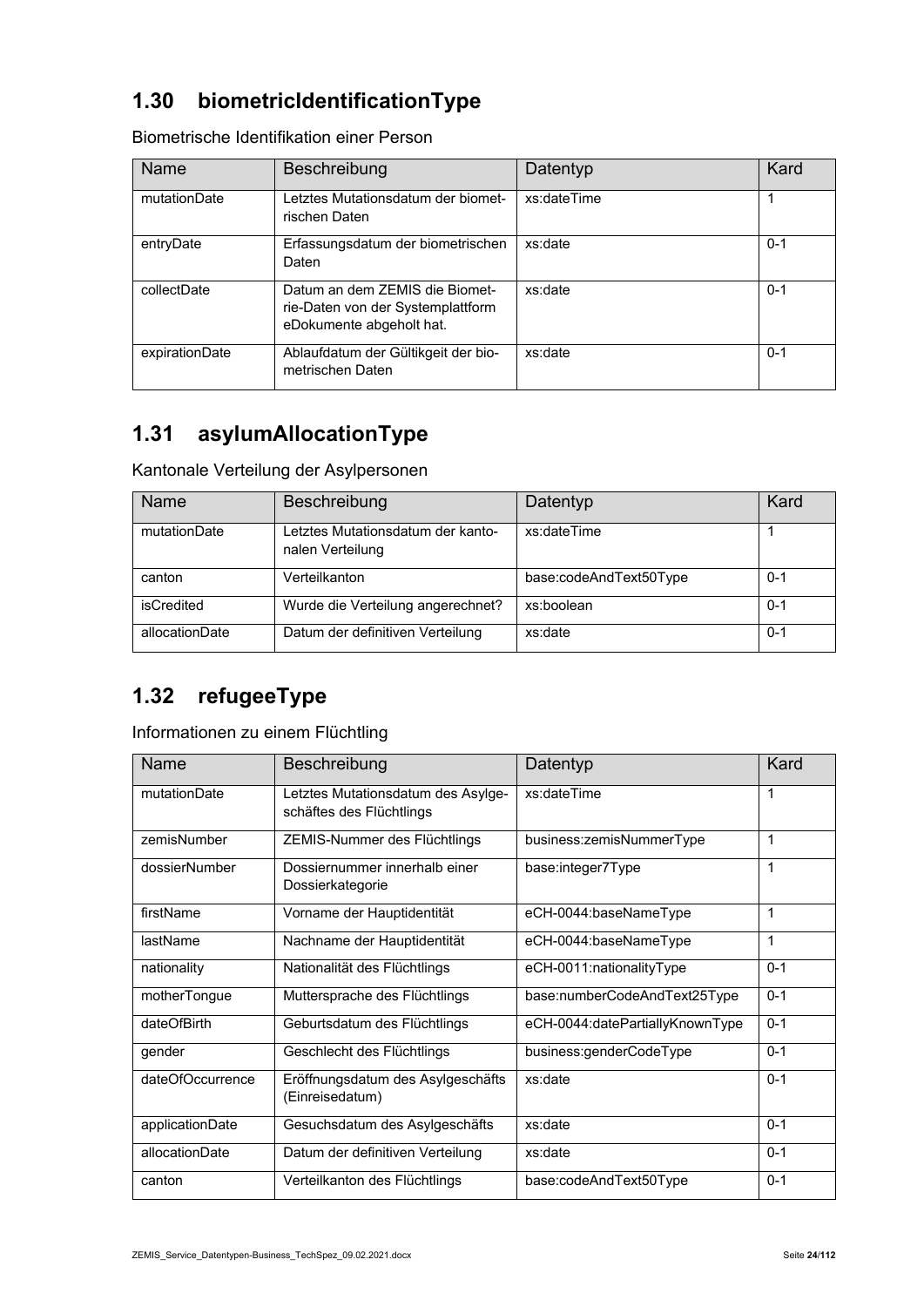### **1.30 biometricIdentificationType**

| <b>Name</b>    | Beschreibung                                                                                    | Datentyp    | Kard    |
|----------------|-------------------------------------------------------------------------------------------------|-------------|---------|
| mutationDate   | Letztes Mutationsdatum der biomet-<br>rischen Daten                                             | xs:dateTime |         |
| entryDate      | Erfassungsdatum der biometrischen<br>Daten                                                      | xs:date     | $0 - 1$ |
| collectDate    | Datum an dem ZEMIS die Biomet-<br>rie-Daten von der Systemplattform<br>eDokumente abgeholt hat. | xs:date     | $0 - 1$ |
| expirationDate | Ablaufdatum der Gültikgeit der bio-<br>metrischen Daten                                         | xs:date     | 0-1     |

Biometrische Identifikation einer Person

#### **1.31 asylumAllocationType**

Kantonale Verteilung der Asylpersonen

| Name           | Beschreibung                                          | Datentyp               | Kard    |
|----------------|-------------------------------------------------------|------------------------|---------|
| mutationDate   | Letztes Mutationsdatum der kanto-<br>nalen Verteilung | xs:dateTime            |         |
| canton         | Verteilkanton                                         | base:codeAndText50Type | $0 - 1$ |
| isCredited     | Wurde die Verteilung angerechnet?                     | xs:boolean             | $0 - 1$ |
| allocationDate | Datum der definitiven Verteilung                      | xs:date                | $0 - 1$ |

#### **1.32 refugeeType**

Informationen zu einem Flüchtling

| <b>Name</b>      | Beschreibung                                                   | Datentyp                        | Kard    |
|------------------|----------------------------------------------------------------|---------------------------------|---------|
| mutationDate     | Letztes Mutationsdatum des Asylge-<br>schäftes des Flüchtlings | xs:dateTime                     | 1       |
| zemisNumber      | ZEMIS-Nummer des Flüchtlings                                   | business:zemisNummerType        | 1       |
| dossierNumber    | Dossiernummer innerhalb einer<br>Dossierkategorie              | base:integer7Type               | 1       |
| firstName        | Vorname der Hauptidentität                                     | eCH-0044:baseNameType           | 1       |
| lastName         | Nachname der Hauptidentität                                    | eCH-0044:baseNameType           | 1       |
| nationality      | Nationalität des Flüchtlings                                   | eCH-0011:nationalityType        | $0 - 1$ |
| motherTongue     | Muttersprache des Flüchtlings                                  | base:numberCodeAndText25Type    | $0 - 1$ |
| dateOfBirth      | Geburtsdatum des Flüchtlings                                   | eCH-0044:datePartiallyKnownType | $0 - 1$ |
| gender           | Geschlecht des Flüchtlings                                     | business:genderCodeType         | $0 - 1$ |
| dateOfOccurrence | Eröffnungsdatum des Asylgeschäfts<br>(Einreisedatum)           | xs:date                         | $0 - 1$ |
| applicationDate  | Gesuchsdatum des Asylgeschäfts                                 | xs:date                         | $0 - 1$ |
| allocationDate   | Datum der definitiven Verteilung                               | xs:date                         | $0 - 1$ |
| canton           | Verteilkanton des Flüchtlings                                  | base:codeAndText50Type          | $0 - 1$ |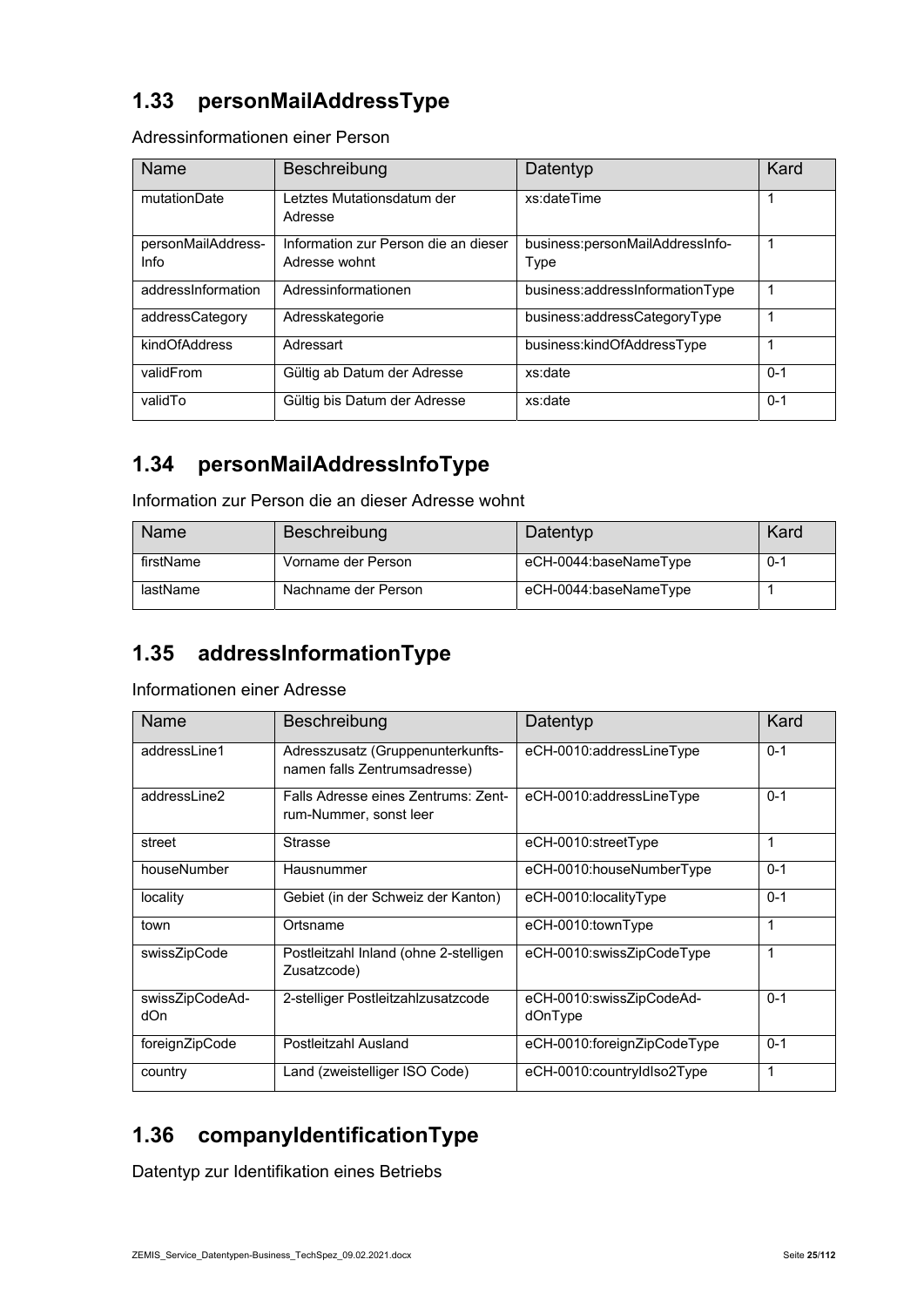#### **1.33 personMailAddressType**

Adressinformationen einer Person

| Name                       | Beschreibung                                          | Datentyp                                | Kard    |
|----------------------------|-------------------------------------------------------|-----------------------------------------|---------|
| mutationDate               | Letztes Mutationsdatum der<br>Adresse                 | xs:dateTime                             | 1       |
| personMailAddress-<br>Info | Information zur Person die an dieser<br>Adresse wohnt | business:personMailAddressInfo-<br>Type | 1       |
| addressinformation         | Adressinformationen                                   | business:addressInformationType         | 1       |
| addressCategory            | Adresskategorie                                       | business:addressCategoryType            | 1       |
| kindOfAddress              | Adressart                                             | business:kindOfAddressType              | 1       |
| validFrom                  | Gültig ab Datum der Adresse                           | xs:date                                 | $0 - 1$ |
| validTo                    | Gültig bis Datum der Adresse                          | xs:date                                 | $0 - 1$ |

#### **1.34 personMailAddressInfoType**

Information zur Person die an dieser Adresse wohnt

| Name      | <b>Beschreibung</b> | Datentyp              | Kard    |
|-----------|---------------------|-----------------------|---------|
| firstName | Vorname der Person  | eCH-0044:baseNameType | $0 - 1$ |
| lastName  | Nachname der Person | eCH-0044:baseNameType |         |

#### **1.35 addressInformationType**

#### Informationen einer Adresse

| Name                   | Beschreibung                                                      | Datentyp                            | Kard    |
|------------------------|-------------------------------------------------------------------|-------------------------------------|---------|
| addressLine1           | Adresszusatz (Gruppenunterkunfts-<br>namen falls Zentrumsadresse) | eCH-0010:addressLineType            | $0 - 1$ |
| addressLine2           | Falls Adresse eines Zentrums: Zent-<br>rum-Nummer, sonst leer     | eCH-0010:addressLineType            | $0 - 1$ |
| street                 | <b>Strasse</b>                                                    | eCH-0010:streetType                 | 1       |
| houseNumber            | Hausnummer                                                        | eCH-0010:houseNumberType            | $0 - 1$ |
| locality               | Gebiet (in der Schweiz der Kanton)                                | eCH-0010:localityType               | $0 - 1$ |
| town                   | Ortsname                                                          | eCH-0010:townType                   | 1       |
| swissZipCode           | Postleitzahl Inland (ohne 2-stelligen<br>Zusatzcode)              | eCH-0010:swissZipCodeType           | 1       |
| swissZipCodeAd-<br>dOn | 2-stelliger Postleitzahlzusatzcode                                | eCH-0010:swissZipCodeAd-<br>dOnType | $0 - 1$ |
| foreignZipCode         | Postleitzahl Ausland                                              | eCH-0010:foreignZipCodeType         | $0 - 1$ |
| country                | Land (zweistelliger ISO Code)                                     | eCH-0010:countryIdIso2Type          | 1       |

### **1.36 companyIdentificationType**

Datentyp zur Identifikation eines Betriebs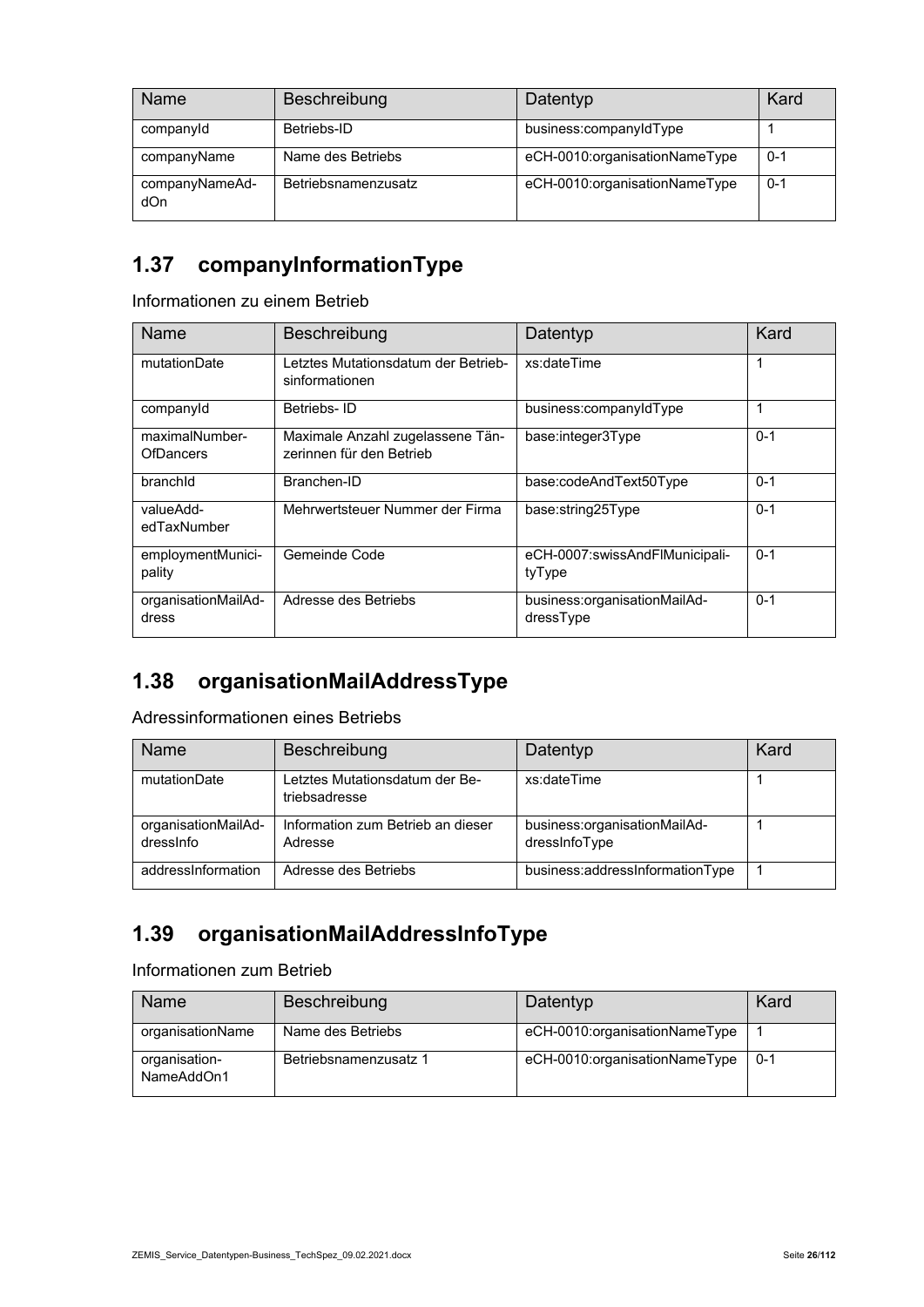| Name                  | Beschreibung        | Datentyp                      | Kard    |
|-----------------------|---------------------|-------------------------------|---------|
| companyId             | Betriebs-ID         | business:companyIdType        |         |
| companyName           | Name des Betriebs   | eCH-0010:organisationNameType | $0 - 1$ |
| companyNameAd-<br>dOn | Betriebsnamenzusatz | eCH-0010:organisationNameType | $0 - 1$ |

#### **1.37 companyInformationType**

Informationen zu einem Betrieb

| Name                         | Beschreibung                                                 | Datentyp                                  | Kard    |
|------------------------------|--------------------------------------------------------------|-------------------------------------------|---------|
| mutationDate                 | Letztes Mutationsdatum der Betrieb-<br>sinformationen        | xs:dateTime                               | 1       |
| companyId                    | Betriebs-ID                                                  | business:companyIdType                    |         |
| maximalNumber-<br>OfDancers  | Maximale Anzahl zugelassene Tän-<br>zerinnen für den Betrieb | base:integer3Type                         | $0 - 1$ |
| branchid                     | Branchen-ID                                                  | base:codeAndText50Type                    | $0 - 1$ |
| valueAdd-<br>edTaxNumber     | Mehrwertsteuer Nummer der Firma                              | base:string25Type                         | $0 - 1$ |
| employmentMunici-<br>pality  | Gemeinde Code                                                | eCH-0007:swissAndFlMunicipali-<br>tyType  | $0 - 1$ |
| organisationMailAd-<br>dress | Adresse des Betriebs                                         | business:organisationMailAd-<br>dressType | $0 - 1$ |

### **1.38 organisationMailAddressType**

Adressinformationen eines Betriebs

| Name                             | Beschreibung                                    | Datentyp                                      | Kard |
|----------------------------------|-------------------------------------------------|-----------------------------------------------|------|
| mutationDate                     | Letztes Mutationsdatum der Be-<br>triebsadresse | xs:dateTime                                   |      |
| organisationMailAd-<br>dressinfo | Information zum Betrieb an dieser<br>Adresse    | business:organisationMailAd-<br>dressInfoType |      |
| addressInformation               | Adresse des Betriebs                            | business:addressInformationType               |      |

### **1.39 organisationMailAddressInfoType**

Informationen zum Betrieb

| Name                        | <b>Beschreibung</b>   | Datentyp                      | Kard    |
|-----------------------------|-----------------------|-------------------------------|---------|
| organisationName            | Name des Betriebs     | eCH-0010:organisationNameType |         |
| organisation-<br>NameAddOn1 | Betriebsnamenzusatz 1 | eCH-0010:organisationNameType | $0 - 1$ |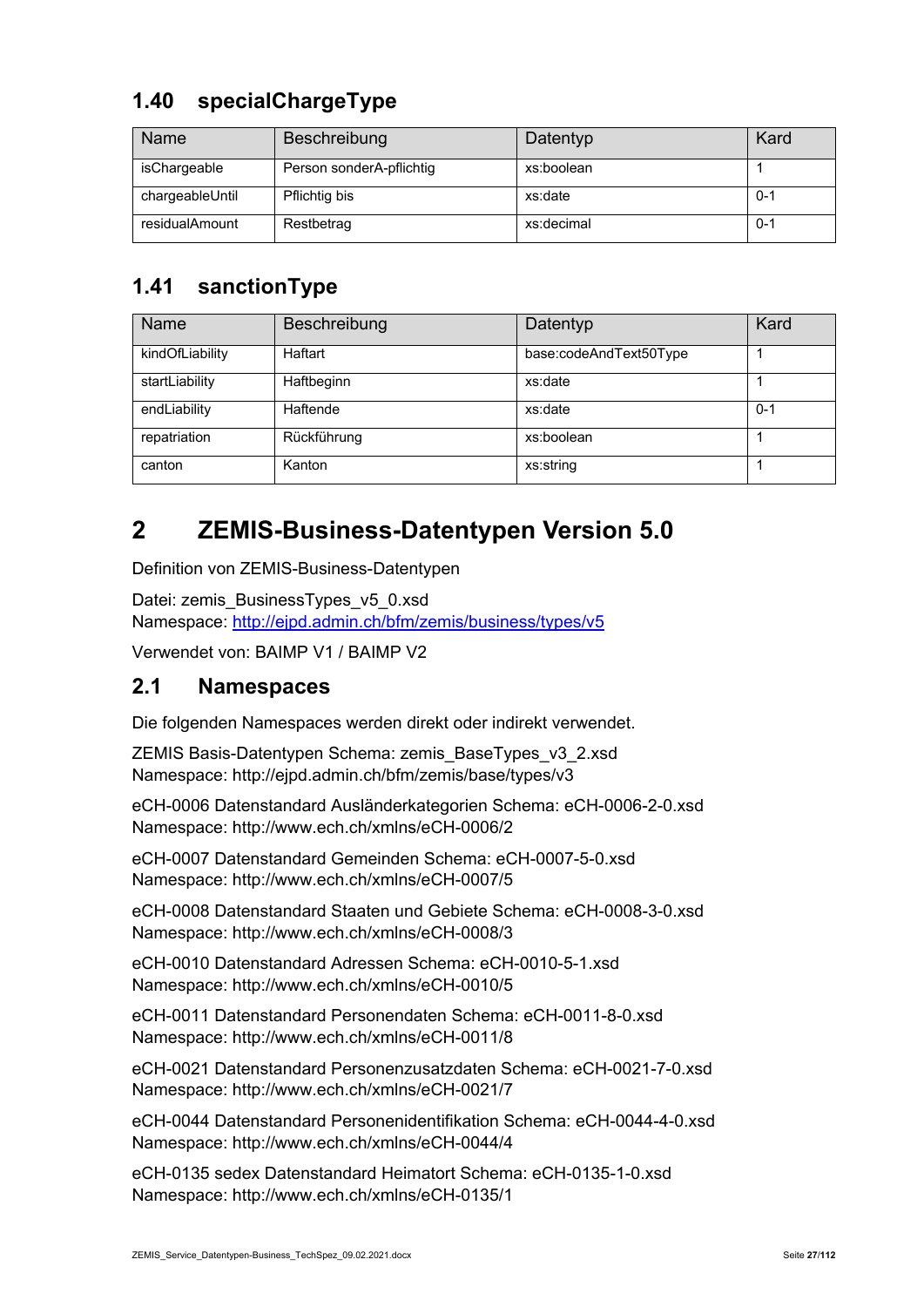#### **1.40 specialChargeType**

| Name            | Beschreibung             | Datentyp   | Kard    |
|-----------------|--------------------------|------------|---------|
| isChargeable    | Person sonderA-pflichtig | xs:boolean |         |
| chargeableUntil | Pflichtig bis            | xs:date    | $0 - 1$ |
| residualAmount  | Restbetrag               | xs:decimal | $0 - 1$ |

#### **1.41 sanctionType**

| Name            | Beschreibung | Datentyp               | Kard    |
|-----------------|--------------|------------------------|---------|
| kindOfLiability | Haftart      | base:codeAndText50Type |         |
| startLiability  | Haftbeginn   | xs:date                |         |
| endLiability    | Haftende     | xs:date                | $0 - 1$ |
| repatriation    | Rückführung  | xs:boolean             |         |
| canton          | Kanton       | xs:string              |         |

# **2 ZEMIS-Business-Datentypen Version 5.0**

Definition von ZEMIS-Business-Datentypen

Datei: zemis\_BusinessTypes\_v5\_0.xsd Namespace: http://ejpd.admin.ch/bfm/zemis/business/types/v5

Verwendet von: BAIMP V1 / BAIMP V2

#### **2.1 Namespaces**

Die folgenden Namespaces werden direkt oder indirekt verwendet.

ZEMIS Basis-Datentypen Schema: zemis\_BaseTypes\_v3\_2.xsd Namespace: http://ejpd.admin.ch/bfm/zemis/base/types/v3

eCH-0006 Datenstandard Ausländerkategorien Schema: eCH-0006-2-0.xsd Namespace: http://www.ech.ch/xmlns/eCH-0006/2

eCH-0007 Datenstandard Gemeinden Schema: eCH-0007-5-0.xsd Namespace: http://www.ech.ch/xmlns/eCH-0007/5

eCH-0008 Datenstandard Staaten und Gebiete Schema: eCH-0008-3-0.xsd Namespace: http://www.ech.ch/xmlns/eCH-0008/3

eCH-0010 Datenstandard Adressen Schema: eCH-0010-5-1.xsd Namespace: http://www.ech.ch/xmlns/eCH-0010/5

eCH-0011 Datenstandard Personendaten Schema: eCH-0011-8-0.xsd Namespace: http://www.ech.ch/xmlns/eCH-0011/8

eCH-0021 Datenstandard Personenzusatzdaten Schema: eCH-0021-7-0.xsd Namespace: http://www.ech.ch/xmlns/eCH-0021/7

eCH-0044 Datenstandard Personenidentifikation Schema: eCH-0044-4-0.xsd Namespace: http://www.ech.ch/xmlns/eCH-0044/4

eCH-0135 sedex Datenstandard Heimatort Schema: eCH-0135-1-0.xsd Namespace: http://www.ech.ch/xmlns/eCH-0135/1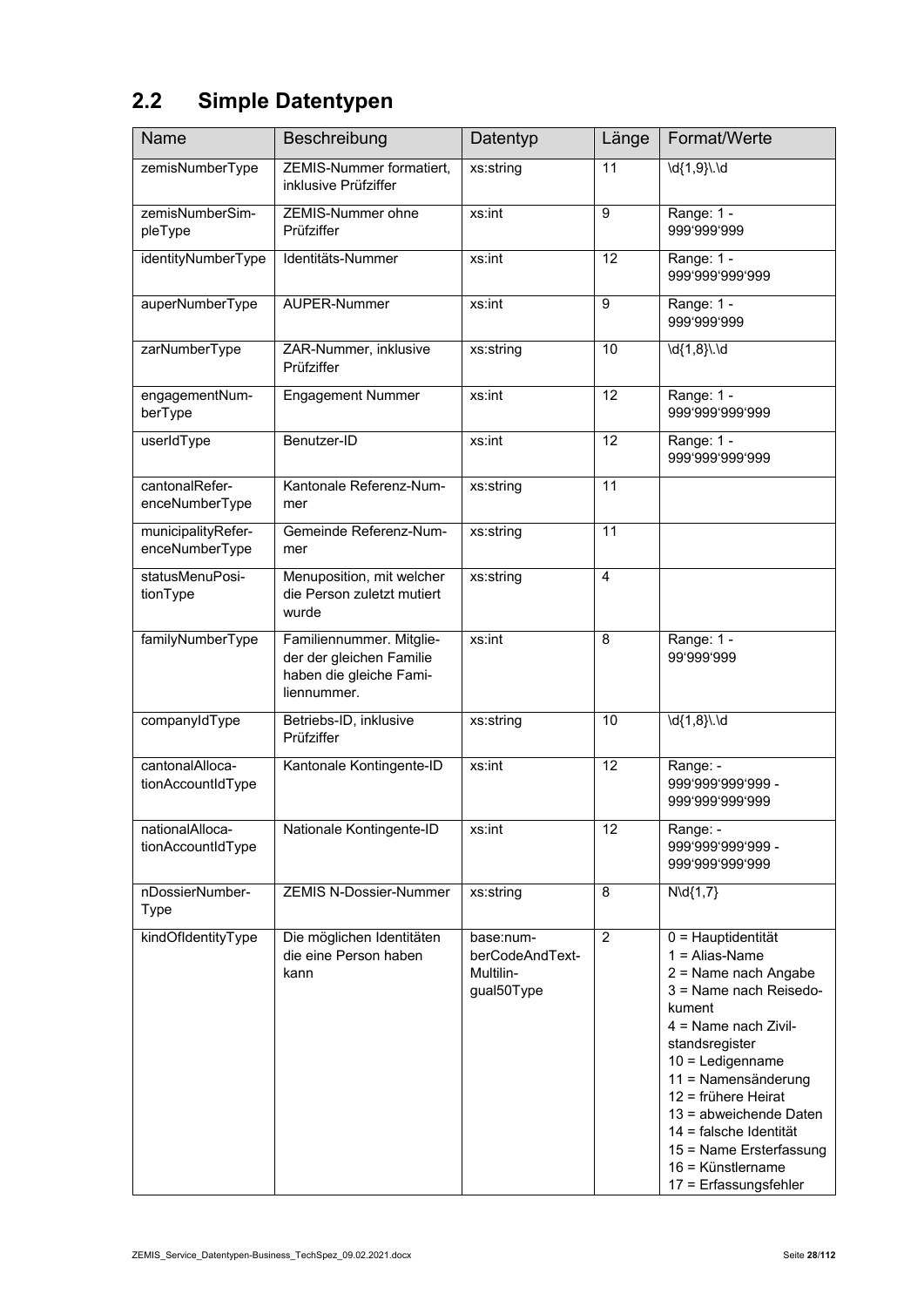# **2.2 Simple Datentypen**

| <b>Name</b>                          | Beschreibung                                                                                   | Datentyp                                                | Länge           | Format/Werte                                                                                                                                                                                                                                                                                                                                  |
|--------------------------------------|------------------------------------------------------------------------------------------------|---------------------------------------------------------|-----------------|-----------------------------------------------------------------------------------------------------------------------------------------------------------------------------------------------------------------------------------------------------------------------------------------------------------------------------------------------|
| zemisNumberType                      | ZEMIS-Nummer formatiert,<br>inklusive Prüfziffer                                               | xs:string                                               | 11              | \d{1,9}\.\d                                                                                                                                                                                                                                                                                                                                   |
| zemisNumberSim-<br>pleType           | ZEMIS-Nummer ohne<br>Prüfziffer                                                                | xs:int                                                  | 9               | Range: 1 -<br>999'999'999                                                                                                                                                                                                                                                                                                                     |
| identityNumberType                   | Identitäts-Nummer                                                                              | xs:int                                                  | $\overline{12}$ | Range: 1 -<br>999'999'999'999                                                                                                                                                                                                                                                                                                                 |
| auperNumberType                      | AUPER-Nummer                                                                                   | xs:int                                                  | 9               | Range: 1 -<br>999'999'999                                                                                                                                                                                                                                                                                                                     |
| zarNumberType                        | ZAR-Nummer, inklusive<br>Prüfziffer                                                            | xs:string                                               | 10              | \d{1,8}\.\d                                                                                                                                                                                                                                                                                                                                   |
| engagementNum-<br>berType            | <b>Engagement Nummer</b>                                                                       | xs:int                                                  | $\overline{12}$ | Range: 1 -<br>999'999'999'999                                                                                                                                                                                                                                                                                                                 |
| userIdType                           | Benutzer-ID                                                                                    | xs:int                                                  | $\overline{12}$ | Range: 1 -<br>999'999'999'999                                                                                                                                                                                                                                                                                                                 |
| cantonalRefer-<br>enceNumberType     | Kantonale Referenz-Num-<br>mer                                                                 | xs:string                                               | 11              |                                                                                                                                                                                                                                                                                                                                               |
| municipalityRefer-<br>enceNumberType | Gemeinde Referenz-Num-<br>mer                                                                  | xs:string                                               | 11              |                                                                                                                                                                                                                                                                                                                                               |
| statusMenuPosi-<br>tionType          | Menuposition, mit welcher<br>die Person zuletzt mutiert<br>wurde                               | xs:string                                               | $\overline{4}$  |                                                                                                                                                                                                                                                                                                                                               |
| familyNumberType                     | Familiennummer. Mitglie-<br>der der gleichen Familie<br>haben die gleiche Fami-<br>liennummer. | xs:int                                                  | 8               | Range: 1 -<br>99'999'999                                                                                                                                                                                                                                                                                                                      |
| companyIdType                        | Betriebs-ID, inklusive<br>Prüfziffer                                                           | xs:string                                               | 10              | $\overline{d{1,8}l}$ . ld                                                                                                                                                                                                                                                                                                                     |
| cantonalAlloca-<br>tionAccountIdType | Kantonale Kontingente-ID                                                                       | xs:int                                                  | $\overline{12}$ | Range: -<br>999'999'999'999 -<br>999'999'999'999                                                                                                                                                                                                                                                                                              |
| nationalAlloca-<br>tionAccountIdType | Nationale Kontingente-ID                                                                       | xs:int                                                  | 12              | Range: -<br>999'999'999'999 -<br>999'999'999'999                                                                                                                                                                                                                                                                                              |
| nDossierNumber-<br><b>Type</b>       | <b>ZEMIS N-Dossier-Nummer</b>                                                                  | xs:string                                               | 8               | $N\ddot{q} \{1,7\}$                                                                                                                                                                                                                                                                                                                           |
| kindOfldentityType                   | Die möglichen Identitäten<br>die eine Person haben<br>kann                                     | base:num-<br>berCodeAndText-<br>Multilin-<br>gual50Type | $\overline{c}$  | 0 = Hauptidentität<br>$1 =$ Alias-Name<br>2 = Name nach Angabe<br>3 = Name nach Reisedo-<br>kument<br>$4 =$ Name nach Zivil-<br>standsregister<br>10 = Ledigenname<br>11 = Namensänderung<br>12 = frühere Heirat<br>13 = abweichende Daten<br>14 = falsche Identität<br>15 = Name Ersterfassung<br>16 = Künstlername<br>17 = Erfassungsfehler |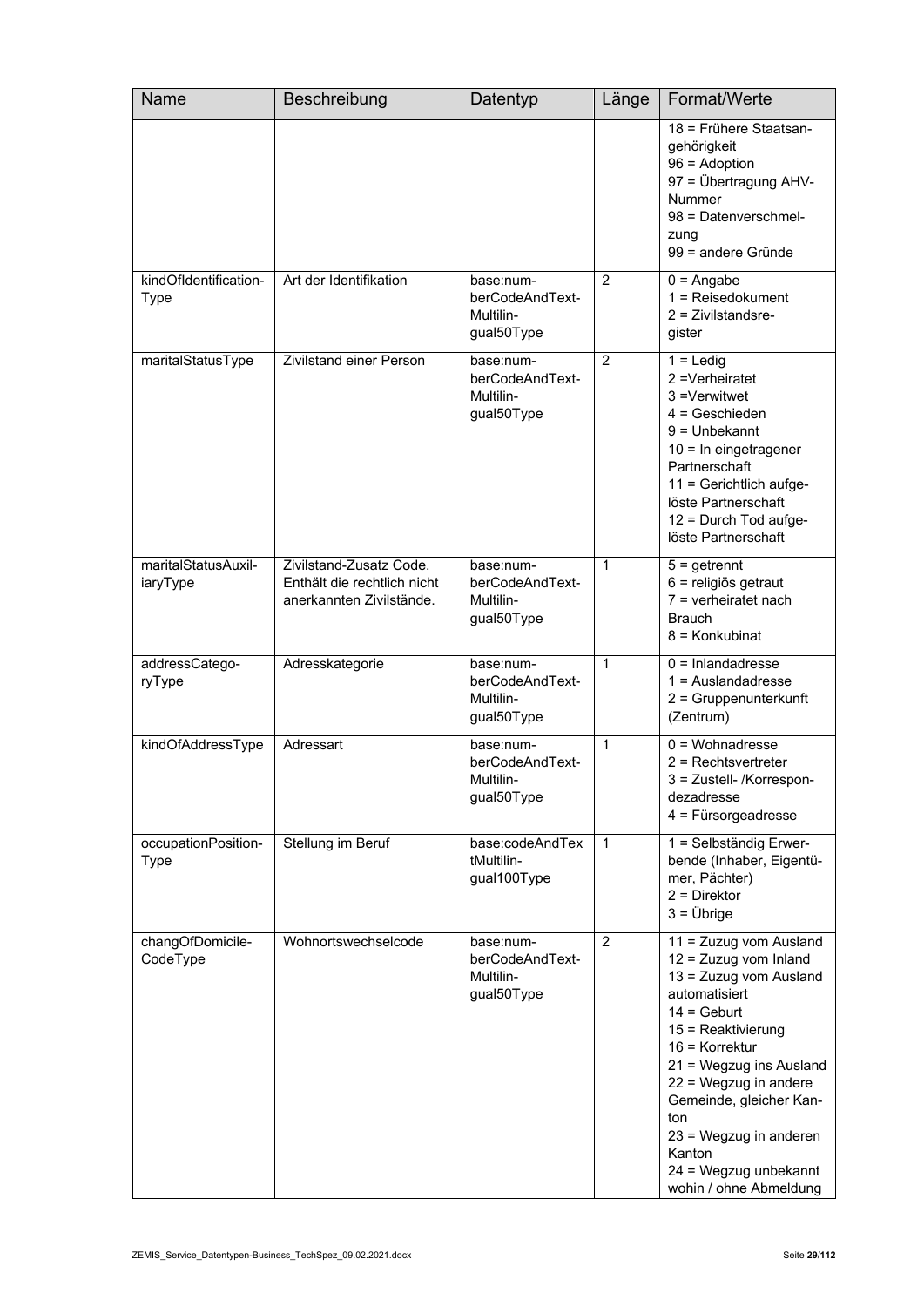| Name                                 | Beschreibung                                                                       | Datentyp                                                | Länge          | Format/Werte                                                                                                                                                                                                                                                                                                                             |
|--------------------------------------|------------------------------------------------------------------------------------|---------------------------------------------------------|----------------|------------------------------------------------------------------------------------------------------------------------------------------------------------------------------------------------------------------------------------------------------------------------------------------------------------------------------------------|
|                                      |                                                                                    |                                                         |                | 18 = Frühere Staatsan-<br>gehörigkeit<br>$96 =$ Adoption<br>97 = Übertragung AHV-<br><b>Nummer</b><br>98 = Datenverschmel-<br>zung<br>99 = andere Gründe                                                                                                                                                                                 |
| kindOfIdentification-<br><b>Type</b> | Art der Identifikation                                                             | base:num-<br>berCodeAndText-<br>Multilin-<br>gual50Type | 2              | $0 =$ Angabe<br>$1 =$ Reisedokument<br>$2$ = Zivilstandsre-<br>gister                                                                                                                                                                                                                                                                    |
| maritalStatusType                    | Zivilstand einer Person                                                            | base:num-<br>berCodeAndText-<br>Multilin-<br>gual50Type | $\overline{2}$ | $1 =$ Ledig<br>2 = Verheiratet<br>3 = Verwitwet<br>$4 =$ Geschieden<br>$9 =$ Unbekannt<br>10 = In eingetragener<br>Partnerschaft<br>11 = Gerichtlich aufge-<br>löste Partnerschaft<br>12 = Durch Tod aufge-<br>löste Partnerschaft                                                                                                       |
| maritalStatusAuxil-<br>iaryType      | Zivilstand-Zusatz Code.<br>Enthält die rechtlich nicht<br>anerkannten Zivilstände. | base:num-<br>berCodeAndText-<br>Multilin-<br>gual50Type | $\mathbf 1$    | $5 =$ getrennt<br>6 = religiös getraut<br>$7 =$ verheiratet nach<br><b>Brauch</b><br>8 = Konkubinat                                                                                                                                                                                                                                      |
| addressCatego-<br>ryType             | Adresskategorie                                                                    | base:num-<br>berCodeAndText-<br>Multilin-<br>gual50Type | $\mathbf{1}$   | $0 =$ Inlandadresse<br>$1 =$ Auslandadresse<br>2 = Gruppenunterkunft<br>(Zentrum)                                                                                                                                                                                                                                                        |
| kindOfAddressType                    | Adressart                                                                          | base:num-<br>berCodeAndText-<br>Multilin-<br>gual50Type | $\mathbf{1}$   | $0 = W_0$ chnadresse<br>$2$ = Rechtsvertreter<br>3 = Zustell- /Korrespon-<br>dezadresse<br>$4$ = Fürsorgeadresse                                                                                                                                                                                                                         |
| occupationPosition-<br><b>Type</b>   | Stellung im Beruf                                                                  | base:codeAndTex<br>tMultilin-<br>gual100Type            | $\mathbf{1}$   | 1 = Selbständig Erwer-<br>bende (Inhaber, Eigentü-<br>mer, Pächter)<br>$2 =$ Direktor<br>$3 = \ddot{\cup}$ brige                                                                                                                                                                                                                         |
| changOfDomicile-<br>CodeType         | Wohnortswechselcode                                                                | base:num-<br>berCodeAndText-<br>Multilin-<br>gual50Type | $\overline{2}$ | 11 = Zuzug vom Ausland<br>12 = Zuzug vom Inland<br>13 = Zuzug vom Ausland<br>automatisiert<br>$14 = \text{Gebut}$<br>15 = Reaktivierung<br>$16$ = Korrektur<br>21 = Wegzug ins Ausland<br>22 = Wegzug in andere<br>Gemeinde, gleicher Kan-<br>ton<br>23 = Wegzug in anderen<br>Kanton<br>24 = Wegzug unbekannt<br>wohin / ohne Abmeldung |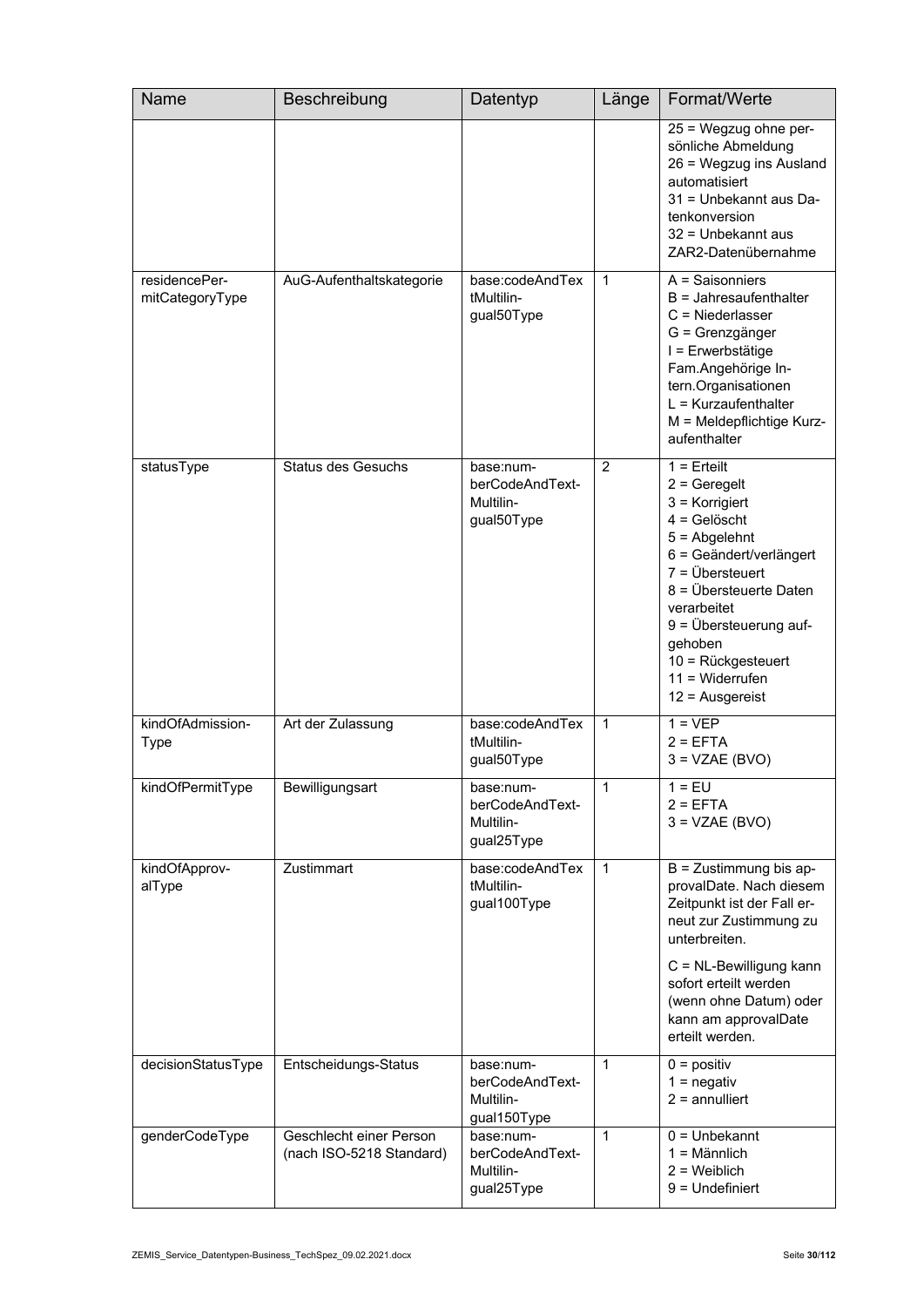| Name                             | Beschreibung                                        | Datentyp                                                 | Länge          | Format/Werte                                                                                                                                                                                                                                                                                   |
|----------------------------------|-----------------------------------------------------|----------------------------------------------------------|----------------|------------------------------------------------------------------------------------------------------------------------------------------------------------------------------------------------------------------------------------------------------------------------------------------------|
|                                  |                                                     |                                                          |                | 25 = Wegzug ohne per-<br>sönliche Abmeldung<br>26 = Wegzug ins Ausland<br>automatisiert<br>31 = Unbekannt aus Da-<br>tenkonversion<br>32 = Unbekannt aus<br>ZAR2-Datenübernahme                                                                                                                |
| residencePer-<br>mitCategoryType | AuG-Aufenthaltskategorie                            | base:codeAndTex<br>tMultilin-<br>gual50Type              | 1              | $A =$ Saisonniers<br>$B =$ Jahresaufenthalter<br>$C =$ Niederlasser<br>G = Grenzgänger<br>I = Erwerbstätige<br>Fam.Angehörige In-<br>tern.Organisationen<br>$L = Kurzaufenthalter$<br>M = Meldepflichtige Kurz-<br>aufenthalter                                                                |
| statusType                       | <b>Status des Gesuchs</b>                           | base:num-<br>berCodeAndText-<br>Multilin-<br>gual50Type  | $\overline{2}$ | $1 =$ Erteilt<br>$2 =$ Geregelt<br>$3$ = Korrigiert<br>$4 =$ Gelöscht<br>$5 =$ Abgelehnt<br>6 = Geändert/verlängert<br>$7 = \ddot{U}$ bersteuert<br>8 = Übersteuerte Daten<br>verarbeitet<br>9 = Übersteuerung auf-<br>gehoben<br>10 = Rückgesteuert<br>$11 = Widerrufen$<br>$12$ = Ausgereist |
| kindOfAdmission-<br>Type         | Art der Zulassung                                   | base:codeAndTex<br>tMultilin-<br>gual50Type              | 1              | $1 = VEP$<br>$2 = EFTA$<br>$3 = VZAE (BVO)$                                                                                                                                                                                                                                                    |
| kindOfPermitType                 | Bewilligungsart                                     | base:num-<br>berCodeAndText-<br>Multilin-<br>gual25Type  | 1              | $1 = EU$<br>$2 = EFTA$<br>$3 = VZAE(BVO)$                                                                                                                                                                                                                                                      |
| kindOfApprov-<br>alType          | Zustimmart                                          | base:codeAndTex<br>tMultilin-<br>gual100Type             | $\mathbf{1}$   | $B = Z$ ustimmung bis ap-<br>provalDate. Nach diesem<br>Zeitpunkt ist der Fall er-<br>neut zur Zustimmung zu<br>unterbreiten.<br>C = NL-Bewilligung kann<br>sofort erteilt werden<br>(wenn ohne Datum) oder<br>kann am approvalDate<br>erteilt werden.                                         |
| decisionStatusType               | Entscheidungs-Status                                | base:num-<br>berCodeAndText-<br>Multilin-<br>gual150Type | 1              | $0 =$ positiv<br>$1 =$ negativ<br>$2 =$ annulliert                                                                                                                                                                                                                                             |
| genderCodeType                   | Geschlecht einer Person<br>(nach ISO-5218 Standard) | base:num-<br>berCodeAndText-<br>Multilin-<br>gual25Type  | 1              | $0 =$ Unbekannt<br>$1 =$ Männlich<br>$2 =$ Weiblich<br>$9 =$ Undefiniert                                                                                                                                                                                                                       |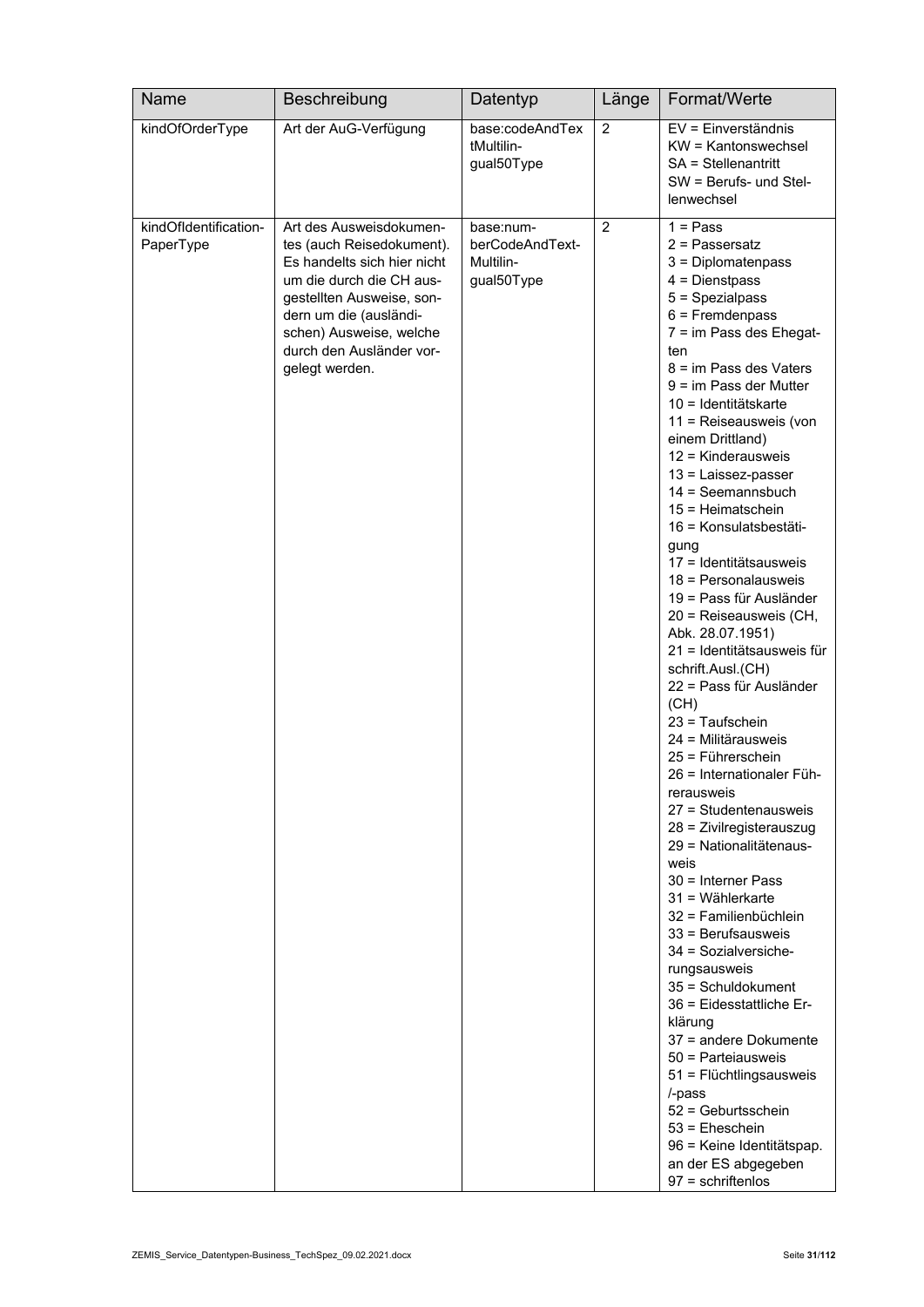| Name                               | Beschreibung                                                                                                                                                                                                                                    | Datentyp                                                | Länge          | Format/Werte                                                                                                                                                                                                                                                                                                                                                                                                                                                                                                                                                                                                                                                                                                                                                                                                                                                                                                                                                                                                                                                                                                                                                         |
|------------------------------------|-------------------------------------------------------------------------------------------------------------------------------------------------------------------------------------------------------------------------------------------------|---------------------------------------------------------|----------------|----------------------------------------------------------------------------------------------------------------------------------------------------------------------------------------------------------------------------------------------------------------------------------------------------------------------------------------------------------------------------------------------------------------------------------------------------------------------------------------------------------------------------------------------------------------------------------------------------------------------------------------------------------------------------------------------------------------------------------------------------------------------------------------------------------------------------------------------------------------------------------------------------------------------------------------------------------------------------------------------------------------------------------------------------------------------------------------------------------------------------------------------------------------------|
| kindOfOrderType                    | Art der AuG-Verfügung                                                                                                                                                                                                                           | base:codeAndTex<br>tMultilin-<br>gual50Type             | 2              | EV = Einverständnis<br>KW = Kantonswechsel<br>SA = Stellenantritt<br>SW = Berufs- und Stel-<br>lenwechsel                                                                                                                                                                                                                                                                                                                                                                                                                                                                                                                                                                                                                                                                                                                                                                                                                                                                                                                                                                                                                                                            |
| kindOfIdentification-<br>PaperType | Art des Ausweisdokumen-<br>tes (auch Reisedokument).<br>Es handelts sich hier nicht<br>um die durch die CH aus-<br>gestellten Ausweise, son-<br>dern um die (ausländi-<br>schen) Ausweise, welche<br>durch den Ausländer vor-<br>gelegt werden. | base:num-<br>berCodeAndText-<br>Multilin-<br>gual50Type | $\overline{2}$ | $1 = Pass$<br>$2$ = Passersatz<br>3 = Diplomatenpass<br>$4 =$ Dienstpass<br>5 = Spezialpass<br>$6$ = Fremdenpass<br>7 = im Pass des Ehegat-<br>ten<br>8 = im Pass des Vaters<br>$9 = im Pass der Mutter$<br>10 = Identitätskarte<br>11 = Reiseausweis (von<br>einem Drittland)<br>12 = Kinderausweis<br>13 = Laissez-passer<br>$14 =$ Seemannsbuch<br>15 = Heimatschein<br>16 = Konsulatsbestäti-<br>gung<br>17 = Identitätsausweis<br>$18$ = Personalausweis<br>19 = Pass für Ausländer<br>20 = Reiseausweis (CH,<br>Abk. 28.07.1951)<br>21 = Identitätsausweis für<br>schrift.Ausl.(CH)<br>22 = Pass für Ausländer<br>(CH)<br>$23 = Tautschein$<br>24 = Militärausweis<br>25 = Führerschein<br>26 = Internationaler Füh-<br>rerausweis<br>27 = Studentenausweis<br>28 = Zivilregisterauszug<br>29 = Nationalitätenaus-<br>weis<br>$30$ = Interner Pass<br>$31 =$ Wählerkarte<br>32 = Familienbüchlein<br>$33$ = Berufsausweis<br>34 = Sozialversiche-<br>rungsausweis<br>35 = Schuldokument<br>36 = Eidesstattliche Er-<br>klärung<br>37 = andere Dokumente<br>50 = Partejausweis<br>51 = Flüchtlingsausweis<br>/-pass<br>$52$ = Geburtsschein<br>$53$ = Eheschein |
|                                    |                                                                                                                                                                                                                                                 |                                                         |                | 96 = Keine Identitätspap.<br>an der ES abgegeben<br>$97 =$ schriftenlos                                                                                                                                                                                                                                                                                                                                                                                                                                                                                                                                                                                                                                                                                                                                                                                                                                                                                                                                                                                                                                                                                              |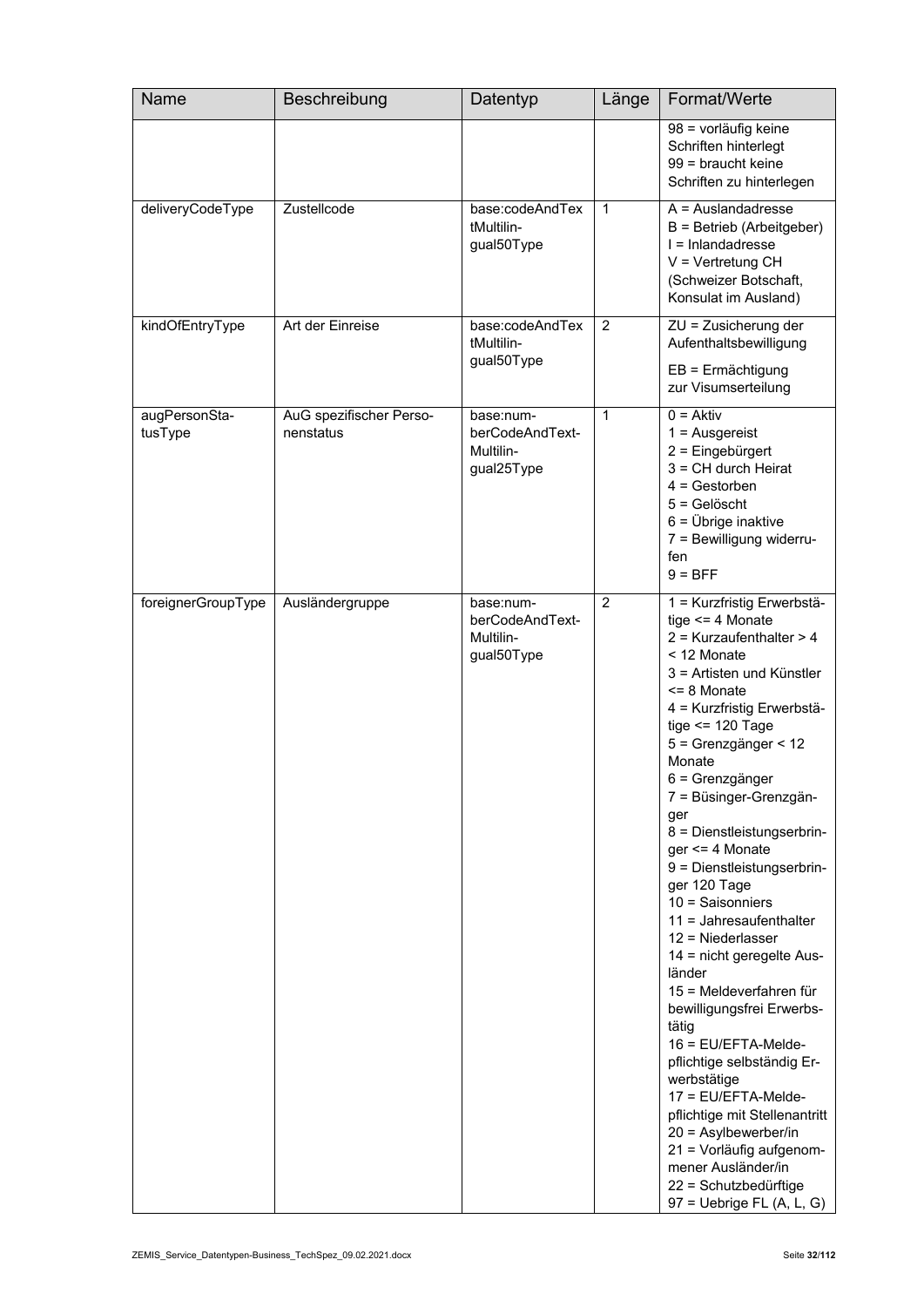| Name                     | Beschreibung                         | Datentyp                                                | Länge          | Format/Werte                                                                                                                                                                                                                                                                                                                                                                                                                                                                                                                                                                                                                                                                                                                                                                                                                             |
|--------------------------|--------------------------------------|---------------------------------------------------------|----------------|------------------------------------------------------------------------------------------------------------------------------------------------------------------------------------------------------------------------------------------------------------------------------------------------------------------------------------------------------------------------------------------------------------------------------------------------------------------------------------------------------------------------------------------------------------------------------------------------------------------------------------------------------------------------------------------------------------------------------------------------------------------------------------------------------------------------------------------|
|                          |                                      |                                                         |                | 98 = vorläufig keine<br>Schriften hinterlegt<br>99 = braucht keine<br>Schriften zu hinterlegen                                                                                                                                                                                                                                                                                                                                                                                                                                                                                                                                                                                                                                                                                                                                           |
| deliveryCodeType         | Zustellcode                          | base:codeAndTex<br>tMultilin-<br>gual50Type             | $\mathbf{1}$   | $A =$ Auslandadresse<br>B = Betrieb (Arbeitgeber)<br>I = Inlandadresse<br>$V = V$ ertretung CH<br>(Schweizer Botschaft,<br>Konsulat im Ausland)                                                                                                                                                                                                                                                                                                                                                                                                                                                                                                                                                                                                                                                                                          |
| kindOfEntryType          | Art der Einreise                     | base:codeAndTex<br>tMultilin-<br>gual50Type             | $\overline{2}$ | ZU = Zusicherung der<br>Aufenthaltsbewilligung<br>$EB = Ermächtigung$<br>zur Visumserteilung                                                                                                                                                                                                                                                                                                                                                                                                                                                                                                                                                                                                                                                                                                                                             |
| augPersonSta-<br>tusType | AuG spezifischer Perso-<br>nenstatus | base:num-<br>berCodeAndText-<br>Multilin-<br>gual25Type | 1              | $0 = Aktiv$<br>$1 =$ Ausgereist<br>2 = Eingebürgert<br>$3 = CH$ durch Heirat<br>$4 =$ Gestorben<br>$5 =$ Gelöscht<br>$6 = \ddot{\text{U}}$ brige inaktive<br>7 = Bewilligung widerru-<br>fen<br>$9 = BFF$                                                                                                                                                                                                                                                                                                                                                                                                                                                                                                                                                                                                                                |
| foreignerGroupType       | Ausländergruppe                      | base:num-<br>berCodeAndText-<br>Multilin-<br>gual50Type | $\overline{2}$ | 1 = Kurzfristig Erwerbstä-<br>tige $\leq$ 4 Monate<br>$2$ = Kurzaufenthalter > 4<br>< 12 Monate<br>3 = Artisten und Künstler<br>$\leq$ 8 Monate<br>4 = Kurzfristig Erwerbstä-<br>tige $\leq$ 120 Tage<br>5 = Grenzgänger < 12<br>Monate<br>6 = Grenzgänger<br>7 = Büsinger-Grenzgän-<br>ger<br>8 = Dienstleistungserbrin-<br>ger <= 4 Monate<br>9 = Dienstleistungserbrin-<br>ger 120 Tage<br>$10 =$ Saisonniers<br>11 = Jahresaufenthalter<br>$12$ = Niederlasser<br>14 = nicht geregelte Aus-<br>länder<br>15 = Meldeverfahren für<br>bewilligungsfrei Erwerbs-<br>tätig<br>$16$ = EU/EFTA-Melde-<br>pflichtige selbständig Er-<br>werbstätige<br>17 = EU/EFTA-Melde-<br>pflichtige mit Stellenantritt<br>20 = Asylbewerber/in<br>21 = Vorläufig aufgenom-<br>mener Ausländer/in<br>22 = Schutzbedürftige<br>97 = Uebrige FL (A, L, G) |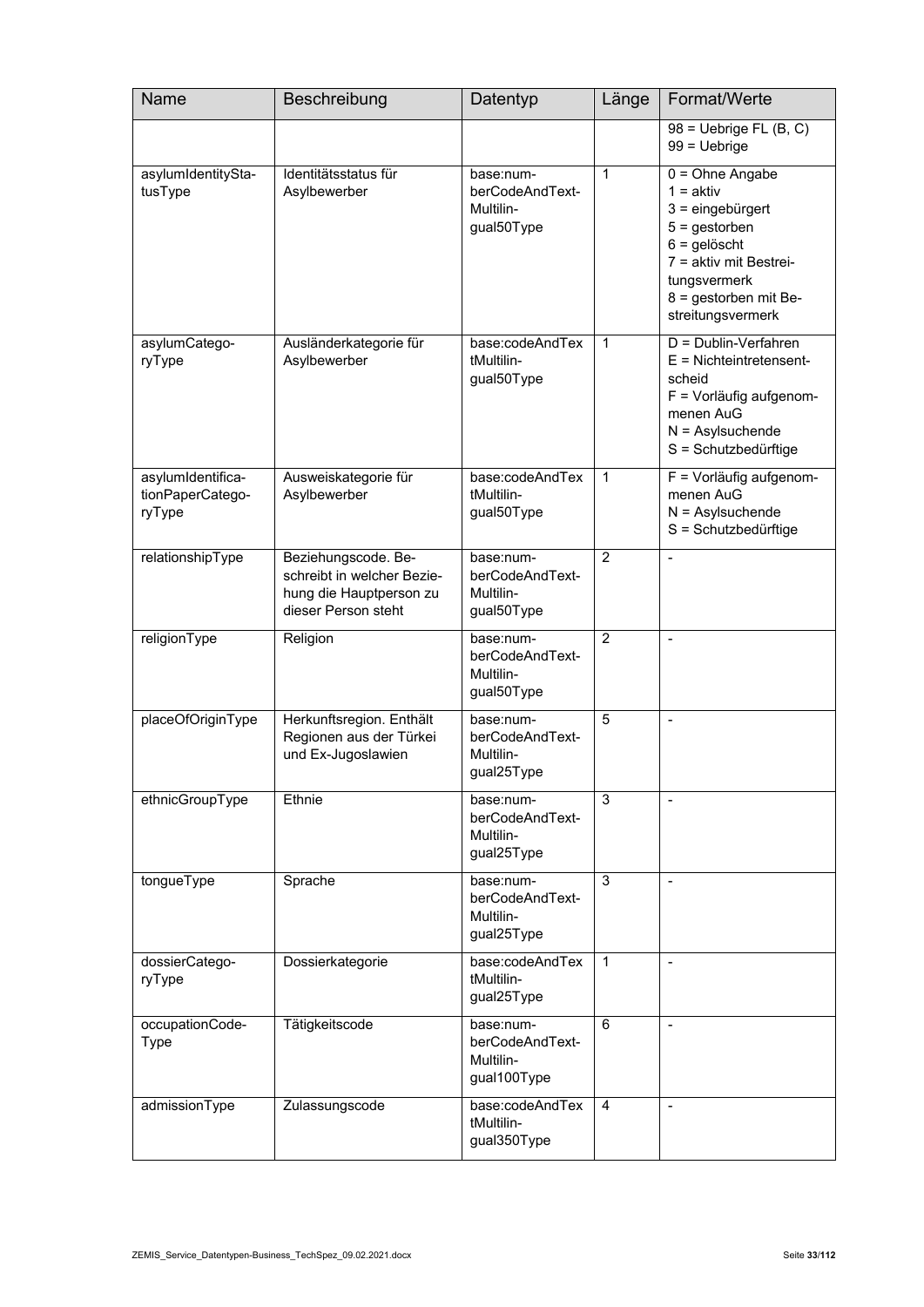| Name                                            | Beschreibung                                                                                        | Datentyp                                                 | Länge          | Format/Werte                                                                                                                                                                        |
|-------------------------------------------------|-----------------------------------------------------------------------------------------------------|----------------------------------------------------------|----------------|-------------------------------------------------------------------------------------------------------------------------------------------------------------------------------------|
|                                                 |                                                                                                     |                                                          |                | $98$ = Uebrige FL (B, C)<br>$99 = Uebrige$                                                                                                                                          |
| asylumIdentitySta-<br>tusType                   | Identitätsstatus für<br>Asylbewerber                                                                | base:num-<br>berCodeAndText-<br>Multilin-<br>gual50Type  | $\mathbf{1}$   | $0 = Ohne$ Angabe<br>$1 = aktiv$<br>$3 =$ eingebürgert<br>$5 =$ gestorben<br>$6 =$ gelöscht<br>7 = aktiv mit Bestrei-<br>tungsvermerk<br>8 = gestorben mit Be-<br>streitungsvermerk |
| asylumCatego-<br>ryType                         | Ausländerkategorie für<br>Asylbewerber                                                              | base:codeAndTex<br>tMultilin-<br>gual50Type              | 1              | D = Dublin-Verfahren<br>$E =$ Nichteintretensent-<br>scheid<br>F = Vorläufig aufgenom-<br>menen AuG<br>$N =$ Asylsuchende<br>S = Schutzbedürftige                                   |
| asylumIdentifica-<br>tionPaperCatego-<br>ryType | Ausweiskategorie für<br>Asylbewerber                                                                | base:codeAndTex<br>tMultilin-<br>gual50Type              | $\mathbf{1}$   | F = Vorläufig aufgenom-<br>menen AuG<br>$N =$ Asylsuchende<br>S = Schutzbedürftige                                                                                                  |
| relationshipType                                | Beziehungscode. Be-<br>schreibt in welcher Bezie-<br>hung die Hauptperson zu<br>dieser Person steht | base:num-<br>berCodeAndText-<br>Multilin-<br>gual50Type  | $\overline{2}$ |                                                                                                                                                                                     |
| religionType                                    | Religion                                                                                            | base:num-<br>berCodeAndText-<br>Multilin-<br>gual50Type  | $\overline{2}$ | $\overline{\phantom{a}}$                                                                                                                                                            |
| placeOfOriginType                               | Herkunftsregion. Enthält<br>Regionen aus der Türkei<br>und Ex-Jugoslawien                           | base:num-<br>berCodeAndText-<br>Multilin-<br>gual25Type  | 5              | $\overline{\phantom{a}}$                                                                                                                                                            |
| ethnicGroupType                                 | Ethnie                                                                                              | base:num-<br>berCodeAndText-<br>Multilin-<br>gual25Type  | 3              |                                                                                                                                                                                     |
| tongueType                                      | Sprache                                                                                             | base:num-<br>berCodeAndText-<br>Multilin-<br>gual25Type  | 3              | $\overline{\phantom{a}}$                                                                                                                                                            |
| dossierCatego-<br>ryType                        | Dossierkategorie                                                                                    | base:codeAndTex<br>tMultilin-<br>gual25Type              | 1              | $\blacksquare$                                                                                                                                                                      |
| occupationCode-<br><b>Type</b>                  | Tätigkeitscode                                                                                      | base:num-<br>berCodeAndText-<br>Multilin-<br>gual100Type | 6              |                                                                                                                                                                                     |
| admissionType                                   | Zulassungscode                                                                                      | base:codeAndTex<br>tMultilin-<br>gual350Type             | 4              | $\blacksquare$                                                                                                                                                                      |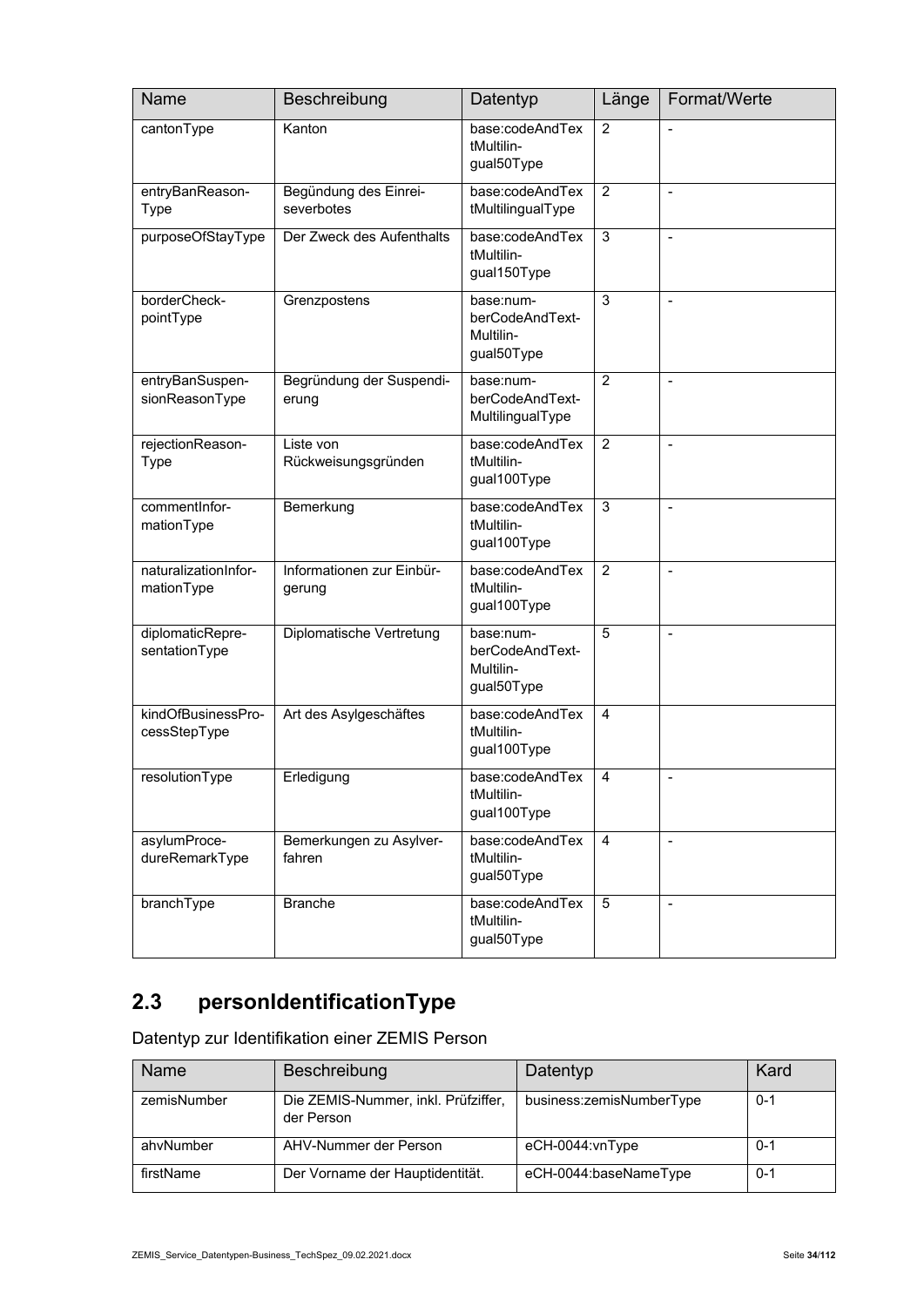| Name                               | Beschreibung                        | Datentyp                                                | Länge          | Format/Werte             |
|------------------------------------|-------------------------------------|---------------------------------------------------------|----------------|--------------------------|
| cantonType                         | Kanton                              | base:codeAndTex<br>tMultilin-<br>gual50Type             | $\overline{2}$ |                          |
| entryBanReason-<br>Type            | Begündung des Einrei-<br>severbotes | base:codeAndTex<br>tMultilingualType                    | $\overline{2}$ | $\frac{1}{2}$            |
| purposeOfStayType                  | Der Zweck des Aufenthalts           | base:codeAndTex<br>tMultilin-<br>gual150Type            | 3              | $\overline{\phantom{a}}$ |
| borderCheck-<br>pointType          | Grenzpostens                        | base:num-<br>berCodeAndText-<br>Multilin-<br>gual50Type | 3              | $\overline{a}$           |
| entryBanSuspen-<br>sionReasonType  | Begründung der Suspendi-<br>erung   | base:num-<br>berCodeAndText-<br>MultilingualType        | $\overline{2}$ |                          |
| rejectionReason-<br><b>Type</b>    | Liste von<br>Rückweisungsgründen    | base:codeAndTex<br>tMultilin-<br>gual100Type            | $\overline{2}$ | $\overline{a}$           |
| commentInfor-<br>mationType        | Bemerkung                           | base:codeAndTex<br>tMultilin-<br>gual100Type            | 3              | $\overline{\phantom{a}}$ |
| naturalizationInfor-<br>mationType | Informationen zur Einbür-<br>gerung | base:codeAndTex<br>tMultilin-<br>gual100Type            | $\overline{2}$ | $\overline{a}$           |
| diplomaticRepre-<br>sentationType  | Diplomatische Vertretung            | base:num-<br>berCodeAndText-<br>Multilin-<br>gual50Type | $\overline{5}$ | $\blacksquare$           |
| kindOfBusinessPro-<br>cessStepType | Art des Asylgeschäftes              | base:codeAndTex<br>tMultilin-<br>gual100Type            | $\overline{4}$ |                          |
| resolutionType                     | Erledigung                          | base:codeAndTex<br>tMultilin-<br>gual100Type            | 4              | $\blacksquare$           |
| asylumProce-<br>dureRemarkType     | Bemerkungen zu Asylver-<br>fahren   | base:codeAndTex<br>tMultilin-<br>gual50Type             | 4              | $\blacksquare$           |
| branchType                         | <b>Branche</b>                      | base:codeAndTex<br>tMultilin-<br>gual50Type             | 5              |                          |

# **2.3 personIdentificationType**

Datentyp zur Identifikation einer ZEMIS Person

| Name        | Beschreibung                                      | Datentyp                 | Kard    |
|-------------|---------------------------------------------------|--------------------------|---------|
| zemisNumber | Die ZEMIS-Nummer, inkl. Prüfziffer,<br>der Person | business:zemisNumberType | $0 - 1$ |
| ahvNumber   | AHV-Nummer der Person                             | eCH-0044:vnType          | $0 - 1$ |
| firstName   | Der Vorname der Hauptidentität.                   | eCH-0044:baseNameType    | $0 - 1$ |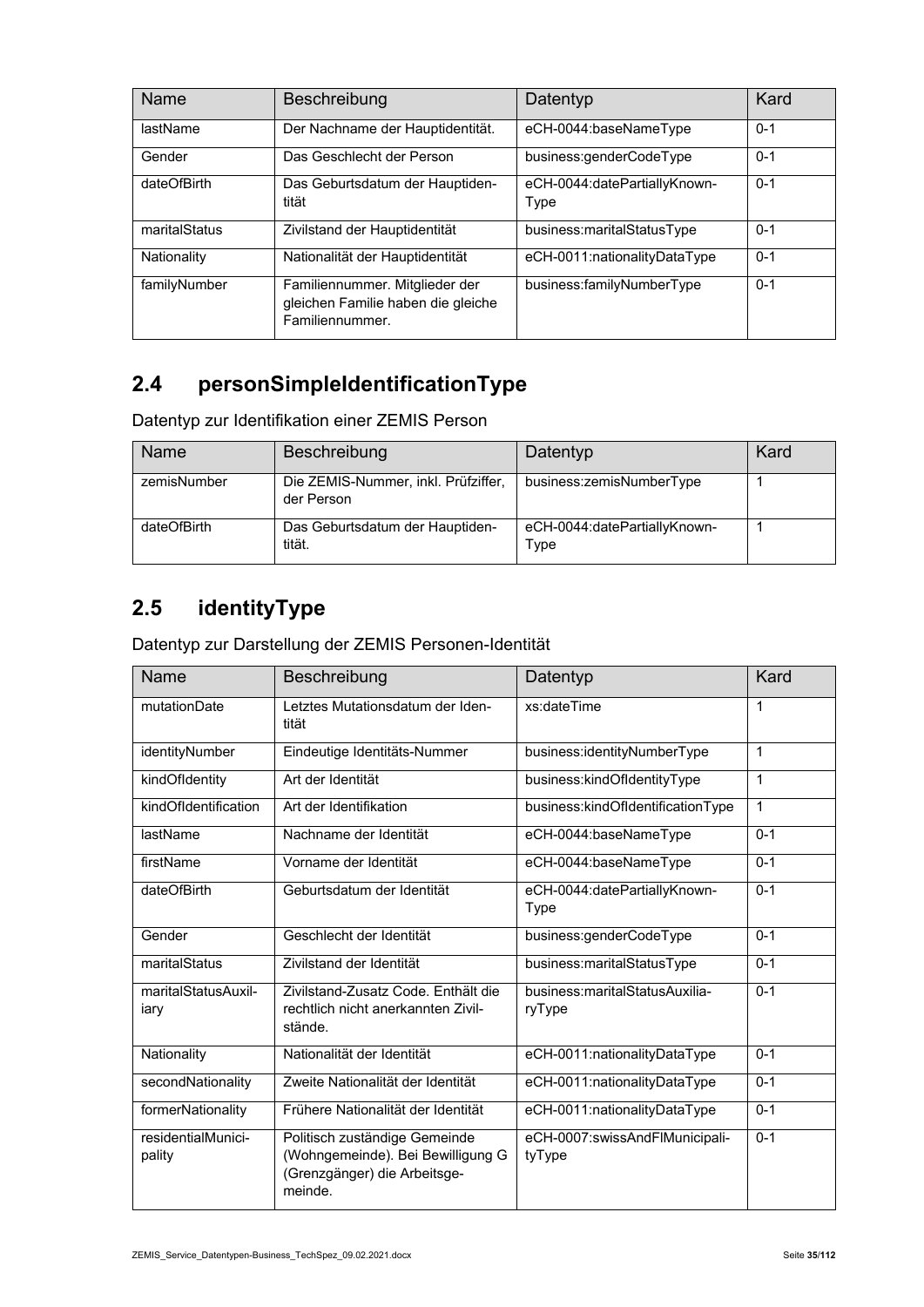| Name          | Beschreibung                                                                            | Datentyp                             | Kard    |
|---------------|-----------------------------------------------------------------------------------------|--------------------------------------|---------|
| lastName      | Der Nachname der Hauptidentität.                                                        | eCH-0044:baseNameType                | $0 - 1$ |
| Gender        | Das Geschlecht der Person                                                               | business:genderCodeType              | $0 - 1$ |
| dateOfBirth   | Das Geburtsdatum der Hauptiden-<br>tität                                                | eCH-0044:datePartiallyKnown-<br>Type | $0 - 1$ |
| maritalStatus | Zivilstand der Hauptidentität                                                           | business:maritalStatusType           | $0 - 1$ |
| Nationality   | Nationalität der Hauptidentität                                                         | eCH-0011:nationalityDataType         | $0 - 1$ |
| familyNumber  | Familiennummer. Mitglieder der<br>gleichen Familie haben die gleiche<br>Familiennummer. | business:familyNumberType            | $0 - 1$ |

### **2.4 personSimpleIdentificationType**

Datentyp zur Identifikation einer ZEMIS Person

| Name        | Beschreibung                                      | Datentyp                             | Kard |
|-------------|---------------------------------------------------|--------------------------------------|------|
| zemisNumber | Die ZEMIS-Nummer, inkl. Prüfziffer,<br>der Person | business:zemisNumberType             |      |
| dateOfBirth | Das Geburtsdatum der Hauptiden-<br>tität.         | eCH-0044:datePartiallyKnown-<br>Type |      |

#### **2.5 identityType**

Datentyp zur Darstellung der ZEMIS Personen-Identität

| Name                         | Beschreibung                                                                                                  | Datentyp                                    | Kard         |
|------------------------------|---------------------------------------------------------------------------------------------------------------|---------------------------------------------|--------------|
| mutationDate                 | Letztes Mutationsdatum der Iden-<br>tität                                                                     | xs:dateTime                                 | 1            |
| identityNumber               | Eindeutige Identitäts-Nummer                                                                                  | business:identityNumberType                 | $\mathbf{1}$ |
| kindOfldentity               | Art der Identität                                                                                             | business:kindOfIdentityType                 | $\mathbf 1$  |
| kindOfIdentification         | Art der Identifikation                                                                                        | business:kindOfldentificationType           | 1            |
| lastName                     | Nachname der Identität                                                                                        | eCH-0044:baseNameType                       | $0 - 1$      |
| firstName                    | Vorname der Identität                                                                                         | eCH-0044:baseNameType                       | $0 - 1$      |
| dateOfBirth                  | Geburtsdatum der Identität                                                                                    | eCH-0044:datePartiallyKnown-<br>Type        | $0 - 1$      |
| Gender                       | Geschlecht der Identität                                                                                      | business:genderCodeType                     | $0 - 1$      |
| maritalStatus                | Zivilstand der Identität                                                                                      | business:maritalStatusType                  | $0 - 1$      |
| maritalStatusAuxil-<br>iary  | Zivilstand-Zusatz Code, Enthält die<br>rechtlich nicht anerkannten Zivil-<br>stände.                          | business: marital Status Auxilia-<br>ryType | $0 - 1$      |
| Nationality                  | Nationalität der Identität                                                                                    | eCH-0011:nationalityDataType                | $0 - 1$      |
| secondNationality            | Zweite Nationalität der Identität                                                                             | eCH-0011:nationalityDataType                | $0 - 1$      |
| formerNationality            | Frühere Nationalität der Identität                                                                            | eCH-0011:nationalityDataType                | $0 - 1$      |
| residentialMunici-<br>pality | Politisch zuständige Gemeinde<br>(Wohngemeinde). Bei Bewilligung G<br>(Grenzgänger) die Arbeitsge-<br>meinde. | eCH-0007:swissAndFlMunicipali-<br>tyType    | $0 - 1$      |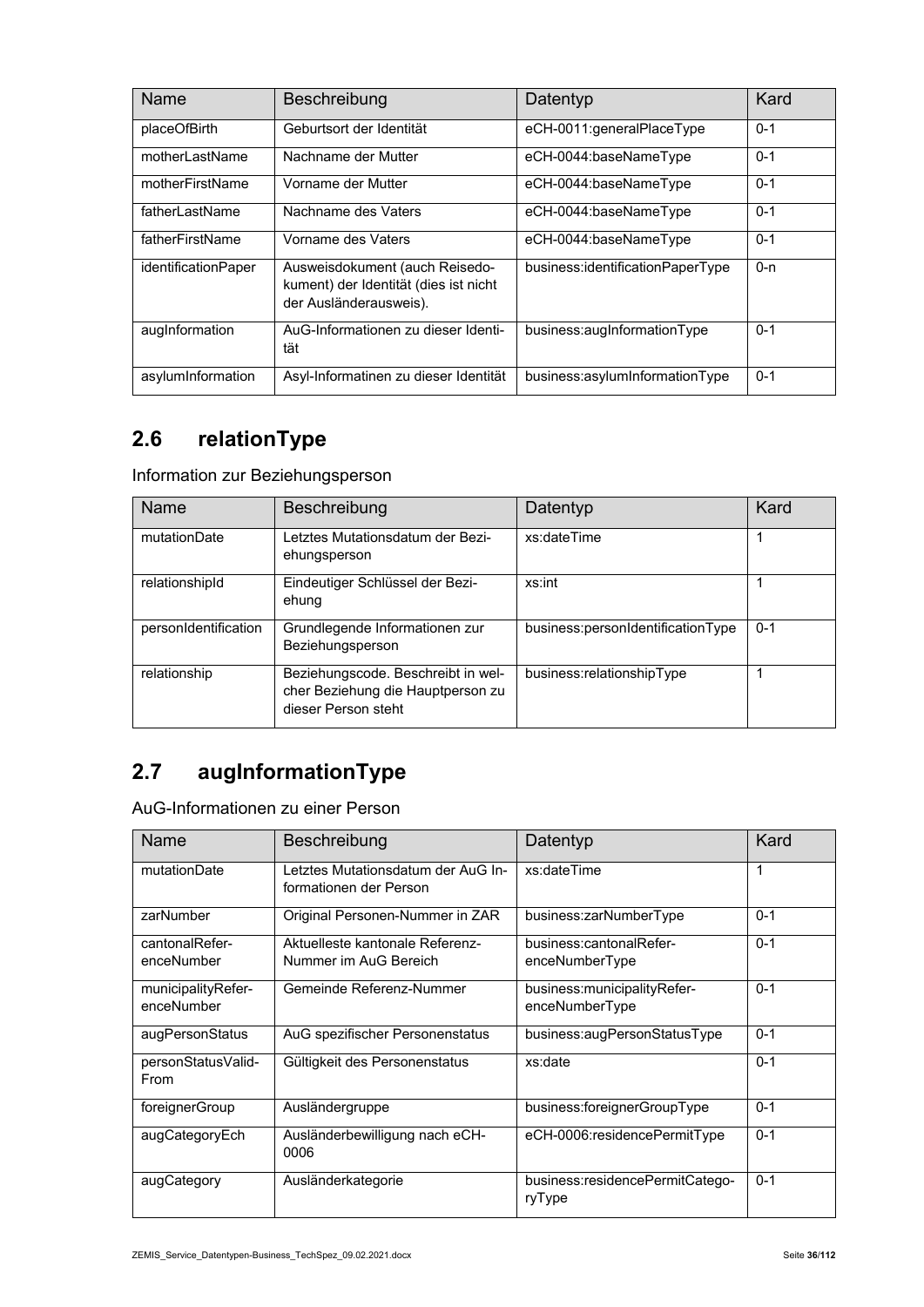| Name                | Beschreibung                                                                                      | Datentyp                         | Kard    |
|---------------------|---------------------------------------------------------------------------------------------------|----------------------------------|---------|
| placeOfBirth        | Geburtsort der Identität                                                                          | eCH-0011:generalPlaceType        | $0 - 1$ |
| motherl astName     | Nachname der Mutter                                                                               | eCH-0044:baseNameType            | $0 - 1$ |
| motherFirstName     | Vorname der Mutter                                                                                | eCH-0044:baseNameType            | $0 - 1$ |
| fatherl astName     | Nachname des Vaters                                                                               | eCH-0044:baseNameType            | $0 - 1$ |
| fatherFirstName     | Vorname des Vaters                                                                                | eCH-0044:baseNameType            | $0 - 1$ |
| identificationPaper | Ausweisdokument (auch Reisedo-<br>kument) der Identität (dies ist nicht<br>der Ausländerausweis). | business:identificationPaperType | $0 - n$ |
| augInformation      | AuG-Informationen zu dieser Identi-<br>tät                                                        | business:augInformationType      | $0 - 1$ |
| asylumInformation   | Asyl-Informatinen zu dieser Identität                                                             | business:asylumInformationType   | $0 - 1$ |

### **2.6 relationType**

Information zur Beziehungsperson

| <b>Name</b>          | Beschreibung                                                                                   | Datentyp                          | Kard    |
|----------------------|------------------------------------------------------------------------------------------------|-----------------------------------|---------|
| mutationDate         | Letztes Mutationsdatum der Bezi-<br>ehungsperson                                               | xs:dateTime                       |         |
| relationshipId       | Eindeutiger Schlüssel der Bezi-<br>ehung                                                       | xs:int                            |         |
| personIdentification | Grundlegende Informationen zur<br>Beziehungsperson                                             | business:personIdentificationType | $0 - 1$ |
| relationship         | Beziehungscode. Beschreibt in wel-<br>cher Beziehung die Hauptperson zu<br>dieser Person steht | business:relationshipType         |         |

### **2.7 augInformationType**

AuG-Informationen zu einer Person

| <b>Name</b>                      | Beschreibung                                                 | Datentyp                                        | Kard    |
|----------------------------------|--------------------------------------------------------------|-------------------------------------------------|---------|
| mutationDate                     | Letztes Mutationsdatum der AuG In-<br>formationen der Person | xs:dateTime                                     | 1       |
| zarNumber                        | Original Personen-Nummer in ZAR                              | business:zarNumberType                          | $0 - 1$ |
| cantonalRefer-<br>enceNumber     | Aktuelleste kantonale Referenz-<br>Nummer im AuG Bereich     | business:cantonalRefer-<br>enceNumberType       | $0 - 1$ |
| municipalityRefer-<br>enceNumber | Gemeinde Referenz-Nummer                                     | business: municipality Refer-<br>enceNumberType | $0 - 1$ |
| augPersonStatus                  | AuG spezifischer Personenstatus                              | business:augPersonStatusType                    | $0 - 1$ |
| personStatusValid-<br>From       | Gültigkeit des Personenstatus                                | xs:date                                         | $0 - 1$ |
| foreignerGroup                   | Ausländergruppe                                              | business:foreignerGroupType                     | $0 - 1$ |
| augCategoryEch                   | Ausländerbewilligung nach eCH-<br>0006                       | eCH-0006:residencePermitType                    | $0 - 1$ |
| augCategory                      | Ausländerkategorie                                           | business:residencePermitCatego-<br>ryType       | $0 - 1$ |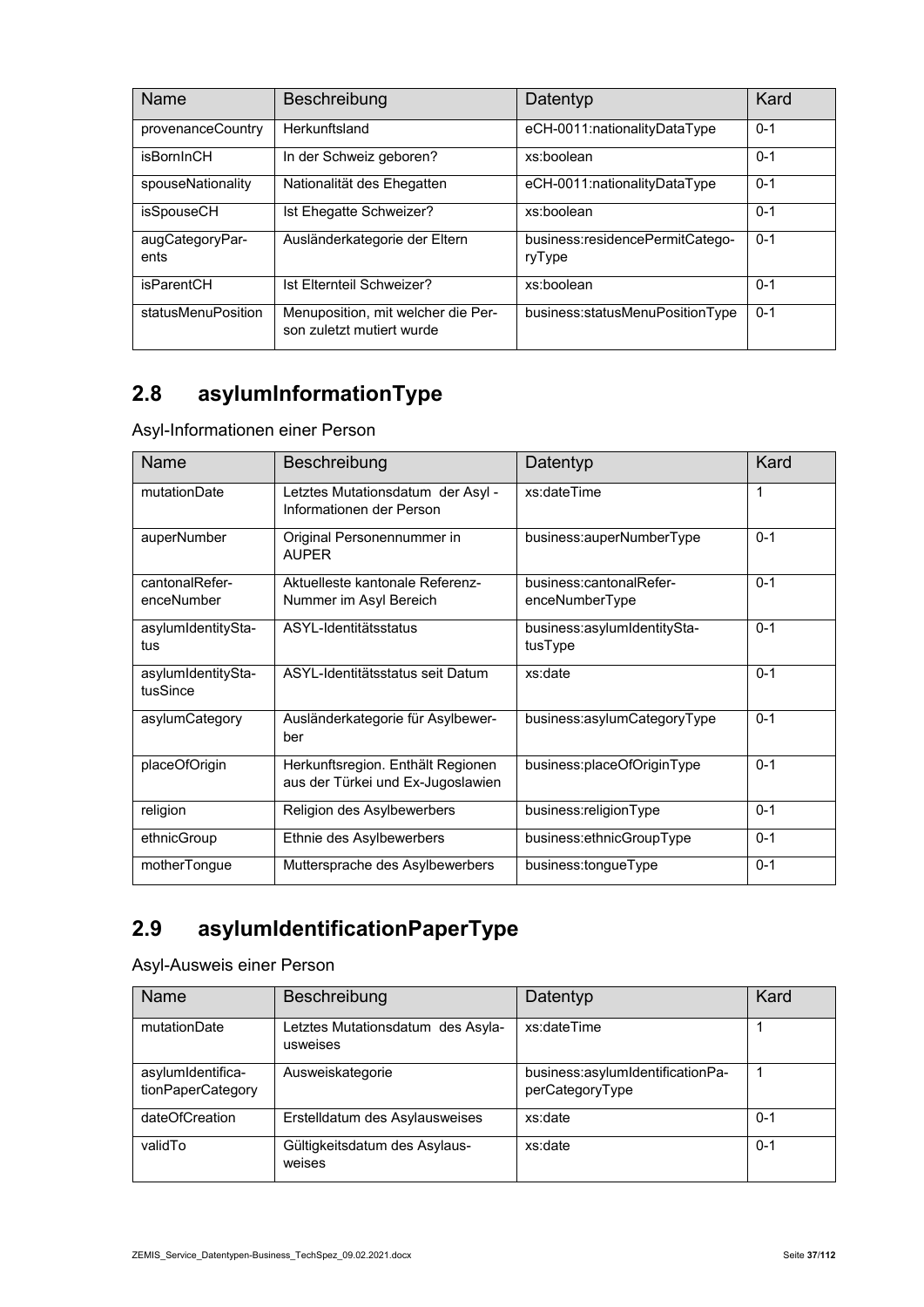| Name                    | Beschreibung                                                    | Datentyp                                  | Kard    |
|-------------------------|-----------------------------------------------------------------|-------------------------------------------|---------|
| provenanceCountry       | Herkunftsland                                                   | eCH-0011:nationalityDataType              | $0 - 1$ |
| isBornInCH              | In der Schweiz geboren?                                         | xs:boolean                                | $0 - 1$ |
| spouseNationality       | Nationalität des Ehegatten                                      | eCH-0011:nationalityDataType              | $0 - 1$ |
| isSpouseCH              | Ist Ehegatte Schweizer?                                         | xs:boolean                                | $0 - 1$ |
| augCategoryPar-<br>ents | Ausländerkategorie der Eltern                                   | business:residencePermitCatego-<br>ryType | $0 - 1$ |
| isParentCH              | Ist Elternteil Schweizer?                                       | xs:boolean                                | $0 - 1$ |
| statusMenuPosition      | Menuposition, mit welcher die Per-<br>son zuletzt mutiert wurde | business:statusMenuPositionType           | $0 - 1$ |

# **2.8 asylumInformationType**

Asyl-Informationen einer Person

| Name                           | Beschreibung                                                           | Datentyp                                  | Kard    |
|--------------------------------|------------------------------------------------------------------------|-------------------------------------------|---------|
| mutationDate                   | Letztes Mutationsdatum der Asyl -<br>Informationen der Person          | xs:dateTime                               | 1       |
| auperNumber                    | Original Personennummer in<br><b>AUPFR</b>                             | business:auperNumberType                  | $0 - 1$ |
| cantonalRefer-<br>enceNumber   | Aktuelleste kantonale Referenz-<br>Nummer im Asyl Bereich              | business:cantonalRefer-<br>enceNumberType | $0 - 1$ |
| asylumIdentitySta-<br>tus      | ASYL-Identitätsstatus                                                  | business:asylumIdentitySta-<br>tusType    | $0 - 1$ |
| asylumIdentitySta-<br>tusSince | ASYL-Identitätsstatus seit Datum                                       | xs:date                                   | $0 - 1$ |
| asylumCategory                 | Ausländerkategorie für Asylbewer-<br>ber                               | business:asylumCategoryType               | $0 - 1$ |
| placeOfOrigin                  | Herkunftsregion. Enthält Regionen<br>aus der Türkei und Ex-Jugoslawien | business:placeOfOriginType                | $0 - 1$ |
| religion                       | Religion des Asylbewerbers                                             | business:religionType                     | $0 - 1$ |
| ethnicGroup                    | Ethnie des Asylbewerbers                                               | business:ethnicGroupType                  | $0 - 1$ |
| motherTongue                   | Muttersprache des Asylbewerbers                                        | business:tongueType                       | $0 - 1$ |

# **2.9 asylumIdentificationPaperType**

Asyl-Ausweis einer Person

| Name                                   | Beschreibung                                  | Datentyp                                            | Kard    |
|----------------------------------------|-----------------------------------------------|-----------------------------------------------------|---------|
| mutationDate                           | Letztes Mutationsdatum des Asyla-<br>usweises | xs:dateTime                                         |         |
| asylumIdentifica-<br>tionPaperCategory | Ausweiskategorie                              | business:asylumIdentificationPa-<br>perCategoryType |         |
| dateOfCreation                         | Erstelldatum des Asylausweises                | xs:date                                             | $0 - 1$ |
| validTo                                | Gültigkeitsdatum des Asylaus-<br>weises       | xs:date                                             | $0 - 1$ |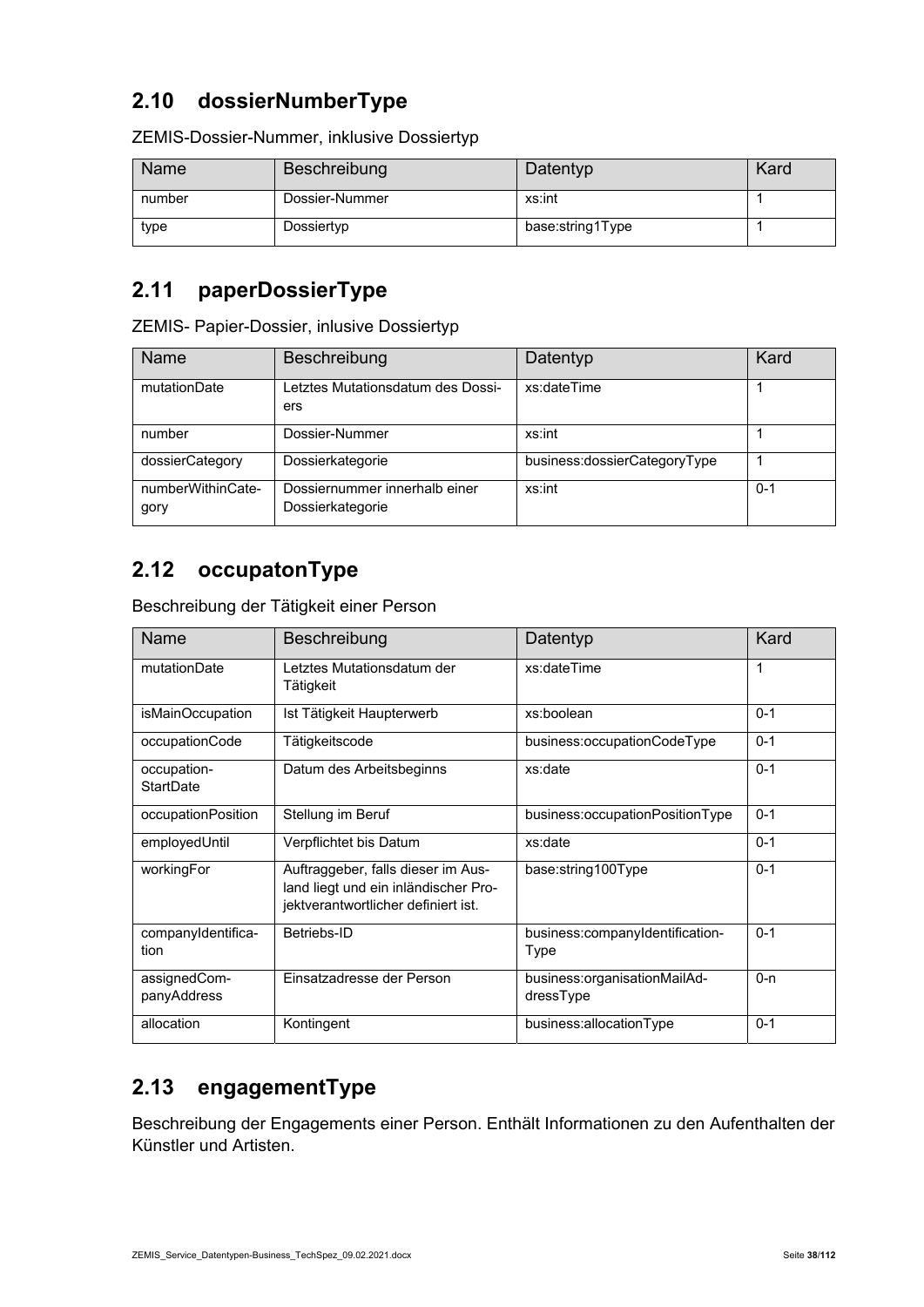### **2.10 dossierNumberType**

| Name   | Beschreibung   | Datentyp         | Kard |
|--------|----------------|------------------|------|
| number | Dossier-Nummer | xs:int           |      |
| type   | Dossiertyp     | base:string1Type |      |

ZEMIS-Dossier-Nummer, inklusive Dossiertyp

#### **2.11 paperDossierType**

ZEMIS- Papier-Dossier, inlusive Dossiertyp

| Name                      | Beschreibung                                      | Datentyp                     | Kard    |
|---------------------------|---------------------------------------------------|------------------------------|---------|
| mutationDate              | etztes Mutationsdatum des Dossi-<br>ers           | xs:dateTime                  |         |
| number                    | Dossier-Nummer                                    | xs:int                       |         |
| dossierCategory           | Dossierkategorie                                  | business:dossierCategoryType |         |
| numberWithinCate-<br>gory | Dossiernummer innerhalb einer<br>Dossierkategorie | xs:int                       | $0 - 1$ |

#### **2.12 occupatonType**

Beschreibung der Tätigkeit einer Person

| Name                            | Beschreibung                                                                                                      | Datentyp                                  | Kard    |
|---------------------------------|-------------------------------------------------------------------------------------------------------------------|-------------------------------------------|---------|
| mutationDate                    | Letztes Mutationsdatum der<br>Tätigkeit                                                                           | xs:dateTime                               | 1       |
| isMainOccupation                | Ist Tätigkeit Haupterwerb                                                                                         | xs:boolean                                | $0 - 1$ |
| occupationCode                  | Tätigkeitscode                                                                                                    | business:occupationCodeType               | $0 - 1$ |
| occupation-<br><b>StartDate</b> | Datum des Arbeitsbeginns                                                                                          | xs:date                                   | $0 - 1$ |
| occupationPosition              | Stellung im Beruf                                                                                                 | business:occupationPositionType           | $0 - 1$ |
| employedUntil                   | Verpflichtet bis Datum                                                                                            | xs:date                                   | $0 - 1$ |
| workingFor                      | Auftraggeber, falls dieser im Aus-<br>land liegt und ein inländischer Pro-<br>jektverantwortlicher definiert ist. | base:string100Type                        | $0 - 1$ |
| companyIdentifica-<br>tion      | Betriebs-ID                                                                                                       | business:companyIdentification-<br>Type   | $0 - 1$ |
| assignedCom-<br>panyAddress     | Einsatzadresse der Person                                                                                         | business:organisationMailAd-<br>dressType | $0 - n$ |
| allocation                      | Kontingent                                                                                                        | business:allocationType                   | $0 - 1$ |

#### **2.13 engagementType**

Beschreibung der Engagements einer Person. Enthält Informationen zu den Aufenthalten der Künstler und Artisten.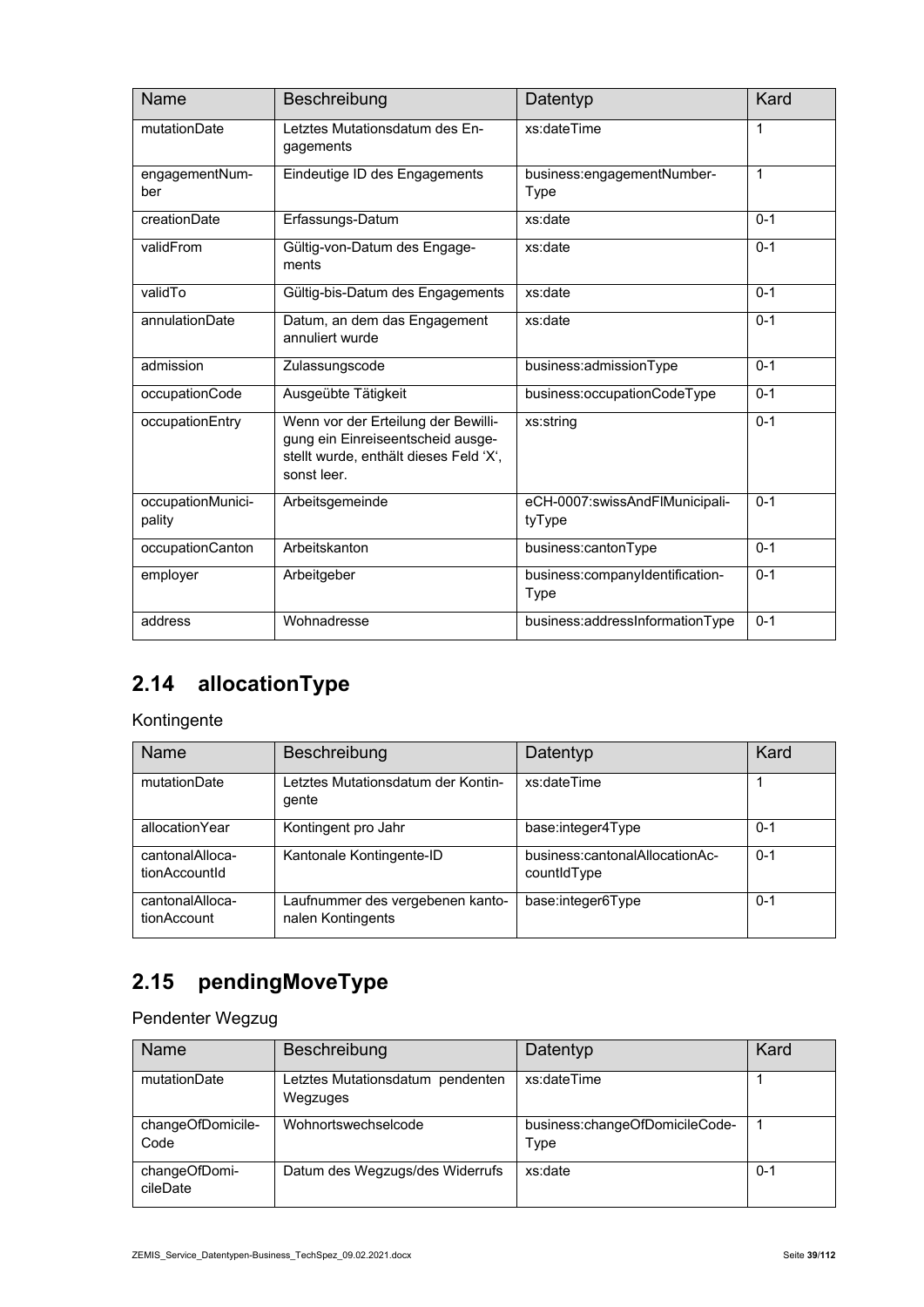| Name                        | Beschreibung                                                                                                                      | Datentyp                                 | Kard         |
|-----------------------------|-----------------------------------------------------------------------------------------------------------------------------------|------------------------------------------|--------------|
| mutationDate                | Letztes Mutationsdatum des En-<br>gagements                                                                                       | xs:dateTime                              | $\mathbf 1$  |
| engagementNum-<br>ber       | Eindeutige ID des Engagements                                                                                                     | business:engagementNumber-<br>Type       | $\mathbf{1}$ |
| creationDate                | Erfassungs-Datum                                                                                                                  | xs:date                                  | $0 - 1$      |
| validFrom                   | Gültig-von-Datum des Engage-<br>ments                                                                                             | xs:date                                  | $0 - 1$      |
| validTo                     | Gültig-bis-Datum des Engagements                                                                                                  | xs:date                                  | $0 - 1$      |
| annulationDate              | Datum, an dem das Engagement<br>annuliert wurde                                                                                   | xs:date                                  | $0 - 1$      |
| admission                   | Zulassungscode                                                                                                                    | business:admissionType                   | $0 - 1$      |
| occupationCode              | Ausgeübte Tätigkeit                                                                                                               | business:occupationCodeType              | $0 - 1$      |
| occupationEntry             | Wenn vor der Erteilung der Bewilli-<br>gung ein Einreiseentscheid ausge-<br>stellt wurde, enthält dieses Feld 'X',<br>sonst leer. | xs:string                                | $0 - 1$      |
| occupationMunici-<br>pality | Arbeitsgemeinde                                                                                                                   | eCH-0007:swissAndFlMunicipali-<br>tyType | $0 - 1$      |
| occupationCanton            | Arbeitskanton                                                                                                                     | business:cantonType                      | $0 - 1$      |
| employer                    | Arbeitgeber                                                                                                                       | business:companyIdentification-<br>Type  | $0 - 1$      |
| address                     | Wohnadresse                                                                                                                       | business:addressInformationType          | $0 - 1$      |

# **2.14 allocationType**

#### Kontingente

| Name                             | Beschreibung                                          | Datentyp                                      | Kard    |
|----------------------------------|-------------------------------------------------------|-----------------------------------------------|---------|
| mutationDate                     | etztes Mutationsdatum der Kontin-<br>qente            | xs:dateTime                                   |         |
| allocationYear                   | Kontingent pro Jahr                                   | base:integer4Type                             | $0 - 1$ |
| cantonalAlloca-<br>tionAccountId | Kantonale Kontingente-ID                              | business:cantonalAllocationAc-<br>countidType | $0 - 1$ |
| cantonalAlloca-<br>tionAccount   | Laufnummer des vergebenen kanto-<br>nalen Kontingents | base:integer6Type                             | $0 - 1$ |

# **2.15 pendingMoveType**

Pendenter Wegzug

| <b>Name</b>               | Beschreibung                                 | Datentyp                               | Kard    |
|---------------------------|----------------------------------------------|----------------------------------------|---------|
| mutationDate              | Letztes Mutationsdatum pendenten<br>Wegzuges | xs:dateTime                            |         |
| changeOfDomicile-<br>Code | Wohnortswechselcode                          | business:changeOfDomicileCode-<br>Type |         |
| changeOfDomi-<br>cileDate | Datum des Wegzugs/des Widerrufs              | xs:date                                | $0 - 1$ |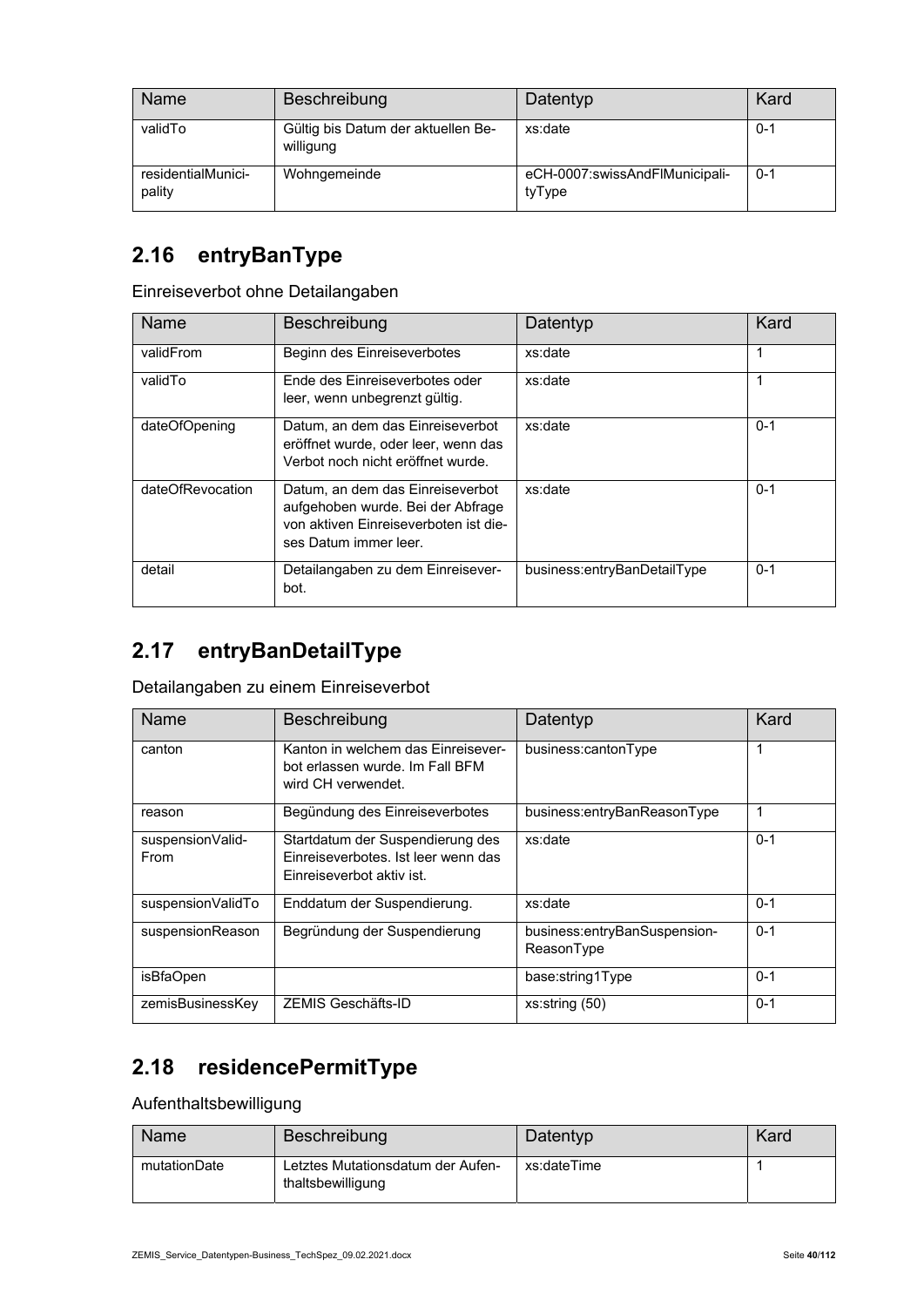| Name                         | Beschreibung                                    | Datentyp                                 | Kard    |
|------------------------------|-------------------------------------------------|------------------------------------------|---------|
| validTo                      | Gültig bis Datum der aktuellen Be-<br>willigung | xs:date                                  | $0 - 1$ |
| residentialMunici-<br>pality | Wohngemeinde                                    | eCH-0007:swissAndFlMunicipali-<br>tyType | $0 - 1$ |

### **2.16 entryBanType**

Einreiseverbot ohne Detailangaben

| <b>Name</b>      | Beschreibung                                                                                                                            | Datentyp                    | Kard    |
|------------------|-----------------------------------------------------------------------------------------------------------------------------------------|-----------------------------|---------|
| validFrom        | Beginn des Einreiseverbotes                                                                                                             | xs:date                     | 1       |
| validTo          | Ende des Einreiseverbotes oder<br>leer, wenn unbegrenzt gültig.                                                                         | xs:date                     |         |
| dateOfOpening    | Datum, an dem das Einreiseverbot<br>eröffnet wurde, oder leer, wenn das<br>Verbot noch nicht eröffnet wurde.                            | xs:date                     | $0 - 1$ |
| dateOfRevocation | Datum, an dem das Einreiseverbot<br>aufgehoben wurde. Bei der Abfrage<br>von aktiven Finreiseverboten ist die-<br>ses Datum immer leer. | xs:date                     | $0 - 1$ |
| detail           | Detailangaben zu dem Einreisever-<br>bot.                                                                                               | business:entryBanDetailType | $0 - 1$ |

#### **2.17 entryBanDetailType**

Detailangaben zu einem Einreiseverbot

| Name                            | Beschreibung                                                                                         | Datentyp                                   | Kard    |
|---------------------------------|------------------------------------------------------------------------------------------------------|--------------------------------------------|---------|
| canton                          | Kanton in welchem das Finreisever-<br>bot erlassen wurde. Im Fall BFM<br>wird CH verwendet.          | business:cantonType                        | 1       |
| reason                          | Begündung des Einreiseverbotes                                                                       | business:entryBanReasonType                | 1       |
| suspensionValid-<br><b>From</b> | Startdatum der Suspendierung des<br>Einreiseverbotes. Ist leer wenn das<br>Einreiseverbot aktiv ist. | xs:date                                    | $0 - 1$ |
| suspensionValidTo               | Enddatum der Suspendierung.                                                                          | xs:date                                    | $0 - 1$ |
| suspensionReason                | Begründung der Suspendierung                                                                         | business:entryBanSuspension-<br>ReasonType | $0 - 1$ |
| isBfaOpen                       |                                                                                                      | base:string1Type                           | $0 - 1$ |
| zemisBusinessKey                | ZEMIS Geschäfts-ID                                                                                   | xs:string(50)                              | $0 - 1$ |

# **2.18 residencePermitType**

Aufenthaltsbewilligung

| Name         | Beschreibung                                           | Datentyp    | Kard |
|--------------|--------------------------------------------------------|-------------|------|
| mutationDate | Letztes Mutationsdatum der Aufen-<br>thaltsbewilligung | xs:dateTime |      |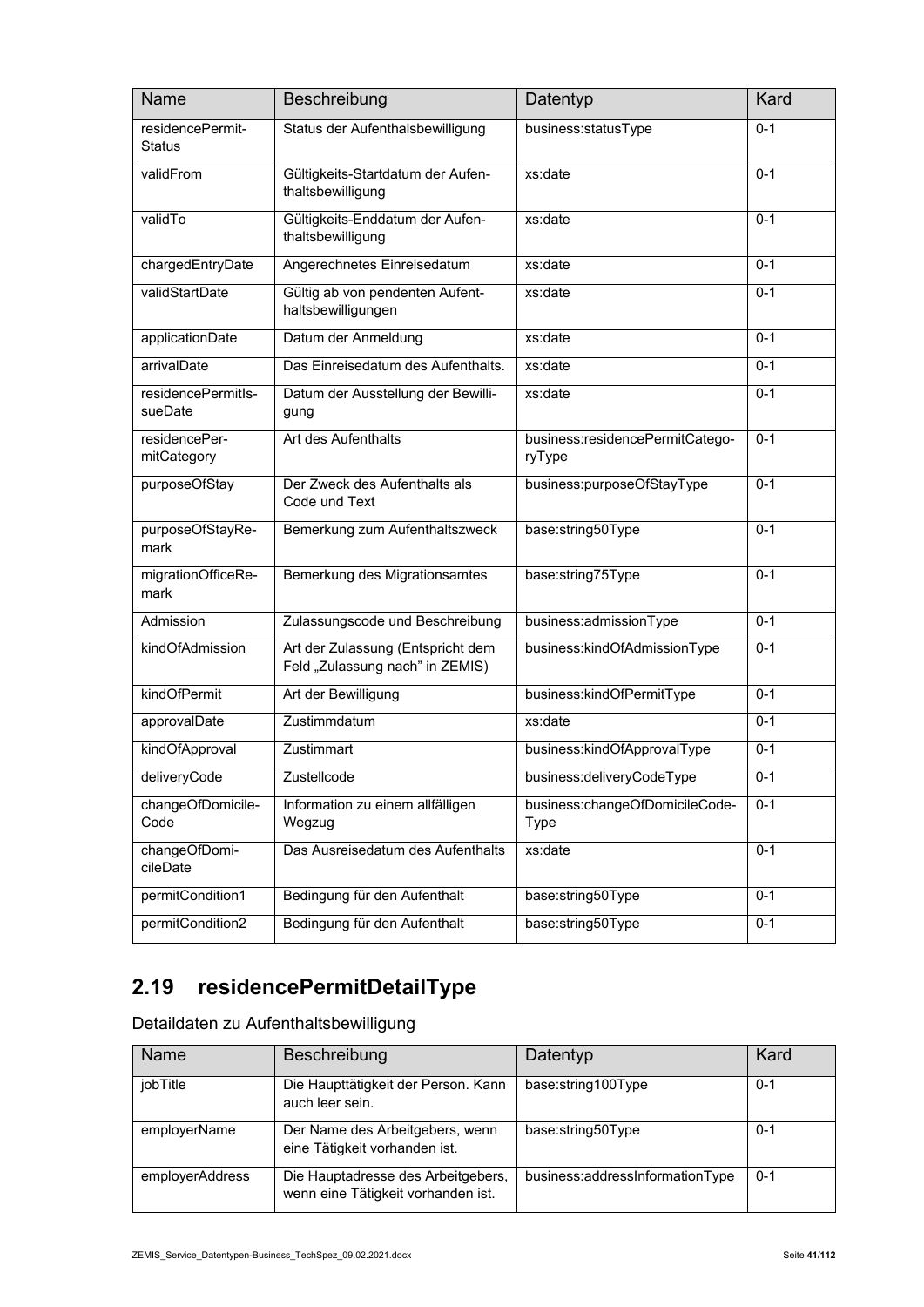| <b>Name</b>                       | Beschreibung                                                         | Datentyp                                  | Kard    |
|-----------------------------------|----------------------------------------------------------------------|-------------------------------------------|---------|
| residencePermit-<br><b>Status</b> | Status der Aufenthalsbewilligung                                     | business:statusType                       | $0 - 1$ |
| validFrom                         | Gültigkeits-Startdatum der Aufen-<br>thaltsbewilligung               | xs:date                                   | $0 - 1$ |
| validTo                           | Gültigkeits-Enddatum der Aufen-<br>thaltsbewilligung                 | xs:date                                   | $0 - 1$ |
| chargedEntryDate                  | Angerechnetes Einreisedatum                                          | xs:date                                   | $0 - 1$ |
| validStartDate                    | Gültig ab von pendenten Aufent-<br>haltsbewilligungen                | xs:date                                   | $0 - 1$ |
| applicationDate                   | Datum der Anmeldung                                                  | xs:date                                   | $0 - 1$ |
| arrivalDate                       | Das Einreisedatum des Aufenthalts.                                   | xs:date                                   | $0 - 1$ |
| residencePermitls-<br>sueDate     | Datum der Ausstellung der Bewilli-<br>gung                           | xs:date                                   | $0 - 1$ |
| residencePer-<br>mitCategory      | Art des Aufenthalts                                                  | business:residencePermitCatego-<br>ryType | $0 - 1$ |
| purposeOfStay                     | Der Zweck des Aufenthalts als<br>Code und Text                       | business:purposeOfStayType                | $0 - 1$ |
| purposeOfStayRe-<br>mark          | Bemerkung zum Aufenthaltszweck                                       | base:string50Type                         | $0 - 1$ |
| migrationOfficeRe-<br>mark        | Bemerkung des Migrationsamtes                                        | base:string75Type                         | $0 - 1$ |
| Admission                         | Zulassungscode und Beschreibung                                      | business:admissionType                    | $0 - 1$ |
| kindOfAdmission                   | Art der Zulassung (Entspricht dem<br>Feld "Zulassung nach" in ZEMIS) | business:kindOfAdmissionType              | $0 - 1$ |
| kindOfPermit                      | Art der Bewilligung                                                  | business:kindOfPermitType                 | $0 - 1$ |
| approvalDate                      | Zustimmdatum                                                         | xs:date                                   | $0 - 1$ |
| kindOfApproval                    | Zustimmart                                                           | business:kindOfApprovalType               | $0 - 1$ |
| deliveryCode                      | Zustellcode                                                          | business:deliveryCodeType                 | $0 - 1$ |
| changeOfDomicile-<br>Code         | Information zu einem allfälligen<br>Wegzug                           | business:changeOfDomicileCode-<br>Type    | $0 - 1$ |
| changeOfDomi-<br>cileDate         | Das Ausreisedatum des Aufenthalts                                    | xs:date                                   | $0 - 1$ |
| permitCondition1                  | Bedingung für den Aufenthalt                                         | base:string50Type                         | $0 - 1$ |
| permitCondition2                  | Bedingung für den Aufenthalt                                         | base:string50Type                         | $0 - 1$ |

# **2.19 residencePermitDetailType**

Detaildaten zu Aufenthaltsbewilligung

| <b>Name</b>     | Beschreibung                                                             | Datentyp                        | Kard    |
|-----------------|--------------------------------------------------------------------------|---------------------------------|---------|
| jobTitle        | Die Haupttätigkeit der Person. Kann<br>auch leer sein.                   | base:string100Type              | $0 - 1$ |
| employerName    | Der Name des Arbeitgebers, wenn<br>eine Tätigkeit vorhanden ist.         | base:string50Type               | $0 - 1$ |
| employerAddress | Die Hauptadresse des Arbeitgebers,<br>wenn eine Tätigkeit vorhanden ist. | business:addressInformationType | $0 - 1$ |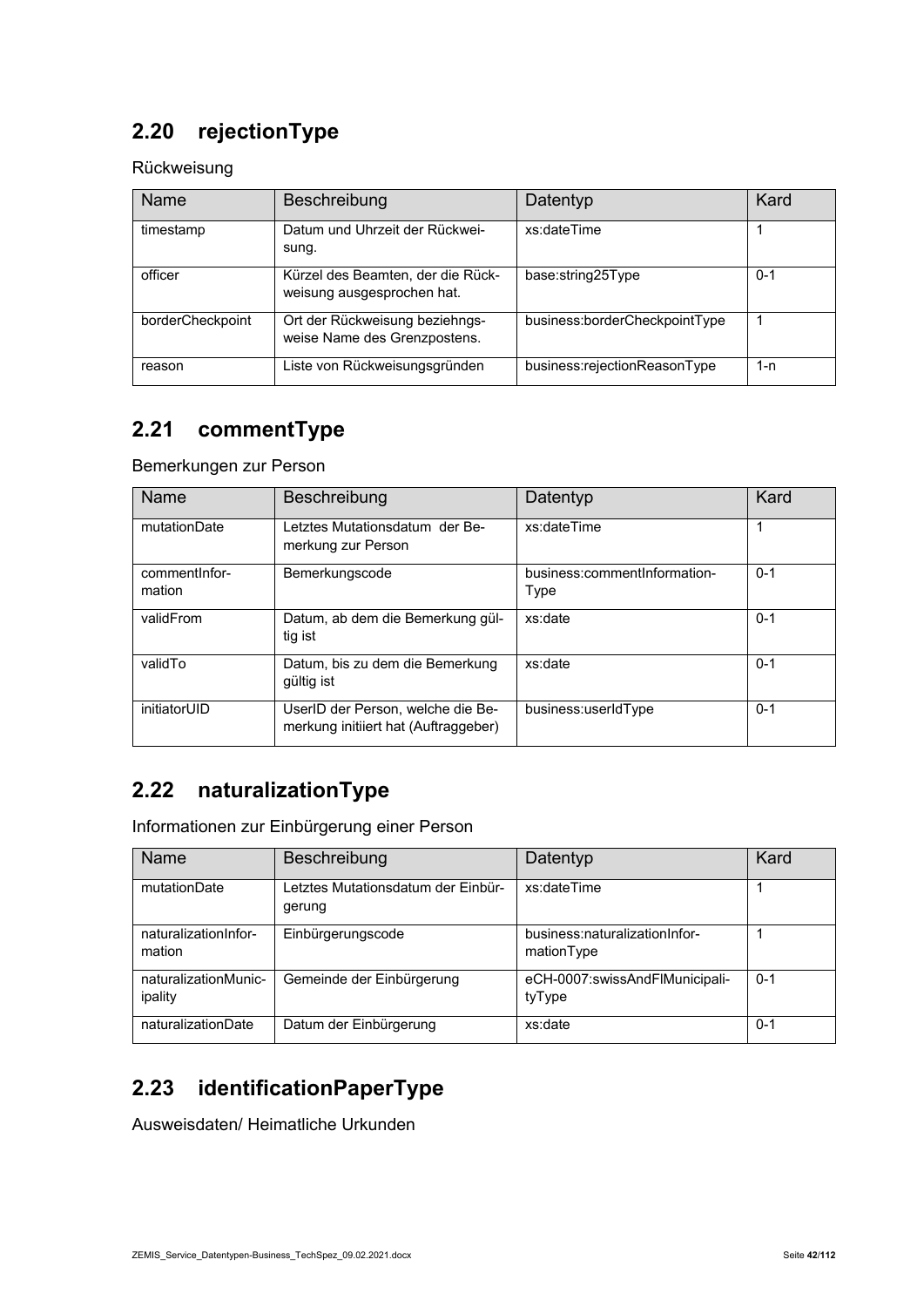### **2.20 rejectionType**

Rückweisung

| Name             | Beschreibung                                                    | Datentyp                      | Kard    |
|------------------|-----------------------------------------------------------------|-------------------------------|---------|
| timestamp        | Datum und Uhrzeit der Rückwei-<br>sung.                         | xs:dateTime                   |         |
| officer          | Kürzel des Beamten, der die Rück-<br>weisung ausgesprochen hat. | base:string25Type             | $0 - 1$ |
| borderCheckpoint | Ort der Rückweisung beziehngs-<br>weise Name des Grenzpostens.  | business:borderCheckpointType |         |
| reason           | Liste von Rückweisungsgründen                                   | business:rejectionReasonType  | 1-n     |

### **2.21 commentType**

Bemerkungen zur Person

| <b>Name</b>              | Beschreibung                                                              | Datentyp                             | Kard    |
|--------------------------|---------------------------------------------------------------------------|--------------------------------------|---------|
| mutationDate             | Letztes Mutationsdatum der Be-<br>merkung zur Person                      | xs:dateTime                          |         |
| comment Infor-<br>mation | Bemerkungscode                                                            | business:commentInformation-<br>Type | $0 - 1$ |
| validFrom                | Datum, ab dem die Bemerkung gül-<br>tig ist                               | xs:date                              | $0 - 1$ |
| validTo                  | Datum, bis zu dem die Bemerkung<br>gültig ist                             | xs:date                              | $0 - 1$ |
| initiatorUID             | UserID der Person, welche die Be-<br>merkung initiiert hat (Auftraggeber) | business:userIdType                  | $0 - 1$ |

### **2.22 naturalizationType**

Informationen zur Einbürgerung einer Person

| Name                            | Beschreibung                                 | Datentyp                                    | Kard    |
|---------------------------------|----------------------------------------------|---------------------------------------------|---------|
| mutationDate                    | Letztes Mutationsdatum der Einbür-<br>gerung | xs:dateTime                                 |         |
| naturalizationInfor-<br>mation  | Einbürgerungscode                            | business:naturalizationInfor-<br>mationType |         |
| naturalizationMunic-<br>ipality | Gemeinde der Einbürgerung                    | eCH-0007:swissAndFlMunicipali-<br>tyType    | $0 - 1$ |
| naturalizationDate              | Datum der Einbürgerung                       | xs:date                                     | $0 - 1$ |

### **2.23 identificationPaperType**

Ausweisdaten/ Heimatliche Urkunden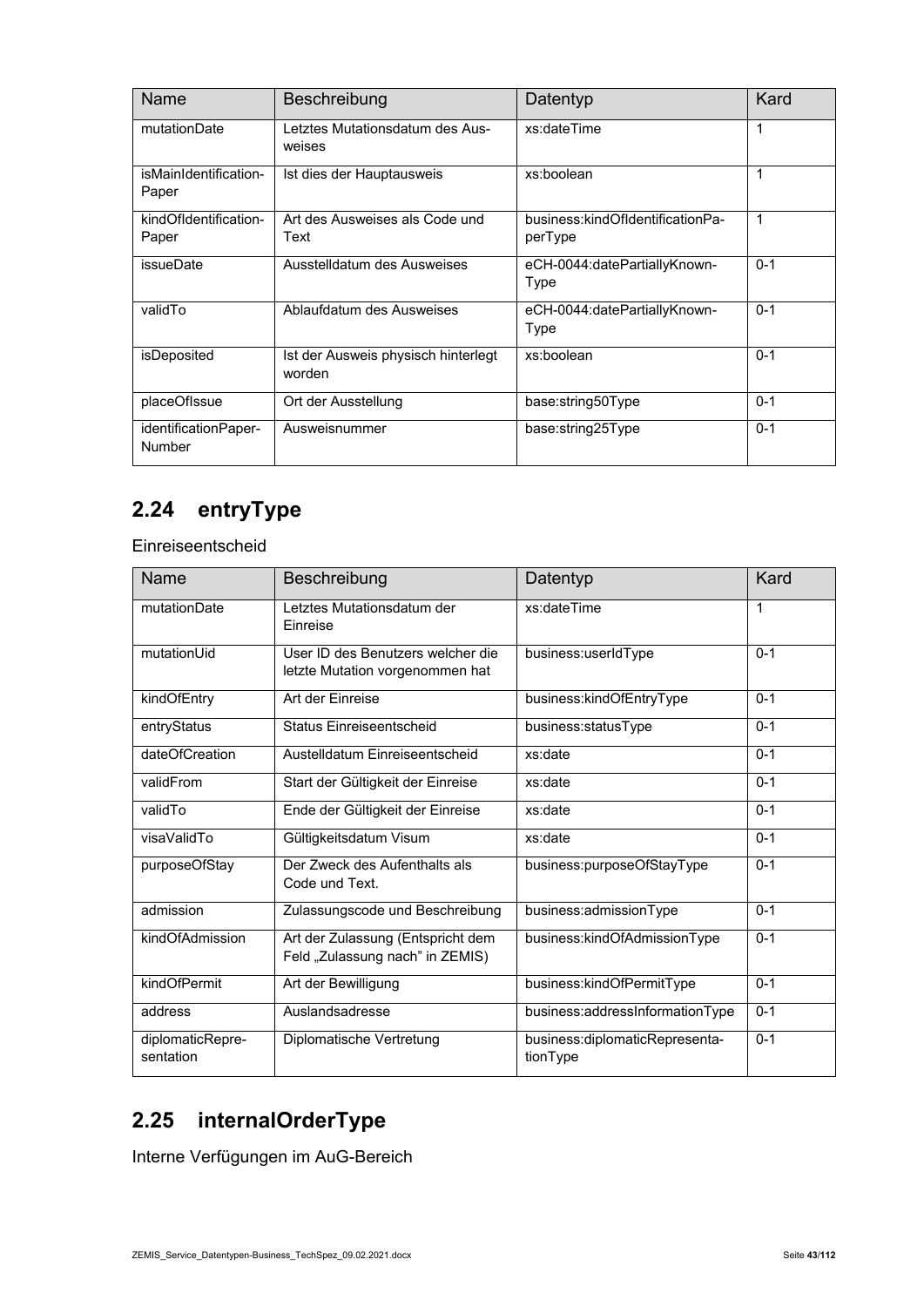| <b>Name</b>                           | Beschreibung                                  | Datentyp                                    | Kard    |
|---------------------------------------|-----------------------------------------------|---------------------------------------------|---------|
| mutationDate                          | Letztes Mutationsdatum des Aus-<br>weises     | xs:dateTime                                 | 1       |
| isMainIdentification-<br>Paper        | Ist dies der Hauptausweis                     | xs:boolean                                  | 1       |
| kindOfIdentification-<br>Paper        | Art des Ausweises als Code und<br>Text        | business:kindOfIdentificationPa-<br>perType | 1       |
| issueDate                             | Ausstelldatum des Ausweises                   | eCH-0044:datePartiallyKnown-<br>Type        | $0 - 1$ |
| validTo                               | Ablaufdatum des Ausweises                     | eCH-0044:datePartiallyKnown-<br>Type        | $0 - 1$ |
| isDeposited                           | Ist der Ausweis physisch hinterlegt<br>worden | xs:boolean                                  | $0 - 1$ |
| placeOfIssue                          | Ort der Ausstellung                           | base:string50Type                           | $0 - 1$ |
| identificationPaper-<br><b>Number</b> | Ausweisnummer                                 | base:string25Type                           | $0 - 1$ |

# **2.24 entryType**

Einreiseentscheid

| Name                          | Beschreibung                                                         | Datentyp                                   | Kard    |
|-------------------------------|----------------------------------------------------------------------|--------------------------------------------|---------|
| mutationDate                  | Letztes Mutationsdatum der<br>Einreise                               | xs:dateTime                                | 1       |
| mutationUid                   | User ID des Benutzers welcher die<br>letzte Mutation vorgenommen hat | business:userIdType                        | $0 - 1$ |
| kindOfEntry                   | Art der Einreise                                                     | business:kindOfEntryType                   | $0 - 1$ |
| entryStatus                   | Status Einreiseentscheid                                             | business:statusType                        | $0 - 1$ |
| dateOfCreation                | Austelldatum Finreiseentscheid                                       | xs:date                                    | $0 - 1$ |
| validFrom                     | Start der Gültigkeit der Einreise                                    | xs:date                                    | $0 - 1$ |
| validTo                       | Ende der Gültigkeit der Einreise                                     | xs:date                                    | $0 - 1$ |
| visaValidTo                   | Gültigkeitsdatum Visum                                               | xs:date                                    | $0 - 1$ |
| purposeOfStay                 | Der Zweck des Aufenthalts als<br>Code und Text.                      | business:purposeOfStayType                 | $0 - 1$ |
| admission                     | Zulassungscode und Beschreibung                                      | business:admissionType                     | $0 - 1$ |
| kindOfAdmission               | Art der Zulassung (Entspricht dem<br>Feld "Zulassung nach" in ZEMIS) | business:kindOfAdmissionType               | $0 - 1$ |
| kindOfPermit                  | Art der Bewilligung                                                  | business:kindOfPermitType                  | $0 - 1$ |
| address                       | Auslandsadresse                                                      | business:addressInformationType            | $0 - 1$ |
| diplomaticRepre-<br>sentation | Diplomatische Vertretung                                             | business:diplomaticRepresenta-<br>tionType | $0 - 1$ |

# **2.25 internalOrderType**

Interne Verfügungen im AuG-Bereich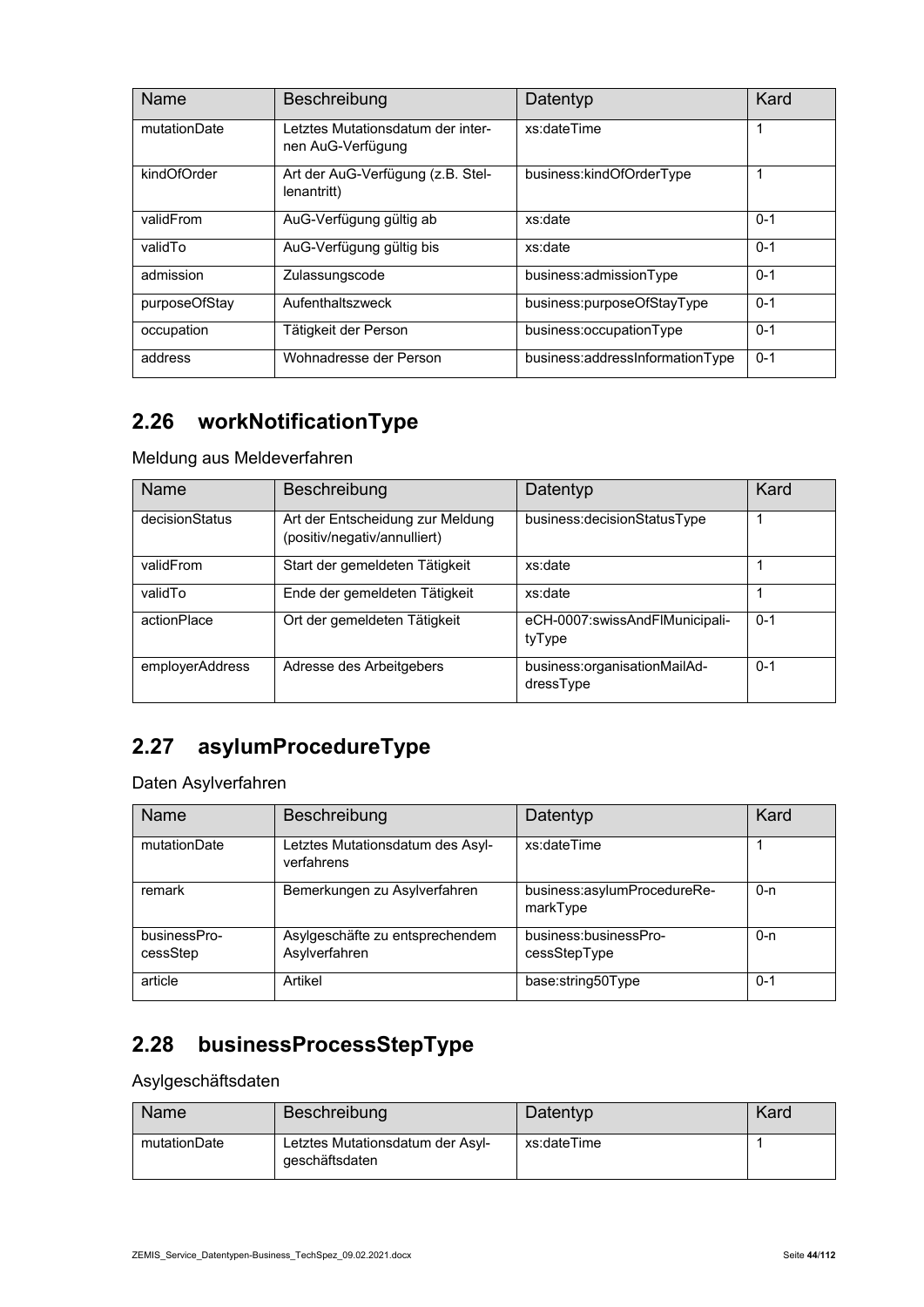| Name          | Beschreibung                                           | Datentyp                        | Kard    |
|---------------|--------------------------------------------------------|---------------------------------|---------|
| mutationDate  | Letztes Mutationsdatum der inter-<br>nen AuG-Verfügung | xs:dateTime                     | 1       |
| kindOfOrder   | Art der AuG-Verfügung (z.B. Stel-<br>lenantritt)       | business:kindOfOrderType        |         |
| validFrom     | AuG-Verfügung gültig ab                                | xs:date                         | $0 - 1$ |
| validTo       | AuG-Verfügung gültig bis                               | xs:date                         | $0 - 1$ |
| admission     | Zulassungscode                                         | business:admissionType          | $0 - 1$ |
| purposeOfStay | Aufenthaltszweck                                       | business:purposeOfStayType      | $0 - 1$ |
| occupation    | Tätigkeit der Person                                   | business:occupationType         | $0 - 1$ |
| address       | Wohnadresse der Person                                 | business:addressInformationType | $0 - 1$ |

# **2.26 workNotificationType**

Meldung aus Meldeverfahren

| Name            | Beschreibung                                                     | Datentyp                                  | Kard    |
|-----------------|------------------------------------------------------------------|-------------------------------------------|---------|
| decisionStatus  | Art der Entscheidung zur Meldung<br>(positiv/negativ/annulliert) | business:decisionStatusType               |         |
| validFrom       | Start der gemeldeten Tätigkeit                                   | xs:date                                   |         |
| validTo         | Ende der gemeldeten Tätigkeit                                    | xs:date                                   |         |
| actionPlace     | Ort der gemeldeten Tätigkeit                                     | eCH-0007:swissAndFlMunicipali-<br>tyType  | $0 - 1$ |
| employerAddress | Adresse des Arbeitgebers                                         | business:organisationMailAd-<br>dressType | $0 - 1$ |

### **2.27 asylumProcedureType**

Daten Asylverfahren

| Name                     | Beschreibung                                     | Datentyp                                | Kard    |
|--------------------------|--------------------------------------------------|-----------------------------------------|---------|
| mutationDate             | Letztes Mutationsdatum des Asyl-<br>verfahrens   | xs:dateTime                             |         |
| remark                   | Bemerkungen zu Asylverfahren                     | business:asylumProcedureRe-<br>markType | $0 - n$ |
| businessPro-<br>cessStep | Asylgeschäfte zu entsprechendem<br>Asylverfahren | business:businessPro-<br>cessStepType   | 0-n     |
| article                  | Artikel                                          | base:string50Type                       | $0 - 1$ |

### **2.28 businessProcessStepType**

Asylgeschäftsdaten

| Name         | Beschreibung                                       | Datentyp    | Kard |
|--------------|----------------------------------------------------|-------------|------|
| mutationDate | Letztes Mutationsdatum der Asyl-<br>geschäftsdaten | xs:dateTime |      |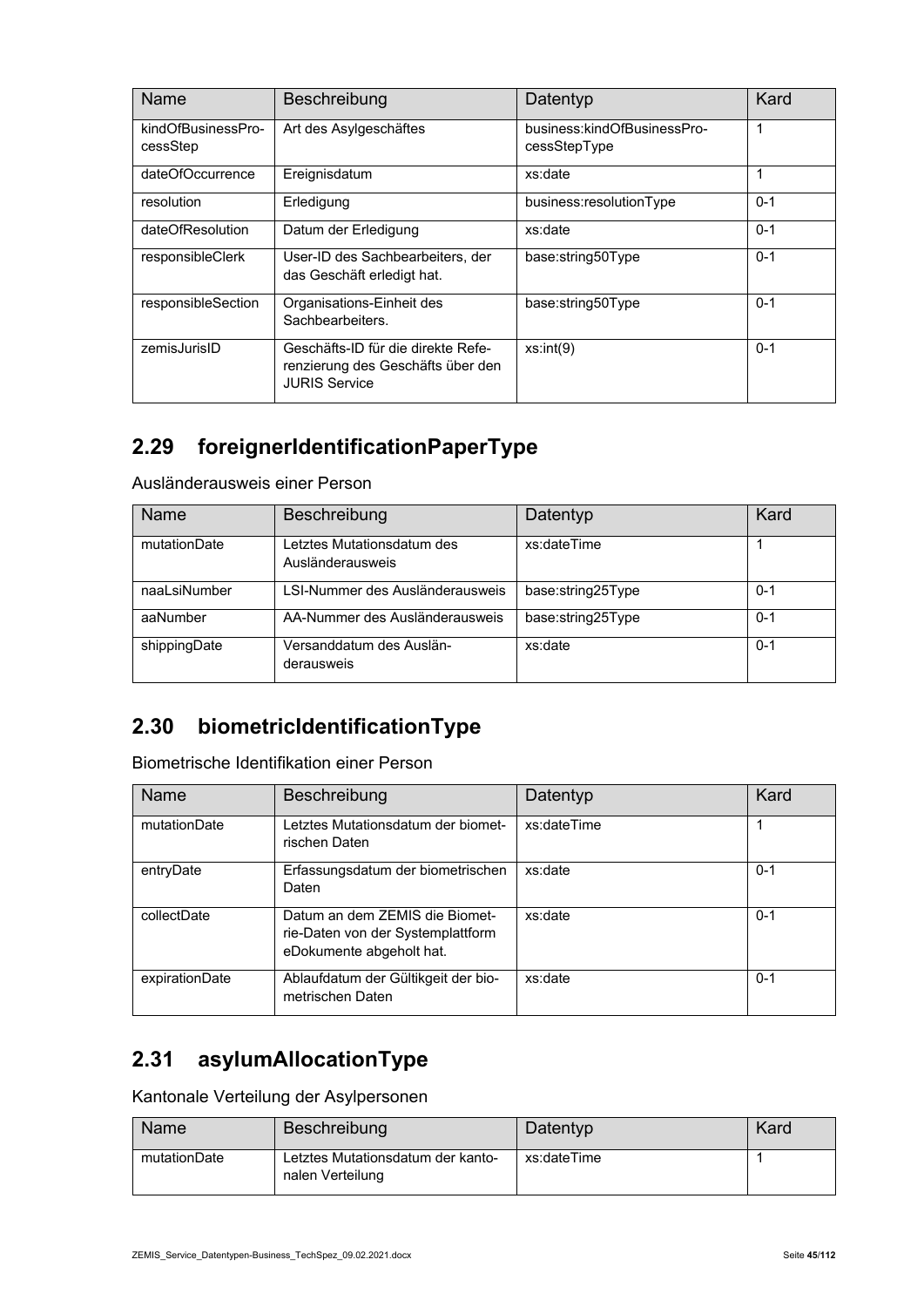| Name                           | Beschreibung                                                                                    | Datentyp                                    | Kard    |
|--------------------------------|-------------------------------------------------------------------------------------------------|---------------------------------------------|---------|
| kindOfBusinessPro-<br>cessStep | Art des Asylgeschäftes                                                                          | business:kindOfBusinessPro-<br>cessStepType | 1       |
| dateOfOccurrence               | Ereignisdatum                                                                                   | xs:date                                     |         |
| resolution                     | Erledigung                                                                                      | business:resolutionType                     | $0 - 1$ |
| dateOfResolution               | Datum der Erledigung                                                                            | xs:date                                     | $0 - 1$ |
| responsibleClerk               | User-ID des Sachbearbeiters, der<br>das Geschäft erledigt hat.                                  | base:string50Type                           | $0 - 1$ |
| responsibleSection             | Organisations-Einheit des<br>Sachbearbeiters.                                                   | base:string50Type                           | $0 - 1$ |
| zemisJurisID                   | Geschäfts-ID für die direkte Refe-<br>renzierung des Geschäfts über den<br><b>JURIS Service</b> | xs:int(9)                                   | $0 - 1$ |

### **2.29 foreignerIdentificationPaperType**

Ausländerausweis einer Person

| <b>Name</b>  | Beschreibung                                   | Datentyp          | Kard    |
|--------------|------------------------------------------------|-------------------|---------|
| mutationDate | Letztes Mutationsdatum des<br>Ausländerausweis | xs:dateTime       |         |
| naaLsiNumber | LSI-Nummer des Ausländerausweis                | base:string25Type | $0 - 1$ |
| aaNumber     | AA-Nummer des Ausländerausweis                 | base:string25Type | $0 - 1$ |
| shippingDate | Versanddatum des Auslän-<br>derausweis         | xs:date           | $0 - 1$ |

### **2.30 biometricIdentificationType**

Biometrische Identifikation einer Person

| <b>Name</b>    | Beschreibung                                                                                    | Datentyp    | Kard    |
|----------------|-------------------------------------------------------------------------------------------------|-------------|---------|
| mutationDate   | Letztes Mutationsdatum der biomet-<br>rischen Daten                                             | xs:dateTime |         |
| entryDate      | Erfassungsdatum der biometrischen<br>Daten                                                      | xs:date     | $0 - 1$ |
| collectDate    | Datum an dem ZFMIS die Biomet-<br>rie-Daten von der Systemplattform<br>eDokumente abgeholt hat. | xs:date     | $0 - 1$ |
| expirationDate | Ablaufdatum der Gültikgeit der bio-<br>metrischen Daten                                         | xs:date     | $0 - 1$ |

### **2.31 asylumAllocationType**

Kantonale Verteilung der Asylpersonen

| Name         | Beschreibung                                          | Datentyp    | Kard |
|--------------|-------------------------------------------------------|-------------|------|
| mutationDate | Letztes Mutationsdatum der kanto-<br>nalen Verteilung | xs:dateTime |      |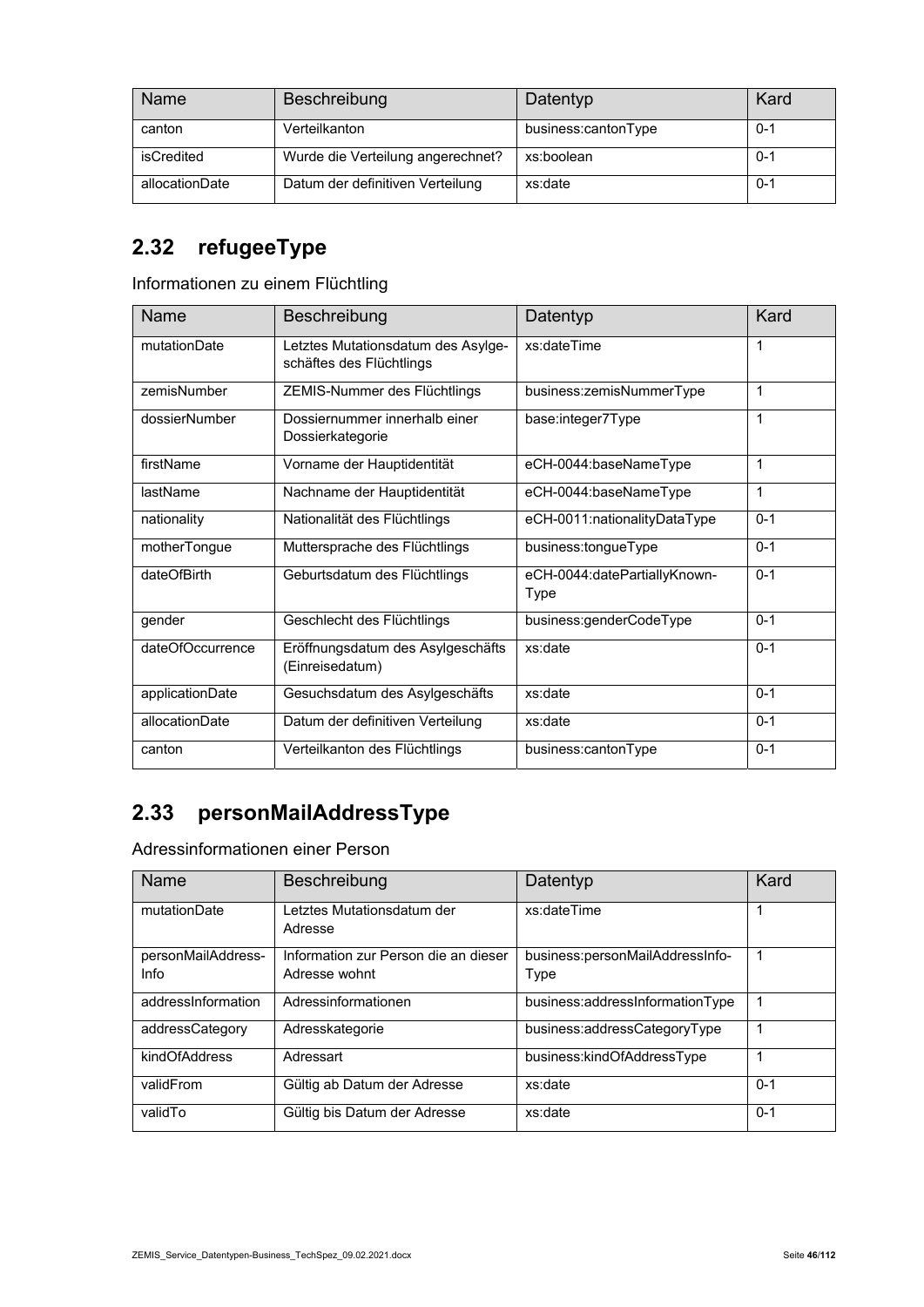| <b>Name</b>    | Beschreibung                      | Datentyp            | Kard    |
|----------------|-----------------------------------|---------------------|---------|
| canton         | Verteilkanton                     | business:cantonType | $0 - 1$ |
| isCredited     | Wurde die Verteilung angerechnet? | xs:boolean          | $0 - 1$ |
| allocationDate | Datum der definitiven Verteilung  | xs:date             | $0 - 1$ |

### **2.32 refugeeType**

Informationen zu einem Flüchtling

| <b>Name</b>      | Beschreibung                                                   | Datentyp                             | Kard    |
|------------------|----------------------------------------------------------------|--------------------------------------|---------|
| mutationDate     | Letztes Mutationsdatum des Asylge-<br>schäftes des Flüchtlings | xs:dateTime                          | 1       |
| zemisNumber      | ZEMIS-Nummer des Flüchtlings                                   | business:zemisNummerType             | 1       |
| dossierNumber    | Dossiernummer innerhalb einer<br>Dossierkategorie              | base:integer7Type                    | 1       |
| firstName        | Vorname der Hauptidentität                                     | eCH-0044:baseNameType                | 1       |
| lastName         | Nachname der Hauptidentität                                    | eCH-0044:baseNameType                | 1       |
| nationality      | Nationalität des Flüchtlings                                   | eCH-0011:nationalityDataType         | $0 - 1$ |
| motherTongue     | Muttersprache des Flüchtlings                                  | business:tongueType                  | $0 - 1$ |
| dateOfBirth      | Geburtsdatum des Flüchtlings                                   | eCH-0044:datePartiallyKnown-<br>Type | $0 - 1$ |
| gender           | Geschlecht des Flüchtlings                                     | business:genderCodeType              | $0 - 1$ |
| dateOfOccurrence | Eröffnungsdatum des Asylgeschäfts<br>(Einreisedatum)           | xs:date                              | $0 - 1$ |
| applicationDate  | Gesuchsdatum des Asylgeschäfts                                 | xs:date                              | $0 - 1$ |
| allocationDate   | Datum der definitiven Verteilung                               | xs:date                              | $0 - 1$ |
| canton           | Verteilkanton des Flüchtlings                                  | business:cantonType                  | $0 - 1$ |

### **2.33 personMailAddressType**

Adressinformationen einer Person

| Name                       | Beschreibung                                          | Datentyp                                | Kard    |
|----------------------------|-------------------------------------------------------|-----------------------------------------|---------|
| mutationDate               | Letztes Mutationsdatum der<br>Adresse                 | xs:dateTime                             | 1       |
| personMailAddress-<br>Info | Information zur Person die an dieser<br>Adresse wohnt | business:personMailAddressInfo-<br>Type | 1       |
| addressInformation         | Adressinformationen                                   | business:addressInformationType         |         |
| addressCategory            | Adresskategorie                                       | business:addressCategoryType            | 1       |
| kindOfAddress              | Adressart                                             | business:kindOfAddressType              | 1       |
| validFrom                  | Gültig ab Datum der Adresse                           | xs:date                                 | $0 - 1$ |
| validTo                    | Gültig bis Datum der Adresse                          | xs:date                                 | $0 - 1$ |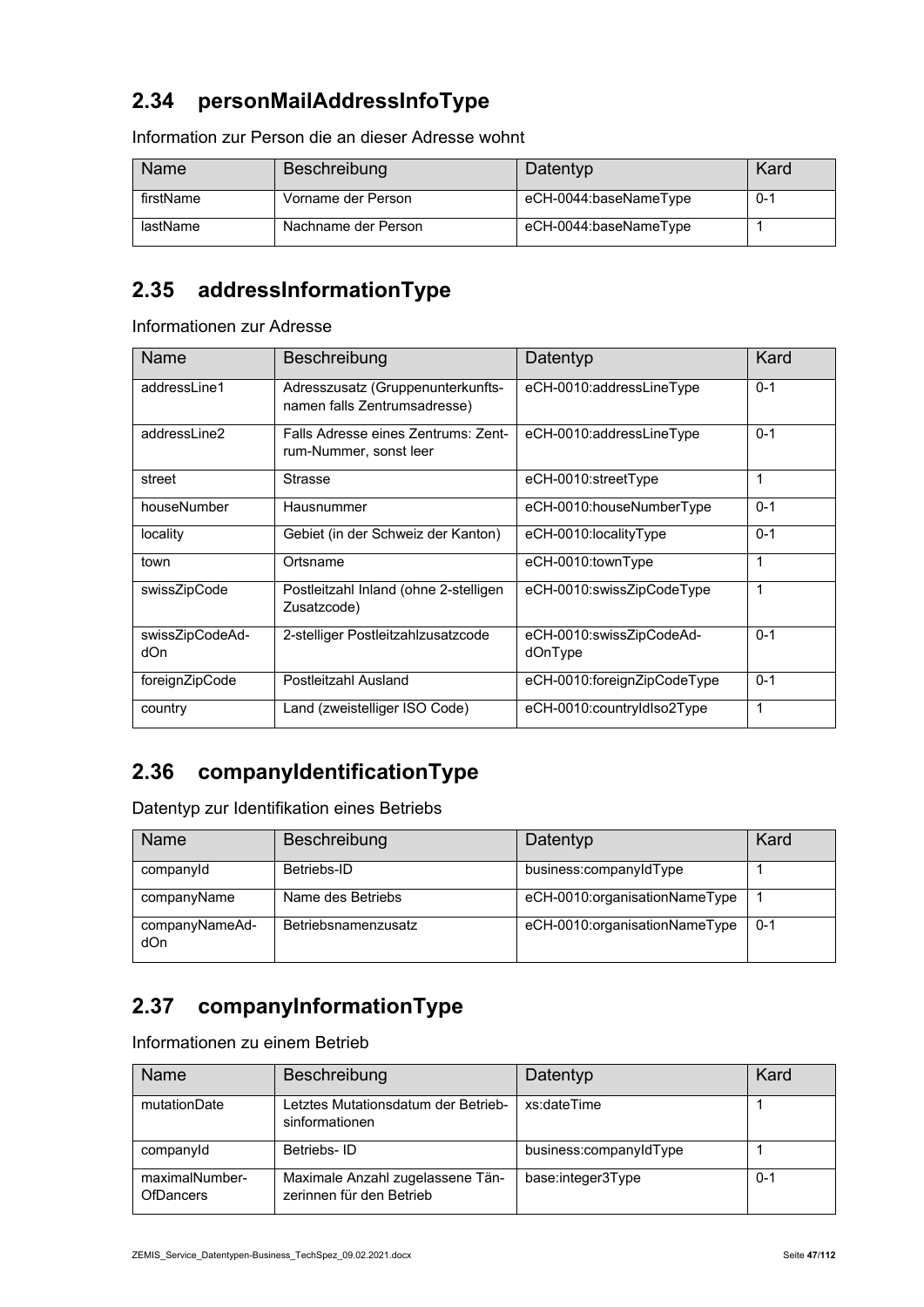### **2.34 personMailAddressInfoType**

| Name      | Beschreibung        | Datentyp              | Kard    |
|-----------|---------------------|-----------------------|---------|
| firstName | Vorname der Person  | eCH-0044:baseNameType | $0 - 1$ |
| lastName  | Nachname der Person | eCH-0044:baseNameType |         |

Information zur Person die an dieser Adresse wohnt

### **2.35 addressInformationType**

Informationen zur Adresse

| Name                   | Beschreibung                                                      | Datentyp                            | Kard    |
|------------------------|-------------------------------------------------------------------|-------------------------------------|---------|
| addressLine1           | Adresszusatz (Gruppenunterkunfts-<br>namen falls Zentrumsadresse) | eCH-0010:addressLineType            | $0 - 1$ |
| addressl ine?          | Falls Adresse eines Zentrums: Zent-<br>rum-Nummer, sonst leer     | eCH-0010:addressLineType            | $0 - 1$ |
| street                 | <b>Strasse</b>                                                    | eCH-0010:streetType                 | 1       |
| houseNumber            | Hausnummer                                                        | eCH-0010:houseNumberType            | $0 - 1$ |
| locality               | Gebiet (in der Schweiz der Kanton)                                | eCH-0010:localityType               | $0 - 1$ |
| town                   | Ortsname                                                          | eCH-0010:townType                   | 1       |
| swissZipCode           | Postleitzahl Inland (ohne 2-stelligen<br>Zusatzcode)              | eCH-0010:swissZipCodeType           | 1       |
| swissZipCodeAd-<br>dOn | 2-stelliger Postleitzahlzusatzcode                                | eCH-0010:swissZipCodeAd-<br>dOnType | $0 - 1$ |
| foreignZipCode         | Postleitzahl Ausland                                              | eCH-0010:foreignZipCodeType         | $0 - 1$ |
| country                | Land (zweistelliger ISO Code)                                     | eCH-0010:countryIdIso2Type          | 1       |

### **2.36 companyIdentificationType**

Datentyp zur Identifikation eines Betriebs

| Name                  | Beschreibung        | Datentyp                      | Kard    |
|-----------------------|---------------------|-------------------------------|---------|
| companyId             | Betriebs-ID         | business:companyIdType        |         |
| companyName           | Name des Betriebs   | eCH-0010:organisationNameType |         |
| companyNameAd-<br>dOn | Betriebsnamenzusatz | eCH-0010:organisationNameType | $0 - 1$ |

### **2.37 companyInformationType**

Informationen zu einem Betrieb

| Name                               | Beschreibung                                                 | Datentyp               | Kard    |
|------------------------------------|--------------------------------------------------------------|------------------------|---------|
| mutationDate                       | Letztes Mutationsdatum der Betrieb-<br>sinformationen        | xs:dateTime            |         |
| companyld                          | Betriebs-ID                                                  | business:companyIdType |         |
| maximalNumber-<br><b>OfDancers</b> | Maximale Anzahl zugelassene Tän-<br>zerinnen für den Betrieb | base:integer3Type      | $0 - 1$ |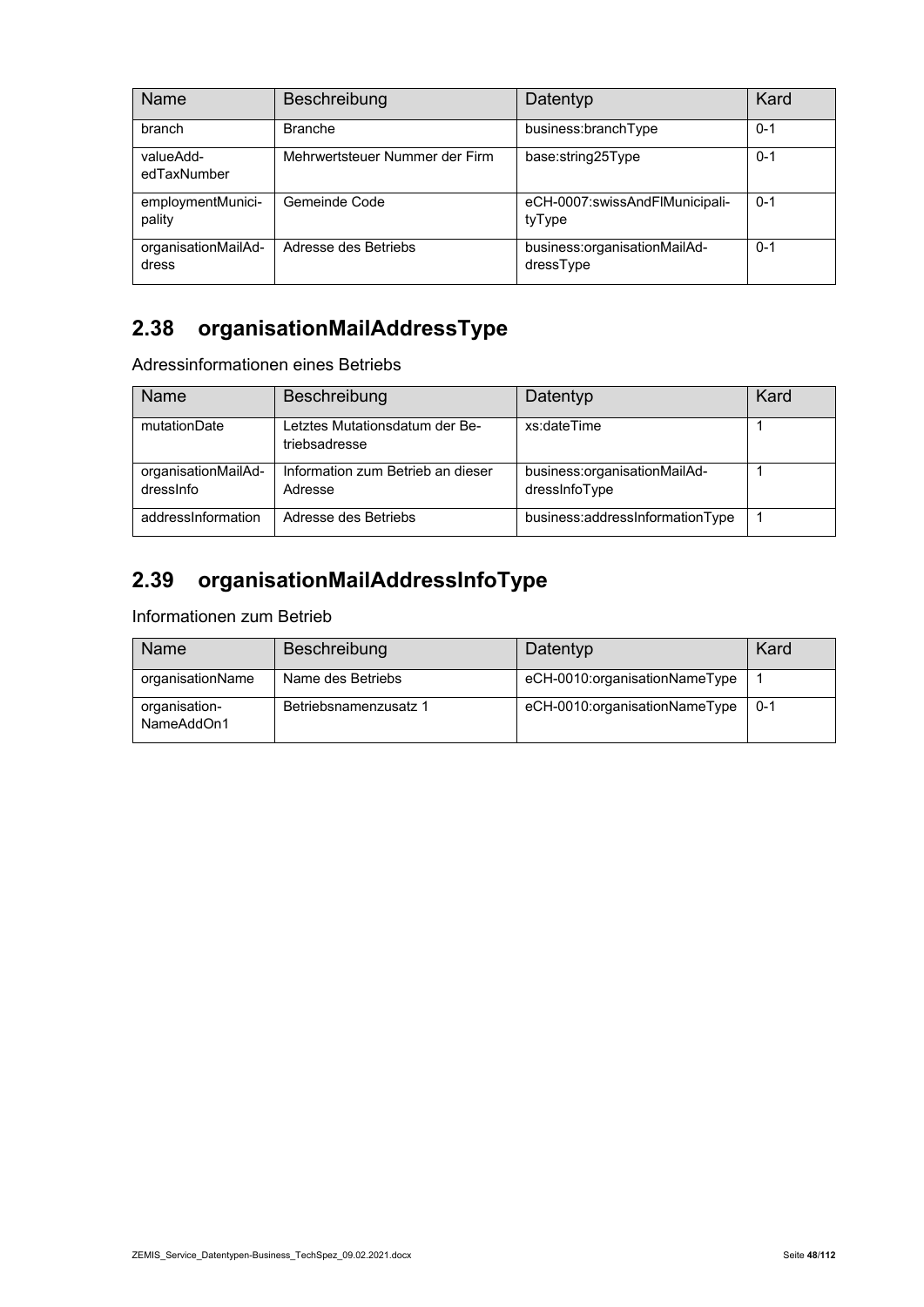| Name                         | Beschreibung                   | Datentyp                                  | Kard    |
|------------------------------|--------------------------------|-------------------------------------------|---------|
| branch                       | <b>Branche</b>                 | business:branchType                       | $0 - 1$ |
| valueAdd-<br>edTaxNumber     | Mehrwertsteuer Nummer der Firm | base:string25Type                         | $0 - 1$ |
| employmentMunici-<br>pality  | Gemeinde Code                  | eCH-0007:swissAndFlMunicipali-<br>tyType  | $0 - 1$ |
| organisationMailAd-<br>dress | Adresse des Betriebs           | business:organisationMailAd-<br>dressType | $0 - 1$ |

### **2.38 organisationMailAddressType**

Adressinformationen eines Betriebs

| Name                             | Beschreibung                                    | Datentyp                                      | Kard |
|----------------------------------|-------------------------------------------------|-----------------------------------------------|------|
| mutationDate                     | Letztes Mutationsdatum der Be-<br>triebsadresse | xs:dateTime                                   |      |
| organisationMailAd-<br>dressinfo | Information zum Betrieb an dieser<br>Adresse    | business:organisationMailAd-<br>dressInfoType |      |
| addressInformation               | Adresse des Betriebs                            | business:addressInformationType               |      |

# **2.39 organisationMailAddressInfoType**

Informationen zum Betrieb

| Name                        | Beschreibung          | Datentyp                      | Kard    |
|-----------------------------|-----------------------|-------------------------------|---------|
| organisationName            | Name des Betriebs     | eCH-0010:organisationNameType |         |
| organisation-<br>NameAddOn1 | Betriebsnamenzusatz 1 | eCH-0010:organisationNameType | $0 - 1$ |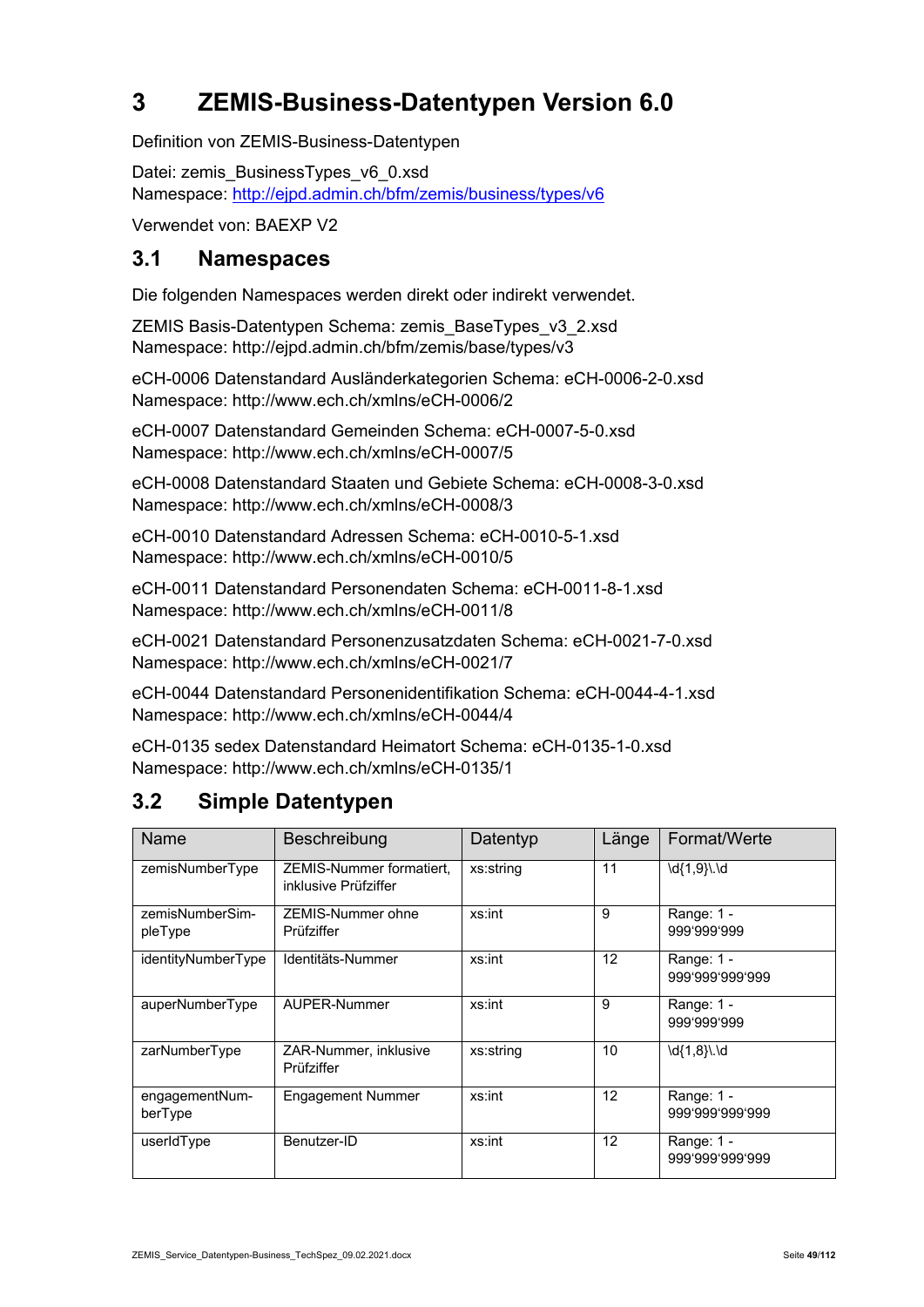# **3 ZEMIS-Business-Datentypen Version 6.0**

Definition von ZEMIS-Business-Datentypen

Datei: zemis\_BusinessTypes\_v6\_0.xsd Namespace: http://ejpd.admin.ch/bfm/zemis/business/types/v6

Verwendet von: BAEXP V2

#### **3.1 Namespaces**

Die folgenden Namespaces werden direkt oder indirekt verwendet.

ZEMIS Basis-Datentypen Schema: zemis\_BaseTypes\_v3\_2.xsd Namespace: http://ejpd.admin.ch/bfm/zemis/base/types/v3

eCH-0006 Datenstandard Ausländerkategorien Schema: eCH-0006-2-0.xsd Namespace: http://www.ech.ch/xmlns/eCH-0006/2

eCH-0007 Datenstandard Gemeinden Schema: eCH-0007-5-0.xsd Namespace: http://www.ech.ch/xmlns/eCH-0007/5

eCH-0008 Datenstandard Staaten und Gebiete Schema: eCH-0008-3-0.xsd Namespace: http://www.ech.ch/xmlns/eCH-0008/3

eCH-0010 Datenstandard Adressen Schema: eCH-0010-5-1.xsd Namespace: http://www.ech.ch/xmlns/eCH-0010/5

eCH-0011 Datenstandard Personendaten Schema: eCH-0011-8-1.xsd Namespace: http://www.ech.ch/xmlns/eCH-0011/8

eCH-0021 Datenstandard Personenzusatzdaten Schema: eCH-0021-7-0.xsd Namespace: http://www.ech.ch/xmlns/eCH-0021/7

eCH-0044 Datenstandard Personenidentifikation Schema: eCH-0044-4-1.xsd Namespace: http://www.ech.ch/xmlns/eCH-0044/4

eCH-0135 sedex Datenstandard Heimatort Schema: eCH-0135-1-0.xsd Namespace: http://www.ech.ch/xmlns/eCH-0135/1

#### **3.2 Simple Datentypen**

| Name                       | Beschreibung                                     | Datentyp  | Länge | Format/Werte                  |
|----------------------------|--------------------------------------------------|-----------|-------|-------------------------------|
| zemisNumberType            | ZEMIS-Nummer formatiert,<br>inklusive Prüfziffer | xs:string | 11    | \d{1,9}\.\d                   |
| zemisNumberSim-<br>pleType | ZEMIS-Nummer ohne<br>Prüfziffer                  | xs:int    | 9     | Range: 1 -<br>999'999'999     |
| identityNumberType         | Identitäts-Nummer                                | xs:int    | 12    | Range: 1 -<br>999'999'999'999 |
| auperNumberType            | AUPER-Nummer                                     | xs:int    | 9     | Range: 1 -<br>999'999'999     |
| zarNumberType              | ZAR-Nummer, inklusive<br>Prüfziffer              | xs:string | 10    | \d{1,8}\.\d                   |
| engagementNum-<br>berType  | <b>Engagement Nummer</b>                         | xs:int    | 12    | Range: 1 -<br>999'999'999'999 |
| userIdType                 | Benutzer-ID                                      | xs:int    | 12    | Range: 1 -<br>999'999'999'999 |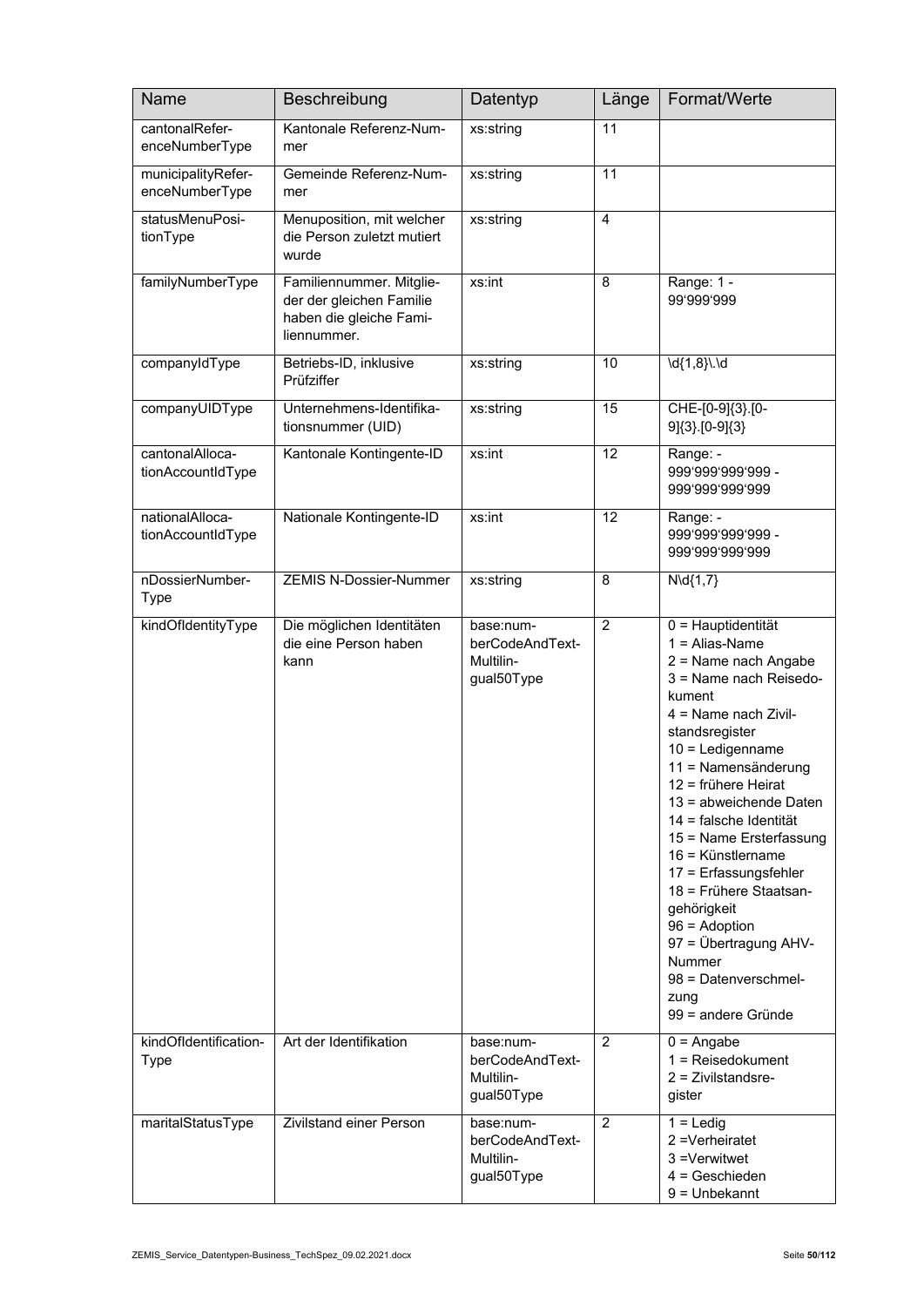| <b>Name</b>                          | Beschreibung                                                                                   | Datentyp                                                | Länge           | Format/Werte                                                                                                                                                                                                                                                                                                                                                                                                                                                                                              |
|--------------------------------------|------------------------------------------------------------------------------------------------|---------------------------------------------------------|-----------------|-----------------------------------------------------------------------------------------------------------------------------------------------------------------------------------------------------------------------------------------------------------------------------------------------------------------------------------------------------------------------------------------------------------------------------------------------------------------------------------------------------------|
| cantonalRefer-<br>enceNumberType     | Kantonale Referenz-Num-<br>mer                                                                 | xs:string                                               | 11              |                                                                                                                                                                                                                                                                                                                                                                                                                                                                                                           |
| municipalityRefer-<br>enceNumberType | Gemeinde Referenz-Num-<br>mer                                                                  | xs:string                                               | $\overline{11}$ |                                                                                                                                                                                                                                                                                                                                                                                                                                                                                                           |
| statusMenuPosi-<br>tionType          | Menuposition, mit welcher<br>die Person zuletzt mutiert<br>wurde                               | xs:string                                               | $\overline{4}$  |                                                                                                                                                                                                                                                                                                                                                                                                                                                                                                           |
| familyNumberType                     | Familiennummer. Mitglie-<br>der der gleichen Familie<br>haben die gleiche Fami-<br>liennummer. | xs:int                                                  | 8               | Range: 1 -<br>99'999'999                                                                                                                                                                                                                                                                                                                                                                                                                                                                                  |
| companyIdType                        | Betriebs-ID, inklusive<br>Prüfziffer                                                           | xs:string                                               | 10              | \d{1,8}\.\d                                                                                                                                                                                                                                                                                                                                                                                                                                                                                               |
| companyUIDType                       | Unternehmens-Identifika-<br>tionsnummer (UID)                                                  | xs:string                                               | $\overline{15}$ | CHE-[0-9]{3}.[0-<br>9]{3}.[0-9]{3}                                                                                                                                                                                                                                                                                                                                                                                                                                                                        |
| cantonalAlloca-<br>tionAccountIdType | Kantonale Kontingente-ID                                                                       | xs:int                                                  | $\overline{12}$ | Range: -<br>999'999'999'999 -<br>999'999'999'999                                                                                                                                                                                                                                                                                                                                                                                                                                                          |
| nationalAlloca-<br>tionAccountIdType | Nationale Kontingente-ID                                                                       | xs:int                                                  | $\overline{12}$ | Range: -<br>999'999'999'999 -<br>999'999'999'999                                                                                                                                                                                                                                                                                                                                                                                                                                                          |
| nDossierNumber-<br><b>Type</b>       | <b>ZEMIS N-Dossier-Nummer</b>                                                                  | xs:string                                               | 8               | $N\ldotp(1,7)$                                                                                                                                                                                                                                                                                                                                                                                                                                                                                            |
| kindOfIdentityType                   | Die möglichen Identitäten<br>die eine Person haben<br>kann                                     | base:num-<br>berCodeAndText-<br>Multilin-<br>gual50Type | $\overline{2}$  | 0 = Hauptidentität<br>$1 =$ Alias-Name<br>2 = Name nach Angabe<br>3 = Name nach Reisedo-<br>kument<br>4 = Name nach Zivil-<br>standsregister<br>$10$ = Ledigenname<br>11 = Namensänderung<br>12 = frühere Heirat<br>13 = abweichende Daten<br>14 = falsche Identität<br>15 = Name Ersterfassung<br>16 = Künstlername<br>17 = Erfassungsfehler<br>18 = Frühere Staatsan-<br>gehörigkeit<br>$96 =$ Adoption<br>97 = Übertragung AHV-<br><b>Nummer</b><br>98 = Datenverschmel-<br>zung<br>99 = andere Gründe |
| kindOfIdentification-<br>Type        | Art der Identifikation                                                                         | base:num-<br>berCodeAndText-<br>Multilin-<br>gual50Type | $\overline{2}$  | $0 =$ Angabe<br>$1 =$ Reisedokument<br>$2$ = Zivilstandsre-<br>gister                                                                                                                                                                                                                                                                                                                                                                                                                                     |
| maritalStatusType                    | Zivilstand einer Person                                                                        | base:num-<br>berCodeAndText-<br>Multilin-<br>gual50Type | $\overline{2}$  | $1 =$ Ledig<br>2 = Verheiratet<br>3 = Verwitwet<br>$4 =$ Geschieden<br>$9 =$ Unbekannt                                                                                                                                                                                                                                                                                                                                                                                                                    |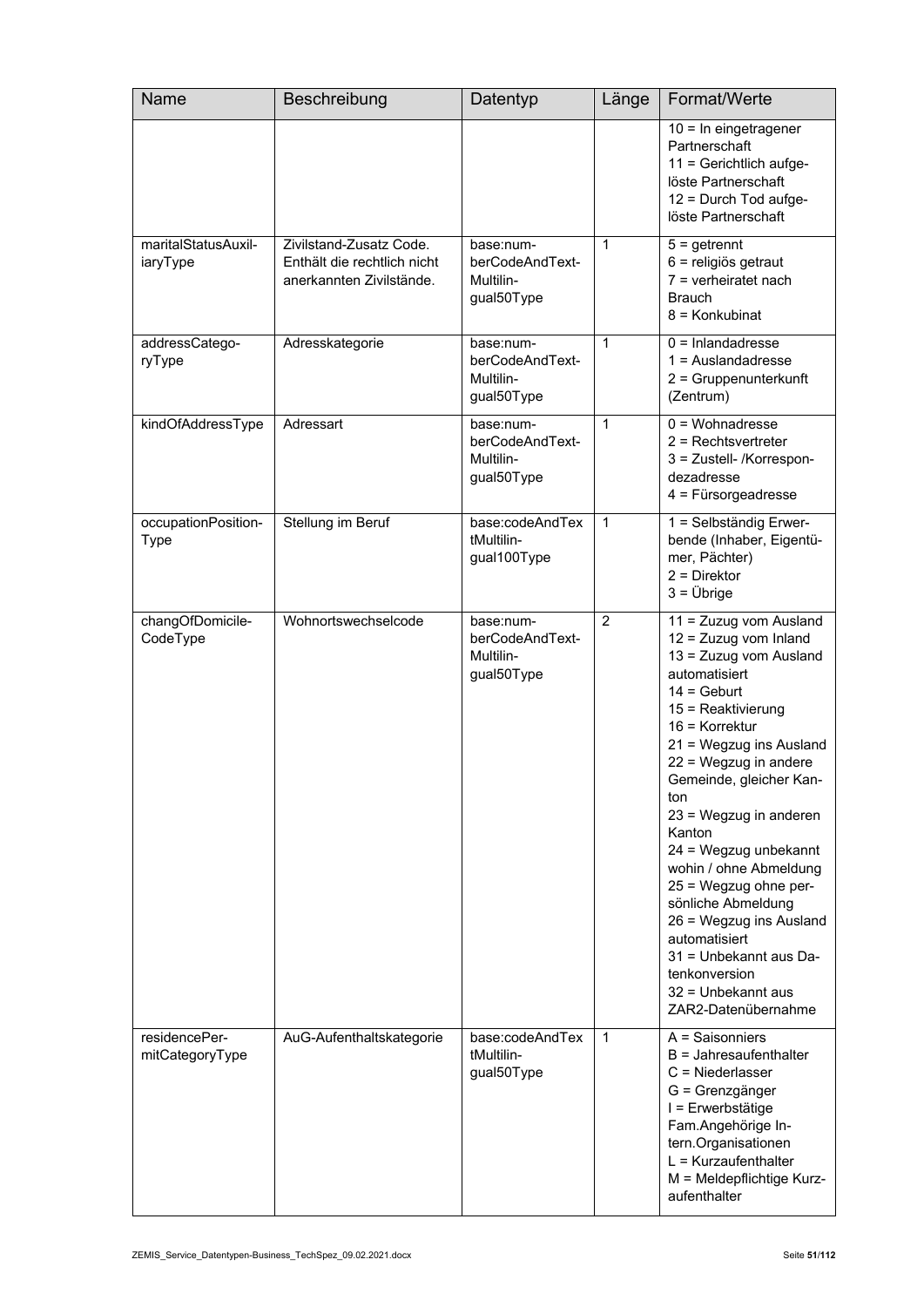| Name                               | Beschreibung                                                                       | Datentyp                                                | Länge          | Format/Werte                                                                                                                                                                                                                                                                                                                                                                                                                                                                                                              |
|------------------------------------|------------------------------------------------------------------------------------|---------------------------------------------------------|----------------|---------------------------------------------------------------------------------------------------------------------------------------------------------------------------------------------------------------------------------------------------------------------------------------------------------------------------------------------------------------------------------------------------------------------------------------------------------------------------------------------------------------------------|
|                                    |                                                                                    |                                                         |                | $10 = \ln$ eingetragener<br>Partnerschaft<br>11 = Gerichtlich aufge-<br>löste Partnerschaft<br>12 = Durch Tod aufge-<br>löste Partnerschaft                                                                                                                                                                                                                                                                                                                                                                               |
| maritalStatusAuxil-<br>iaryType    | Zivilstand-Zusatz Code.<br>Enthält die rechtlich nicht<br>anerkannten Zivilstände. | base:num-<br>berCodeAndText-<br>Multilin-<br>gual50Type | $\mathbf{1}$   | $5 =$ getrennt<br>6 = religiös getraut<br>$7$ = verheiratet nach<br><b>Brauch</b><br>8 = Konkubinat                                                                                                                                                                                                                                                                                                                                                                                                                       |
| addressCatego-<br>ryType           | Adresskategorie                                                                    | base:num-<br>berCodeAndText-<br>Multilin-<br>gual50Type | 1              | $0 =$ Inlandadresse<br>$1 =$ Auslandadresse<br>2 = Gruppenunterkunft<br>(Zentrum)                                                                                                                                                                                                                                                                                                                                                                                                                                         |
| kindOfAddressType                  | Adressart                                                                          | base:num-<br>berCodeAndText-<br>Multilin-<br>gual50Type | $\mathbf{1}$   | $0 = W_0$ chnadresse<br>$2$ = Rechtsvertreter<br>3 = Zustell- /Korrespon-<br>dezadresse<br>$4$ = Fürsorgeadresse                                                                                                                                                                                                                                                                                                                                                                                                          |
| occupationPosition-<br><b>Type</b> | Stellung im Beruf                                                                  | base:codeAndTex<br>tMultilin-<br>gual100Type            | 1              | 1 = Selbständig Erwer-<br>bende (Inhaber, Eigentü-<br>mer, Pächter)<br>$2 =$ Direktor<br>$3 = \ddot{\cup}$ brige                                                                                                                                                                                                                                                                                                                                                                                                          |
| changOfDomicile-<br>CodeType       | Wohnortswechselcode                                                                | base:num-<br>berCodeAndText-<br>Multilin-<br>gual50Type | $\overline{2}$ | 11 = Zuzug vom Ausland<br>12 = Zuzug vom Inland<br>13 = Zuzug vom Ausland<br>automatisiert<br>$14 = \text{Gebut}$<br>15 = Reaktivierung<br>16 = Korrektur<br>21 = Wegzug ins Ausland<br>22 = Wegzug in andere<br>Gemeinde, gleicher Kan-<br>ton<br>23 = Wegzug in anderen<br>Kanton<br>24 = Wegzug unbekannt<br>wohin / ohne Abmeldung<br>25 = Wegzug ohne per-<br>sönliche Abmeldung<br>26 = Wegzug ins Ausland<br>automatisiert<br>31 = Unbekannt aus Da-<br>tenkonversion<br>32 = Unbekannt aus<br>ZAR2-Datenübernahme |
| residencePer-<br>mitCategoryType   | AuG-Aufenthaltskategorie                                                           | base:codeAndTex<br>tMultilin-<br>gual50Type             | 1              | A = Saisonniers<br>$B =$ Jahresaufenthalter<br>$C =$ Niederlasser<br>G = Grenzgänger<br>I = Erwerbstätige<br>Fam.Angehörige In-<br>tern.Organisationen<br>$L = Kurzaufenthalter$<br>M = Meldepflichtige Kurz-<br>aufenthalter                                                                                                                                                                                                                                                                                             |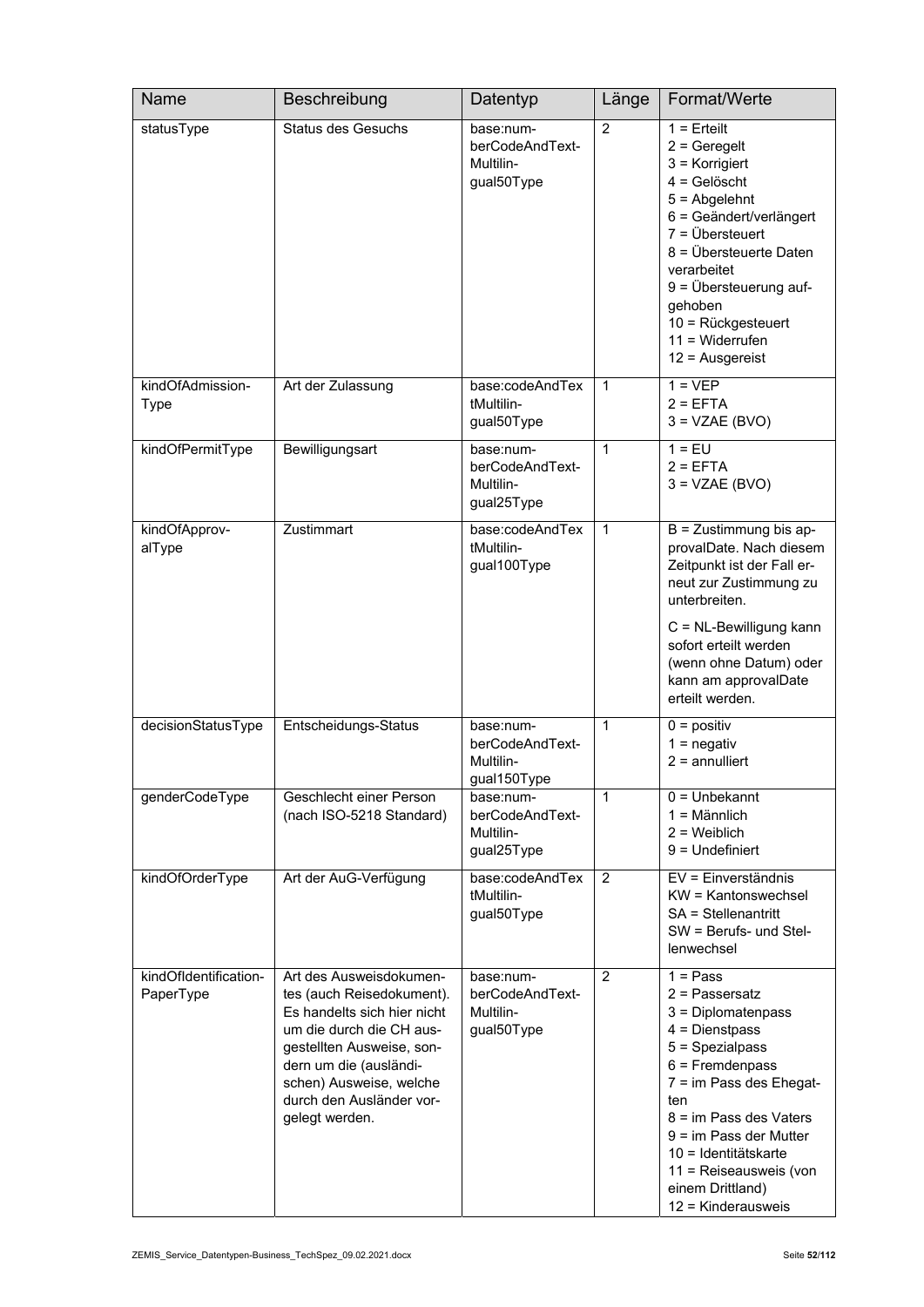| Name                               | Beschreibung                                                                                                                                                                                                                                    | Datentyp                                                 | Länge          | Format/Werte                                                                                                                                                                                                                                                                                         |
|------------------------------------|-------------------------------------------------------------------------------------------------------------------------------------------------------------------------------------------------------------------------------------------------|----------------------------------------------------------|----------------|------------------------------------------------------------------------------------------------------------------------------------------------------------------------------------------------------------------------------------------------------------------------------------------------------|
| statusType                         | <b>Status des Gesuchs</b>                                                                                                                                                                                                                       | base:num-<br>berCodeAndText-<br>Multilin-<br>gual50Type  | $\overline{2}$ | $1 =$ Erteilt<br>$2 =$ Geregelt<br>$3$ = Korrigiert<br>$4 =$ Gelöscht<br>$5 =$ Abgelehnt<br>6 = Geändert/verlängert<br>$7 = \ddot{\cup}$ bersteuert<br>8 = Übersteuerte Daten<br>verarbeitet<br>9 = Übersteuerung auf-<br>gehoben<br>10 = Rückgesteuert<br>$11 = Widerrufen$<br>$12$ = Ausgereist    |
| kindOfAdmission-<br>Type           | Art der Zulassung                                                                                                                                                                                                                               | base:codeAndTex<br>tMultilin-<br>gual50Type              | $\mathbf{1}$   | $1 = VEP$<br>$2 = EFTA$<br>$3 = VZAE (BVO)$                                                                                                                                                                                                                                                          |
| kindOfPermitType                   | Bewilligungsart                                                                                                                                                                                                                                 | base:num-<br>berCodeAndText-<br>Multilin-<br>gual25Type  | 1              | $1 = EU$<br>$2 = EFTA$<br>$3 = VZAE (BVO)$                                                                                                                                                                                                                                                           |
| kindOfApprov-<br>alType            | Zustimmart                                                                                                                                                                                                                                      | base:codeAndTex<br>tMultilin-<br>gual100Type             | $\mathbf{1}$   | $B = Z$ ustimmung bis ap-<br>provalDate. Nach diesem<br>Zeitpunkt ist der Fall er-<br>neut zur Zustimmung zu<br>unterbreiten.<br>C = NL-Bewilligung kann<br>sofort erteilt werden<br>(wenn ohne Datum) oder<br>kann am approvalDate<br>erteilt werden.                                               |
| decisionStatusType                 | Entscheidungs-Status                                                                                                                                                                                                                            | base:num-<br>berCodeAndText-<br>Multilin-<br>gual150Type | 1              | $0 =$ positiv<br>$1 =$ negativ<br>$2 =$ annulliert                                                                                                                                                                                                                                                   |
| genderCodeType                     | Geschlecht einer Person<br>(nach ISO-5218 Standard)                                                                                                                                                                                             | base:num-<br>berCodeAndText-<br>Multilin-<br>gual25Type  | $\mathbf{1}$   | $0 =$ Unbekannt<br>$1 =$ Männlich<br>$2 =$ Weiblich<br>$9 =$ Undefiniert                                                                                                                                                                                                                             |
| kindOfOrderType                    | Art der AuG-Verfügung                                                                                                                                                                                                                           | base:codeAndTex<br>tMultilin-<br>gual50Type              | 2              | EV = Einverständnis<br>KW = Kantonswechsel<br>SA = Stellenantritt<br>$SW =$ Berufs- und Stel-<br>lenwechsel                                                                                                                                                                                          |
| kindOfIdentification-<br>PaperType | Art des Ausweisdokumen-<br>tes (auch Reisedokument).<br>Es handelts sich hier nicht<br>um die durch die CH aus-<br>gestellten Ausweise, son-<br>dern um die (ausländi-<br>schen) Ausweise, welche<br>durch den Ausländer vor-<br>gelegt werden. | base:num-<br>berCodeAndText-<br>Multilin-<br>gual50Type  | $\overline{2}$ | $1 = Pass$<br>$2$ = Passersatz<br>3 = Diplomatenpass<br>$4 =$ Dienstpass<br>5 = Spezialpass<br>$6$ = Fremdenpass<br>7 = im Pass des Ehegat-<br>ten<br>8 = im Pass des Vaters<br>$9 = im Pass der Mutter$<br>10 = Identitätskarte<br>11 = Reiseausweis (von<br>einem Drittland)<br>12 = Kinderausweis |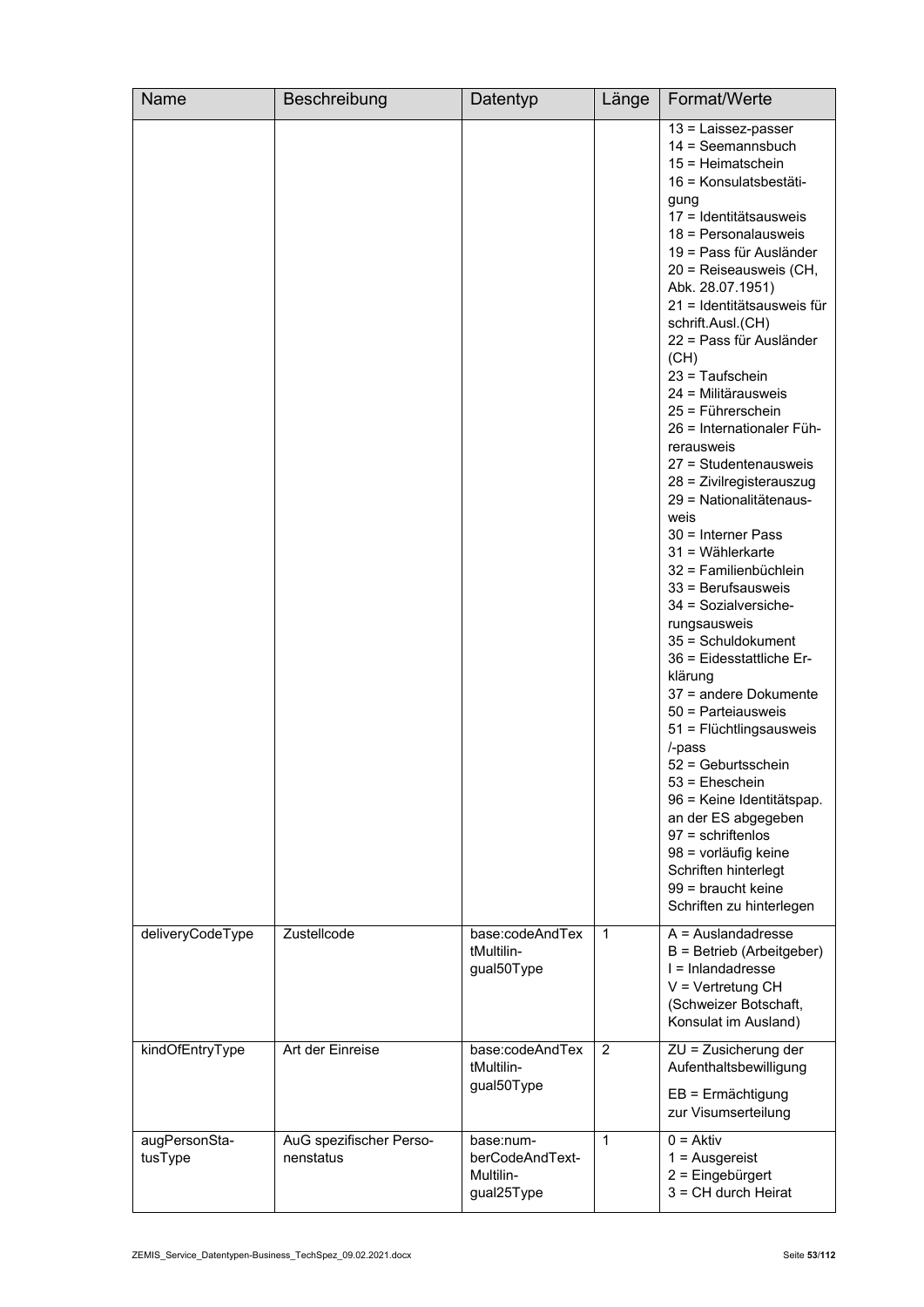| Name                     | Beschreibung                         | Datentyp                                                | Länge        | Format/Werte                                                                                                                                                                                                                                                                                                                                                                                                                                                                                                                                                                                                                                                                                                                                                                                                                                                                                                                                                                                                                        |
|--------------------------|--------------------------------------|---------------------------------------------------------|--------------|-------------------------------------------------------------------------------------------------------------------------------------------------------------------------------------------------------------------------------------------------------------------------------------------------------------------------------------------------------------------------------------------------------------------------------------------------------------------------------------------------------------------------------------------------------------------------------------------------------------------------------------------------------------------------------------------------------------------------------------------------------------------------------------------------------------------------------------------------------------------------------------------------------------------------------------------------------------------------------------------------------------------------------------|
|                          |                                      |                                                         |              | $13$ = Laissez-passer<br>$14 =$ Seemannsbuch<br>$15 = Heimatschein$<br>16 = Konsulatsbestäti-<br>gung<br>17 = Identitätsausweis<br>18 = Personalausweis<br>19 = Pass für Ausländer<br>20 = Reiseausweis (CH,<br>Abk. 28.07.1951)<br>21 = Identitätsausweis für<br>schrift.Ausl.(CH)<br>22 = Pass für Ausländer<br>(CH)<br>23 = Taufschein<br>24 = Militärausweis<br>25 = Führerschein<br>26 = Internationaler Füh-<br>rerausweis<br>27 = Studentenausweis<br>28 = Zivilregisterauszug<br>29 = Nationalitätenaus-<br>weis<br>30 = Interner Pass<br>$31 =$ Wählerkarte<br>32 = Familienbüchlein<br>$33$ = Berufsausweis<br>34 = Sozialversiche-<br>rungsausweis<br>35 = Schuldokument<br>36 = Eidesstattliche Er-<br>klärung<br>37 = andere Dokumente<br>50 = Parteiausweis<br>51 = Flüchtlingsausweis<br>/-pass<br>52 = Geburtsschein<br>53 = Eheschein<br>96 = Keine Identitätspap.<br>an der ES abgegeben<br>$97 =$ schriftenlos<br>98 = vorläufig keine<br>Schriften hinterlegt<br>99 = braucht keine<br>Schriften zu hinterlegen |
| deliveryCodeType         | Zustellcode                          | base:codeAndTex<br>tMultilin-<br>gual50Type             | 1            | $A =$ Auslandadresse<br>B = Betrieb (Arbeitgeber)<br>$I = Inlanda$ dresse<br>$V = V$ ertretung CH<br>(Schweizer Botschaft,<br>Konsulat im Ausland)                                                                                                                                                                                                                                                                                                                                                                                                                                                                                                                                                                                                                                                                                                                                                                                                                                                                                  |
| kindOfEntryType          | Art der Einreise                     | base:codeAndTex<br>tMultilin-<br>gual50Type             | 2            | ZU = Zusicherung der<br>Aufenthaltsbewilligung<br>$EB = Ermächtigung$<br>zur Visumserteilung                                                                                                                                                                                                                                                                                                                                                                                                                                                                                                                                                                                                                                                                                                                                                                                                                                                                                                                                        |
| augPersonSta-<br>tusType | AuG spezifischer Perso-<br>nenstatus | base:num-<br>berCodeAndText-<br>Multilin-<br>gual25Type | $\mathbf{1}$ | $0 = Aktiv$<br>$1 =$ Ausgereist<br>2 = Eingebürgert<br>$3 = CH$ durch Heirat                                                                                                                                                                                                                                                                                                                                                                                                                                                                                                                                                                                                                                                                                                                                                                                                                                                                                                                                                        |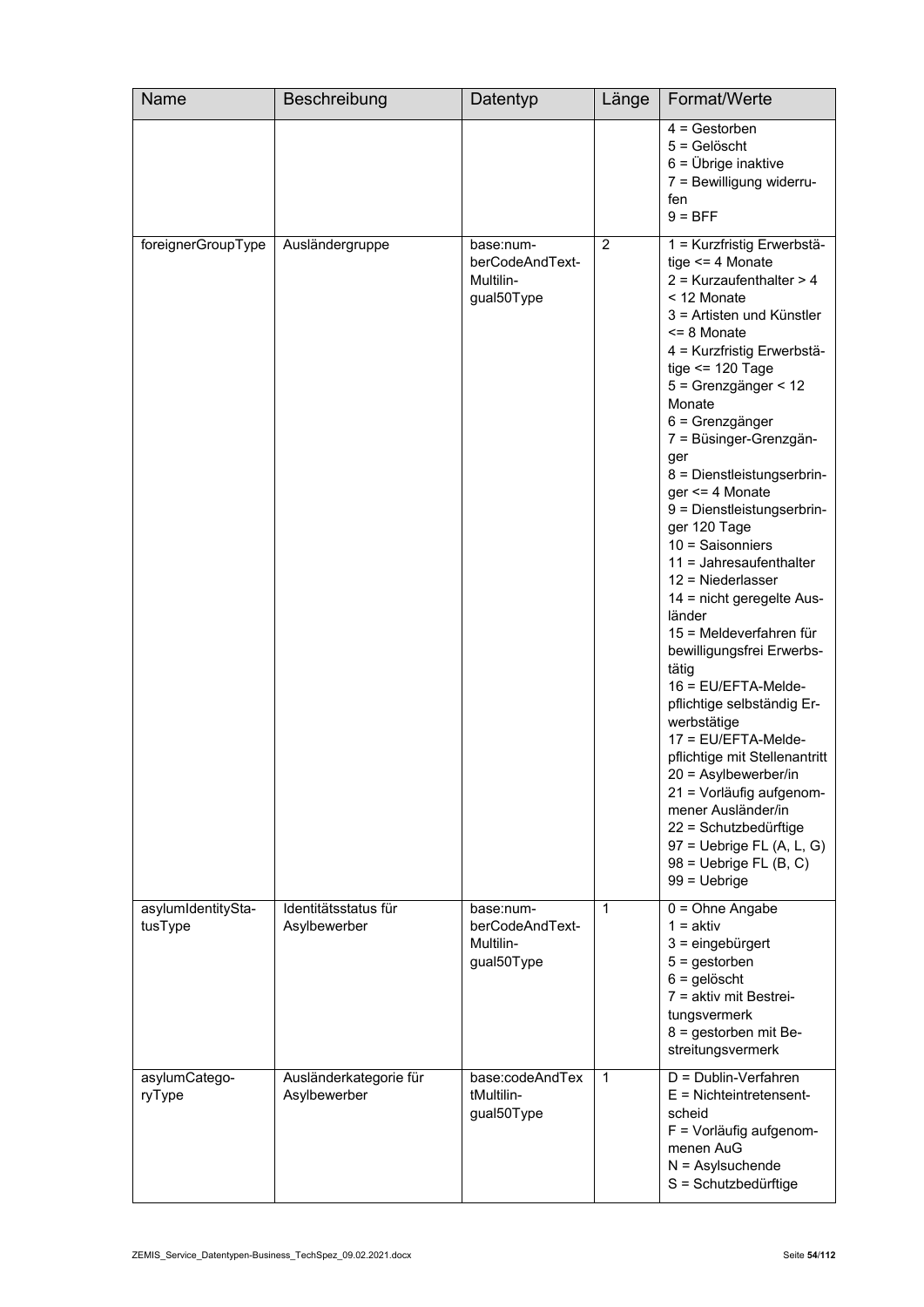| Name                          | Beschreibung                           | Datentyp                                                | Länge        | Format/Werte                                                                                                                                                                                                                                                                                                                                                                                                                                                                                                                                                                                                                                                                                                                                                                                                                                                                      |
|-------------------------------|----------------------------------------|---------------------------------------------------------|--------------|-----------------------------------------------------------------------------------------------------------------------------------------------------------------------------------------------------------------------------------------------------------------------------------------------------------------------------------------------------------------------------------------------------------------------------------------------------------------------------------------------------------------------------------------------------------------------------------------------------------------------------------------------------------------------------------------------------------------------------------------------------------------------------------------------------------------------------------------------------------------------------------|
|                               |                                        |                                                         |              | $4 =$ Gestorben<br>$5 =$ Gelöscht<br>$6 = \ddot{\text{U}}$ brige inaktive<br>7 = Bewilligung widerru-<br>fen<br>$9 = BFF$                                                                                                                                                                                                                                                                                                                                                                                                                                                                                                                                                                                                                                                                                                                                                         |
| foreignerGroupType            | Ausländergruppe                        | base:num-<br>berCodeAndText-<br>Multilin-<br>gual50Type | 2            | 1 = Kurzfristig Erwerbstä-<br>tige $\leq$ 4 Monate<br>$2$ = Kurzaufenthalter > 4<br>< 12 Monate<br>3 = Artisten und Künstler<br><= 8 Monate<br>4 = Kurzfristig Erwerbstä-<br>tige $\le$ 120 Tage<br>5 = Grenzgänger < 12<br>Monate<br>6 = Grenzgänger<br>7 = Büsinger-Grenzgän-<br>ger<br>8 = Dienstleistungserbrin-<br>ger <= 4 Monate<br>9 = Dienstleistungserbrin-<br>ger 120 Tage<br>$10 =$ Saisonniers<br>$11 =$ Jahresaufenthalter<br>12 = Niederlasser<br>14 = nicht geregelte Aus-<br>länder<br>15 = Meldeverfahren für<br>bewilligungsfrei Erwerbs-<br>tätig<br>16 = EU/EFTA-Melde-<br>pflichtige selbständig Er-<br>werbstätige<br>17 = EU/EFTA-Melde-<br>pflichtige mit Stellenantritt<br>$20 =$ Asylbewerber/in<br>21 = Vorläufig aufgenom-<br>mener Ausländer/in<br>22 = Schutzbedürftige<br>97 = Uebrige FL (A, L, G)<br>$98$ = Uebrige FL (B, C)<br>$99 = Uebrige$ |
| asylumIdentitySta-<br>tusType | Identitätsstatus für<br>Asylbewerber   | base:num-<br>berCodeAndText-<br>Multilin-<br>gual50Type | 1            | $0 = Ohne$ Angabe<br>$1 = aktiv$<br>3 = eingebürgert<br>$5 =$ gestorben<br>$6 =$ gelöscht<br>7 = aktiv mit Bestrei-<br>tungsvermerk<br>8 = gestorben mit Be-<br>streitungsvermerk                                                                                                                                                                                                                                                                                                                                                                                                                                                                                                                                                                                                                                                                                                 |
| asylumCatego-<br>ryType       | Ausländerkategorie für<br>Asylbewerber | base:codeAndTex<br>tMultilin-<br>gual50Type             | $\mathbf{1}$ | D = Dublin-Verfahren<br>$E =$ Nichteintretensent-<br>scheid<br>F = Vorläufig aufgenom-<br>menen AuG<br>$N =$ Asylsuchende<br>S = Schutzbedürftige                                                                                                                                                                                                                                                                                                                                                                                                                                                                                                                                                                                                                                                                                                                                 |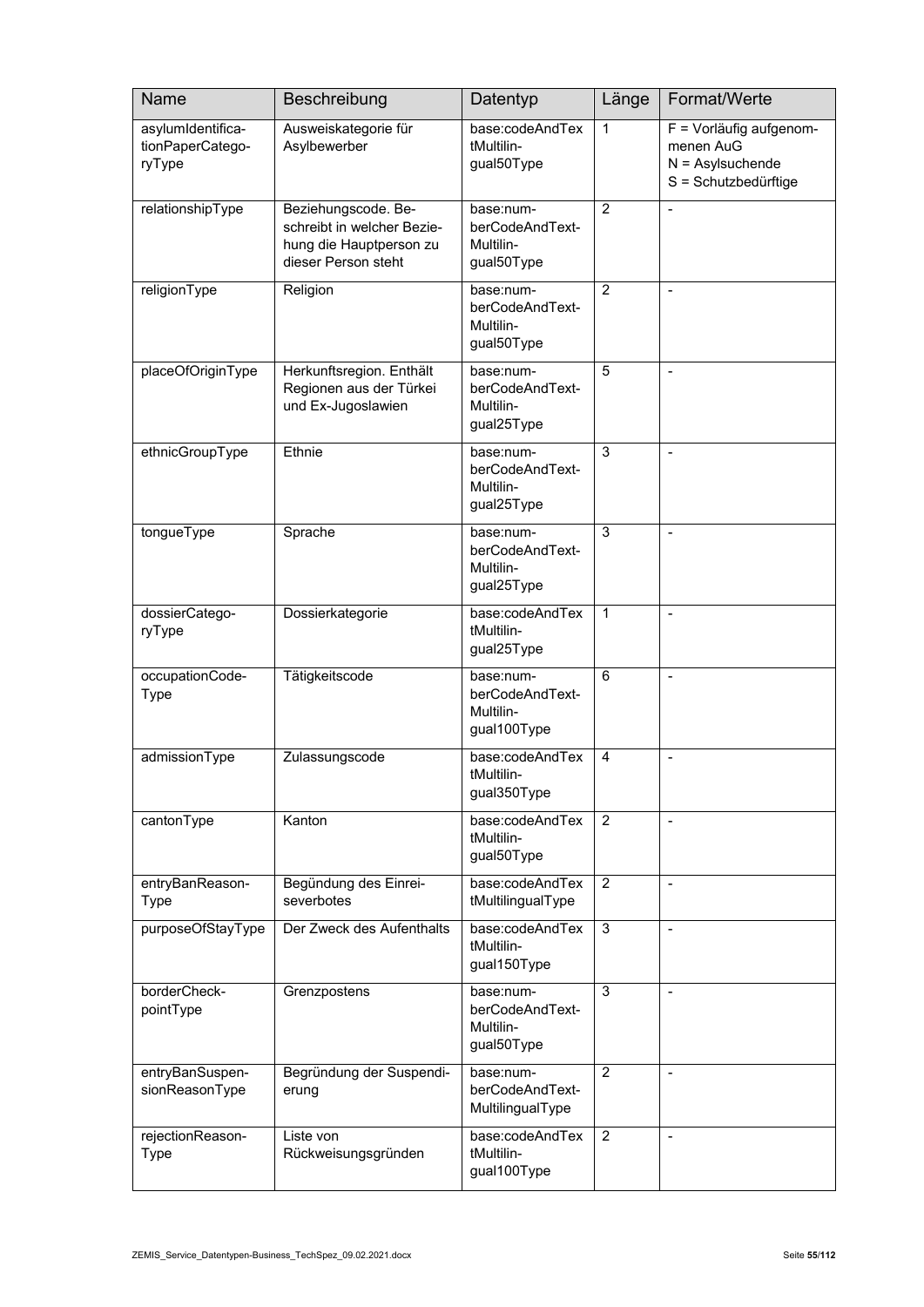| Name                                            | Beschreibung                                                                                        | Datentyp                                                 | Länge          | Format/Werte                                                                       |
|-------------------------------------------------|-----------------------------------------------------------------------------------------------------|----------------------------------------------------------|----------------|------------------------------------------------------------------------------------|
| asylumIdentifica-<br>tionPaperCatego-<br>ryType | Ausweiskategorie für<br>Asylbewerber                                                                | base:codeAndTex<br>tMultilin-<br>gual50Type              | 1              | F = Vorläufig aufgenom-<br>menen AuG<br>$N =$ Asylsuchende<br>S = Schutzbedürftige |
| relationshipType                                | Beziehungscode. Be-<br>schreibt in welcher Bezie-<br>hung die Hauptperson zu<br>dieser Person steht | base:num-<br>berCodeAndText-<br>Multilin-<br>gual50Type  | $\overline{2}$ |                                                                                    |
| religionType                                    | Religion                                                                                            | base:num-<br>berCodeAndText-<br>Multilin-<br>gual50Type  | $\overline{2}$ |                                                                                    |
| placeOfOriginType                               | Herkunftsregion. Enthält<br>Regionen aus der Türkei<br>und Ex-Jugoslawien                           | base:num-<br>berCodeAndText-<br>Multilin-<br>gual25Type  | 5              | $\blacksquare$                                                                     |
| ethnicGroupType                                 | Ethnie                                                                                              | base:num-<br>berCodeAndText-<br>Multilin-<br>gual25Type  | 3              | $\overline{\phantom{a}}$                                                           |
| tongueType                                      | Sprache                                                                                             | base:num-<br>berCodeAndText-<br>Multilin-<br>gual25Type  | 3              |                                                                                    |
| dossierCatego-<br>ryType                        | Dossierkategorie                                                                                    | base:codeAndTex<br>tMultilin-<br>gual25Type              | 1              | $\blacksquare$                                                                     |
| occupationCode-<br><b>Type</b>                  | Tätigkeitscode                                                                                      | base:num-<br>berCodeAndText-<br>Multilin-<br>gual100Type | 6              | $\overline{\phantom{a}}$                                                           |
| admissionType                                   | Zulassungscode                                                                                      | base:codeAndTex<br>tMultilin-<br>gual350Type             | $\overline{4}$ | $\overline{a}$                                                                     |
| cantonType                                      | Kanton                                                                                              | base:codeAndTex<br>tMultilin-<br>gual50Type              | 2              |                                                                                    |
| entryBanReason-<br><b>Type</b>                  | Begündung des Einrei-<br>severbotes                                                                 | base:codeAndTex<br>tMultilingualType                     | $\overline{c}$ | $\blacksquare$                                                                     |
| purposeOfStayType                               | Der Zweck des Aufenthalts                                                                           | base:codeAndTex<br>tMultilin-<br>gual150Type             | 3              | $\blacksquare$                                                                     |
| borderCheck-<br>pointType                       | Grenzpostens                                                                                        | base:num-<br>berCodeAndText-<br>Multilin-<br>gual50Type  | 3              | $\overline{\phantom{a}}$                                                           |
| entryBanSuspen-<br>sionReasonType               | Begründung der Suspendi-<br>erung                                                                   | base:num-<br>berCodeAndText-<br>MultilingualType         | $\overline{2}$ | $\blacksquare$                                                                     |
| rejectionReason-<br><b>Type</b>                 | Liste von<br>Rückweisungsgründen                                                                    | base:codeAndTex<br>tMultilin-<br>gual100Type             | $\overline{2}$ | $\blacksquare$                                                                     |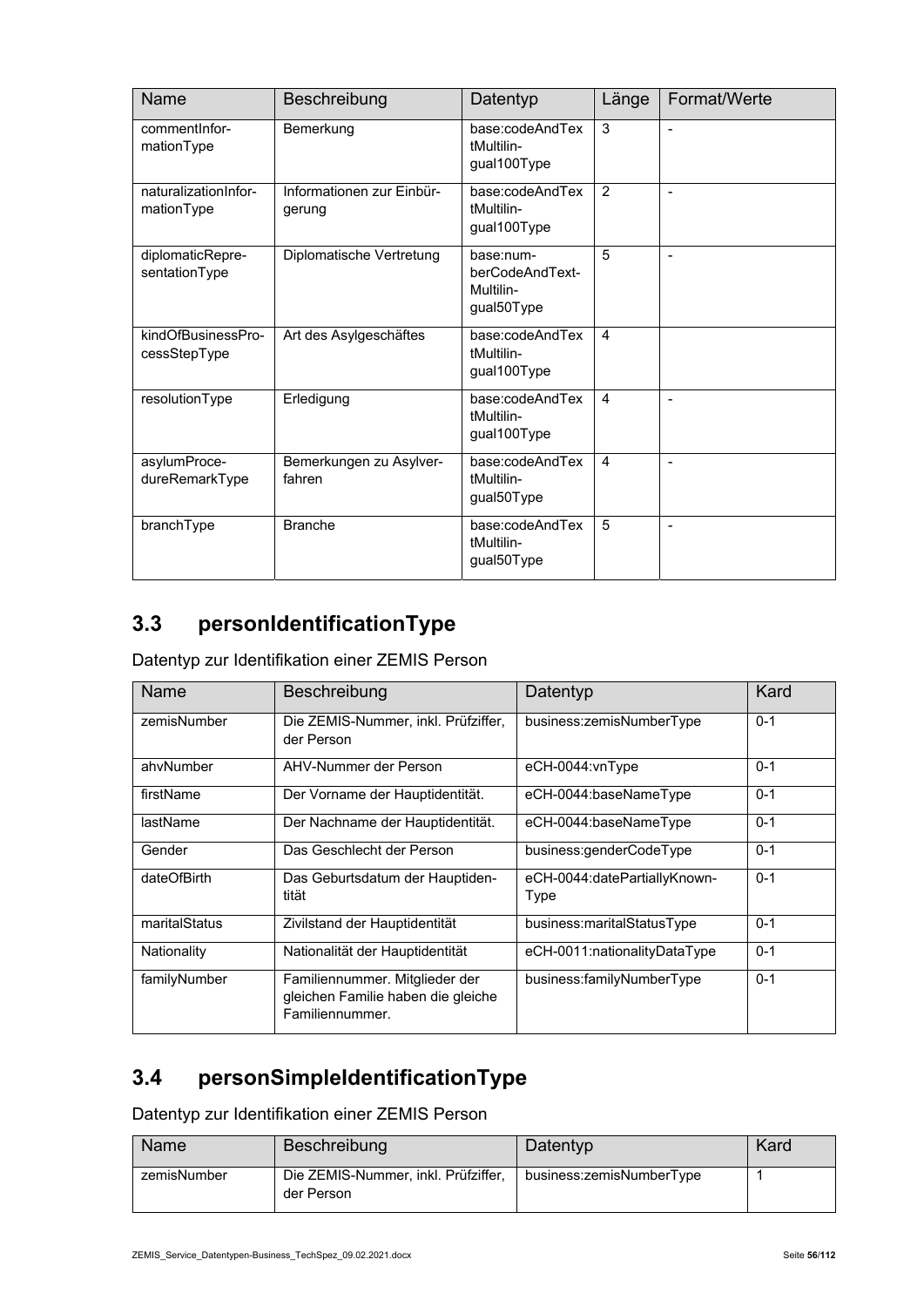| Name                               | Beschreibung                        | Datentyp                                                | Länge          | Format/Werte             |
|------------------------------------|-------------------------------------|---------------------------------------------------------|----------------|--------------------------|
| comment Infor-<br>mationType       | Bemerkung                           | base:codeAndTex<br>tMultilin-<br>gual100Type            | 3              | $\overline{a}$           |
| naturalizationInfor-<br>mationType | Informationen zur Einbür-<br>gerung | base:codeAndTex<br>tMultilin-<br>gual100Type            | $\overline{2}$ |                          |
| diplomaticRepre-<br>sentationType  | Diplomatische Vertretung            | base:num-<br>berCodeAndText-<br>Multilin-<br>gual50Type | 5              | $\overline{\phantom{a}}$ |
| kindOfBusinessPro-<br>cessStepType | Art des Asylgeschäftes              | base:codeAndTex<br>tMultilin-<br>gual100Type            | 4              |                          |
| resolutionType                     | Erledigung                          | base:codeAndTex<br>tMultilin-<br>gual100Type            | $\overline{4}$ |                          |
| asylumProce-<br>dureRemarkType     | Bemerkungen zu Asylver-<br>fahren   | base:codeAndTex<br>tMultilin-<br>gual50Type             | 4              | $\overline{a}$           |
| branchType                         | <b>Branche</b>                      | base:codeAndTex<br>tMultilin-<br>gual50Type             | 5              |                          |

### **3.3 personIdentificationType**

Datentyp zur Identifikation einer ZEMIS Person

| <b>Name</b>   | Beschreibung                                                                            | Datentyp                             | Kard    |
|---------------|-----------------------------------------------------------------------------------------|--------------------------------------|---------|
| zemisNumber   | Die ZEMIS-Nummer, inkl. Prüfziffer,<br>der Person                                       | business:zemisNumberType             | $0 - 1$ |
| ahvNumber     | AHV-Nummer der Person                                                                   | eCH-0044:vnType                      | $0 - 1$ |
| firstName     | Der Vorname der Hauptidentität.                                                         | eCH-0044:baseNameType                | $0 - 1$ |
| lastName      | Der Nachname der Hauptidentität.                                                        | eCH-0044:baseNameType                | $0 - 1$ |
| Gender        | Das Geschlecht der Person                                                               | business:genderCodeType              | $0 - 1$ |
| dateOfBirth   | Das Geburtsdatum der Hauptiden-<br>tität                                                | eCH-0044:datePartiallyKnown-<br>Type | $0 - 1$ |
| maritalStatus | Zivilstand der Hauptidentität                                                           | business:maritalStatusType           | $0 - 1$ |
| Nationality   | Nationalität der Hauptidentität                                                         | eCH-0011:nationalityDataType         | $0 - 1$ |
| familyNumber  | Familiennummer. Mitglieder der<br>gleichen Familie haben die gleiche<br>Familiennummer. | business:familyNumberType            | $0 - 1$ |

### **3.4 personSimpleIdentificationType**

Datentyp zur Identifikation einer ZEMIS Person

| <b>Name</b> | Beschreibung                                      | Datentyp                 | Kard |
|-------------|---------------------------------------------------|--------------------------|------|
| zemisNumber | Die ZEMIS-Nummer, inkl. Prüfziffer,<br>der Person | business:zemisNumberType |      |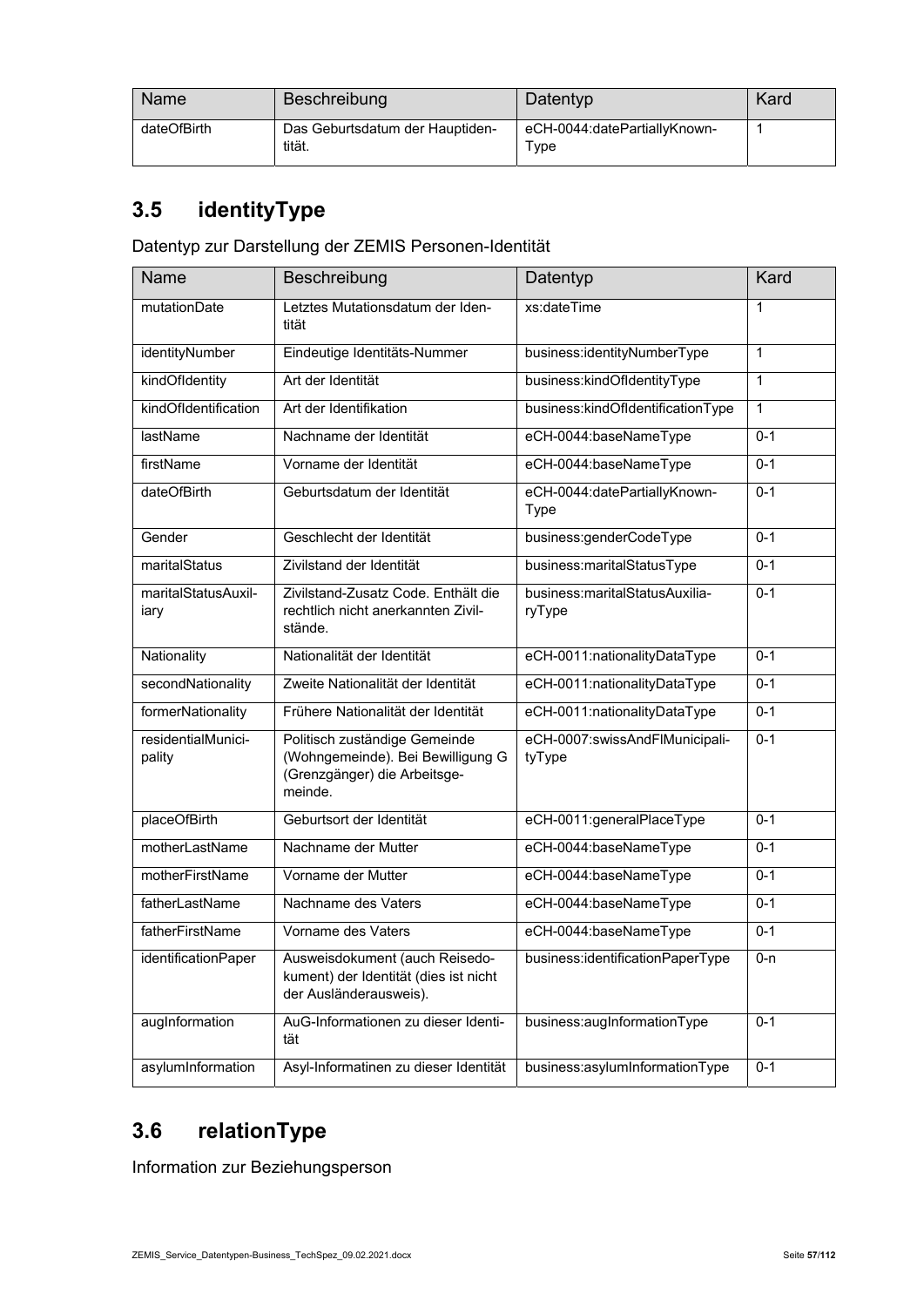| <b>Name</b> | Beschreibung                              | Datentyp                             | Kard |
|-------------|-------------------------------------------|--------------------------------------|------|
| dateOfBirth | Das Geburtsdatum der Hauptiden-<br>tität. | eCH-0044:datePartiallyKnown-<br>Type |      |

### **3.5 identityType**

Datentyp zur Darstellung der ZEMIS Personen-Identität

| <b>Name</b>                  | Beschreibung                                                                                                  | Datentyp                                    | Kard         |
|------------------------------|---------------------------------------------------------------------------------------------------------------|---------------------------------------------|--------------|
| mutationDate                 | Letztes Mutationsdatum der Iden-<br>tität                                                                     | xs:dateTime                                 | 1            |
| identityNumber               | Eindeutige Identitäts-Nummer                                                                                  | business:identityNumberType                 | $\mathbf{1}$ |
| kindOfldentity               | Art der Identität                                                                                             | business:kindOfldentityType                 | $\mathbf{1}$ |
| kindOfIdentification         | Art der Identifikation                                                                                        | business:kindOfldentificationType           | $\mathbf{1}$ |
| lastName                     | Nachname der Identität                                                                                        | eCH-0044:baseNameType                       | $0 - 1$      |
| firstName                    | Vorname der Identität                                                                                         | eCH-0044:baseNameType                       | $0 - 1$      |
| dateOfBirth                  | Geburtsdatum der Identität                                                                                    | eCH-0044:datePartiallyKnown-<br><b>Type</b> | $0 - 1$      |
| Gender                       | Geschlecht der Identität                                                                                      | business:genderCodeType                     | $0 - 1$      |
| maritalStatus                | Zivilstand der Identität                                                                                      | business:maritalStatusType                  | $0 - 1$      |
| maritalStatusAuxil-<br>iary  | Zivilstand-Zusatz Code. Enthält die<br>rechtlich nicht anerkannten Zivil-<br>stände.                          | business:maritalStatusAuxilia-<br>ryType    | $0 - 1$      |
| Nationality                  | Nationalität der Identität                                                                                    | eCH-0011:nationalityDataType                | $0 - 1$      |
| secondNationality            | Zweite Nationalität der Identität                                                                             | eCH-0011:nationalityDataType                | $0 - 1$      |
| formerNationality            | Frühere Nationalität der Identität                                                                            | eCH-0011:nationalityDataType                | $0 - 1$      |
| residentialMunici-<br>pality | Politisch zuständige Gemeinde<br>(Wohngemeinde). Bei Bewilligung G<br>(Grenzgänger) die Arbeitsge-<br>meinde. | eCH-0007:swissAndFlMunicipali-<br>tyType    | $0 - 1$      |
| placeOfBirth                 | Geburtsort der Identität                                                                                      | eCH-0011:generalPlaceType                   | $0 - 1$      |
| motherLastName               | Nachname der Mutter                                                                                           | eCH-0044:baseNameType                       | $0 - 1$      |
| motherFirstName              | Vorname der Mutter                                                                                            | eCH-0044:baseNameType                       | $0 - 1$      |
| fatherLastName               | Nachname des Vaters                                                                                           | eCH-0044:baseNameType                       | $0 - 1$      |
| fatherFirstName              | Vorname des Vaters                                                                                            | eCH-0044:baseNameType                       | $0 - 1$      |
| identificationPaper          | Ausweisdokument (auch Reisedo-<br>kument) der Identität (dies ist nicht<br>der Ausländerausweis).             | business:identificationPaperType            | $0 - n$      |
| augInformation               | AuG-Informationen zu dieser Identi-<br>tät                                                                    | business:augInformationType                 | $0 - 1$      |
| asylumInformation            | Asyl-Informatinen zu dieser Identität                                                                         | business:asylumInformationType              | $0 - 1$      |

### **3.6 relationType**

Information zur Beziehungsperson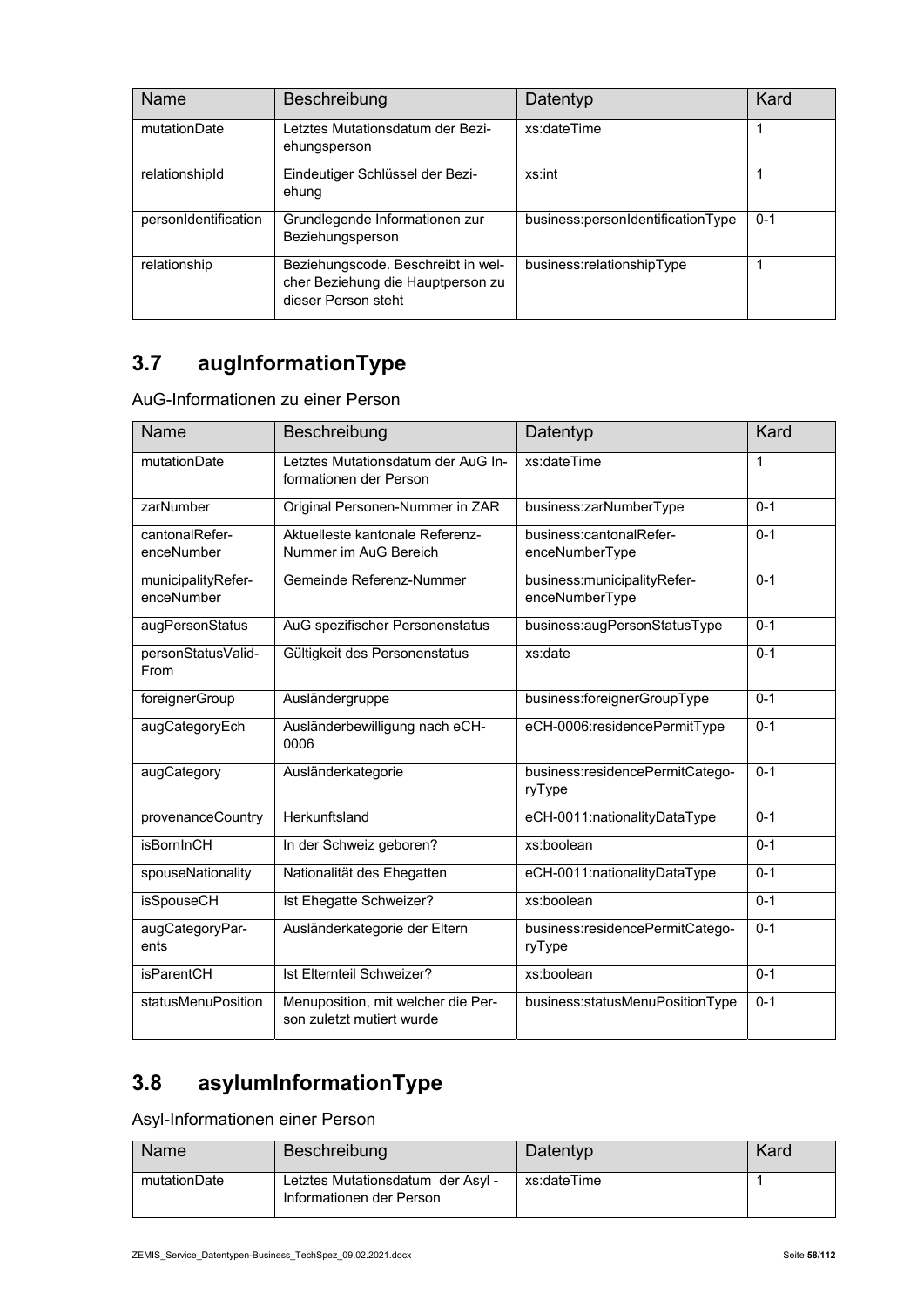| Name                 | <b>Beschreibung</b>                                                                            | Datentyp                          | Kard    |
|----------------------|------------------------------------------------------------------------------------------------|-----------------------------------|---------|
| mutationDate         | Letztes Mutationsdatum der Bezi-<br>ehungsperson                                               | xs:dateTime                       |         |
| relationshipId       | Eindeutiger Schlüssel der Bezi-<br>ehung                                                       | xs:int                            |         |
| personIdentification | Grundlegende Informationen zur<br>Beziehungsperson                                             | business:personIdentificationType | $0 - 1$ |
| relationship         | Beziehungscode. Beschreibt in wel-<br>cher Beziehung die Hauptperson zu<br>dieser Person steht | business:relationshipType         |         |

# **3.7 augInformationType**

| AuG-Informationen zu einer Person |  |
|-----------------------------------|--|
|-----------------------------------|--|

| <b>Name</b>                      | Beschreibung                                                    | Datentyp                                        | Kard    |
|----------------------------------|-----------------------------------------------------------------|-------------------------------------------------|---------|
| mutationDate                     | Letztes Mutationsdatum der AuG In-<br>formationen der Person    | xs:dateTime                                     | 1       |
| zarNumber                        | Original Personen-Nummer in ZAR                                 | business:zarNumberType                          | $0 - 1$ |
| cantonalRefer-<br>enceNumber     | Aktuelleste kantonale Referenz-<br>Nummer im AuG Bereich        | business:cantonalRefer-<br>enceNumberType       | $0 - 1$ |
| municipalityRefer-<br>enceNumber | Gemeinde Referenz-Nummer                                        | business: municipality Refer-<br>enceNumberType | $0 - 1$ |
| augPersonStatus                  | AuG spezifischer Personenstatus                                 | business:augPersonStatusType                    | $0 - 1$ |
| personStatusValid-<br>From       | Gültigkeit des Personenstatus                                   | xs:date                                         | $0 - 1$ |
| foreignerGroup                   | Ausländergruppe                                                 | business:foreignerGroupType                     | $0 - 1$ |
| augCategoryEch                   | Ausländerbewilligung nach eCH-<br>0006                          | eCH-0006:residencePermitType                    | $0 - 1$ |
| augCategory                      | Ausländerkategorie                                              | business:residencePermitCatego-<br>ryType       | $0 - 1$ |
| provenanceCountry                | Herkunftsland                                                   | eCH-0011:nationalityDataType                    | $0 - 1$ |
| <b>isBornInCH</b>                | In der Schweiz geboren?                                         | xs:boolean                                      | $0 - 1$ |
| spouseNationality                | Nationalität des Ehegatten                                      | eCH-0011:nationalityDataType                    | $0 - 1$ |
| <b>isSpouseCH</b>                | Ist Ehegatte Schweizer?                                         | xs:boolean                                      | $0 - 1$ |
| augCategoryPar-<br>ents          | Ausländerkategorie der Eltern                                   | business:residencePermitCatego-<br>ryType       | $0 - 1$ |
| <b>isParentCH</b>                | Ist Elternteil Schweizer?                                       | xs:boolean                                      | $0 - 1$ |
| statusMenuPosition               | Menuposition, mit welcher die Per-<br>son zuletzt mutiert wurde | business:statusMenuPositionType                 | $0 - 1$ |

# **3.8 asylumInformationType**

Asyl-Informationen einer Person

| Name         | Beschreibung                                                  | Datentyp    | Kard |
|--------------|---------------------------------------------------------------|-------------|------|
| mutationDate | Letztes Mutationsdatum der Asyl -<br>Informationen der Person | xs:dateTime |      |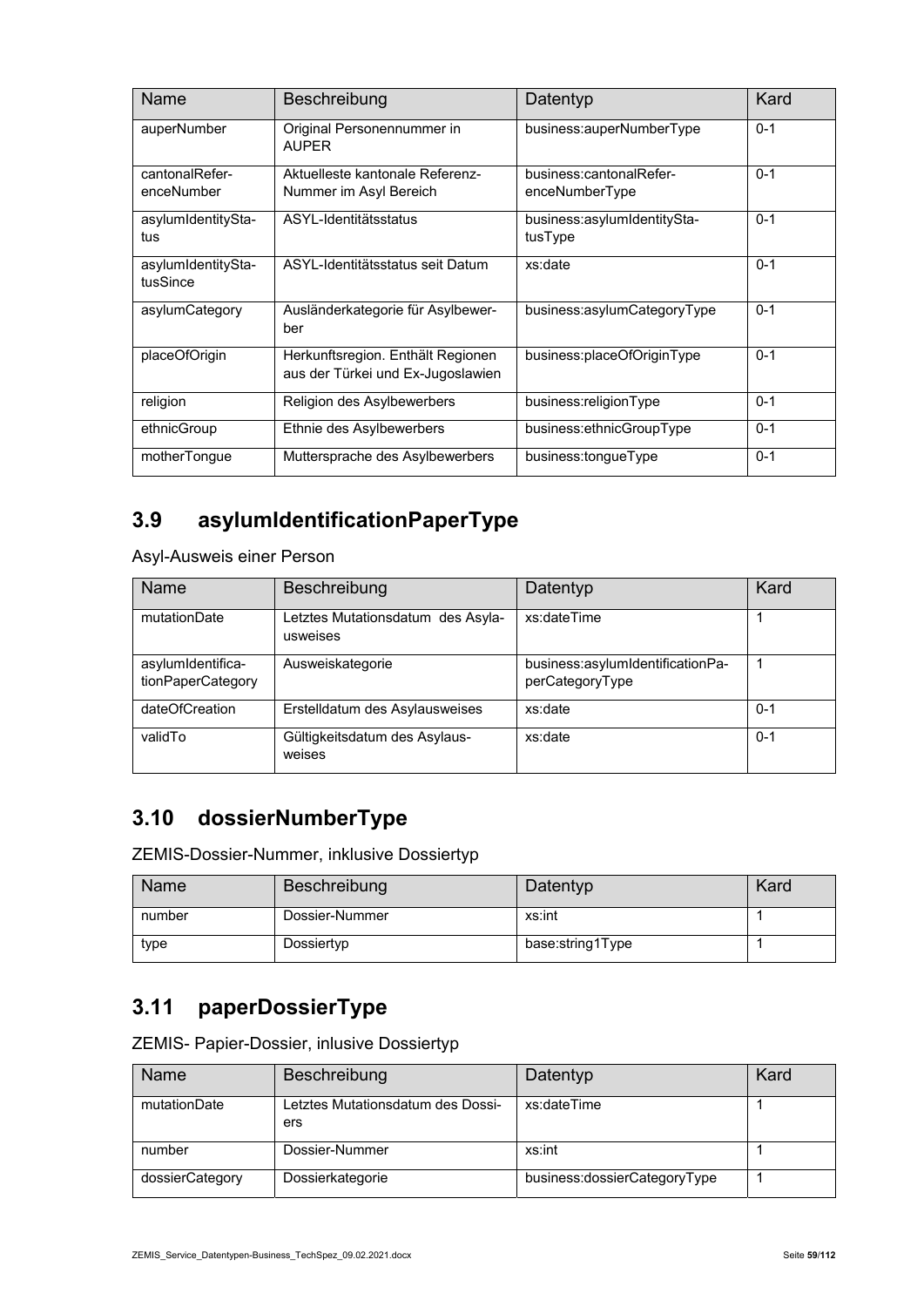| <b>Name</b>                    | Beschreibung                                                           | Datentyp                                  | Kard    |
|--------------------------------|------------------------------------------------------------------------|-------------------------------------------|---------|
| auperNumber                    | Original Personennummer in<br><b>AUPER</b>                             | business:auperNumberType                  | $0 - 1$ |
| cantonalRefer-<br>enceNumber   | Aktuelleste kantonale Referenz-<br>Nummer im Asyl Bereich              | business:cantonalRefer-<br>enceNumberType | $0 - 1$ |
| asylumIdentitySta-<br>tus      | ASYL-Identitätsstatus                                                  | business:asylumIdentitySta-<br>tusType    | $0 - 1$ |
| asylumIdentitySta-<br>tusSince | ASYL-Identitätsstatus seit Datum                                       | xs:date                                   | $0 - 1$ |
| asylumCategory                 | Ausländerkategorie für Asylbewer-<br>ber                               | business:asylumCategoryType               | $0 - 1$ |
| placeOfOrigin                  | Herkunftsregion. Enthält Regionen<br>aus der Türkei und Ex-Jugoslawien | business:placeOfOriginType                | $0 - 1$ |
| religion                       | Religion des Asylbewerbers                                             | business:religionType                     | $0 - 1$ |
| ethnicGroup                    | Ethnie des Asylbewerbers                                               | business:ethnicGroupType                  | $0 - 1$ |
| motherTongue                   | Muttersprache des Asylbewerbers                                        | business:tongueType                       | $0 - 1$ |

### **3.9 asylumIdentificationPaperType**

Asyl-Ausweis einer Person

| <b>Name</b>                            | Beschreibung                                  | Datentyp                                            | Kard    |
|----------------------------------------|-----------------------------------------------|-----------------------------------------------------|---------|
| mutationDate                           | Letztes Mutationsdatum des Asyla-<br>usweises | xs:dateTime                                         |         |
| asylumIdentifica-<br>tionPaperCategory | Ausweiskategorie                              | business:asylumIdentificationPa-<br>perCategoryType |         |
| dateOfCreation                         | Erstelldatum des Asylausweises                | xs:date                                             | $0 - 1$ |
| validTo                                | Gültigkeitsdatum des Asylaus-<br>weises       | xs:date                                             | $0 - 1$ |

### **3.10 dossierNumberType**

ZEMIS-Dossier-Nummer, inklusive Dossiertyp

| Name   | Beschreibung   | Datentyp         | Kard |
|--------|----------------|------------------|------|
| number | Dossier-Nummer | xs:int           |      |
| type   | Dossiertyp     | base:string1Type |      |

### **3.11 paperDossierType**

ZEMIS- Papier-Dossier, inlusive Dossiertyp

| Name            | Beschreibung                             | Datentyp                     | Kard |
|-----------------|------------------------------------------|------------------------------|------|
| mutationDate    | ∟etztes Mutationsdatum des Dossi-<br>ers | xs:dateTime                  |      |
| number          | Dossier-Nummer                           | xs:int                       |      |
| dossierCategory | Dossierkategorie                         | business:dossierCategoryType |      |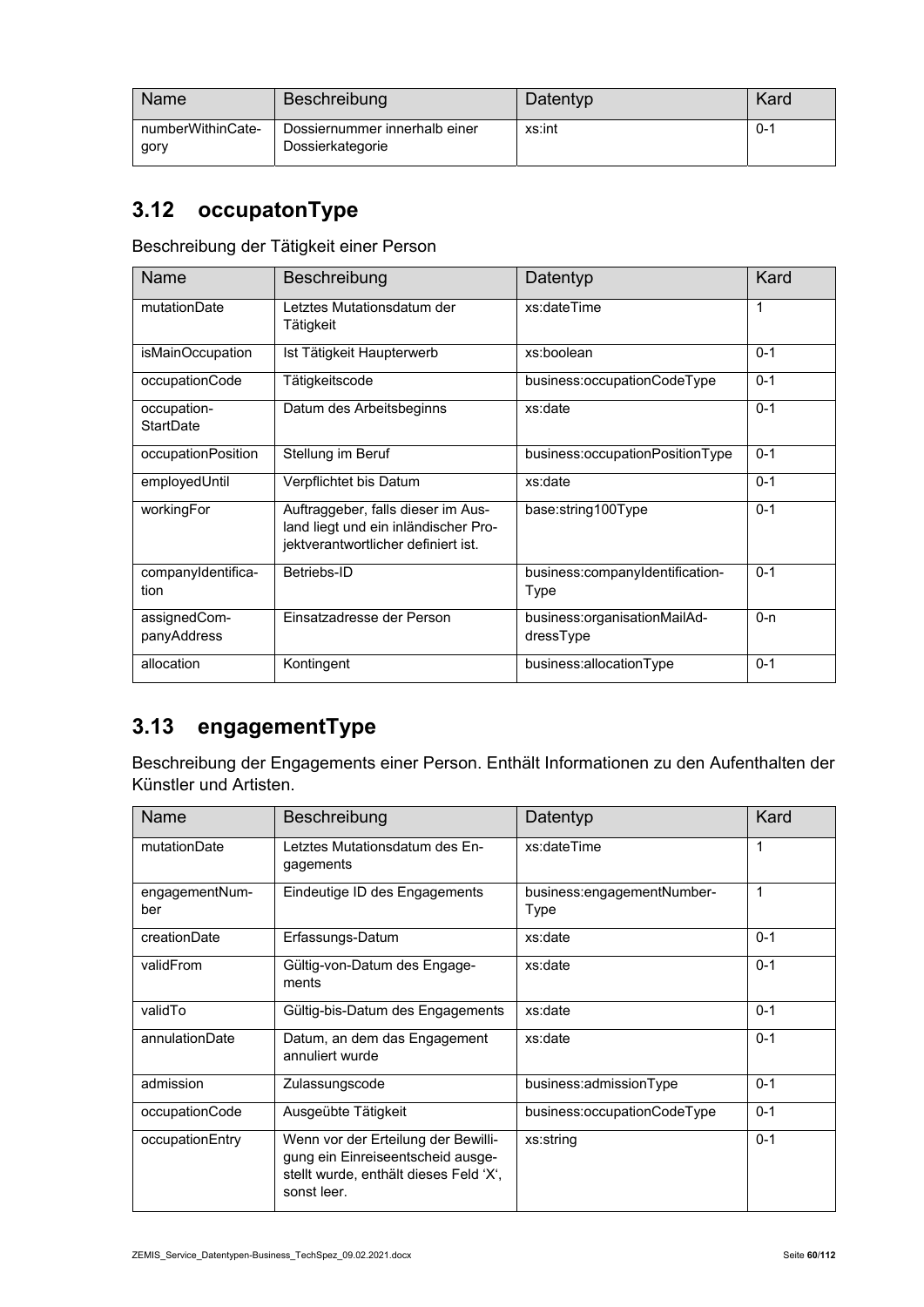| Name                      | Beschreibung                                      | Datentyp | Kard    |
|---------------------------|---------------------------------------------------|----------|---------|
| numberWithinCate-<br>gory | Dossiernummer innerhalb einer<br>Dossierkategorie | xs:int   | $0 - 1$ |

### **3.12 occupatonType**

Beschreibung der Tätigkeit einer Person

| <b>Name</b>                 | Beschreibung                                                                                                      | Datentyp                                  | Kard    |
|-----------------------------|-------------------------------------------------------------------------------------------------------------------|-------------------------------------------|---------|
| mutationDate                | Letztes Mutationsdatum der<br>Tätigkeit                                                                           | xs:dateTime                               | 1       |
| isMainOccupation            | Ist Tätigkeit Haupterwerb                                                                                         | xs:boolean                                | $0 - 1$ |
| occupationCode              | Tätigkeitscode                                                                                                    | business:occupationCodeType               | $0 - 1$ |
| occupation-<br>StartDate    | Datum des Arbeitsbeginns                                                                                          | xs:date                                   | $0 - 1$ |
| occupationPosition          | Stellung im Beruf                                                                                                 | business:occupationPositionType           | $0 - 1$ |
| employedUntil               | Verpflichtet bis Datum                                                                                            | xs:date                                   | $0 - 1$ |
| workingFor                  | Auftraggeber, falls dieser im Aus-<br>land liegt und ein inländischer Pro-<br>jektverantwortlicher definiert ist. | base:string100Type                        | $0 - 1$ |
| companyIdentifica-<br>tion  | Betriebs-ID                                                                                                       | business:companyIdentification-<br>Type   | $0 - 1$ |
| assignedCom-<br>panyAddress | Einsatzadresse der Person                                                                                         | business:organisationMailAd-<br>dressType | $0 - n$ |
| allocation                  | Kontingent                                                                                                        | business:allocationType                   | $0 - 1$ |

### **3.13 engagementType**

Beschreibung der Engagements einer Person. Enthält Informationen zu den Aufenthalten der Künstler und Artisten.

| <b>Name</b>           | Beschreibung                                                                                                                      | Datentyp                           | Kard    |
|-----------------------|-----------------------------------------------------------------------------------------------------------------------------------|------------------------------------|---------|
| mutationDate          | Letztes Mutationsdatum des En-<br>gagements                                                                                       | xs:dateTime                        | 1       |
| engagementNum-<br>ber | Eindeutige ID des Engagements                                                                                                     | business:engagementNumber-<br>Type | 1       |
| creationDate          | Erfassungs-Datum                                                                                                                  | xs:date                            | $0 - 1$ |
| validFrom             | Gültig-von-Datum des Engage-<br>ments                                                                                             | xs:date                            | $0 - 1$ |
| validTo               | Gültig-bis-Datum des Engagements                                                                                                  | xs:date                            | $0 - 1$ |
| annulationDate        | Datum, an dem das Engagement<br>annuliert wurde                                                                                   | xs:date                            | $0 - 1$ |
| admission             | Zulassungscode                                                                                                                    | business:admissionType             | $0 - 1$ |
| occupationCode        | Ausgeübte Tätigkeit                                                                                                               | business:occupationCodeType        | $0 - 1$ |
| occupationEntry       | Wenn vor der Erteilung der Bewilli-<br>gung ein Einreiseentscheid ausge-<br>stellt wurde, enthält dieses Feld 'X',<br>sonst leer. | xs:string                          | $0 - 1$ |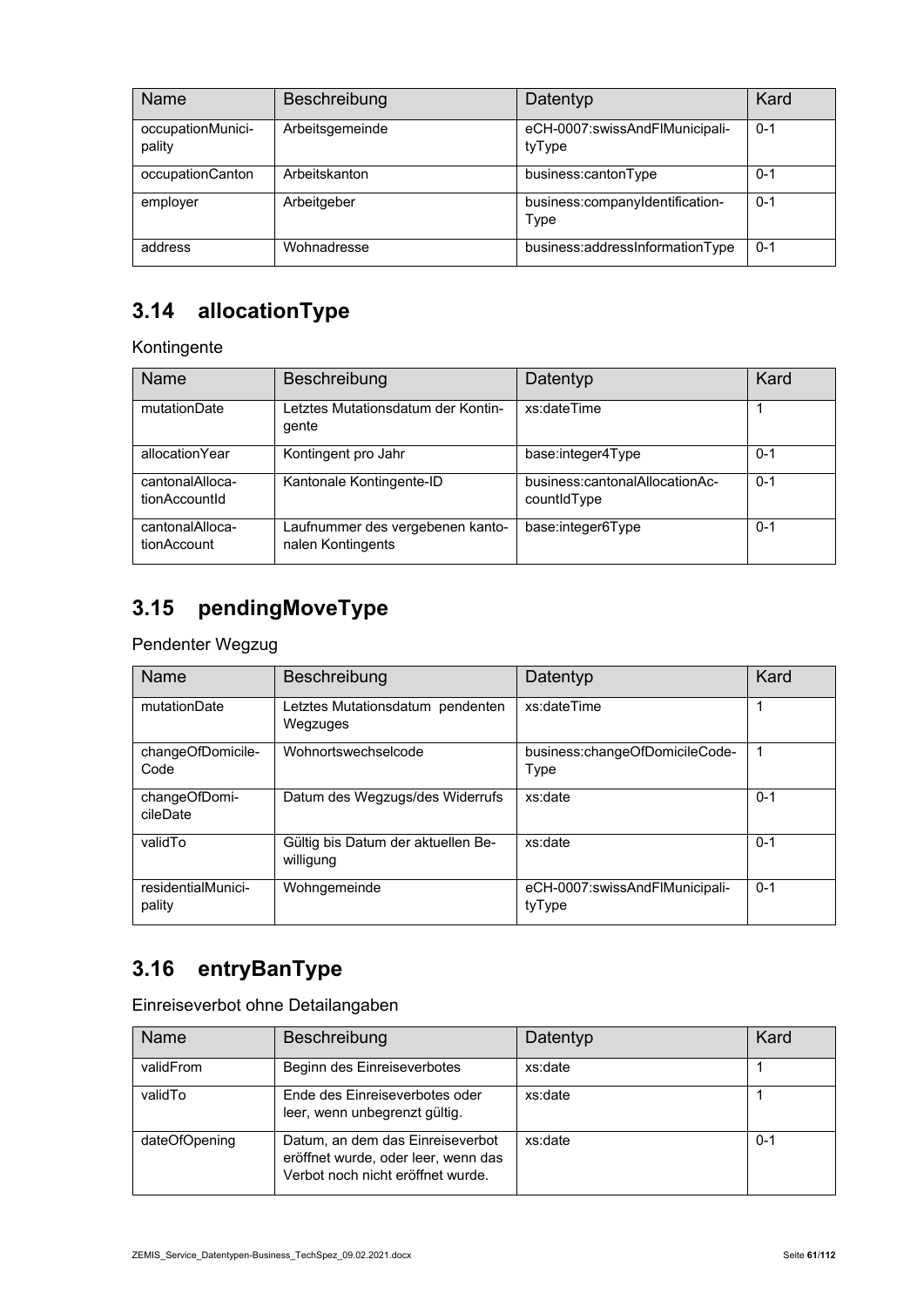| Name                        | Beschreibung    | Datentyp                                 | Kard    |
|-----------------------------|-----------------|------------------------------------------|---------|
| occupationMunici-<br>pality | Arbeitsgemeinde | eCH-0007:swissAndFlMunicipali-<br>tyType | $0 - 1$ |
| occupationCanton            | Arbeitskanton   | business:cantonType                      | $0 - 1$ |
| employer                    | Arbeitgeber     | business:companyIdentification-<br>Type  | $0 - 1$ |
| address                     | Wohnadresse     | business:addressInformationType          | $0 - 1$ |

### **3.14 allocationType**

Kontingente

| Name                             | Beschreibung                                          | Datentyp                                      | Kard    |
|----------------------------------|-------------------------------------------------------|-----------------------------------------------|---------|
| mutationDate                     | Letztes Mutationsdatum der Kontin-<br>gente           | xs:dateTime                                   |         |
| allocationYear                   | Kontingent pro Jahr                                   | base:integer4Type                             | $0 - 1$ |
| cantonalAlloca-<br>tionAccountId | Kantonale Kontingente-ID                              | business:cantonalAllocationAc-<br>countidType | $0 - 1$ |
| cantonalAlloca-<br>tionAccount   | Laufnummer des vergebenen kanto-<br>nalen Kontingents | base:integer6Type                             | $0 - 1$ |

### **3.15 pendingMoveType**

Pendenter Wegzug

| Name                         | Beschreibung                                    | Datentyp                                 | Kard    |
|------------------------------|-------------------------------------------------|------------------------------------------|---------|
| mutationDate                 | Letztes Mutationsdatum pendenten<br>Wegzuges    | xs:dateTime                              |         |
| changeOfDomicile-<br>Code    | Wohnortswechselcode                             | business:changeOfDomicileCode-<br>Type   |         |
| changeOfDomi-<br>cileDate    | Datum des Wegzugs/des Widerrufs                 | xs:date                                  | $0 - 1$ |
| validTo                      | Gültig bis Datum der aktuellen Be-<br>willigung | xs:date                                  | $0 - 1$ |
| residentialMunici-<br>pality | Wohngemeinde                                    | eCH-0007:swissAndFlMunicipali-<br>tyType | $0 - 1$ |

# **3.16 entryBanType**

Einreiseverbot ohne Detailangaben

| Name          | Beschreibung                                                                                                 | Datentyp | Kard    |
|---------------|--------------------------------------------------------------------------------------------------------------|----------|---------|
| validFrom     | Beginn des Einreiseverbotes                                                                                  | xs:date  |         |
| validTo       | Ende des Einreiseverbotes oder<br>leer, wenn unbegrenzt gültig.                                              | xs:date  |         |
| dateOfOpening | Datum, an dem das Einreiseverbot<br>eröffnet wurde, oder leer, wenn das<br>Verbot noch nicht eröffnet wurde. | xs:date  | $0 - 1$ |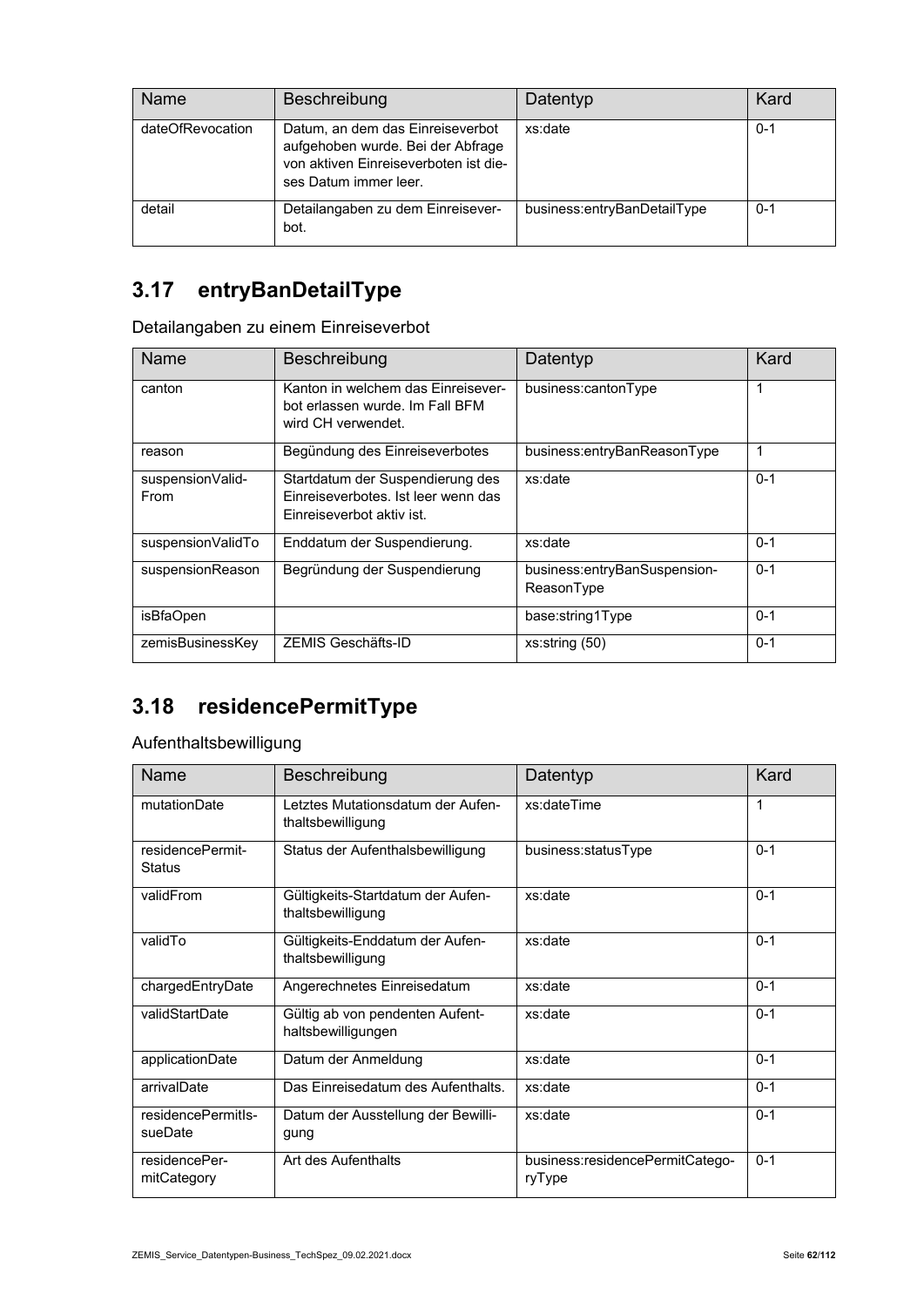| <b>Name</b>      | Beschreibung                                                                                                                            | Datentyp                    | Kard    |
|------------------|-----------------------------------------------------------------------------------------------------------------------------------------|-----------------------------|---------|
| dateOfRevocation | Datum, an dem das Einreiseverbot<br>aufgehoben wurde. Bei der Abfrage<br>von aktiven Einreiseverboten ist die-<br>ses Datum immer leer. | xs:date                     | $0 - 1$ |
| detail           | Detailangaben zu dem Einreisever-<br>bot.                                                                                               | business:entryBanDetailType | $0 - 1$ |

### **3.17 entryBanDetailType**

Detailangaben zu einem Einreiseverbot

| Name                     | <b>Beschreibung</b>                                                                                  | Datentyp                                   | Kard    |
|--------------------------|------------------------------------------------------------------------------------------------------|--------------------------------------------|---------|
| canton                   | Kanton in welchem das Einreisever-<br>bot erlassen wurde. Im Fall BFM<br>wird CH verwendet.          | business:cantonType                        | 1       |
| reason                   | Begündung des Einreiseverbotes                                                                       | business:entryBanReasonType                | 1       |
| suspensionValid-<br>From | Startdatum der Suspendierung des<br>Finreiseverbotes. Ist leer wenn das<br>Finreiseverbot aktiv ist. | xs:date                                    | $0 - 1$ |
| suspensionValidTo        | Enddatum der Suspendierung.                                                                          | xs:date                                    | $0 - 1$ |
| suspensionReason         | Begründung der Suspendierung                                                                         | business:entryBanSuspension-<br>ReasonType | $0 - 1$ |
| isBfaOpen                |                                                                                                      | base:string1Type                           | $0 - 1$ |
| zemisBusinessKey         | ZEMIS Geschäfts-ID                                                                                   | xs:string(50)                              | $0 - 1$ |

### **3.18 residencePermitType**

#### Aufenthaltsbewilligung

| <b>Name</b>                       | Beschreibung                                           | Datentyp                                  | Kard    |
|-----------------------------------|--------------------------------------------------------|-------------------------------------------|---------|
| mutationDate                      | Letztes Mutationsdatum der Aufen-<br>thaltsbewilligung | xs:dateTime                               | 1       |
| residencePermit-<br><b>Status</b> | Status der Aufenthalsbewilligung                       | business:statusType                       | $0 - 1$ |
| validFrom                         | Gültigkeits-Startdatum der Aufen-<br>thaltsbewilligung | xs:date                                   | $0 - 1$ |
| validTo                           | Gültigkeits-Enddatum der Aufen-<br>thaltsbewilligung   | xs:date                                   | $0 - 1$ |
| chargedEntryDate                  | Angerechnetes Einreisedatum                            | xs:date                                   | $0 - 1$ |
| validStartDate                    | Gültig ab von pendenten Aufent-<br>haltsbewilligungen  | xs:date                                   | $0 - 1$ |
| applicationDate                   | Datum der Anmeldung                                    | xs:date                                   | $0 - 1$ |
| arrivalDate                       | Das Einreisedatum des Aufenthalts.                     | xs:date                                   | $0 - 1$ |
| residencePermitIs-<br>sueDate     | Datum der Ausstellung der Bewilli-<br>gung             | xs:date                                   | $0 - 1$ |
| residencePer-<br>mitCategory      | Art des Aufenthalts                                    | business:residencePermitCatego-<br>ryType | $0 - 1$ |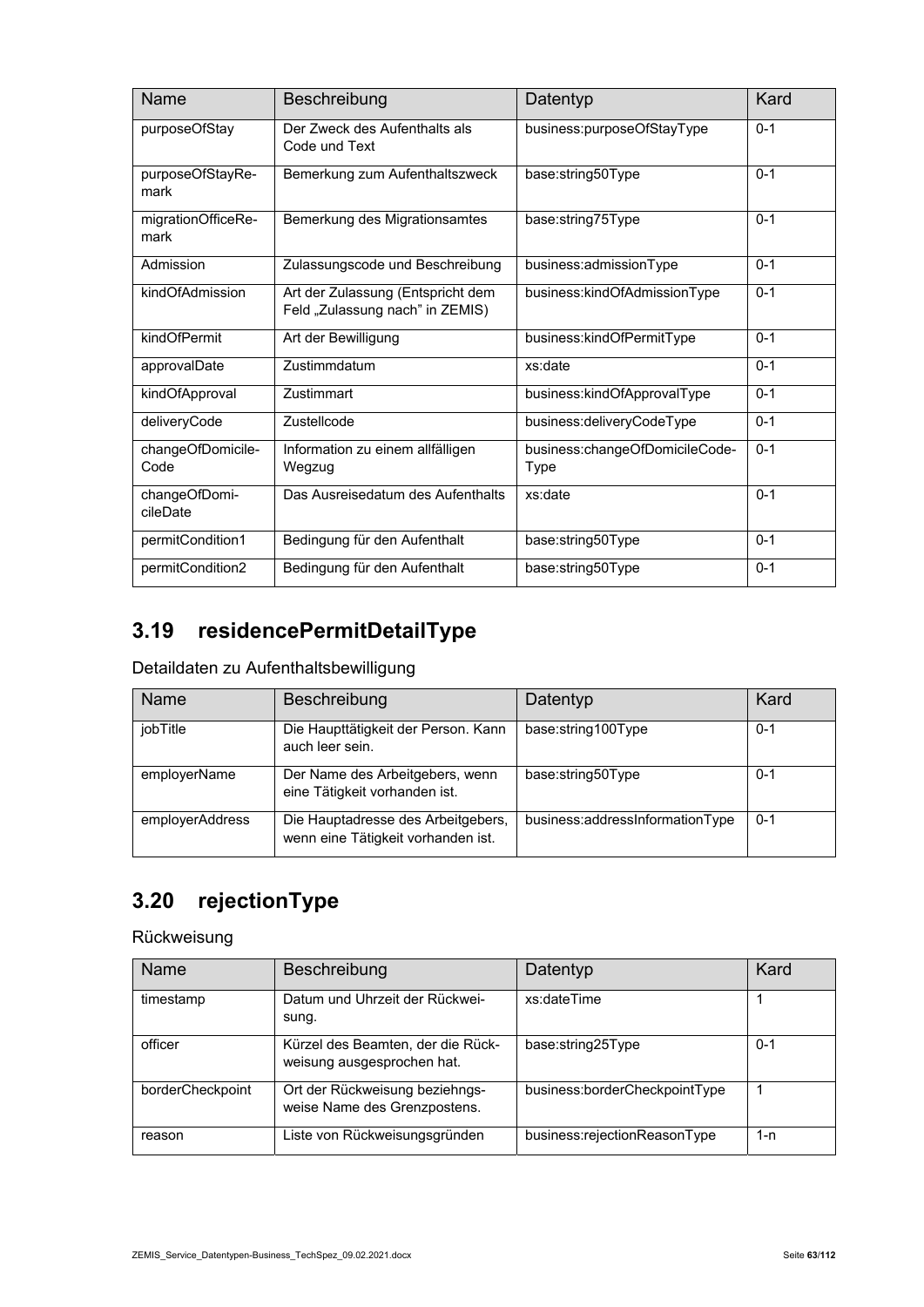| Name                       | Beschreibung                                                         | Datentyp                               | Kard    |
|----------------------------|----------------------------------------------------------------------|----------------------------------------|---------|
| purposeOfStay              | Der Zweck des Aufenthalts als<br>Code und Text                       | business:purposeOfStayType             | $0 - 1$ |
| purposeOfStayRe-<br>mark   | Bemerkung zum Aufenthaltszweck                                       | base:string50Type                      | $0 - 1$ |
| migrationOfficeRe-<br>mark | Bemerkung des Migrationsamtes                                        | base:string75Type                      | $0 - 1$ |
| Admission                  | Zulassungscode und Beschreibung                                      | business:admissionType                 | $0 - 1$ |
| kindOfAdmission            | Art der Zulassung (Entspricht dem<br>Feld "Zulassung nach" in ZEMIS) | business:kindOfAdmissionType           | $0 - 1$ |
| kindOfPermit               | Art der Bewilligung                                                  | business:kindOfPermitType              | $0 - 1$ |
| approvalDate               | Zustimmdatum                                                         | xs:date                                | $0 - 1$ |
| kindOfApproval             | Zustimmart                                                           | business:kindOfApprovalType            | $0 - 1$ |
| deliveryCode               | Zustellcode                                                          | business:deliveryCodeType              | $0 - 1$ |
| changeOfDomicile-<br>Code  | Information zu einem allfälligen<br>Wegzug                           | business:changeOfDomicileCode-<br>Type | $0 - 1$ |
| changeOfDomi-<br>cileDate  | Das Ausreisedatum des Aufenthalts                                    | xs:date                                | $0 - 1$ |
| permitCondition1           | Bedingung für den Aufenthalt                                         | base:string50Type                      | $0 - 1$ |
| permitCondition2           | Bedingung für den Aufenthalt                                         | base:string50Type                      | $0 - 1$ |

# **3.19 residencePermitDetailType**

#### Detaildaten zu Aufenthaltsbewilligung

| <b>Name</b>     | Beschreibung                                                             | Datentyp                        | Kard    |
|-----------------|--------------------------------------------------------------------------|---------------------------------|---------|
| jobTitle        | Die Haupttätigkeit der Person. Kann<br>auch leer sein.                   | base:string100Type              | $0 - 1$ |
| employerName    | Der Name des Arbeitgebers, wenn<br>eine Tätigkeit vorhanden ist.         | base:string50Type               | $0 - 1$ |
| employerAddress | Die Hauptadresse des Arbeitgebers,<br>wenn eine Tätigkeit vorhanden ist. | business:addressInformationType | $0 - 1$ |

# **3.20 rejectionType**

#### Rückweisung

| <b>Name</b>      | <b>Beschreibung</b>                                             | Datentyp                      | Kard |
|------------------|-----------------------------------------------------------------|-------------------------------|------|
| timestamp        | Datum und Uhrzeit der Rückwei-<br>sung.                         | xs:dateTime                   |      |
| officer          | Kürzel des Beamten, der die Rück-<br>weisung ausgesprochen hat. | base:string25Type             | 0-1  |
| borderCheckpoint | Ort der Rückweisung beziehngs-<br>weise Name des Grenzpostens.  | business:borderCheckpointType |      |
| reason           | Liste von Rückweisungsgründen                                   | business:rejectionReasonType  | 1-n  |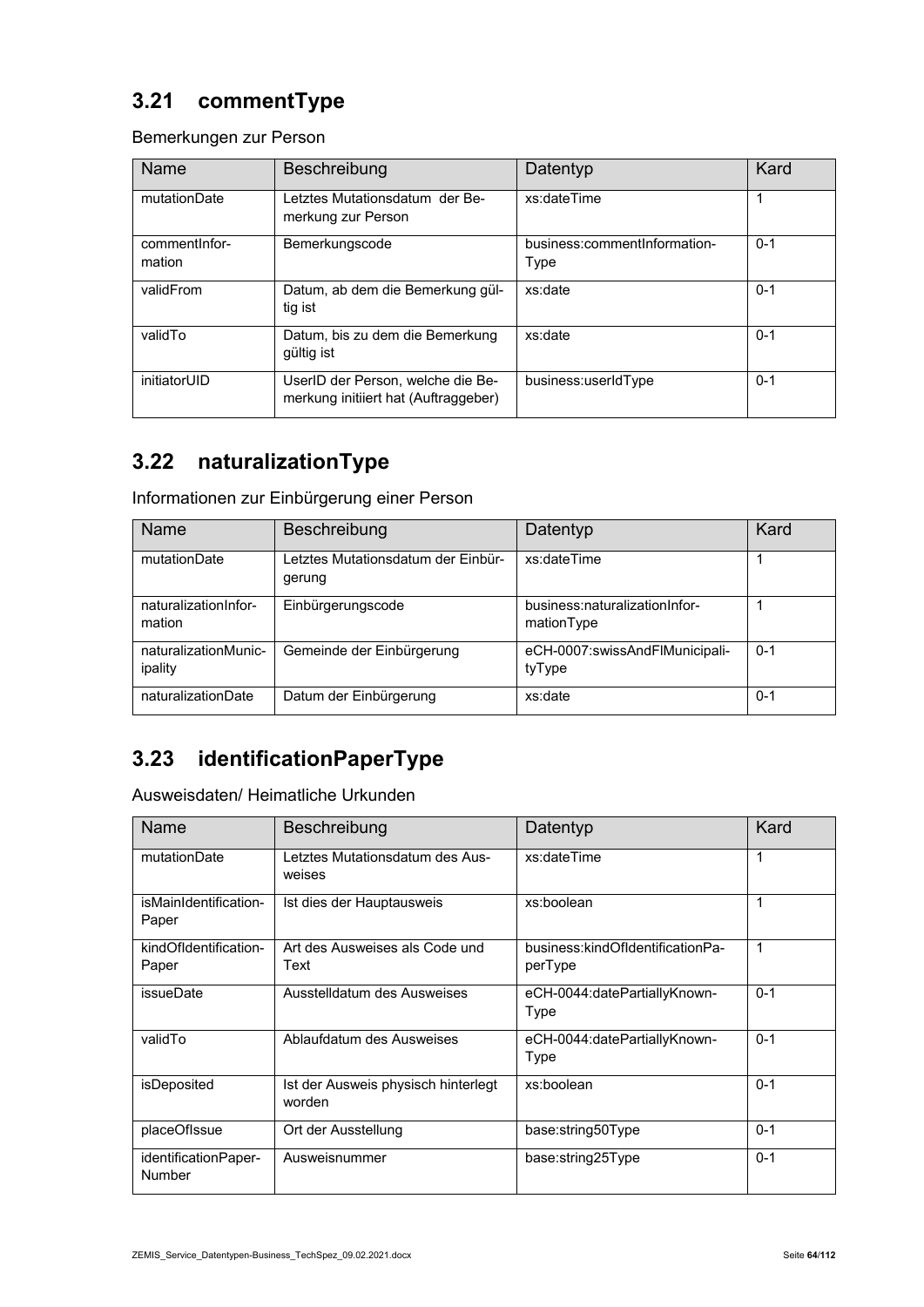### **3.21 commentType**

Bemerkungen zur Person

| Name                     | Beschreibung                                                              | Datentyp                             | Kard    |
|--------------------------|---------------------------------------------------------------------------|--------------------------------------|---------|
| mutationDate             | Letztes Mutationsdatum der Be-<br>merkung zur Person                      | xs:dateTime                          | 1       |
| comment Infor-<br>mation | Bemerkungscode                                                            | business:commentInformation-<br>Type | $0 - 1$ |
| validFrom                | Datum, ab dem die Bemerkung gül-<br>tig ist                               | xs:date                              | $0 - 1$ |
| validTo                  | Datum, bis zu dem die Bemerkung<br>gültig ist                             | xs:date                              | $0 - 1$ |
| initiatorUID             | UserID der Person, welche die Be-<br>merkung initiiert hat (Auftraggeber) | business:userIdType                  | $0 - 1$ |

### **3.22 naturalizationType**

Informationen zur Einbürgerung einer Person

| Name                            | Beschreibung                                 | Datentyp                                    | Kard    |
|---------------------------------|----------------------------------------------|---------------------------------------------|---------|
| mutationDate                    | Letztes Mutationsdatum der Einbür-<br>gerung | xs:dateTime                                 |         |
| naturalizationInfor-<br>mation  | Einbürgerungscode                            | business:naturalizationInfor-<br>mationType |         |
| naturalizationMunic-<br>ipality | Gemeinde der Einbürgerung                    | eCH-0007:swissAndFlMunicipali-<br>tyType    | $0 - 1$ |
| naturalizationDate              | Datum der Einbürgerung                       | xs:date                                     | $0 - 1$ |

### **3.23 identificationPaperType**

Ausweisdaten/ Heimatliche Urkunden

| <b>Name</b>                    | Beschreibung                                  | Datentyp                                    | Kard    |
|--------------------------------|-----------------------------------------------|---------------------------------------------|---------|
| mutationDate                   | Letztes Mutationsdatum des Aus-<br>weises     | xs:dateTime                                 | 1       |
| isMainIdentification-<br>Paper | Ist dies der Hauptausweis                     | xs:boolean                                  | 1       |
| kindOfIdentification-<br>Paper | Art des Ausweises als Code und<br>Text        | business:kindOfIdentificationPa-<br>perType | 1       |
| issueDate                      | Ausstelldatum des Ausweises                   | eCH-0044:datePartiallyKnown-<br>Type        | $0 - 1$ |
| validTo                        | Ablaufdatum des Ausweises                     | eCH-0044:datePartiallyKnown-<br>Type        | $0 - 1$ |
| isDeposited                    | Ist der Ausweis physisch hinterlegt<br>worden | xs:boolean                                  | $0 - 1$ |
| placeOfIssue                   | Ort der Ausstellung                           | base:string50Type                           | $0 - 1$ |
| identificationPaper-<br>Number | Ausweisnummer                                 | base:string25Type                           | $0 - 1$ |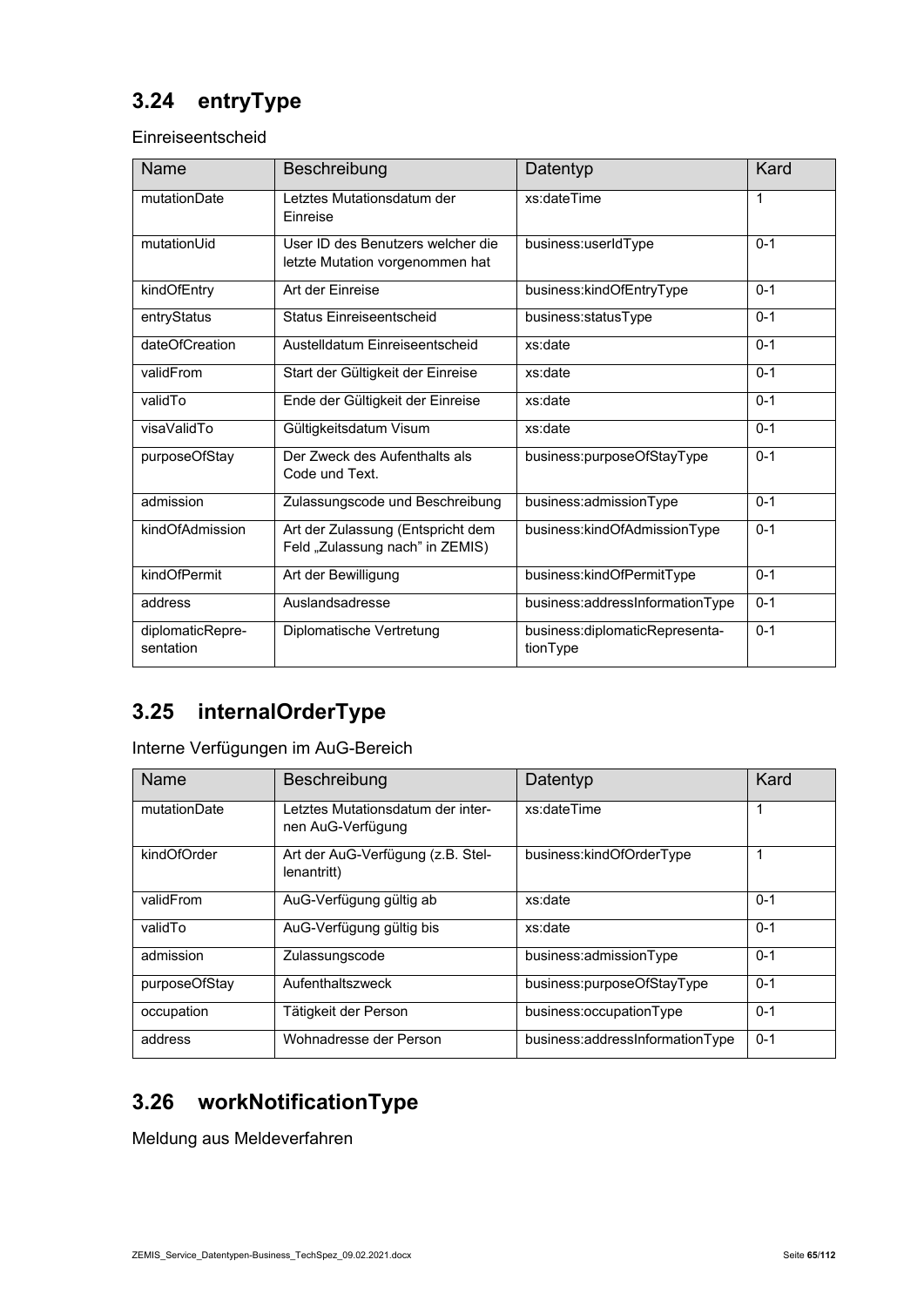### **3.24 entryType**

Einreiseentscheid

| Name                          | Beschreibung                                                         | Datentyp                                   | Kard    |
|-------------------------------|----------------------------------------------------------------------|--------------------------------------------|---------|
| mutationDate                  | Letztes Mutationsdatum der<br>Einreise                               | xs:dateTime                                | 1       |
| mutationUid                   | User ID des Benutzers welcher die<br>letzte Mutation vorgenommen hat | business:userIdType                        | $0 - 1$ |
| kindOfEntry                   | Art der Einreise                                                     | business:kindOfEntryType                   | $0 - 1$ |
| entryStatus                   | Status Finreiseentscheid                                             | business:statusType                        | $0 - 1$ |
| dateOfCreation                | Austelldatum Einreiseentscheid                                       | xs:date                                    | $0 - 1$ |
| validFrom                     | Start der Gültigkeit der Einreise                                    | xs:date                                    | $0 - 1$ |
| validTo                       | Ende der Gültigkeit der Einreise                                     | xs:date                                    | $0 - 1$ |
| visaValidTo                   | Gültigkeitsdatum Visum                                               | xs:date                                    | $0 - 1$ |
| purposeOfStay                 | Der Zweck des Aufenthalts als<br>Code und Text.                      | business:purposeOfStayType                 | $0 - 1$ |
| admission                     | Zulassungscode und Beschreibung                                      | business:admissionType                     | $0 - 1$ |
| kindOfAdmission               | Art der Zulassung (Entspricht dem<br>Feld "Zulassung nach" in ZEMIS) | business:kindOfAdmissionType               | $0 - 1$ |
| kindOfPermit                  | Art der Bewilligung                                                  | business:kindOfPermitType                  | $0 - 1$ |
| address                       | Auslandsadresse                                                      | business:addressInformationType            | $0 - 1$ |
| diplomaticRepre-<br>sentation | Diplomatische Vertretung                                             | business:diplomaticRepresenta-<br>tionType | $0 - 1$ |

### **3.25 internalOrderType**

Interne Verfügungen im AuG-Bereich

| Name          | Beschreibung                                           | Datentyp                        | Kard    |
|---------------|--------------------------------------------------------|---------------------------------|---------|
| mutationDate  | Letztes Mutationsdatum der inter-<br>nen AuG-Verfügung | xs:dateTime                     | 1       |
| kindOfOrder   | Art der AuG-Verfügung (z.B. Stel-<br>lenantritt)       | business:kindOfOrderType        | 1       |
| validFrom     | AuG-Verfügung gültig ab                                | xs:date                         | $0 - 1$ |
| validTo       | AuG-Verfügung gültig bis                               | xs:date                         | $0 - 1$ |
| admission     | Zulassungscode                                         | business:admissionType          | $0 - 1$ |
| purposeOfStay | Aufenthaltszweck                                       | business:purposeOfStayType      | $0 - 1$ |
| occupation    | Tätigkeit der Person                                   | business:occupationType         | $0 - 1$ |
| address       | Wohnadresse der Person                                 | business:addressInformationType | $0 - 1$ |

### **3.26 workNotificationType**

Meldung aus Meldeverfahren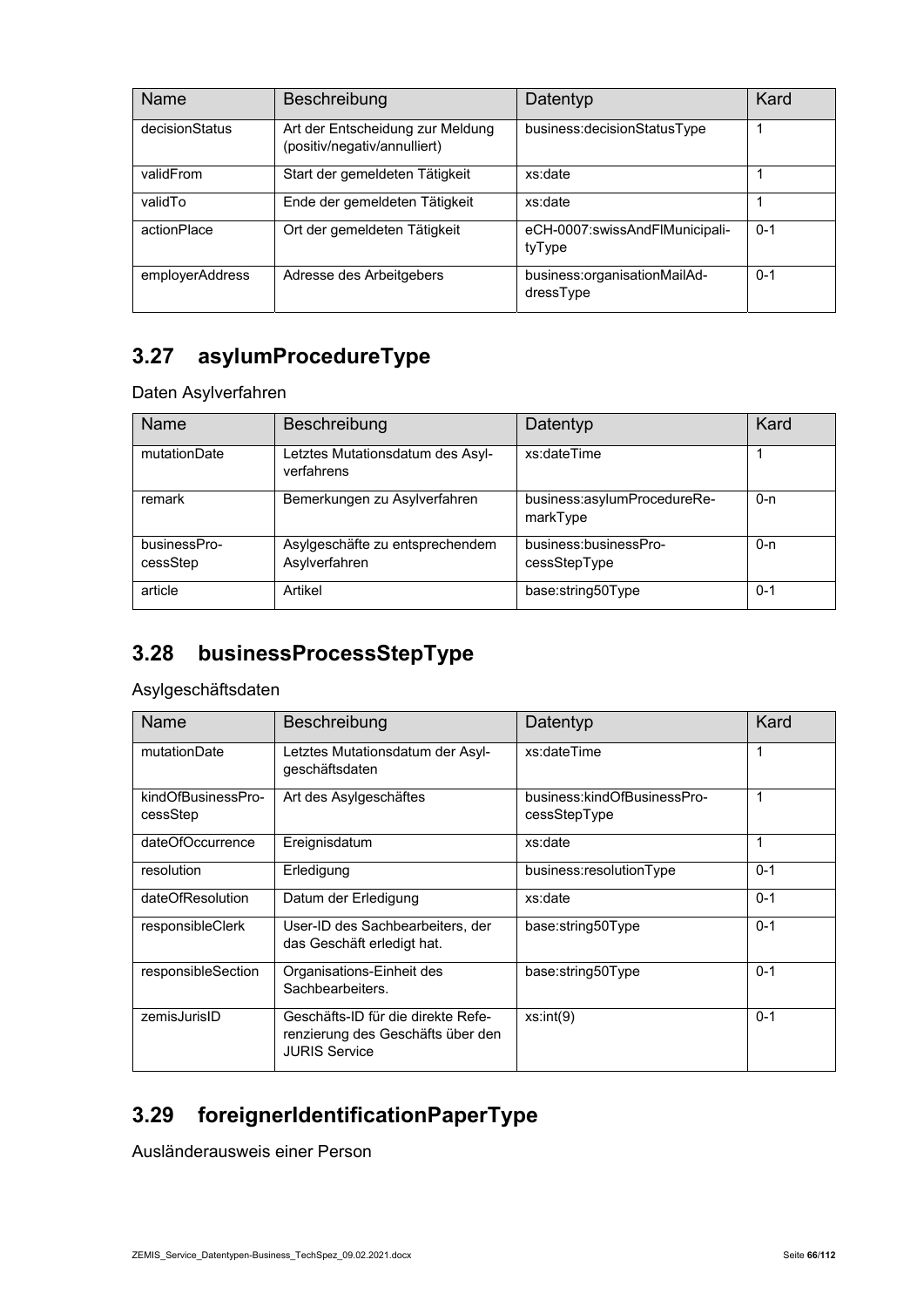| Name            | Beschreibung                                                     | Datentyp                                  | Kard    |
|-----------------|------------------------------------------------------------------|-------------------------------------------|---------|
| decisionStatus  | Art der Entscheidung zur Meldung<br>(positiv/negativ/annulliert) | business: decision Status Type            |         |
| validFrom       | Start der gemeldeten Tätigkeit                                   | xs:date                                   |         |
| validTo         | Ende der gemeldeten Tätigkeit                                    | xs:date                                   |         |
| actionPlace     | Ort der gemeldeten Tätigkeit                                     | eCH-0007:swissAndFlMunicipali-<br>tyType  | $0 - 1$ |
| employerAddress | Adresse des Arbeitgebers                                         | business:organisationMailAd-<br>dressType | $0 - 1$ |

### **3.27 asylumProcedureType**

Daten Asylverfahren

| <b>Name</b>              | Beschreibung                                     | Datentyp                                | Kard    |
|--------------------------|--------------------------------------------------|-----------------------------------------|---------|
| mutationDate             | Letztes Mutationsdatum des Asyl-<br>verfahrens   | xs:dateTime                             |         |
| remark                   | Bemerkungen zu Asylverfahren                     | business:asylumProcedureRe-<br>markType | $0 - n$ |
| businessPro-<br>cessStep | Asylgeschäfte zu entsprechendem<br>Asylverfahren | business:businessPro-<br>cessStepType   | $0 - n$ |
| article                  | Artikel                                          | base:string50Type                       | $0 - 1$ |

### **3.28 businessProcessStepType**

Asylgeschäftsdaten

| Name                           | Beschreibung                                                                                    | Datentyp                                    | Kard    |
|--------------------------------|-------------------------------------------------------------------------------------------------|---------------------------------------------|---------|
| mutationDate                   | Letztes Mutationsdatum der Asyl-<br>geschäftsdaten                                              | xs:dateTime                                 | 1       |
| kindOfBusinessPro-<br>cessStep | Art des Asylgeschäftes                                                                          | business:kindOfBusinessPro-<br>cessStepType | 1       |
| dateOfOccurrence               | Ereignisdatum                                                                                   | xs:date                                     | 1       |
| resolution                     | Erledigung                                                                                      | business:resolutionType                     | $0 - 1$ |
| dateOfResolution               | Datum der Erledigung                                                                            | xs:date                                     | $0 - 1$ |
| responsibleClerk               | User-ID des Sachbearbeiters, der<br>das Geschäft erledigt hat.                                  | base:string50Type                           | $0 - 1$ |
| responsibleSection             | Organisations-Einheit des<br>Sachbearbeiters.                                                   | base:string50Type                           | $0 - 1$ |
| zemisJurisID                   | Geschäfts-ID für die direkte Refe-<br>renzierung des Geschäfts über den<br><b>JURIS Service</b> | xs:int(9)                                   | $0 - 1$ |

### **3.29 foreignerIdentificationPaperType**

Ausländerausweis einer Person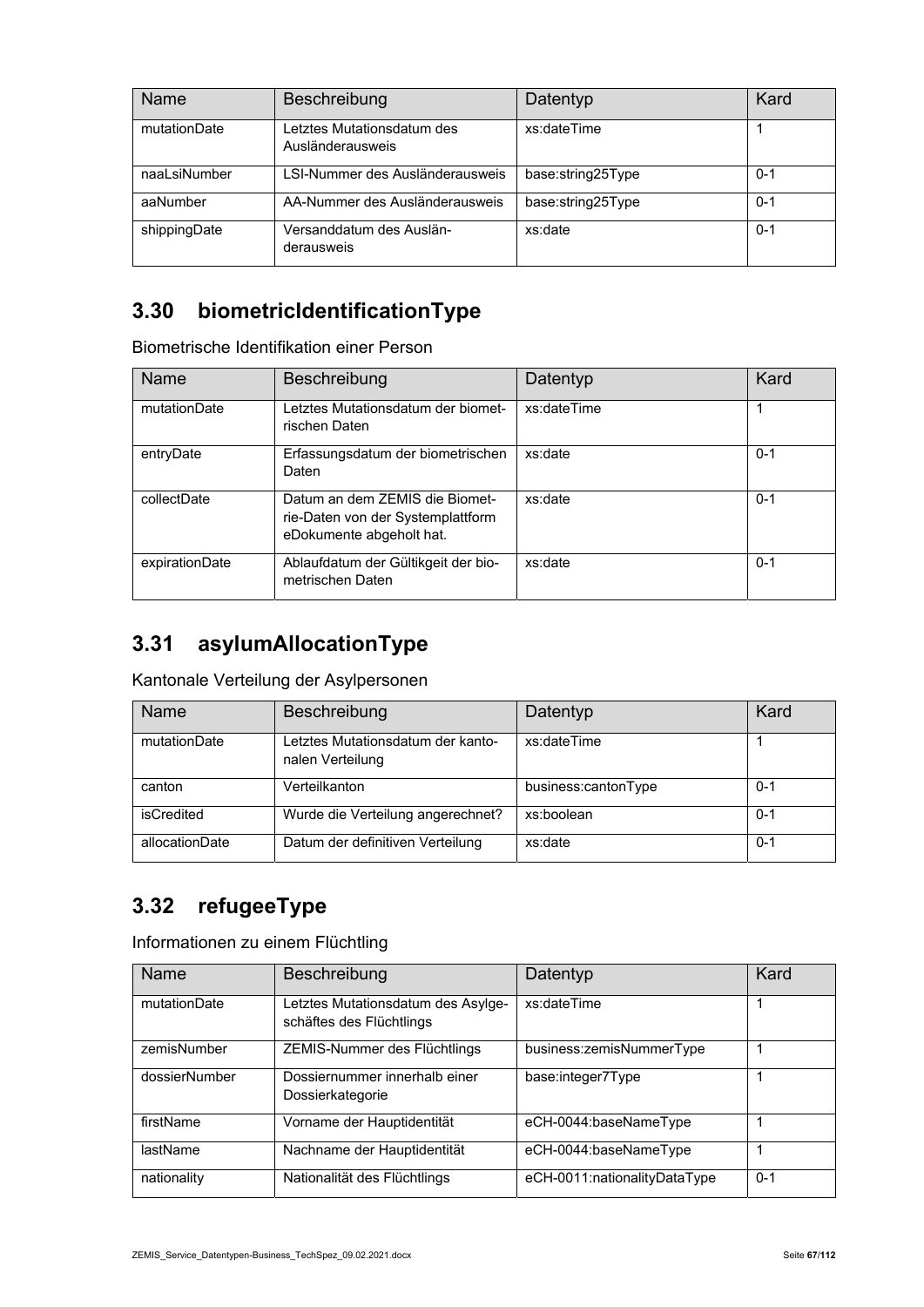| Name         | Beschreibung                                   | Datentyp          | Kard    |
|--------------|------------------------------------------------|-------------------|---------|
| mutationDate | Letztes Mutationsdatum des<br>Ausländerausweis | xs:dateTime       |         |
| naaLsiNumber | LSI-Nummer des Ausländerausweis                | base:string25Type | $0 - 1$ |
| aaNumber     | AA-Nummer des Ausländerausweis                 | base:string25Type | $0 - 1$ |
| shippingDate | Versanddatum des Auslän-<br>derausweis         | xs:date           | $0 - 1$ |

### **3.30 biometricIdentificationType**

Biometrische Identifikation einer Person

| Name           | Beschreibung                                                                                    | Datentyp    | Kard    |
|----------------|-------------------------------------------------------------------------------------------------|-------------|---------|
| mutationDate   | Letztes Mutationsdatum der biomet-<br>rischen Daten                                             | xs:dateTime |         |
| entryDate      | Erfassungsdatum der biometrischen<br>Daten                                                      | xs:date     | $0 - 1$ |
| collectDate    | Datum an dem ZEMIS die Biomet-<br>rie-Daten von der Systemplattform<br>eDokumente abgeholt hat. | xs:date     | $0 - 1$ |
| expirationDate | Ablaufdatum der Gültikgeit der bio-<br>metrischen Daten                                         | xs:date     | $0 - 1$ |

### **3.31 asylumAllocationType**

Kantonale Verteilung der Asylpersonen

| Name           | Beschreibung                                          | Datentyp            | Kard    |
|----------------|-------------------------------------------------------|---------------------|---------|
| mutationDate   | Letztes Mutationsdatum der kanto-<br>nalen Verteilung | xs:dateTime         |         |
| canton         | Verteilkanton                                         | business:cantonType | $0 - 1$ |
| isCredited     | Wurde die Verteilung angerechnet?                     | xs:boolean          | $0 - 1$ |
| allocationDate | Datum der definitiven Verteilung                      | xs:date             | $0 - 1$ |

#### **3.32 refugeeType**

Informationen zu einem Flüchtling

| <b>Name</b>   | Beschreibung                                                   | Datentyp                     | Kard    |
|---------------|----------------------------------------------------------------|------------------------------|---------|
| mutationDate  | Letztes Mutationsdatum des Asylge-<br>schäftes des Flüchtlings | xs:dateTime                  |         |
| zemisNumber   | ZEMIS-Nummer des Flüchtlings                                   | business:zemisNummerType     |         |
| dossierNumber | Dossiernummer innerhalb einer<br>Dossierkategorie              | base:integer7Type            |         |
| firstName     | Vorname der Hauptidentität                                     | eCH-0044:baseNameType        |         |
| lastName      | Nachname der Hauptidentität                                    | eCH-0044:baseNameType        |         |
| nationality   | Nationalität des Flüchtlings                                   | eCH-0011:nationalityDataType | $0 - 1$ |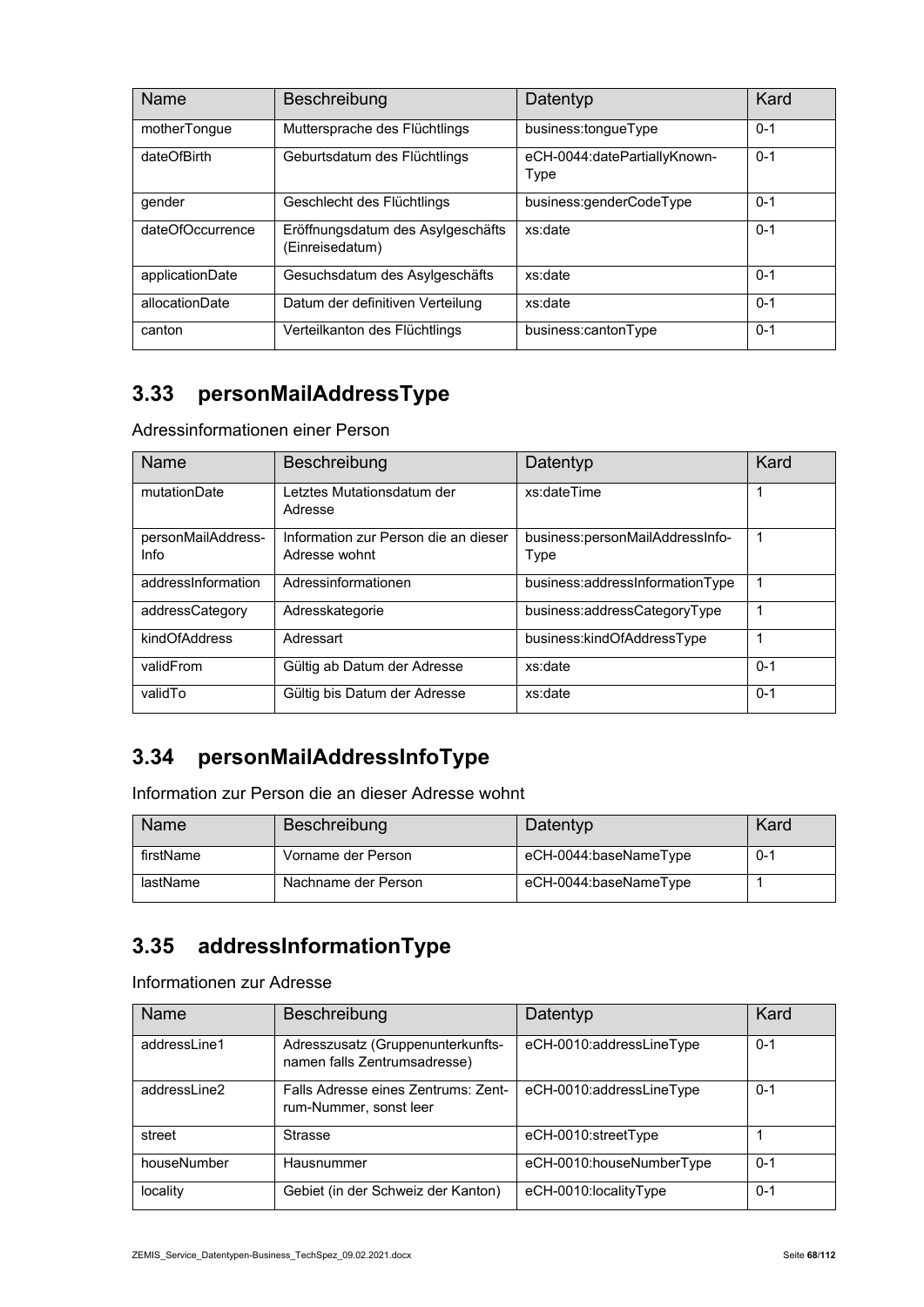| Name             | Beschreibung                                         | Datentyp                             | Kard    |
|------------------|------------------------------------------------------|--------------------------------------|---------|
| motherTongue     | Muttersprache des Flüchtlings                        | business:tonqueType                  | $0 - 1$ |
| dateOfBirth      | Geburtsdatum des Flüchtlings                         | eCH-0044:datePartiallyKnown-<br>Type | $0 - 1$ |
| gender           | Geschlecht des Flüchtlings                           | business:genderCodeType              | $0 - 1$ |
| dateOfOccurrence | Eröffnungsdatum des Asylgeschäfts<br>(Einreisedatum) | xs:date                              | $0 - 1$ |
| applicationDate  | Gesuchsdatum des Asylgeschäfts                       | xs:date                              | $0 - 1$ |
| allocationDate   | Datum der definitiven Verteilung                     | xs:date                              | $0 - 1$ |
| canton           | Verteilkanton des Flüchtlings                        | business:cantonType                  | $0 - 1$ |

### **3.33 personMailAddressType**

Adressinformationen einer Person

| Name                       | Beschreibung                                          | Datentyp                                | Kard    |  |
|----------------------------|-------------------------------------------------------|-----------------------------------------|---------|--|
| mutationDate               | Letztes Mutationsdatum der<br>Adresse                 | xs:dateTime                             | 1       |  |
| personMailAddress-<br>Info | Information zur Person die an dieser<br>Adresse wohnt | business:personMailAddressInfo-<br>Type | 1       |  |
| addressInformation         | Adressinformationen                                   | business:addressInformationType         |         |  |
| addressCategory            | Adresskategorie                                       | business:addressCategoryType            | 1       |  |
| kindOfAddress              | Adressart                                             | business:kindOfAddressType              | 1       |  |
| validFrom                  | Gültig ab Datum der Adresse                           | xs:date                                 | $0 - 1$ |  |
| validTo                    | Gültig bis Datum der Adresse                          | xs:date                                 | $0 - 1$ |  |

#### **3.34 personMailAddressInfoType**

Information zur Person die an dieser Adresse wohnt

| Name      | Beschreibung        | Datentyp              | Kard    |
|-----------|---------------------|-----------------------|---------|
| firstName | Vorname der Person  | eCH-0044:baseNameType | $0 - 1$ |
| lastName  | Nachname der Person | eCH-0044:baseNameType |         |

### **3.35 addressInformationType**

Informationen zur Adresse

| Name         | <b>Beschreibung</b>                                               | Datentyp                 | Kard    |
|--------------|-------------------------------------------------------------------|--------------------------|---------|
| addressLine1 | Adresszusatz (Gruppenunterkunfts-<br>namen falls Zentrumsadresse) | eCH-0010:addressLineType | $0 - 1$ |
| addressLine2 | Falls Adresse eines Zentrums: Zent-<br>rum-Nummer, sonst leer     | eCH-0010:addressLineType | $0 - 1$ |
| street       | Strasse                                                           | eCH-0010:streetType      |         |
| houseNumber  | Hausnummer                                                        | eCH-0010:houseNumberType | $0 - 1$ |
| locality     | Gebiet (in der Schweiz der Kanton)                                | eCH-0010:localityType    | $0 - 1$ |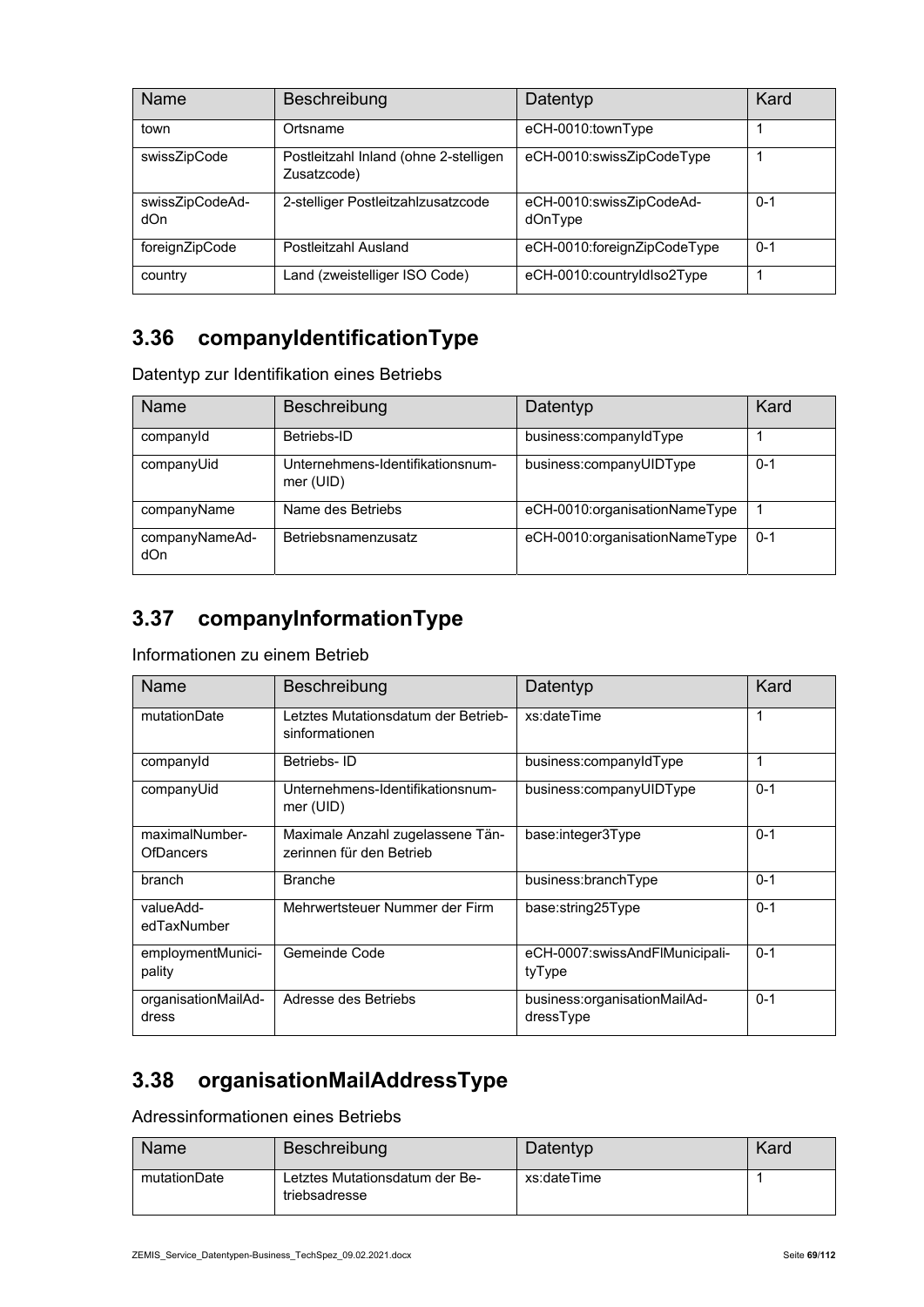| <b>Name</b>            | Beschreibung                                         | Datentyp                            | Kard    |
|------------------------|------------------------------------------------------|-------------------------------------|---------|
| town                   | Ortsname                                             | eCH-0010:townType                   |         |
| swissZipCode           | Postleitzahl Inland (ohne 2-stelligen<br>Zusatzcode) | eCH-0010:swissZipCodeType           |         |
| swissZipCodeAd-<br>dOn | 2-stelliger Postleitzahlzusatzcode                   | eCH-0010:swissZipCodeAd-<br>dOnType | $0 - 1$ |
| foreignZipCode         | Postleitzahl Ausland                                 | eCH-0010:foreignZipCodeType         | $0 - 1$ |
| country                | Land (zweistelliger ISO Code)                        | eCH-0010:countryIdIso2Type          |         |

### **3.36 companyIdentificationType**

Datentyp zur Identifikation eines Betriebs

| Name                  | Beschreibung                                  | Datentyp                      | Kard    |
|-----------------------|-----------------------------------------------|-------------------------------|---------|
| companyld             | Betriebs-ID                                   | business:companyIdType        |         |
| companyUid            | Unternehmens-Identifikationsnum-<br>mer (UID) | business:companyUIDType       | $0 - 1$ |
| companyName           | Name des Betriebs                             | eCH-0010:organisationNameType |         |
| companyNameAd-<br>dOn | Betriebsnamenzusatz                           | eCH-0010:organisationNameType | $0 - 1$ |

### **3.37 companyInformationType**

Informationen zu einem Betrieb

| <b>Name</b>                        | Beschreibung                                                 | Datentyp                                  | Kard    |  |
|------------------------------------|--------------------------------------------------------------|-------------------------------------------|---------|--|
| mutationDate                       | Letztes Mutationsdatum der Betrieb-<br>sinformationen        | xs:dateTime                               | 1       |  |
| companyld                          | Betriebs-ID                                                  | business:companyIdType                    | 1       |  |
| companyUid                         | Unternehmens-Identifikationsnum-<br>mer (UID)                | business:companyUIDType                   | $0 - 1$ |  |
| maximalNumber-<br><b>OfDancers</b> | Maximale Anzahl zugelassene Tän-<br>zerinnen für den Betrieb | base:integer3Type                         | $0 - 1$ |  |
| branch                             | <b>Branche</b>                                               | business:branchType                       | $0 - 1$ |  |
| valueAdd-<br>edTaxNumber           | Mehrwertsteuer Nummer der Firm                               | base:string25Type                         | $0 - 1$ |  |
| employmentMunici-<br>pality        | Gemeinde Code                                                | eCH-0007:swissAndFlMunicipali-<br>tyType  | $0 - 1$ |  |
| organisationMailAd-<br>dress       | Adresse des Betriebs                                         | business:organisationMailAd-<br>dressType | $0 - 1$ |  |

#### **3.38 organisationMailAddressType**

Adressinformationen eines Betriebs

| Name         | Beschreibung                                    | Datentyp    | Kard |
|--------------|-------------------------------------------------|-------------|------|
| mutationDate | Letztes Mutationsdatum der Be-<br>triebsadresse | xs:dateTime |      |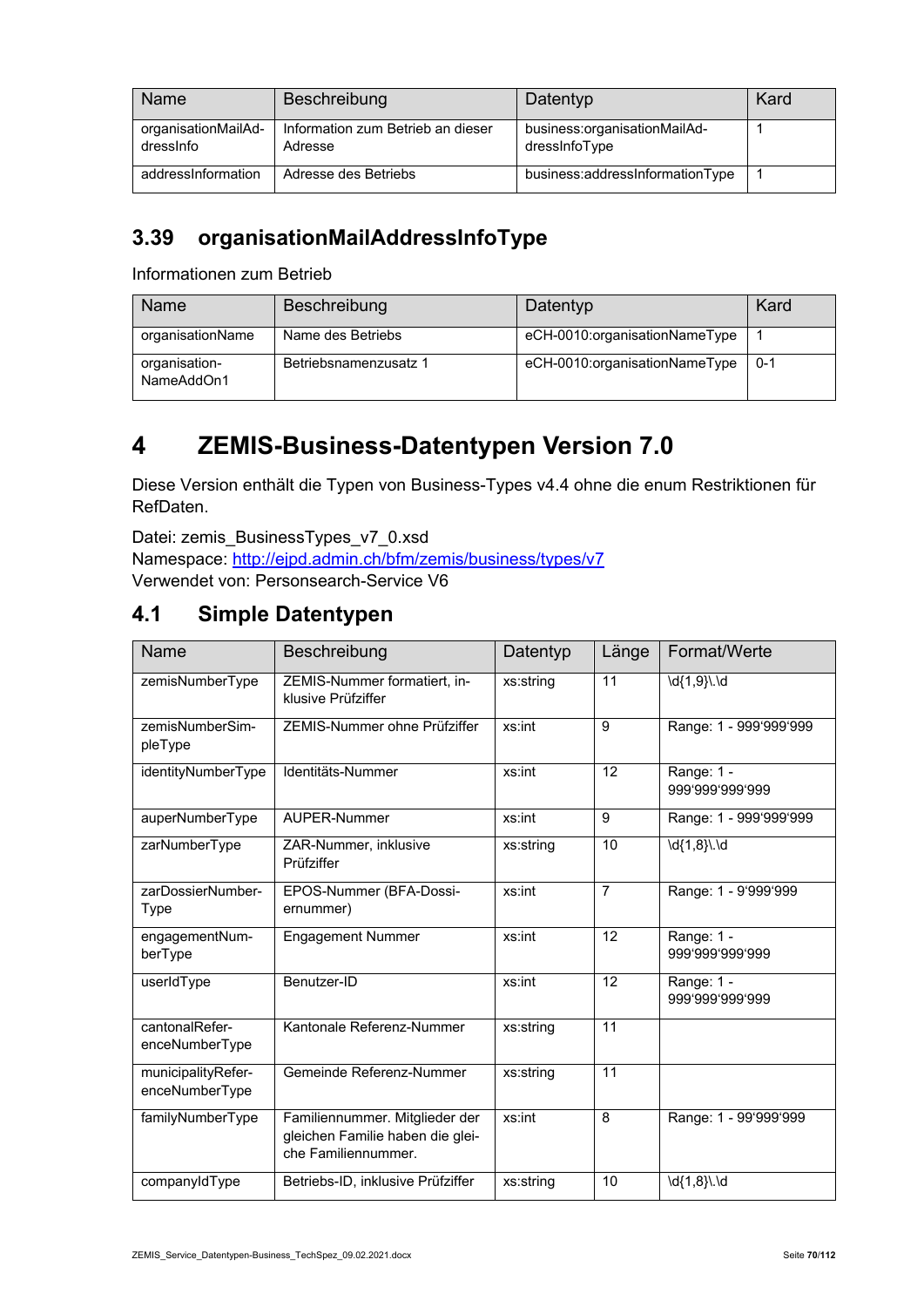| Name                             | Beschreibung                                 | Datentyp                                      | Kard |
|----------------------------------|----------------------------------------------|-----------------------------------------------|------|
| organisationMailAd-<br>dressinfo | Information zum Betrieb an dieser<br>Adresse | business:organisationMailAd-<br>dressinfoType |      |
| addressInformation               | Adresse des Betriebs                         | business:addressInformationType               |      |

#### **3.39 organisationMailAddressInfoType**

Informationen zum Betrieb

| Name                        | Beschreibung          | Datentyp                      | Kard    |
|-----------------------------|-----------------------|-------------------------------|---------|
| organisationName            | Name des Betriebs     | eCH-0010:organisationNameType |         |
| organisation-<br>NameAddOn1 | Betriebsnamenzusatz 1 | eCH-0010:organisationNameType | $0 - 1$ |

# **4 ZEMIS-Business-Datentypen Version 7.0**

Diese Version enthält die Typen von Business-Types v4.4 ohne die enum Restriktionen für RefDaten.

Datei: zemis\_BusinessTypes\_v7\_0.xsd Namespace: http://ejpd.admin.ch/bfm/zemis/business/types/v7 Verwendet von: Personsearch-Service V6

#### **4.1 Simple Datentypen**

| Name                                 | Beschreibung                                                                              | Datentyp  | Länge          | Format/Werte                  |
|--------------------------------------|-------------------------------------------------------------------------------------------|-----------|----------------|-------------------------------|
| zemisNumberType                      | ZEMIS-Nummer formatiert, in-<br>klusive Prüfziffer                                        | xs:string | 11             | \d{1,9}\.\d                   |
| zemisNumberSim-<br>pleType           | ZEMIS-Nummer ohne Prüfziffer                                                              | xs:int    | 9              | Range: 1 - 999'999'999        |
| identityNumberType                   | Identitäts-Nummer                                                                         | xs:int    | 12             | Range: 1 -<br>999'999'999'999 |
| auperNumberType                      | AUPER-Nummer                                                                              | xs:int    | 9              | Range: 1 - 999'999'999        |
| zarNumberType                        | ZAR-Nummer, inklusive<br>Prüfziffer                                                       | xs:string | 10             | \d{1,8}\.\d                   |
| zarDossierNumber-<br>Type            | EPOS-Nummer (BFA-Dossi-<br>ernummer)                                                      | xs:int    | $\overline{7}$ | Range: 1 - 9'999'999          |
| engagementNum-<br>berType            | <b>Engagement Nummer</b>                                                                  | xs:int    | 12             | Range: 1 -<br>999'999'999'999 |
| userIdType                           | Benutzer-ID                                                                               | xs:int    | 12             | Range: 1 -<br>999'999'999'999 |
| cantonalRefer-<br>enceNumberType     | Kantonale Referenz-Nummer                                                                 | xs:string | 11             |                               |
| municipalityRefer-<br>enceNumberType | Gemeinde Referenz-Nummer                                                                  | xs:string | 11             |                               |
| familyNumberType                     | Familiennummer. Mitglieder der<br>gleichen Familie haben die glei-<br>che Familiennummer. | xs:int    | 8              | Range: 1 - 99'999'999         |
| companyIdType                        | Betriebs-ID, inklusive Prüfziffer                                                         | xs:string | 10             | \d{1,8}\.\d                   |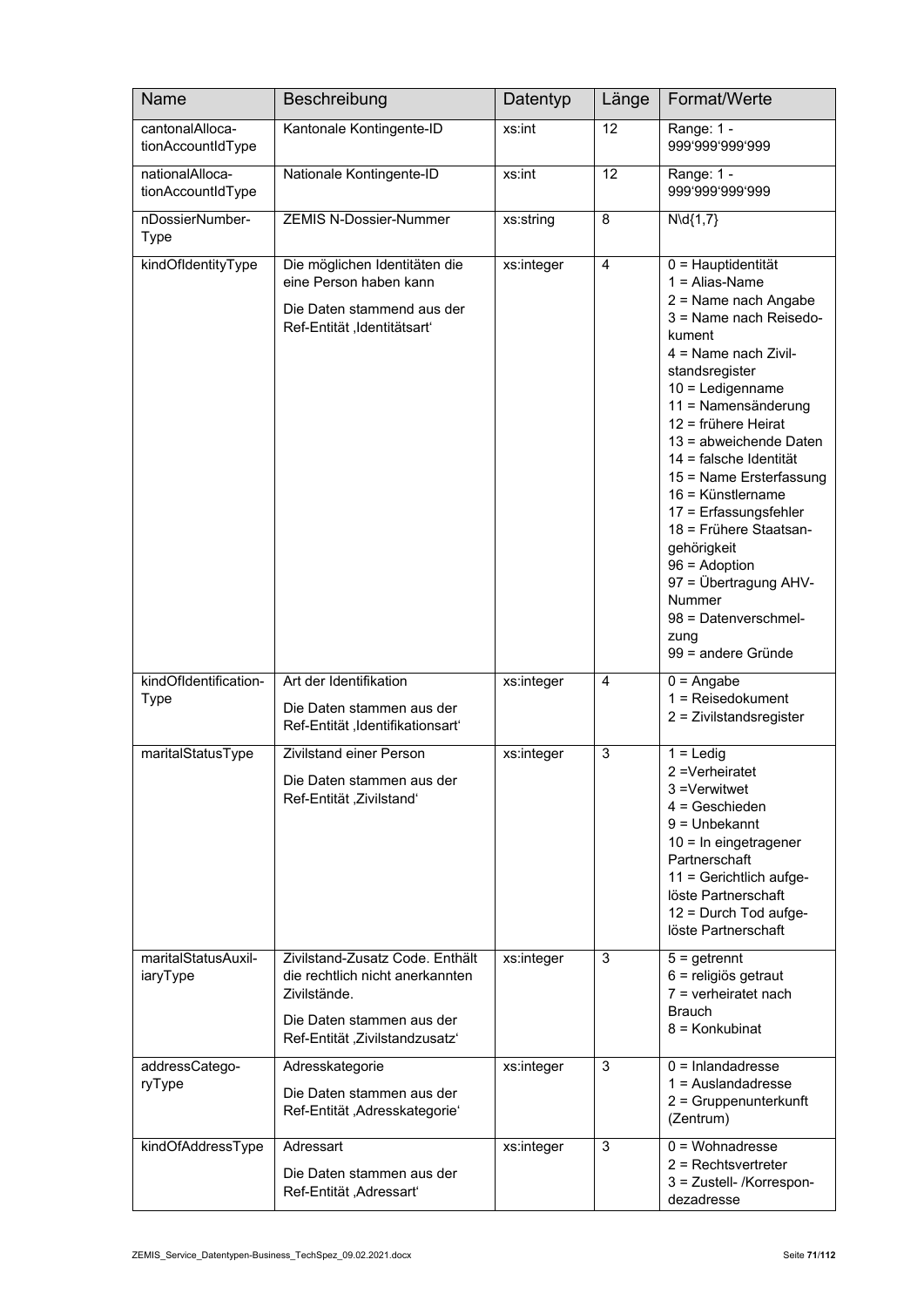| <b>Name</b>                          | Beschreibung                                                                                                                                      | Datentyp   | Länge           | Format/Werte                                                                                                                                                                                                                                                                                                                                                                                                                                                                                                |
|--------------------------------------|---------------------------------------------------------------------------------------------------------------------------------------------------|------------|-----------------|-------------------------------------------------------------------------------------------------------------------------------------------------------------------------------------------------------------------------------------------------------------------------------------------------------------------------------------------------------------------------------------------------------------------------------------------------------------------------------------------------------------|
| cantonalAlloca-<br>tionAccountIdType | Kantonale Kontingente-ID                                                                                                                          | xs:int     | 12              | Range: 1 -<br>999'999'999'999                                                                                                                                                                                                                                                                                                                                                                                                                                                                               |
| nationalAlloca-<br>tionAccountIdType | Nationale Kontingente-ID                                                                                                                          | xs:int     | $\overline{12}$ | Range: 1 -<br>999'999'999'999                                                                                                                                                                                                                                                                                                                                                                                                                                                                               |
| nDossierNumber-<br><b>Type</b>       | <b>ZEMIS N-Dossier-Nummer</b>                                                                                                                     | xs:string  | 8               | $N\cdotp 4\{1,7\}$                                                                                                                                                                                                                                                                                                                                                                                                                                                                                          |
| kindOfIdentityType                   | Die möglichen Identitäten die<br>eine Person haben kann<br>Die Daten stammend aus der<br>Ref-Entität, Identitätsart'                              | xs:integer | $\overline{4}$  | 0 = Hauptidentität<br>$1 =$ Alias-Name<br>2 = Name nach Angabe<br>3 = Name nach Reisedo-<br>kument<br>$4 =$ Name nach Zivil-<br>standsregister<br>$10 =$ Ledigenname<br>11 = Namensänderung<br>12 = frühere Heirat<br>13 = abweichende Daten<br>14 = falsche Identität<br>15 = Name Ersterfassung<br>16 = Künstlername<br>17 = Erfassungsfehler<br>18 = Frühere Staatsan-<br>gehörigkeit<br>$96 =$ Adoption<br>97 = Übertragung AHV-<br><b>Nummer</b><br>98 = Datenverschmel-<br>zung<br>99 = andere Gründe |
| kindOfIdentification-<br><b>Type</b> | Art der Identifikation<br>Die Daten stammen aus der<br>Ref-Entität, Identifikationsart'                                                           | xs:integer | 4               | $0 =$ Angabe<br>$1 =$ Reisedokument<br>2 = Zivilstandsregister                                                                                                                                                                                                                                                                                                                                                                                                                                              |
| maritalStatusType                    | Zivilstand einer Person<br>Die Daten stammen aus der<br>Ref-Entität, Zivilstand'                                                                  | xs:integer | 3               | $1 =$ Ledig<br>2 = Verheiratet<br>3 =Verwitwet<br>$4 =$ Geschieden<br>$9 =$ Unbekannt<br>10 = In eingetragener<br>Partnerschaft<br>11 = Gerichtlich aufge-<br>löste Partnerschaft<br>12 = Durch Tod aufge-<br>löste Partnerschaft                                                                                                                                                                                                                                                                           |
| maritalStatusAuxil-<br>iaryType      | Zivilstand-Zusatz Code. Enthält<br>die rechtlich nicht anerkannten<br>Zivilstände.<br>Die Daten stammen aus der<br>Ref-Entität, Zivilstandzusatz' | xs:integer | 3               | $5 =$ getrennt<br>6 = religiös getraut<br>$7$ = verheiratet nach<br><b>Brauch</b><br>8 = Konkubinat                                                                                                                                                                                                                                                                                                                                                                                                         |
| addressCatego-<br>ryType             | Adresskategorie<br>Die Daten stammen aus der<br>Ref-Entität, Adresskategorie'                                                                     | xs:integer | 3               | $0 = Inlanda$ dresse<br>$1 =$ Auslandadresse<br>2 = Gruppenunterkunft<br>(Zentrum)                                                                                                                                                                                                                                                                                                                                                                                                                          |
| kindOfAddressType                    | Adressart<br>Die Daten stammen aus der<br>Ref-Entität, Adressart'                                                                                 | xs:integer | 3               | $0 = W_0$ chnadresse<br>$2 =$ Rechtsvertreter<br>3 = Zustell- /Korrespon-<br>dezadresse                                                                                                                                                                                                                                                                                                                                                                                                                     |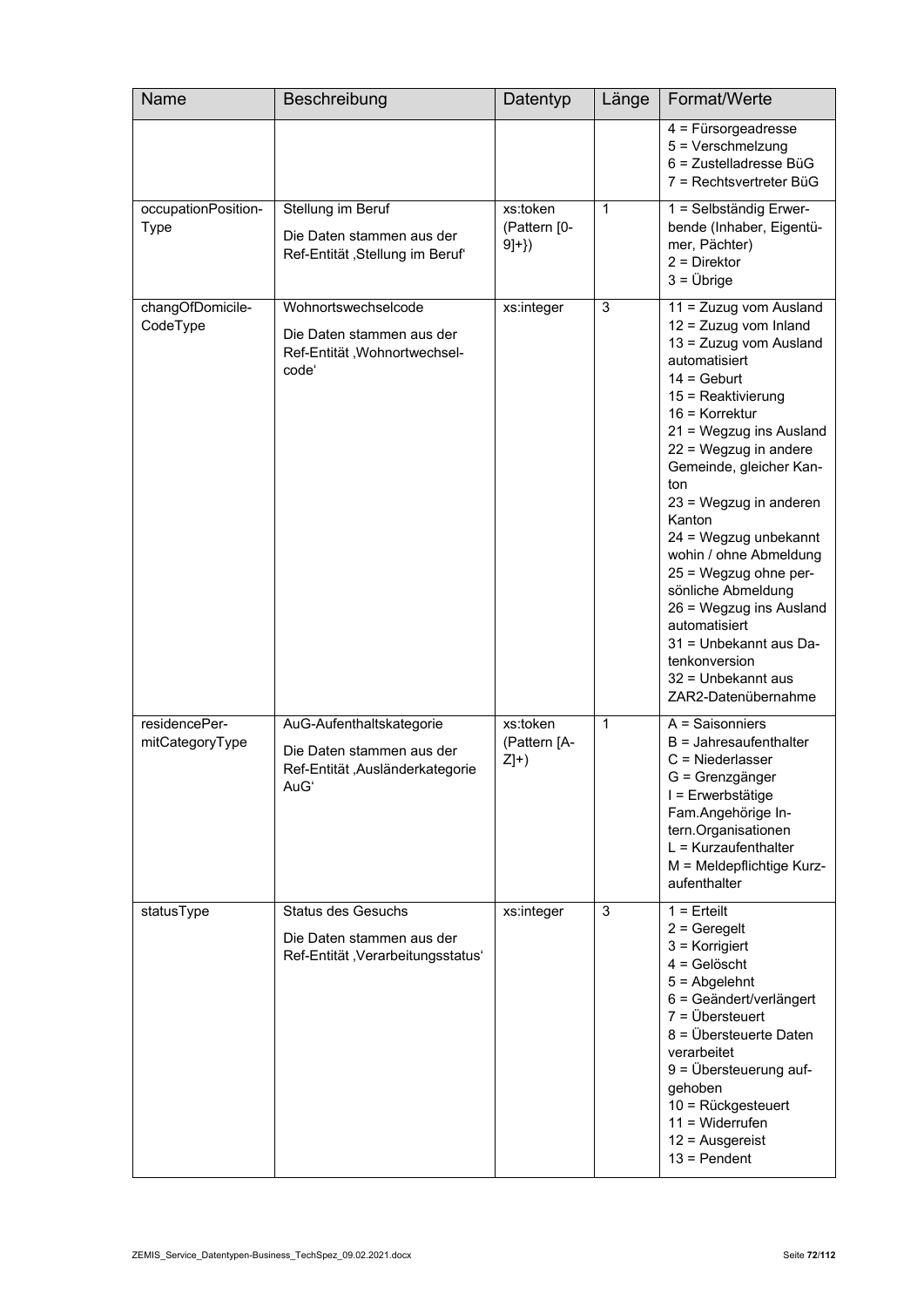| Name                               | Beschreibung                                                                                     | Datentyp                            | Länge        | Format/Werte                                                                                                                                                                                                                                                                                                                                                                                                                                                                                                                  |
|------------------------------------|--------------------------------------------------------------------------------------------------|-------------------------------------|--------------|-------------------------------------------------------------------------------------------------------------------------------------------------------------------------------------------------------------------------------------------------------------------------------------------------------------------------------------------------------------------------------------------------------------------------------------------------------------------------------------------------------------------------------|
|                                    |                                                                                                  |                                     |              | $4$ = Fürsorgeadresse<br>$5 =$ Verschmelzung<br>$6$ = Zustelladresse BüG<br>7 = Rechtsvertreter BüG                                                                                                                                                                                                                                                                                                                                                                                                                           |
| occupationPosition-<br><b>Type</b> | Stellung im Beruf<br>Die Daten stammen aus der<br>Ref-Entität, Stellung im Beruf                 | xs:token<br>(Pattern [0-<br>$9]+})$ | 1            | 1 = Selbständig Erwer-<br>bende (Inhaber, Eigentü-<br>mer, Pächter)<br>$2 =$ Direktor<br>$3 = \ddot{U}$ brige                                                                                                                                                                                                                                                                                                                                                                                                                 |
| changOfDomicile-<br>CodeType       | Wohnortswechselcode<br>Die Daten stammen aus der<br>Ref-Entität, Wohnortwechsel-<br>code'        | xs:integer                          | 3            | 11 = Zuzug vom Ausland<br>12 = Zuzug vom Inland<br>13 = Zuzug vom Ausland<br>automatisiert<br>$14 = \text{Gebut}$<br>$15 =$ Reaktivierung<br>$16$ = Korrektur<br>21 = Wegzug ins Ausland<br>22 = Wegzug in andere<br>Gemeinde, gleicher Kan-<br>ton<br>23 = Wegzug in anderen<br>Kanton<br>24 = Wegzug unbekannt<br>wohin / ohne Abmeldung<br>25 = Wegzug ohne per-<br>sönliche Abmeldung<br>26 = Wegzug ins Ausland<br>automatisiert<br>31 = Unbekannt aus Da-<br>tenkonversion<br>32 = Unbekannt aus<br>ZAR2-Datenübernahme |
| residencePer-<br>mitCategoryType   | AuG-Aufenthaltskategorie<br>Die Daten stammen aus der<br>Ref-Entität, Ausländerkategorie<br>AuGʻ | xs:token<br>(Pattern [A-<br>$Z]+$   | $\mathbf{1}$ | $A =$ Saisonniers<br>$B =$ Jahresaufenthalter<br>$C =$ Niederlasser<br>G = Grenzgänger<br>I = Erwerbstätige<br>Fam.Angehörige In-<br>tern.Organisationen<br>$L = Kurzaufenthalter$<br>M = Meldepflichtige Kurz-<br>aufenthalter                                                                                                                                                                                                                                                                                               |
| statusType                         | <b>Status des Gesuchs</b><br>Die Daten stammen aus der<br>Ref-Entität, Verarbeitungsstatus'      | xs:integer                          | 3            | $1 =$ Erteilt<br>$2 =$ Geregelt<br>$3$ = Korrigiert<br>$4 =$ Gelöscht<br>$5 =$ Abgelehnt<br>6 = Geändert/verlängert<br>$7 = \ddot{U}$ bersteuert<br>8 = Übersteuerte Daten<br>verarbeitet<br>9 = Übersteuerung auf-<br>gehoben<br>10 = Rückgesteuert<br>$11 = Widerrufen$<br>$12$ = Ausgereist<br>$13 =$ Pendent                                                                                                                                                                                                              |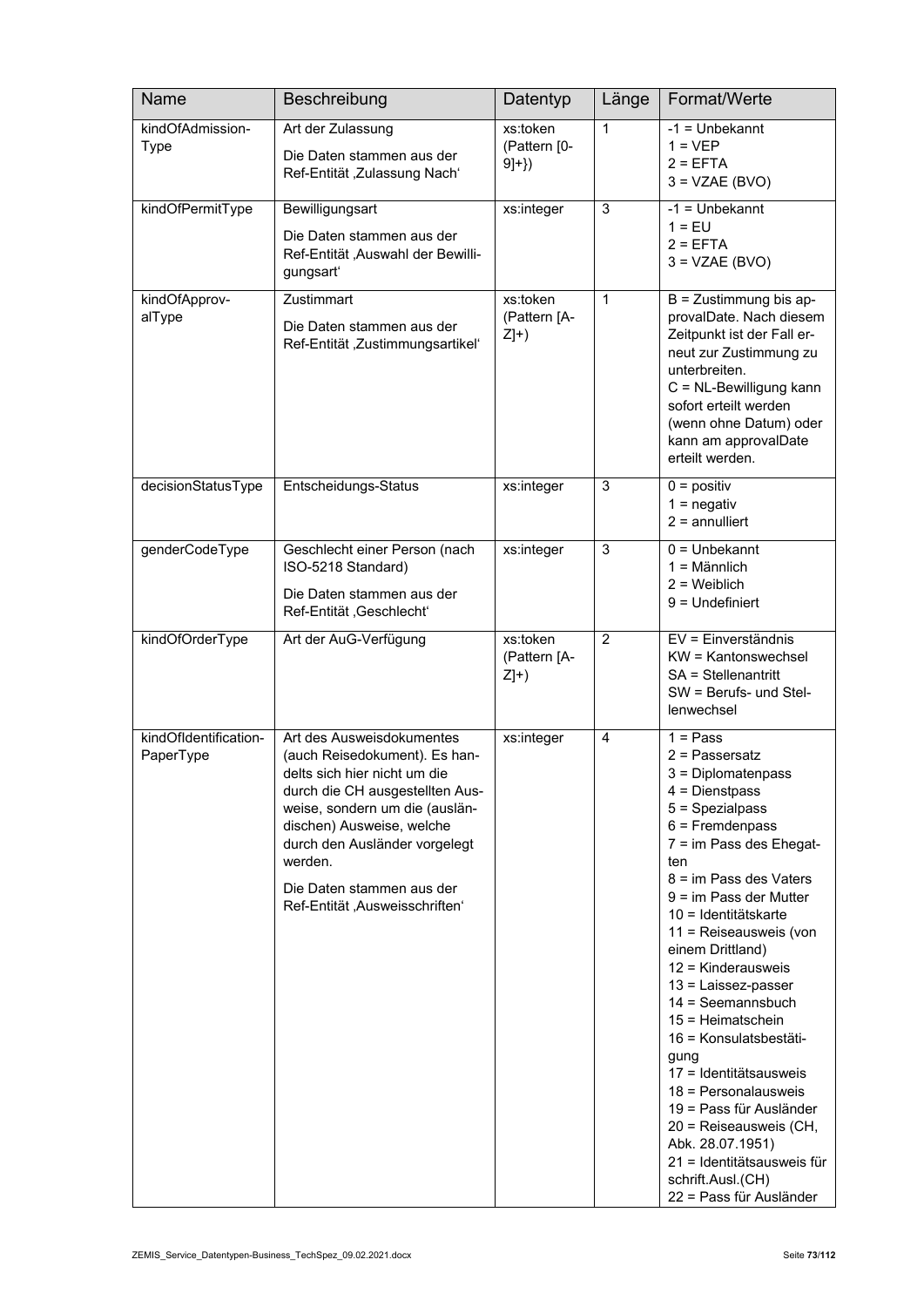| Name                               | Beschreibung                                                                                                                                                                                                                                                                                            | Datentyp                            | Länge        | Format/Werte                                                                                                                                                                                                                                                                                                                                                                                                                                                                                                                                                                                                               |
|------------------------------------|---------------------------------------------------------------------------------------------------------------------------------------------------------------------------------------------------------------------------------------------------------------------------------------------------------|-------------------------------------|--------------|----------------------------------------------------------------------------------------------------------------------------------------------------------------------------------------------------------------------------------------------------------------------------------------------------------------------------------------------------------------------------------------------------------------------------------------------------------------------------------------------------------------------------------------------------------------------------------------------------------------------------|
| kindOfAdmission-<br><b>Type</b>    | Art der Zulassung<br>Die Daten stammen aus der<br>Ref-Entität , Zulassung Nach'                                                                                                                                                                                                                         | xs:token<br>(Pattern [0-<br>$9]+})$ | $\mathbf{1}$ | $-1 =$ Unbekannt<br>$1 = VEP$<br>$2 = EFTA$<br>$3 = VZAE(BVO)$                                                                                                                                                                                                                                                                                                                                                                                                                                                                                                                                                             |
| kindOfPermitType                   | Bewilligungsart<br>Die Daten stammen aus der<br>Ref-Entität ,Auswahl der Bewilli-<br>gungsart'                                                                                                                                                                                                          | xs:integer                          | 3            | $-1 =$ Unbekannt<br>$1 = EU$<br>$2 = EFTA$<br>$3 = VZAE (BVO)$                                                                                                                                                                                                                                                                                                                                                                                                                                                                                                                                                             |
| kindOfApprov-<br>alType            | Zustimmart<br>Die Daten stammen aus der<br>Ref-Entität, Zustimmungsartikel'                                                                                                                                                                                                                             | xs:token<br>(Pattern [A-<br>$Z]+$   | $\mathbf{1}$ | $B = Z$ ustimmung bis ap-<br>provalDate. Nach diesem<br>Zeitpunkt ist der Fall er-<br>neut zur Zustimmung zu<br>unterbreiten.<br>C = NL-Bewilligung kann<br>sofort erteilt werden<br>(wenn ohne Datum) oder<br>kann am approvalDate<br>erteilt werden.                                                                                                                                                                                                                                                                                                                                                                     |
| decisionStatusType                 | Entscheidungs-Status                                                                                                                                                                                                                                                                                    | xs:integer                          | 3            | $0 =$ positiv<br>$1 =$ negativ<br>$2 =$ annulliert                                                                                                                                                                                                                                                                                                                                                                                                                                                                                                                                                                         |
| genderCodeType                     | Geschlecht einer Person (nach<br>ISO-5218 Standard)<br>Die Daten stammen aus der<br>Ref-Entität, Geschlecht'                                                                                                                                                                                            | xs:integer                          | 3            | $0 =$ Unbekannt<br>$1 =$ Männlich<br>$2 =$ Weiblich<br>$9$ = Undefiniert                                                                                                                                                                                                                                                                                                                                                                                                                                                                                                                                                   |
| kindOfOrderType                    | Art der AuG-Verfügung                                                                                                                                                                                                                                                                                   | xs:token<br>(Pattern [A-<br>$Z]+$   | 2            | EV = Einverständnis<br>KW = Kantonswechsel<br>SA = Stellenantritt<br>SW = Berufs- und Stel-<br>lenwechsel                                                                                                                                                                                                                                                                                                                                                                                                                                                                                                                  |
| kindOfIdentification-<br>PaperType | Art des Ausweisdokumentes<br>(auch Reisedokument). Es han-<br>delts sich hier nicht um die<br>durch die CH ausgestellten Aus-<br>weise, sondern um die (auslän-<br>dischen) Ausweise, welche<br>durch den Ausländer vorgelegt<br>werden.<br>Die Daten stammen aus der<br>Ref-Entität, Ausweisschriften" | xs:integer                          | 4            | $1 = Pass$<br>$2$ = Passersatz<br>$3$ = Diplomatenpass<br>$4 =$ Dienstpass<br>5 = Spezialpass<br>$6$ = Fremdenpass<br>7 = im Pass des Ehegat-<br>ten<br>$8 = im$ Pass des Vaters<br>$9 = im Pass der Mutter$<br>10 = Identitätskarte<br>11 = Reiseausweis (von<br>einem Drittland)<br>12 = Kinderausweis<br>13 = Laissez-passer<br>$14 =$ Seemannsbuch<br>$15 = Heimatschein$<br>16 = Konsulatsbestäti-<br>gung<br>17 = Identitätsausweis<br>$18$ = Personalausweis<br>19 = Pass für Ausländer<br>20 = Reiseausweis (CH,<br>Abk. 28.07.1951)<br>21 = Identitätsausweis für<br>schrift.Ausl.(CH)<br>22 = Pass für Ausländer |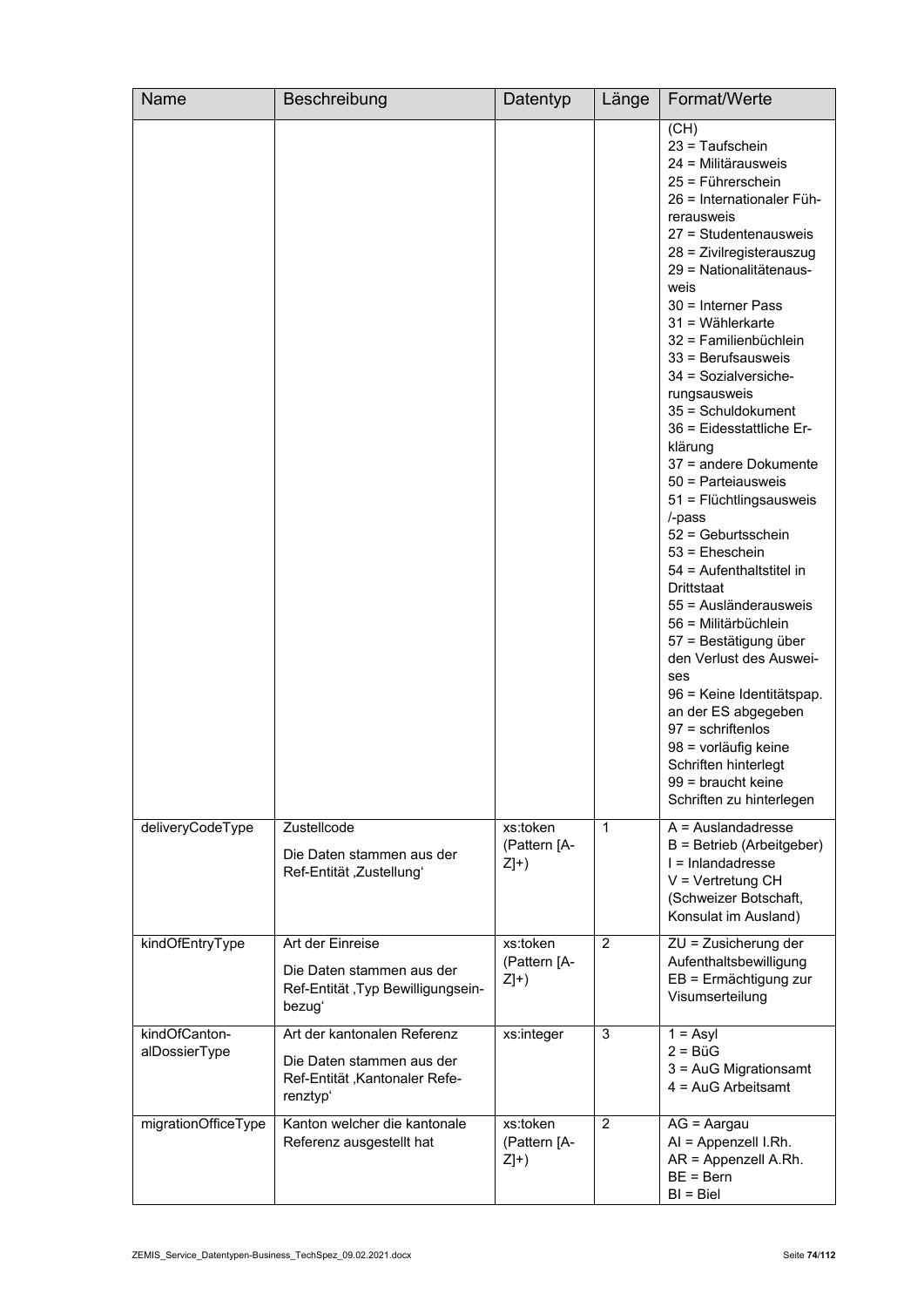| Name                           | Beschreibung                                                                                          | Datentyp                          | Länge          | Format/Werte                                                                                                                                                                                                                                                                                                                                                                                                                                                                                                                                                                                                                                                                                                                                                                                                                                                                |
|--------------------------------|-------------------------------------------------------------------------------------------------------|-----------------------------------|----------------|-----------------------------------------------------------------------------------------------------------------------------------------------------------------------------------------------------------------------------------------------------------------------------------------------------------------------------------------------------------------------------------------------------------------------------------------------------------------------------------------------------------------------------------------------------------------------------------------------------------------------------------------------------------------------------------------------------------------------------------------------------------------------------------------------------------------------------------------------------------------------------|
|                                |                                                                                                       |                                   |                | (CH)<br>23 = Taufschein<br>24 = Militärausweis<br>25 = Führerschein<br>26 = Internationaler Füh-<br>rerausweis<br>27 = Studentenausweis<br>28 = Zivilregisterauszug<br>29 = Nationalitätenaus-<br>weis<br>$30$ = Interner Pass<br>$31 =$ Wählerkarte<br>32 = Familienbüchlein<br>$33$ = Berufsausweis<br>34 = Sozialversiche-<br>rungsausweis<br>35 = Schuldokument<br>36 = Eidesstattliche Er-<br>klärung<br>37 = andere Dokumente<br>50 = Parteiausweis<br>51 = Flüchtlingsausweis<br>/-pass<br>52 = Geburtsschein<br>$53$ = Eheschein<br>54 = Aufenthaltstitel in<br>Drittstaat<br>55 = Ausländerausweis<br>56 = Militärbüchlein<br>57 = Bestätigung über<br>den Verlust des Auswei-<br>ses<br>96 = Keine Identitätspap.<br>an der ES abgegeben<br>$97$ = schriftenlos<br>98 = vorläufig keine<br>Schriften hinterlegt<br>99 = braucht keine<br>Schriften zu hinterlegen |
| deliveryCodeType               | Zustellcode<br>Die Daten stammen aus der<br>Ref-Entität, Zustellungʻ                                  | xs:token<br>(Pattern [A-<br>$Z]+$ | $\mathbf{1}$   | $A =$ Auslandadresse<br>B = Betrieb (Arbeitgeber)<br>I = Inlandadresse<br>$V = V$ ertretung CH<br>(Schweizer Botschaft,<br>Konsulat im Ausland)                                                                                                                                                                                                                                                                                                                                                                                                                                                                                                                                                                                                                                                                                                                             |
| kindOfEntryType                | Art der Einreise<br>Die Daten stammen aus der<br>Ref-Entität , Typ Bewilligungsein-<br>bezugʻ         | xs:token<br>(Pattern [A-<br>$Z]+$ | $\overline{2}$ | ZU = Zusicherung der<br>Aufenthaltsbewilligung<br>EB = Ermächtigung zur<br>Visumserteilung                                                                                                                                                                                                                                                                                                                                                                                                                                                                                                                                                                                                                                                                                                                                                                                  |
| kindOfCanton-<br>alDossierType | Art der kantonalen Referenz<br>Die Daten stammen aus der<br>Ref-Entität, Kantonaler Refe-<br>renztyp' | xs:integer                        | $\mathsf 3$    | $1 = Asyl$<br>$2 = BiG$<br>3 = AuG Migrationsamt<br>$4 = Aug$ Arbeitsamt                                                                                                                                                                                                                                                                                                                                                                                                                                                                                                                                                                                                                                                                                                                                                                                                    |
| migrationOfficeType            | Kanton welcher die kantonale<br>Referenz ausgestellt hat                                              | xs:token<br>(Pattern [A-<br>$Z]+$ | 2              | $AG = Aargau$<br>AI = Appenzell I.Rh.<br>AR = Appenzell A.Rh.<br>$BE = Bern$<br>$BI = Biel$                                                                                                                                                                                                                                                                                                                                                                                                                                                                                                                                                                                                                                                                                                                                                                                 |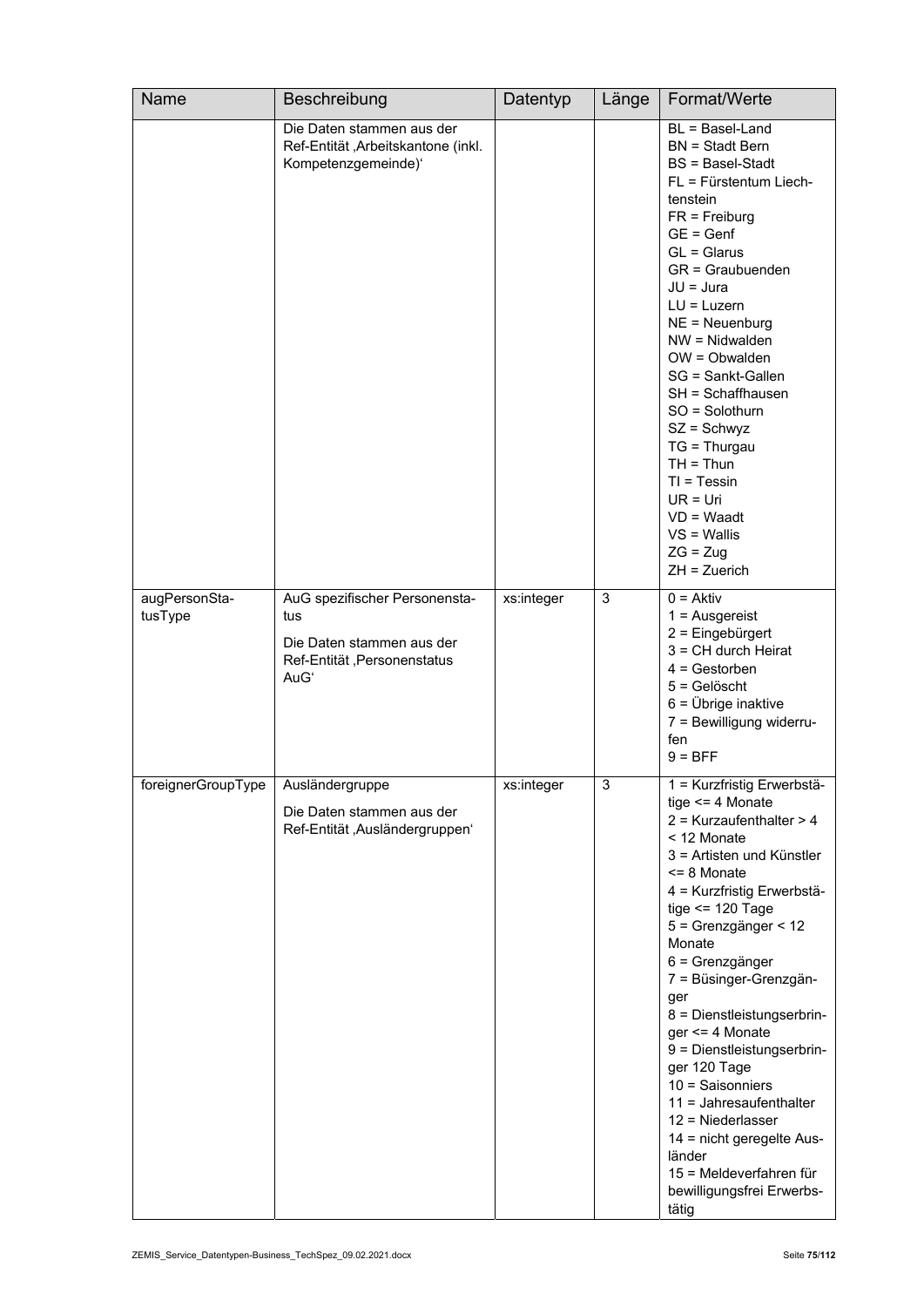| Name                     | Beschreibung                                                                                             | Datentyp   | Länge | Format/Werte                                                                                                                                                                                                                                                                                                                                                                                                                                                                                                                                                                 |
|--------------------------|----------------------------------------------------------------------------------------------------------|------------|-------|------------------------------------------------------------------------------------------------------------------------------------------------------------------------------------------------------------------------------------------------------------------------------------------------------------------------------------------------------------------------------------------------------------------------------------------------------------------------------------------------------------------------------------------------------------------------------|
|                          | Die Daten stammen aus der<br>Ref-Entität ,Arbeitskantone (inkl.<br>Kompetenzgemeinde)'                   |            |       | BL = Basel-Land<br>$BN = Stadt Bern$<br>$BS = BaseI-Stadt$<br>FL = Fürstentum Liech-<br>tenstein<br>$FR = Freiburg$<br>$GE = Genf$<br>$GL = Glarus$<br>GR = Graubuenden<br>$JU = Jura$<br>$LU = Luxern$<br>$NE = Neuenburg$<br>$NW = Nidwalden$<br>$OW = Obwalden$<br>SG = Sankt-Gallen<br>SH = Schaffhausen<br>SO = Solothurn<br>$SZ =$ Schwyz<br>$TG = Thurgau$<br>$TH = Thun$<br>$TI = Tessin$<br>$UR = Uri$<br>$VD = Waadt$<br>$VS =$ Wallis<br>$ZG = Zug$<br>$ZH = Zuerich$                                                                                             |
| augPersonSta-<br>tusType | AuG spezifischer Personensta-<br>tus<br>Die Daten stammen aus der<br>Ref-Entität, Personenstatus<br>AuGʻ | xs:integer | 3     | $0 = Aktiv$<br>$1 =$ Ausgereist<br>2 = Eingebürgert<br>$3 = CH$ durch Heirat<br>$4 =$ Gestorben<br>$5 =$ Gelöscht<br>$6 = \ddot{\cup}$ brige inaktive<br>7 = Bewilligung widerru-<br>fen<br>$9 = BFF$                                                                                                                                                                                                                                                                                                                                                                        |
| foreignerGroupType       | Ausländergruppe<br>Die Daten stammen aus der<br>Ref-Entität, Ausländergruppen'                           | xs:integer | 3     | 1 = Kurzfristig Erwerbstä-<br>tige $\leq$ 4 Monate<br>$2$ = Kurzaufenthalter > 4<br>< 12 Monate<br>3 = Artisten und Künstler<br>$\leq$ 8 Monate<br>4 = Kurzfristig Erwerbstä-<br>tige $\le$ 120 Tage<br>5 = Grenzgänger < 12<br>Monate<br>6 = Grenzgänger<br>7 = Büsinger-Grenzgän-<br>ger<br>8 = Dienstleistungserbrin-<br>$ger < = 4$ Monate<br>9 = Dienstleistungserbrin-<br>ger 120 Tage<br>$10 =$ Saisonniers<br>11 = Jahresaufenthalter<br>$12$ = Niederlasser<br>14 = nicht geregelte Aus-<br>länder<br>15 = Meldeverfahren für<br>bewilligungsfrei Erwerbs-<br>tätig |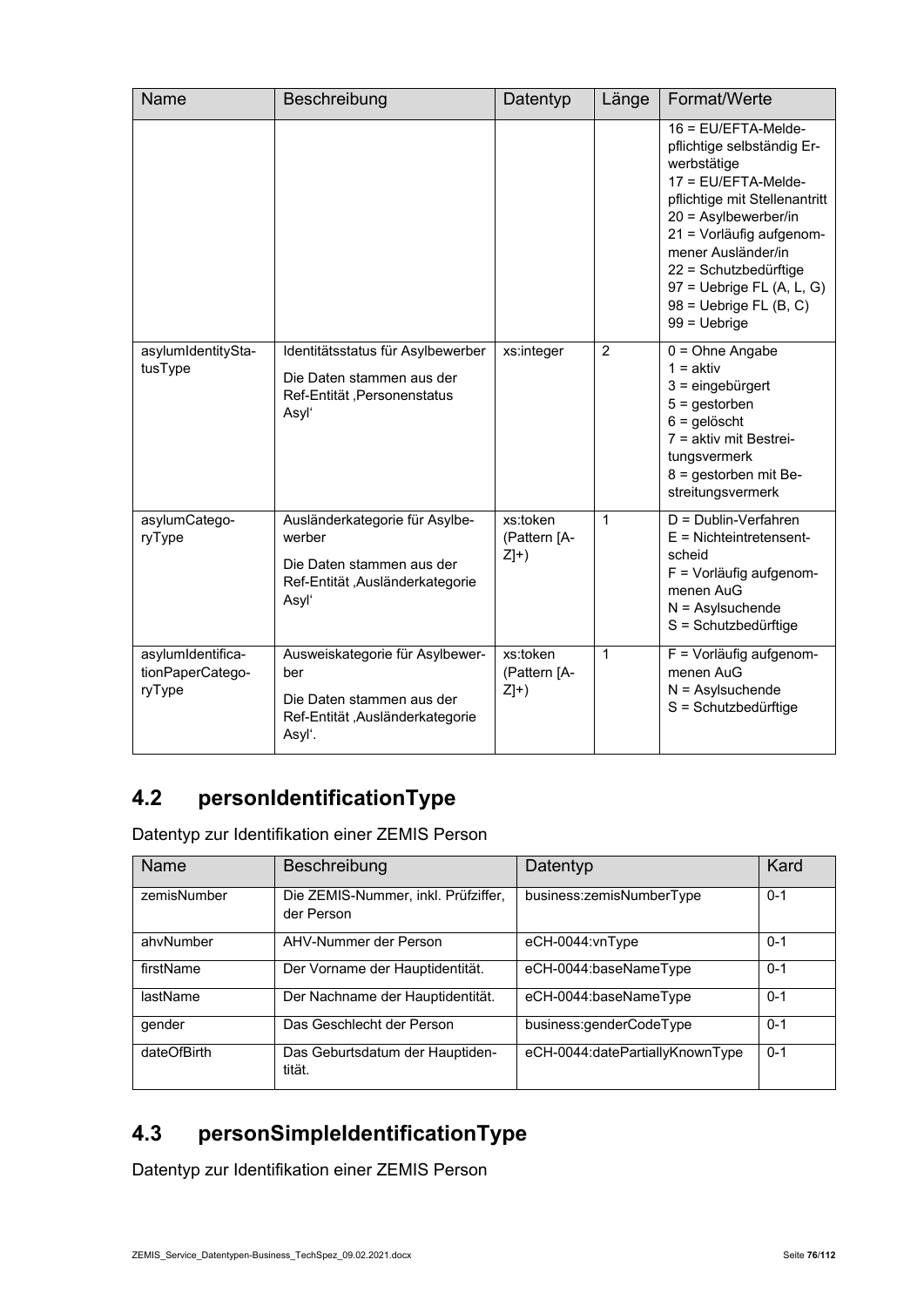| Name                                            | Beschreibung                                                                                                      | Datentyp                          | Länge          | Format/Werte                                                                                                                                                                                                                                                                                             |
|-------------------------------------------------|-------------------------------------------------------------------------------------------------------------------|-----------------------------------|----------------|----------------------------------------------------------------------------------------------------------------------------------------------------------------------------------------------------------------------------------------------------------------------------------------------------------|
|                                                 |                                                                                                                   |                                   |                | $16$ = EU/EFTA-Melde-<br>pflichtige selbständig Er-<br>werbstätige<br>17 = EU/EFTA-Melde-<br>pflichtige mit Stellenantritt<br>20 = Asylbewerber/in<br>21 = Vorläufig aufgenom-<br>mener Ausländer/in<br>22 = Schutzbedürftige<br>$97$ = Uebrige FL (A, L, G)<br>$98$ = Uebrige FL (B, C)<br>99 = Uebrige |
| asylumIdentitySta-<br>tusType                   | Identitätsstatus für Asylbewerber<br>Die Daten stammen aus der<br>Ref-Entität, Personenstatus<br>Asyl'            | xs:integer                        | $\overline{2}$ | $0 = Ohne$ Angabe<br>$1 = aktiv$<br>$3 =$ eingebürgert<br>$5 =$ gestorben<br>$6 =$ gelöscht<br>$7 =$ aktiv mit Bestrei-<br>tungsvermerk<br>8 = gestorben mit Be-<br>streitungsvermerk                                                                                                                    |
| asylumCatego-<br>ryType                         | Ausländerkategorie für Asylbe-<br>werber<br>Die Daten stammen aus der<br>Ref-Entität ,Ausländerkategorie<br>Asyl' | xs:token<br>(Pattern [A-<br>$Z]+$ | 1              | D = Dublin-Verfahren<br>$E =$ Nichteintretensent-<br>scheid<br>F = Vorläufig aufgenom-<br>menen AuG<br>$N =$ Asylsuchende<br>S = Schutzbedürftige                                                                                                                                                        |
| asylumIdentifica-<br>tionPaperCatego-<br>ryType | Ausweiskategorie für Asylbewer-<br>ber<br>Die Daten stammen aus der<br>Ref-Entität, Ausländerkategorie<br>Asyl'.  | xs:token<br>(Pattern [A-<br>$Z]+$ | 1              | F = Vorläufig aufgenom-<br>menen AuG<br>$N =$ Asylsuchende<br>S = Schutzbedürftige                                                                                                                                                                                                                       |

## **4.2 personIdentificationType**

Datentyp zur Identifikation einer ZEMIS Person

| <b>Name</b> | Beschreibung                                      | Datentyp                        | Kard    |
|-------------|---------------------------------------------------|---------------------------------|---------|
| zemisNumber | Die ZEMIS-Nummer, inkl. Prüfziffer,<br>der Person | business:zemisNumberType        | $0 - 1$ |
| ahvNumber   | AHV-Nummer der Person                             | eCH-0044:vnType                 | $0 - 1$ |
| firstName   | Der Vorname der Hauptidentität.                   | eCH-0044:baseNameType           | $0 - 1$ |
| lastName    | Der Nachname der Hauptidentität.                  | eCH-0044:baseNameType           | $0 - 1$ |
| gender      | Das Geschlecht der Person                         | business:genderCodeType         | $0 - 1$ |
| dateOfBirth | Das Geburtsdatum der Hauptiden-<br>tität.         | eCH-0044:datePartiallyKnownType | $0 - 1$ |

## **4.3 personSimpleIdentificationType**

Datentyp zur Identifikation einer ZEMIS Person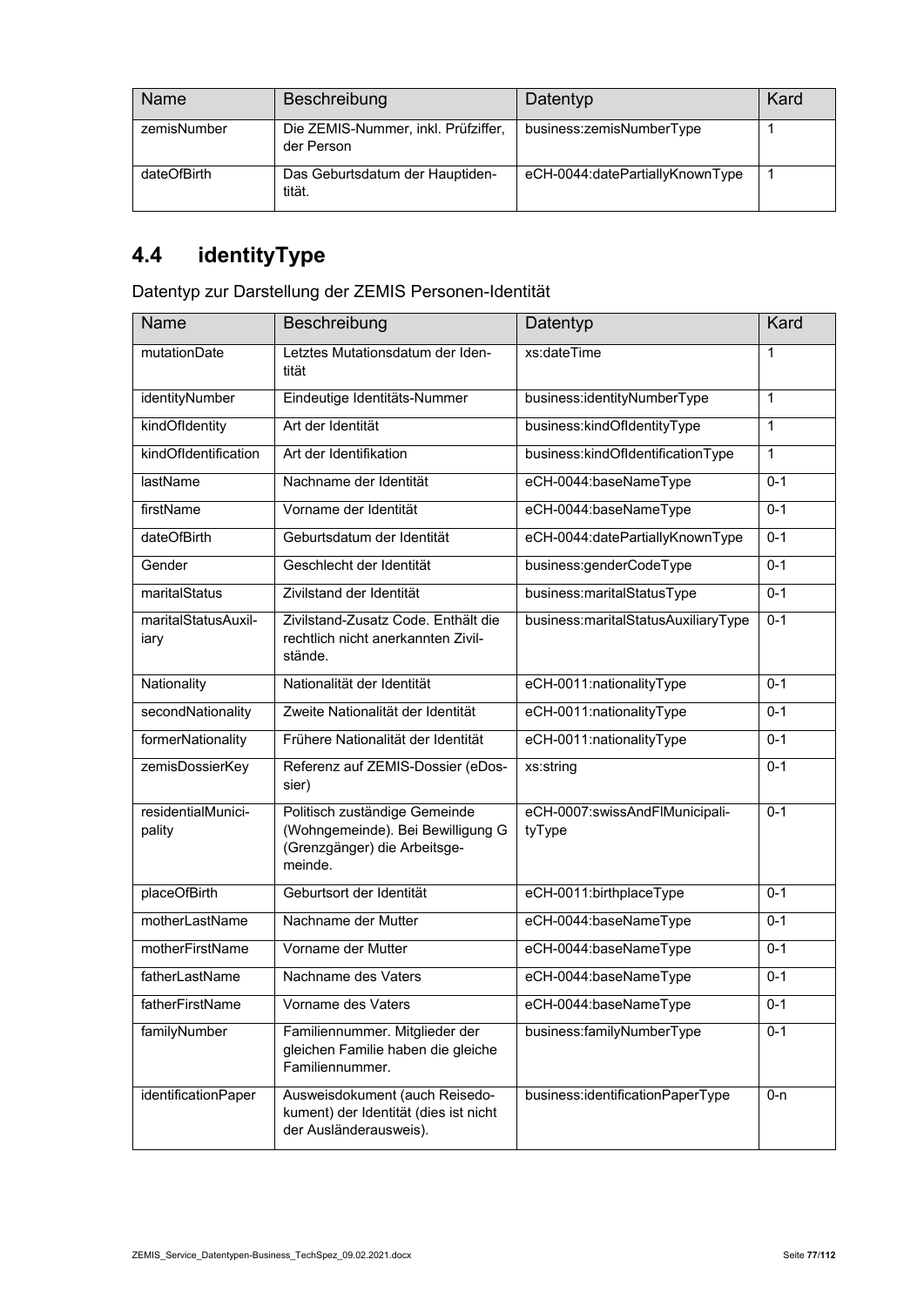| Name        | <b>Beschreibung</b>                               | Datentyp                        | Kard |
|-------------|---------------------------------------------------|---------------------------------|------|
| zemisNumber | Die ZEMIS-Nummer, inkl. Prüfziffer,<br>der Person | business:zemisNumberType        |      |
| dateOfBirth | Das Geburtsdatum der Hauptiden-<br>tität.         | eCH-0044:datePartiallyKnownType |      |

# **4.4 identityType**

Datentyp zur Darstellung der ZEMIS Personen-Identität

| Name                         | Beschreibung                                                                                                  | Datentyp                                 | Kard         |
|------------------------------|---------------------------------------------------------------------------------------------------------------|------------------------------------------|--------------|
| mutationDate                 | Letztes Mutationsdatum der Iden-<br>tität                                                                     | xs:dateTime                              | 1            |
| identityNumber               | Eindeutige Identitäts-Nummer                                                                                  | business:identityNumberType              | $\mathbf{1}$ |
| kindOfldentity               | Art der Identität                                                                                             | business:kindOfldentityType              | 1            |
| kindOfIdentification         | Art der Identifikation                                                                                        | business:kindOfldentificationType        | 1            |
| lastName                     | Nachname der Identität                                                                                        | eCH-0044:baseNameType                    | $0 - 1$      |
| firstName                    | Vorname der Identität                                                                                         | eCH-0044:baseNameType                    | $0 - 1$      |
| dateOfBirth                  | Geburtsdatum der Identität                                                                                    | eCH-0044:datePartiallyKnownType          | $0 - 1$      |
| Gender                       | Geschlecht der Identität                                                                                      | business:genderCodeType                  | $0 - 1$      |
| maritalStatus                | Zivilstand der Identität                                                                                      | business:maritalStatusType               | $0 - 1$      |
| maritalStatusAuxil-<br>iary  | Zivilstand-Zusatz Code, Enthält die<br>rechtlich nicht anerkannten Zivil-<br>stände.                          | business:maritalStatusAuxiliaryType      | $0 - 1$      |
| Nationality                  | Nationalität der Identität                                                                                    | eCH-0011:nationalityType                 | $0 - 1$      |
| secondNationality            | Zweite Nationalität der Identität                                                                             | eCH-0011:nationalityType                 | $0 - 1$      |
| formerNationality            | Frühere Nationalität der Identität                                                                            | eCH-0011:nationalityType                 | $0 - 1$      |
| zemisDossierKey              | Referenz auf ZEMIS-Dossier (eDos-<br>sier)                                                                    | xs:string                                | $0 - 1$      |
| residentialMunici-<br>pality | Politisch zuständige Gemeinde<br>(Wohngemeinde). Bei Bewilligung G<br>(Grenzgänger) die Arbeitsge-<br>meinde. | eCH-0007:swissAndFlMunicipali-<br>tyType | $0 - 1$      |
| placeOfBirth                 | Geburtsort der Identität                                                                                      | eCH-0011:birthplaceType                  | $0 - 1$      |
| motherLastName               | Nachname der Mutter                                                                                           | eCH-0044:baseNameType                    | $0 - 1$      |
| motherFirstName              | Vorname der Mutter                                                                                            | eCH-0044:baseNameType                    | $0 - 1$      |
| fatherLastName               | Nachname des Vaters                                                                                           | eCH-0044:baseNameType                    | $0 - 1$      |
| fatherFirstName              | Vorname des Vaters                                                                                            | eCH-0044:baseNameType                    | $0-1$        |
| familyNumber                 | Familiennummer. Mitglieder der<br>gleichen Familie haben die gleiche<br>Familiennummer.                       | business:familyNumberType                | $0 - 1$      |
| identificationPaper          | Ausweisdokument (auch Reisedo-<br>kument) der Identität (dies ist nicht<br>der Ausländerausweis).             | business:identificationPaperType         | $0 - n$      |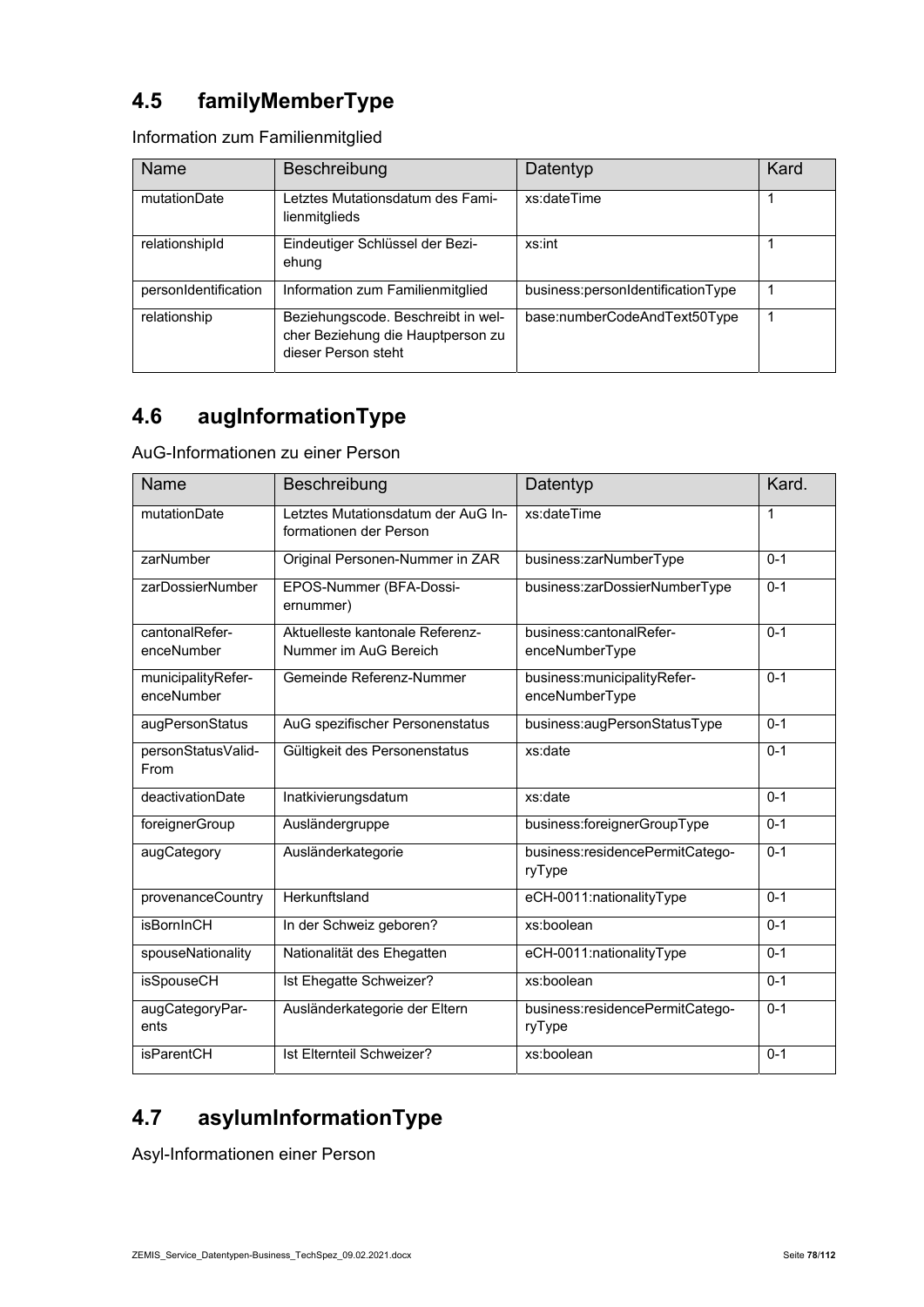## **4.5 familyMemberType**

Information zum Familienmitglied

| Name                 | Beschreibung                                                                                   | Datentyp                          | Kard |
|----------------------|------------------------------------------------------------------------------------------------|-----------------------------------|------|
| mutationDate         | Letztes Mutationsdatum des Fami-<br>lienmitglieds                                              | xs:dateTime                       |      |
| relationshipId       | Eindeutiger Schlüssel der Bezi-<br>ehung                                                       | xs:int                            |      |
| personIdentification | Information zum Familienmitglied                                                               | business:personIdentificationType |      |
| relationship         | Beziehungscode. Beschreibt in wel-<br>cher Beziehung die Hauptperson zu<br>dieser Person steht | base:numberCodeAndText50Type      |      |

## **4.6 augInformationType**

AuG-Informationen zu einer Person

| <b>Name</b>                      | Beschreibung                                                 | Datentyp                                        | Kard.   |
|----------------------------------|--------------------------------------------------------------|-------------------------------------------------|---------|
| mutationDate                     | Letztes Mutationsdatum der AuG In-<br>formationen der Person | xs:dateTime                                     | 1       |
| zarNumber                        | Original Personen-Nummer in ZAR                              | business:zarNumberType                          | $0 - 1$ |
| zarDossierNumber                 | EPOS-Nummer (BFA-Dossi-<br>ernummer)                         | business:zarDossierNumberType                   | $0 - 1$ |
| cantonalRefer-<br>enceNumber     | Aktuelleste kantonale Referenz-<br>Nummer im AuG Bereich     | business:cantonalRefer-<br>enceNumberType       | $0 - 1$ |
| municipalityRefer-<br>enceNumber | Gemeinde Referenz-Nummer                                     | business: municipality Refer-<br>enceNumberType | $0 - 1$ |
| augPersonStatus                  | AuG spezifischer Personenstatus                              | business:augPersonStatusType                    | $0 - 1$ |
| personStatusValid-<br>From       | Gültigkeit des Personenstatus                                | xs:date                                         | $0 - 1$ |
| deactivationDate                 | Inatkivierungsdatum                                          | xs:date                                         | $0 - 1$ |
| foreignerGroup                   | Ausländergruppe                                              | business:foreignerGroupType                     | $0 - 1$ |
| augCategory                      | Ausländerkategorie                                           | business:residencePermitCatego-<br>ryType       | $0 - 1$ |
| provenanceCountry                | Herkunftsland                                                | eCH-0011:nationalityType                        | $0 - 1$ |
| <b>isBornInCH</b>                | In der Schweiz geboren?                                      | xs:boolean                                      | $0 - 1$ |
| spouseNationality                | Nationalität des Ehegatten                                   | eCH-0011:nationalityType                        | $0 - 1$ |
| <b>isSpouseCH</b>                | Ist Ehegatte Schweizer?                                      | xs:boolean                                      | $0 - 1$ |
| augCategoryPar-<br>ents          | Ausländerkategorie der Eltern                                | business:residencePermitCatego-<br>ryType       | $0 - 1$ |
| <b>isParentCH</b>                | Ist Elternteil Schweizer?                                    | xs:boolean                                      | $0 - 1$ |

## **4.7 asylumInformationType**

Asyl-Informationen einer Person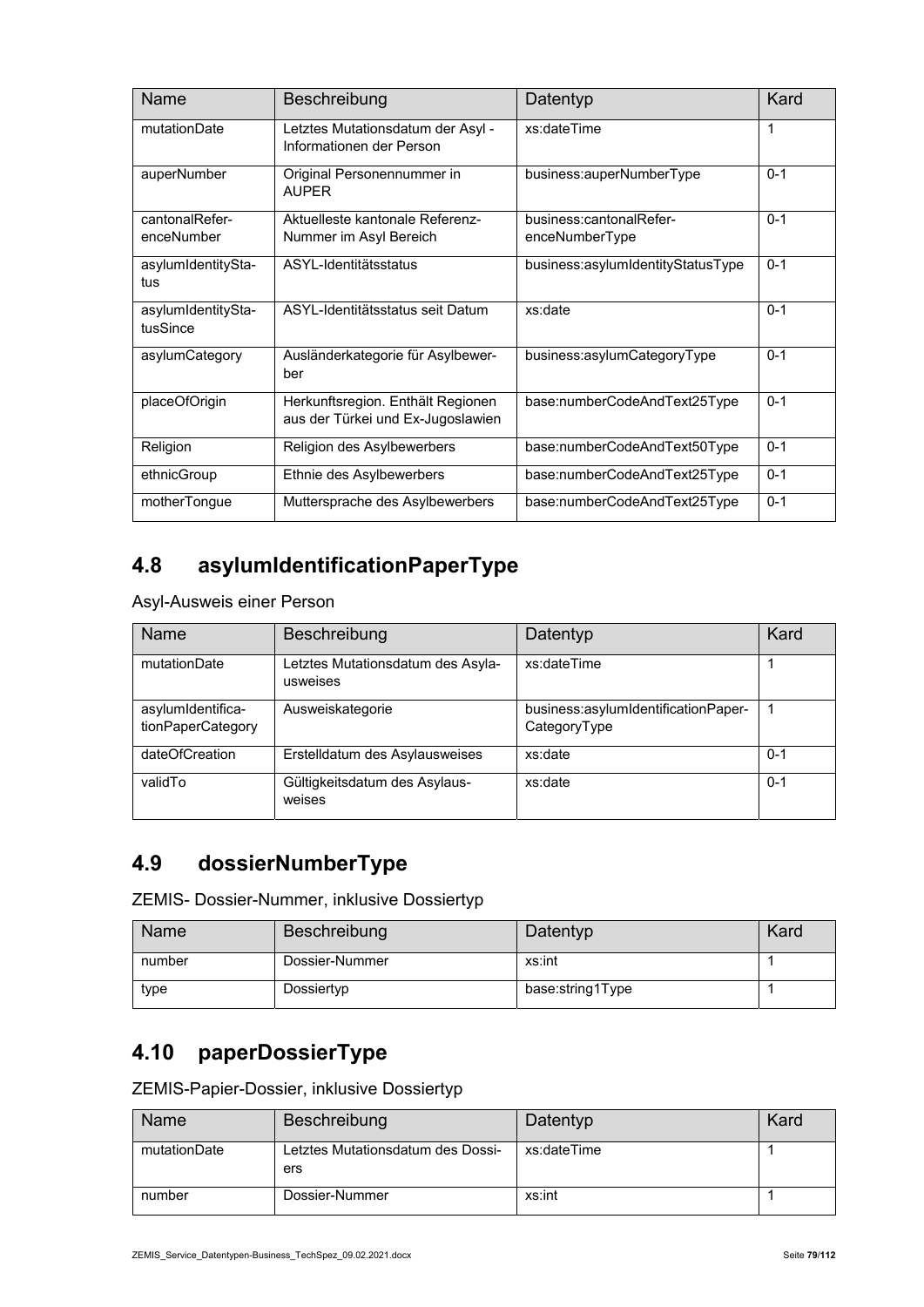| Name                           | Beschreibung                                                           | Datentyp                                  | Kard    |
|--------------------------------|------------------------------------------------------------------------|-------------------------------------------|---------|
| mutationDate                   | Letztes Mutationsdatum der Asyl -<br>Informationen der Person          | xs:dateTime                               | 1       |
| auperNumber                    | Original Personennummer in<br><b>AUPFR</b>                             | business:auperNumberType                  | $0 - 1$ |
| cantonalRefer-<br>enceNumber   | Aktuelleste kantonale Referenz-<br>Nummer im Asyl Bereich              | business:cantonalRefer-<br>enceNumberType | $0 - 1$ |
| asylumIdentitySta-<br>tus      | ASYL-Identitätsstatus                                                  | business:asylumIdentityStatusType         | $0 - 1$ |
| asylumIdentitySta-<br>tusSince | ASYL-Identitätsstatus seit Datum                                       | xs:date                                   | $0 - 1$ |
| asylumCategory                 | Ausländerkategorie für Asylbewer-<br>ber                               | business:asylumCategoryType               | $0 - 1$ |
| placeOfOrigin                  | Herkunftsregion. Enthält Regionen<br>aus der Türkei und Ex-Jugoslawien | base:numberCodeAndText25Type              | $0 - 1$ |
| Religion                       | Religion des Asylbewerbers                                             | base:numberCodeAndText50Type              | $0 - 1$ |
| ethnicGroup                    | Ethnie des Asylbewerbers                                               | base:numberCodeAndText25Type              | $0 - 1$ |
| motherTongue                   | Muttersprache des Asylbewerbers                                        | base:numberCodeAndText25Type              | $0 - 1$ |

#### **4.8 asylumIdentificationPaperType**

Asyl-Ausweis einer Person

| Name                                   | Beschreibung                                  | Datentyp                                            | Kard    |
|----------------------------------------|-----------------------------------------------|-----------------------------------------------------|---------|
| mutationDate                           | Letztes Mutationsdatum des Asyla-<br>usweises | xs:dateTime                                         |         |
| asylumIdentifica-<br>tionPaperCategory | Ausweiskategorie                              | business:asylumIdentificationPaper-<br>CategoryType |         |
| dateOfCreation                         | Erstelldatum des Asylausweises                | xs:date                                             | $0 - 1$ |
| validTo                                | Gültigkeitsdatum des Asylaus-<br>weises       | xs:date                                             | $0 - 1$ |

## **4.9 dossierNumberType**

ZEMIS- Dossier-Nummer, inklusive Dossiertyp

| Name   | Beschreibung   | Datentyp         | Kard |
|--------|----------------|------------------|------|
| number | Dossier-Nummer | xs:int           |      |
| type   | Dossiertyp     | base:string1Type |      |

#### **4.10 paperDossierType**

ZEMIS-Papier-Dossier, inklusive Dossiertyp

| Name         | Beschreibung                             | Datentyp    | Kard |
|--------------|------------------------------------------|-------------|------|
| mutationDate | Letztes Mutationsdatum des Dossi-<br>ers | xs:dateTime |      |
| number       | Dossier-Nummer                           | xs:int      |      |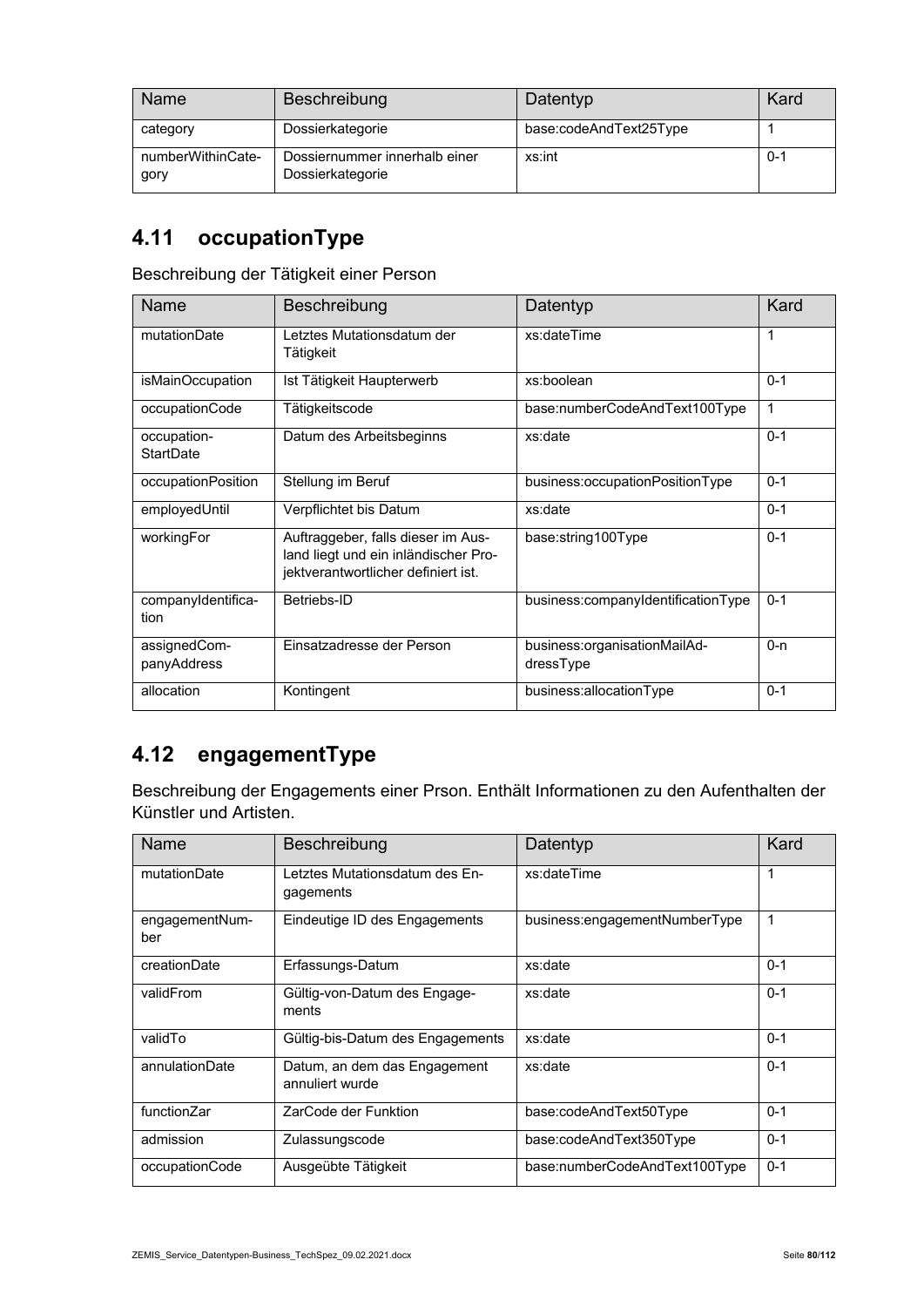| Name                      | <b>Beschreibung</b>                               | Datentyp               | Kard    |
|---------------------------|---------------------------------------------------|------------------------|---------|
| category                  | Dossierkategorie                                  | base:codeAndText25Type |         |
| numberWithinCate-<br>gory | Dossiernummer innerhalb einer<br>Dossierkategorie | xs:int                 | $0 - 1$ |

## **4.11 occupationType**

Beschreibung der Tätigkeit einer Person

| Name                        | Beschreibung                                                                                                      | Datentyp                                  | Kard    |
|-----------------------------|-------------------------------------------------------------------------------------------------------------------|-------------------------------------------|---------|
| mutationDate                | Letztes Mutationsdatum der<br>Tätigkeit                                                                           | xs:dateTime                               | 1       |
| isMainOccupation            | Ist Tätigkeit Haupterwerb                                                                                         | xs:boolean                                | $0 - 1$ |
| occupationCode              | Tätigkeitscode                                                                                                    | base:numberCodeAndText100Type             | 1       |
| occupation-<br>StartDate    | Datum des Arbeitsbeginns                                                                                          | xs:date                                   | $0 - 1$ |
| occupationPosition          | Stellung im Beruf                                                                                                 | business:occupationPositionType           | $0 - 1$ |
| employedUntil               | Verpflichtet bis Datum                                                                                            | xs:date                                   | $0 - 1$ |
| workingFor                  | Auftraggeber, falls dieser im Aus-<br>land liegt und ein inländischer Pro-<br>jektverantwortlicher definiert ist. | base:string100Type                        | $0 - 1$ |
| companyIdentifica-<br>tion  | Betriebs-ID                                                                                                       | business:companyIdentificationType        | $0 - 1$ |
| assignedCom-<br>panyAddress | Einsatzadresse der Person                                                                                         | business:organisationMailAd-<br>dressType | $0 - n$ |
| allocation                  | Kontingent                                                                                                        | business:allocationType                   | $0 - 1$ |

#### **4.12 engagementType**

Beschreibung der Engagements einer Prson. Enthält Informationen zu den Aufenthalten der Künstler und Artisten.

| Name                  | Beschreibung                                    | Datentyp                      | Kard    |
|-----------------------|-------------------------------------------------|-------------------------------|---------|
| mutationDate          | Letztes Mutationsdatum des En-<br>gagements     | xs:dateTime                   | 1       |
| engagementNum-<br>ber | Eindeutige ID des Engagements                   | business:engagementNumberType | 1       |
| creationDate          | Erfassungs-Datum                                | xs:date                       | $0 - 1$ |
| validFrom             | Gültig-von-Datum des Engage-<br>ments           | xs:date                       | $0 - 1$ |
| validTo               | Gültig-bis-Datum des Engagements                | xs:date                       | $0 - 1$ |
| annulationDate        | Datum, an dem das Engagement<br>annuliert wurde | xs:date                       | $0 - 1$ |
| functionZar           | ZarCode der Funktion                            | base:codeAndText50Type        | $0 - 1$ |
| admission             | Zulassungscode                                  | base:codeAndText350Type       | $0 - 1$ |
| occupationCode        | Ausgeübte Tätigkeit                             | base:numberCodeAndText100Type | $0 - 1$ |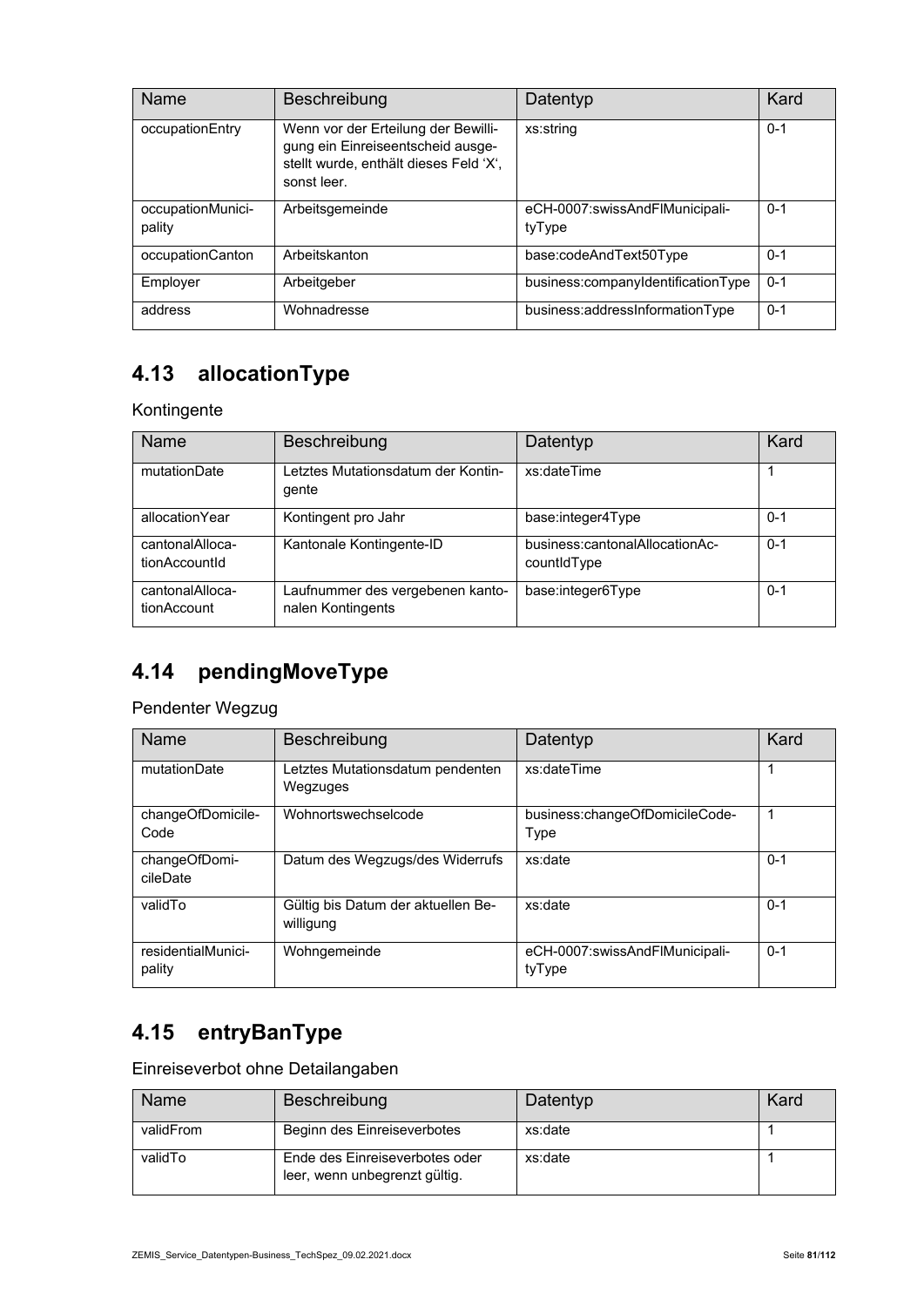| Name                        | Beschreibung                                                                                                                      | Datentyp                                 | Kard    |
|-----------------------------|-----------------------------------------------------------------------------------------------------------------------------------|------------------------------------------|---------|
| occupationEntry             | Wenn vor der Erteilung der Bewilli-<br>gung ein Einreiseentscheid ausge-<br>stellt wurde, enthält dieses Feld 'X',<br>sonst leer. | xs:string                                | $0 - 1$ |
| occupationMunici-<br>pality | Arbeitsgemeinde                                                                                                                   | eCH-0007:swissAndFlMunicipali-<br>tyType | $0 - 1$ |
| occupationCanton            | Arbeitskanton                                                                                                                     | base:codeAndText50Type                   | $0 - 1$ |
| Employer                    | Arbeitgeber                                                                                                                       | business:companyIdentificationType       | $0 - 1$ |
| address                     | Wohnadresse                                                                                                                       | business:addressInformationType          | $0 - 1$ |

# **4.13 allocationType**

#### Kontingente

| <b>Name</b>                      | Beschreibung                                          | Datentyp                                      | Kard    |
|----------------------------------|-------------------------------------------------------|-----------------------------------------------|---------|
| mutationDate                     | Letztes Mutationsdatum der Kontin-<br>gente           | xs:dateTime                                   |         |
| allocationYear                   | Kontingent pro Jahr                                   | base:integer4Type                             | $0 - 1$ |
| cantonalAlloca-<br>tionAccountId | Kantonale Kontingente-ID                              | business:cantonalAllocationAc-<br>countidType | $0 - 1$ |
| cantonalAlloca-<br>tionAccount   | Laufnummer des vergebenen kanto-<br>nalen Kontingents | base:integer6Type                             | $0 - 1$ |

#### **4.14 pendingMoveType**

Pendenter Wegzug

| <b>Name</b>                  | Beschreibung                                    | Datentyp                                 | Kard    |
|------------------------------|-------------------------------------------------|------------------------------------------|---------|
| mutationDate                 | Letztes Mutationsdatum pendenten<br>Wegzuges    | xs:dateTime                              | 1       |
| changeOfDomicile-<br>Code    | Wohnortswechselcode                             | business:changeOfDomicileCode-<br>Type   | 1       |
| changeOfDomi-<br>cileDate    | Datum des Wegzugs/des Widerrufs                 | xs:date                                  | $0 - 1$ |
| validTo                      | Gültig bis Datum der aktuellen Be-<br>willigung | xs:date                                  | $0 - 1$ |
| residentialMunici-<br>pality | Wohngemeinde                                    | eCH-0007:swissAndFlMunicipali-<br>tyType | $0 - 1$ |

## **4.15 entryBanType**

Einreiseverbot ohne Detailangaben

| Name      | Beschreibung                                                    | Datentyp | Kard |
|-----------|-----------------------------------------------------------------|----------|------|
| validFrom | Beginn des Einreiseverbotes                                     | xs:date  |      |
| validTo   | Ende des Einreiseverbotes oder<br>leer, wenn unbegrenzt gültig. | xs:date  |      |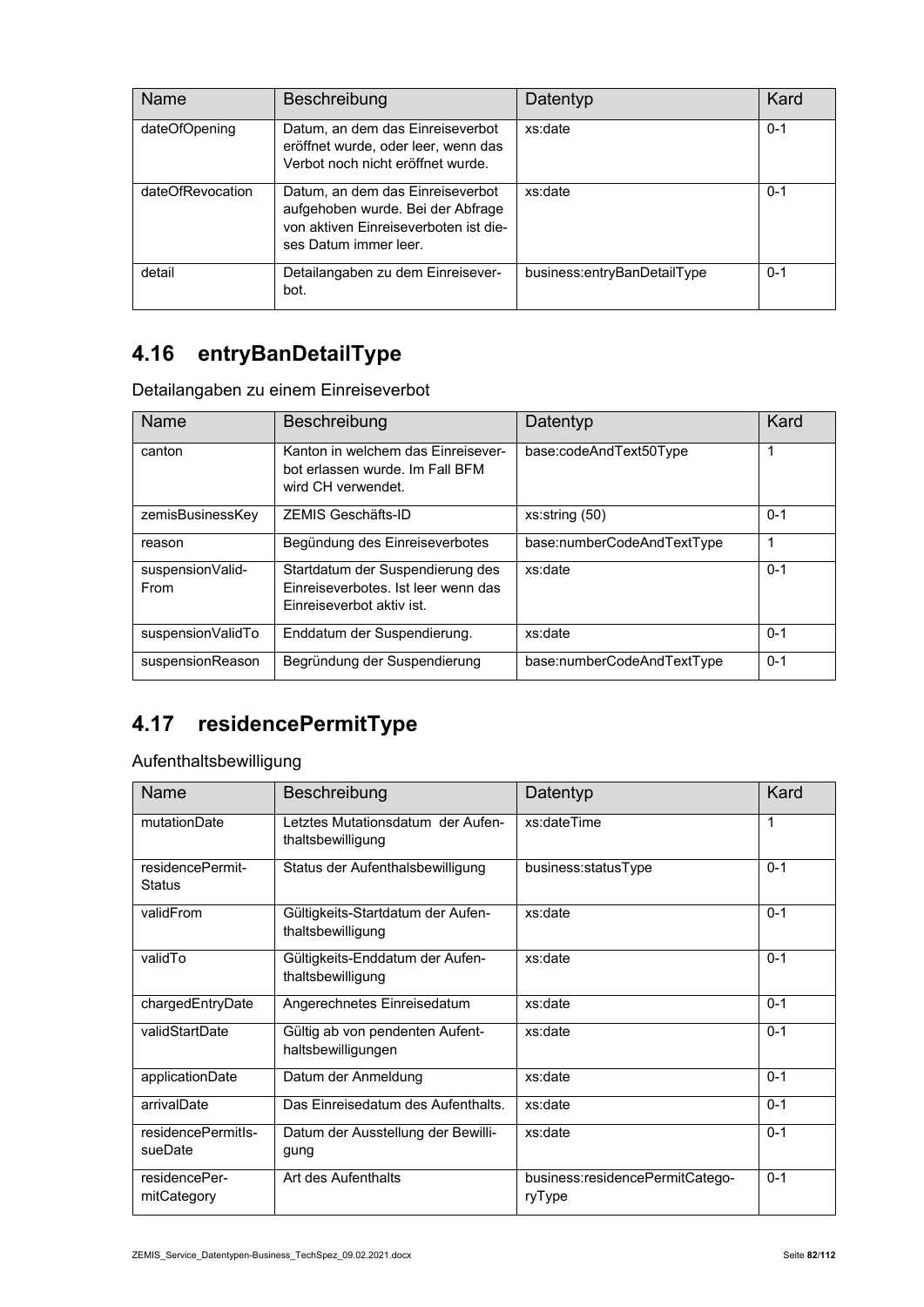| Name             | <b>Beschreibung</b>                                                                                                                     | Datentyp                    | Kard    |
|------------------|-----------------------------------------------------------------------------------------------------------------------------------------|-----------------------------|---------|
| dateOfOpening    | Datum, an dem das Einreiseverbot<br>eröffnet wurde, oder leer, wenn das<br>Verbot noch nicht eröffnet wurde.                            | xs:date                     | $0 - 1$ |
| dateOfRevocation | Datum, an dem das Einreiseverbot<br>aufgehoben wurde. Bei der Abfrage<br>von aktiven Finreiseverboten ist die-<br>ses Datum immer leer. | xs:date                     | $0 - 1$ |
| detail           | Detailangaben zu dem Einreisever-<br>bot.                                                                                               | business:entryBanDetailType | $0 - 1$ |

## **4.16 entryBanDetailType**

Detailangaben zu einem Einreiseverbot

| Name                      | <b>Beschreibung</b>                                                                                  | Datentyp                   | Kard    |
|---------------------------|------------------------------------------------------------------------------------------------------|----------------------------|---------|
| canton                    | Kanton in welchem das Einreisever-<br>bot erlassen wurde. Im Fall BFM<br>wird CH verwendet.          | base:codeAndText50Type     | 1       |
| zemisBusinessKey          | ZEMIS Geschäfts-ID                                                                                   | xs:string(50)              | $0 - 1$ |
| reason                    | Begündung des Einreiseverbotes                                                                       | base:numberCodeAndTextType |         |
| suspension Valid-<br>From | Startdatum der Suspendierung des<br>Finreiseverbotes. Ist leer wenn das<br>Einreiseverbot aktiv ist. | xs:date                    | $0 - 1$ |
| suspensionValidTo         | Enddatum der Suspendierung.                                                                          | xs:date                    | $0 - 1$ |
| suspensionReason          | Begründung der Suspendierung                                                                         | base:numberCodeAndTextType | $0 - 1$ |

## **4.17 residencePermitType**

Aufenthaltsbewilligung

| Name                              | Beschreibung                                           | Datentyp                                  | Kard    |
|-----------------------------------|--------------------------------------------------------|-------------------------------------------|---------|
| mutationDate                      | Letztes Mutationsdatum der Aufen-<br>thaltsbewilligung | xs:dateTime                               | 1       |
| residencePermit-<br><b>Status</b> | Status der Aufenthalsbewilligung                       | business:statusType                       | $0 - 1$ |
| validFrom                         | Gültigkeits-Startdatum der Aufen-<br>thaltsbewilligung | xs:date                                   | $0 - 1$ |
| validTo                           | Gültigkeits-Enddatum der Aufen-<br>thaltsbewilligung   | xs:date                                   | $0 - 1$ |
| chargedEntryDate                  | Angerechnetes Einreisedatum                            | xs:date                                   | $0 - 1$ |
| validStartDate                    | Gültig ab von pendenten Aufent-<br>haltsbewilligungen  | xs:date                                   | $0 - 1$ |
| applicationDate                   | Datum der Anmeldung                                    | xs:date                                   | $0 - 1$ |
| arrivalDate                       | Das Einreisedatum des Aufenthalts.                     | xs:date                                   | $0 - 1$ |
| residencePermitIs-<br>sueDate     | Datum der Ausstellung der Bewilli-<br>gung             | xs:date                                   | $0 - 1$ |
| residencePer-<br>mitCategory      | Art des Aufenthalts                                    | business:residencePermitCatego-<br>ryType | $0 - 1$ |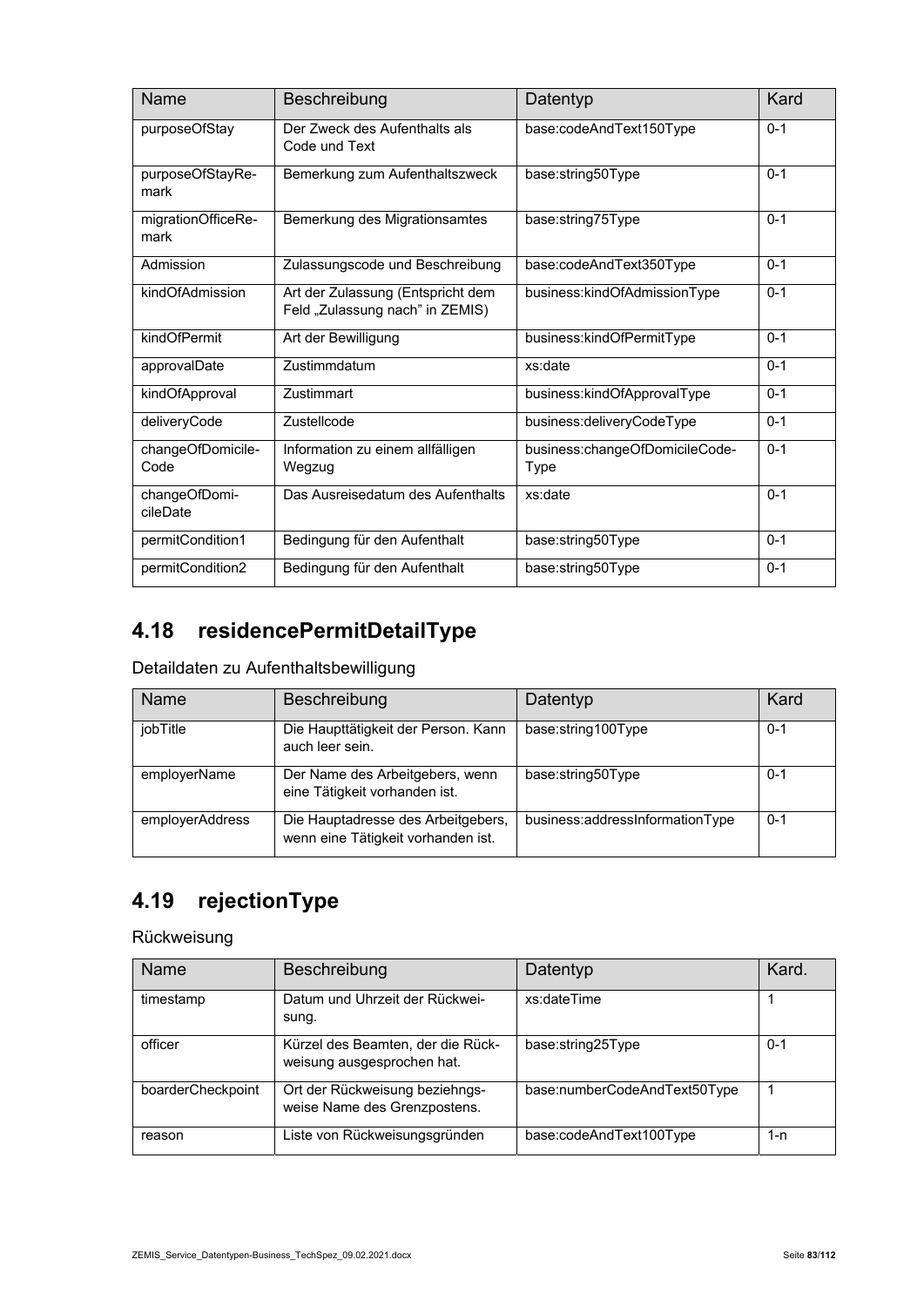| Name                       | Beschreibung                                                         | Datentyp                               | Kard    |
|----------------------------|----------------------------------------------------------------------|----------------------------------------|---------|
| purposeOfStay              | Der Zweck des Aufenthalts als<br>Code und Text                       | base:codeAndText150Type                | $0 - 1$ |
| purposeOfStayRe-<br>mark   | Bemerkung zum Aufenthaltszweck                                       | base:string50Type                      | $0 - 1$ |
| migrationOfficeRe-<br>mark | Bemerkung des Migrationsamtes                                        | base:string75Type                      | $0 - 1$ |
| Admission                  | Zulassungscode und Beschreibung                                      | base:codeAndText350Type                | $0 - 1$ |
| kindOfAdmission            | Art der Zulassung (Entspricht dem<br>Feld "Zulassung nach" in ZEMIS) | business:kindOfAdmissionType           | $0 - 1$ |
| kindOfPermit               | Art der Bewilligung                                                  | business:kindOfPermitType              | $0 - 1$ |
| approvalDate               | Zustimmdatum                                                         | xs:date                                | $0 - 1$ |
| kindOfApproval             | Zustimmart                                                           | business:kindOfApprovalType            | $0 - 1$ |
| deliveryCode               | Zustellcode                                                          | business:deliveryCodeType              | $0 - 1$ |
| changeOfDomicile-<br>Code  | Information zu einem allfälligen<br>Wegzug                           | business:changeOfDomicileCode-<br>Type | $0 - 1$ |
| changeOfDomi-<br>cileDate  | Das Ausreisedatum des Aufenthalts                                    | xs:date                                | $0 - 1$ |
| permitCondition1           | Bedingung für den Aufenthalt                                         | base:string50Type                      | $0 - 1$ |
| permitCondition2           | Bedingung für den Aufenthalt                                         | base:string50Type                      | $0 - 1$ |

## **4.18 residencePermitDetailType**

#### Detaildaten zu Aufenthaltsbewilligung

| <b>Name</b>     | Beschreibung                                                             | Datentyp                        | Kard    |
|-----------------|--------------------------------------------------------------------------|---------------------------------|---------|
| jobTitle        | Die Haupttätigkeit der Person. Kann<br>auch leer sein.                   | base:string100Type              | $0 - 1$ |
| employerName    | Der Name des Arbeitgebers, wenn<br>eine Tätigkeit vorhanden ist.         | base:string50Type               | $0 - 1$ |
| employerAddress | Die Hauptadresse des Arbeitgebers,<br>wenn eine Tätigkeit vorhanden ist. | business:addressInformationType | $0 - 1$ |

# **4.19 rejectionType**

#### Rückweisung

| Name              | Beschreibung                                                    | Datentyp                     | Kard.   |
|-------------------|-----------------------------------------------------------------|------------------------------|---------|
| timestamp         | Datum und Uhrzeit der Rückwei-<br>sung.                         | xs:dateTime                  |         |
| officer           | Kürzel des Beamten, der die Rück-<br>weisung ausgesprochen hat. | base:string25Type            | $0 - 1$ |
| boarderCheckpoint | Ort der Rückweisung beziehngs-<br>weise Name des Grenzpostens.  | base:numberCodeAndText50Type |         |
| reason            | Liste von Rückweisungsgründen                                   | base:codeAndText100Type      | 1-n     |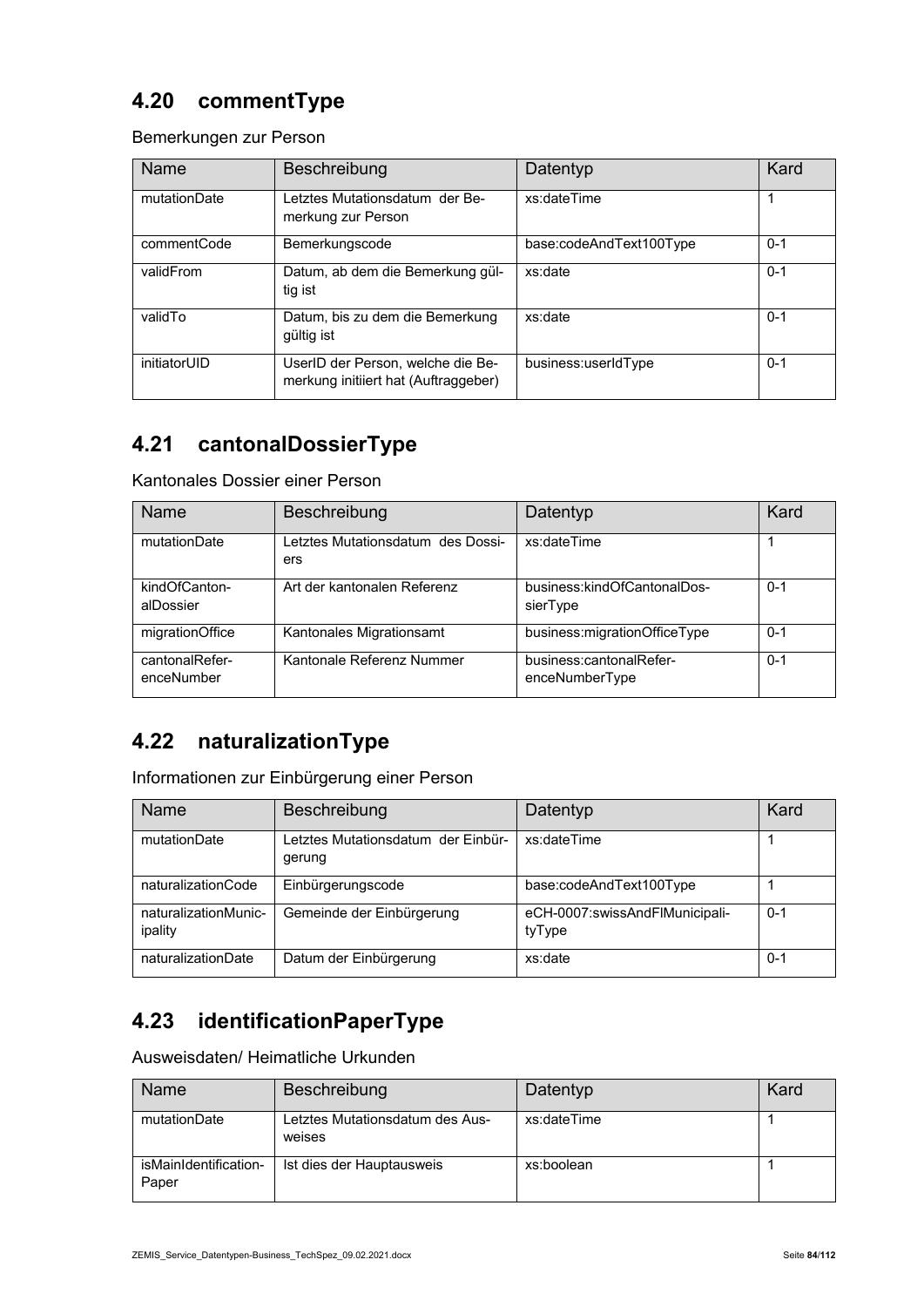#### **4.20 commentType**

Bemerkungen zur Person

| <b>Name</b>  | Beschreibung                                                              | Datentyp                | Kard    |
|--------------|---------------------------------------------------------------------------|-------------------------|---------|
| mutationDate | Letztes Mutationsdatum der Be-<br>merkung zur Person                      | xs:dateTime             |         |
| commentCode  | Bemerkungscode                                                            | base:codeAndText100Type | $0 - 1$ |
| validFrom    | Datum, ab dem die Bemerkung gül-<br>tig ist                               | xs:date                 | $0 - 1$ |
| validTo      | Datum, bis zu dem die Bemerkung<br>gültig ist                             | xs:date                 | $0 - 1$ |
| initiatorUID | UserID der Person, welche die Be-<br>merkung initiiert hat (Auftraggeber) | business:userIdType     | $0 - 1$ |

## **4.21 cantonalDossierType**

Kantonales Dossier einer Person

| <b>Name</b>                  | Beschreibung                             | Datentyp                                  | Kard    |
|------------------------------|------------------------------------------|-------------------------------------------|---------|
| mutationDate                 | Letztes Mutationsdatum des Dossi-<br>ers | xs:dateTime                               |         |
| kindOfCanton-<br>alDossier   | Art der kantonalen Referenz              | business:kindOfCantonalDos-<br>sierType   | $0 - 1$ |
| migrationOffice              | Kantonales Migrationsamt                 | business:migrationOfficeType              | $0 - 1$ |
| cantonalRefer-<br>enceNumber | Kantonale Referenz Nummer                | business:cantonalRefer-<br>enceNumberType | $0 - 1$ |

#### **4.22 naturalizationType**

Informationen zur Einbürgerung einer Person

| <b>Name</b>                     | Beschreibung                                 | Datentyp                                 | Kard    |
|---------------------------------|----------------------------------------------|------------------------------------------|---------|
| mutationDate                    | Letztes Mutationsdatum der Einbür-<br>gerung | xs:dateTime                              |         |
| naturalizationCode              | Einbürgerungscode                            | base:codeAndText100Type                  |         |
| naturalizationMunic-<br>ipality | Gemeinde der Einbürgerung                    | eCH-0007:swissAndFlMunicipali-<br>tyType | $0 - 1$ |
| naturalizationDate              | Datum der Einbürgerung                       | xs:date                                  | 0-1     |

#### **4.23 identificationPaperType**

Ausweisdaten/ Heimatliche Urkunden

| Name                           | Beschreibung                              | Datentyp    | Kard |
|--------------------------------|-------------------------------------------|-------------|------|
| mutationDate                   | Letztes Mutationsdatum des Aus-<br>weises | xs:dateTime |      |
| isMainIdentification-<br>Paper | Ist dies der Hauptausweis                 | xs:boolean  |      |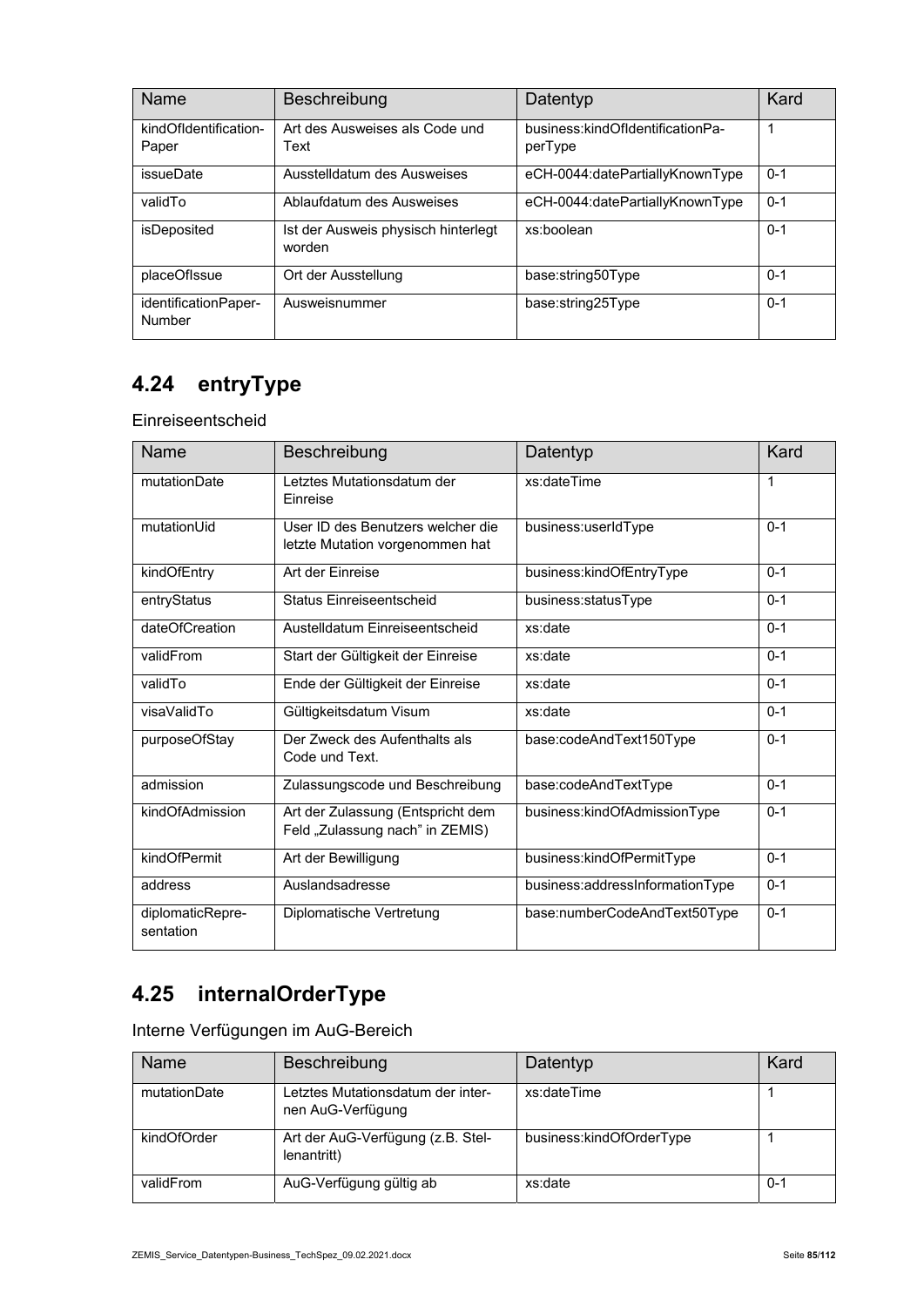| <b>Name</b>                    | Beschreibung                                  | Datentyp                                    | Kard    |
|--------------------------------|-----------------------------------------------|---------------------------------------------|---------|
| kindOfIdentification-<br>Paper | Art des Ausweises als Code und<br>Text        | business:kindOfIdentificationPa-<br>perType |         |
| <i>issueDate</i>               | Ausstelldatum des Ausweises                   | eCH-0044:datePartiallyKnownType             | $0 - 1$ |
| validTo                        | Ablaufdatum des Ausweises                     | eCH-0044:datePartiallyKnownType             | $0 - 1$ |
| isDeposited                    | Ist der Ausweis physisch hinterlegt<br>worden | xs:boolean                                  | $0 - 1$ |
| placeOfIssue                   | Ort der Ausstellung                           | base:string50Type                           | $0 - 1$ |
| identificationPaper-<br>Number | Ausweisnummer                                 | base:string25Type                           | $0 - 1$ |

## **4.24 entryType**

Einreiseentscheid

| Name                          | Beschreibung                                                         | Datentyp                        | Kard    |
|-------------------------------|----------------------------------------------------------------------|---------------------------------|---------|
| mutationDate                  | Letztes Mutationsdatum der<br>Einreise                               | xs:dateTime                     | 1       |
| mutationUid                   | User ID des Benutzers welcher die<br>letzte Mutation vorgenommen hat | business:userIdType             | $0 - 1$ |
| kindOfEntry                   | Art der Einreise                                                     | business:kindOfEntryType        | $0 - 1$ |
| entryStatus                   | Status Einreiseentscheid                                             | business:statusType             | $0 - 1$ |
| dateOfCreation                | Austelldatum Einreiseentscheid                                       | xs:date                         | $0 - 1$ |
| validFrom                     | Start der Gültigkeit der Einreise                                    | xs:date                         | $0 - 1$ |
| validTo                       | Ende der Gültigkeit der Einreise                                     | xs:date                         | $0 - 1$ |
| visaValidTo                   | Gültigkeitsdatum Visum                                               | xs:date                         | $0 - 1$ |
| purposeOfStay                 | Der Zweck des Aufenthalts als<br>Code und Text.                      | base:codeAndText150Type         | $0 - 1$ |
| admission                     | Zulassungscode und Beschreibung                                      | base:codeAndTextType            | $0 - 1$ |
| kindOfAdmission               | Art der Zulassung (Entspricht dem<br>Feld "Zulassung nach" in ZEMIS) | business:kindOfAdmissionType    | $0 - 1$ |
| kindOfPermit                  | Art der Bewilligung                                                  | business:kindOfPermitType       | $0 - 1$ |
| address                       | Auslandsadresse                                                      | business:addressInformationType | $0 - 1$ |
| diplomaticRepre-<br>sentation | Diplomatische Vertretung                                             | base:numberCodeAndText50Type    | $0 - 1$ |

## **4.25 internalOrderType**

Interne Verfügungen im AuG-Bereich

| Name         | Beschreibung                                           | Datentyp                 | Kard |
|--------------|--------------------------------------------------------|--------------------------|------|
| mutationDate | Letztes Mutationsdatum der inter-<br>nen AuG-Verfügung | xs:dateTime              |      |
| kindOfOrder  | Art der AuG-Verfügung (z.B. Stel-<br>lenantritt)       | business:kindOfOrderType |      |
| validFrom    | AuG-Verfügung gültig ab                                | xs:date                  | 0-1  |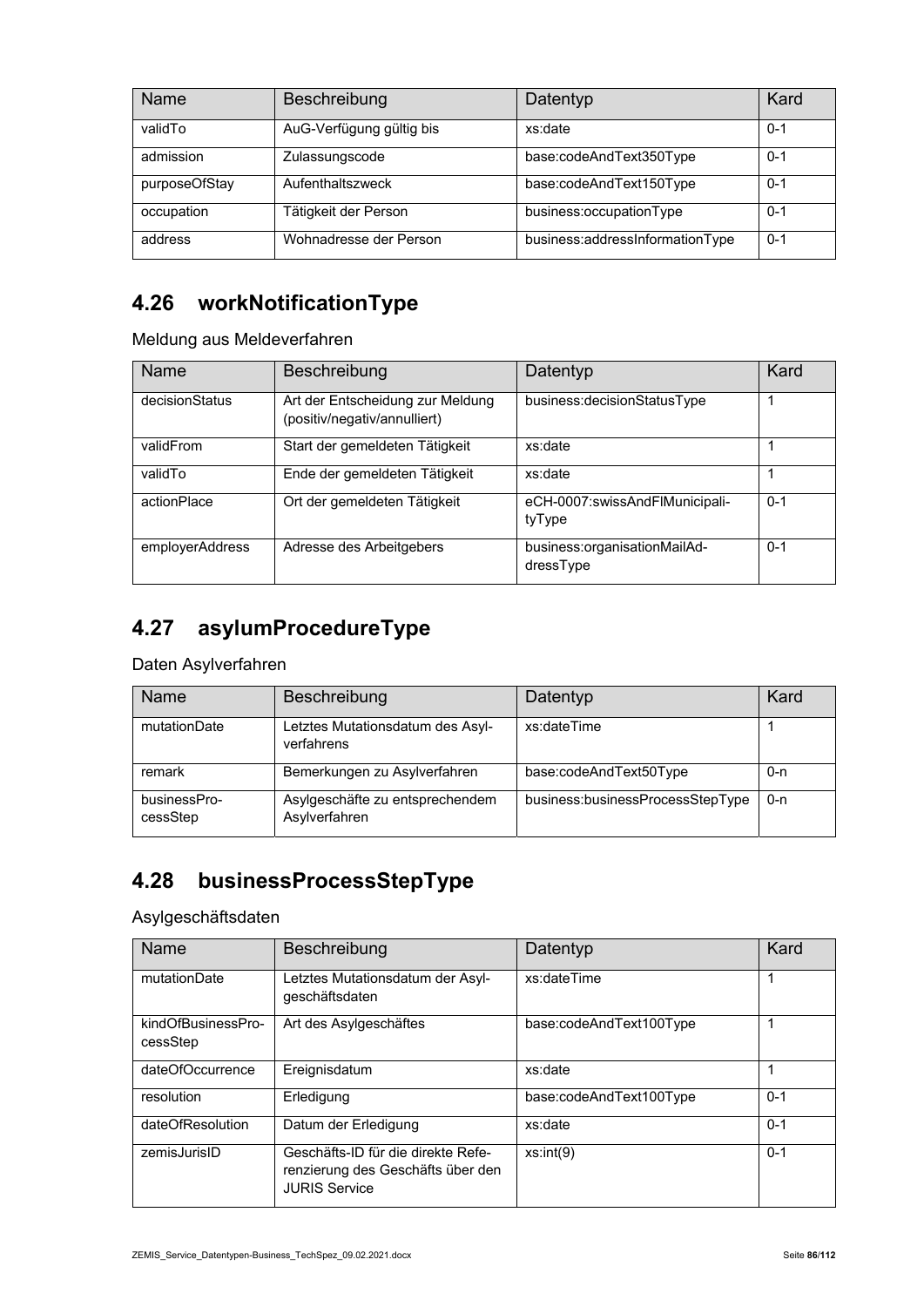| Name          | Beschreibung             | Datentyp                        | Kard    |
|---------------|--------------------------|---------------------------------|---------|
| validTo       | AuG-Verfügung gültig bis | xs:date                         | $0 - 1$ |
| admission     | Zulassungscode           | base:codeAndText350Type         | $0 - 1$ |
| purposeOfStay | Aufenthaltszweck         | base:codeAndText150Type         | $0 - 1$ |
| occupation    | Tätigkeit der Person     | business:occupationType         | $0 - 1$ |
| address       | Wohnadresse der Person   | business:addressInformationType | $0 - 1$ |

#### **4.26 workNotificationType**

Meldung aus Meldeverfahren

| Name            | Beschreibung                                                     | Datentyp                                  | Kard    |
|-----------------|------------------------------------------------------------------|-------------------------------------------|---------|
| decisionStatus  | Art der Entscheidung zur Meldung<br>(positiv/negativ/annulliert) | business: decision Status Type            |         |
| validFrom       | Start der gemeldeten Tätigkeit                                   | xs:date                                   |         |
| validTo         | Ende der gemeldeten Tätigkeit                                    | xs:date                                   |         |
| actionPlace     | Ort der gemeldeten Tätigkeit                                     | eCH-0007:swissAndFlMunicipali-<br>tyType  | $0 - 1$ |
| employerAddress | Adresse des Arbeitgebers                                         | business:organisationMailAd-<br>dressType | $0 - 1$ |

# **4.27 asylumProcedureType**

Daten Asylverfahren

| Name                     | Beschreibung                                     | Datentyp                         | Kard    |
|--------------------------|--------------------------------------------------|----------------------------------|---------|
| mutationDate             | Letztes Mutationsdatum des Asyl-<br>verfahrens   | xs:dateTime                      |         |
| remark                   | Bemerkungen zu Asylverfahren                     | base:codeAndText50Type           | 0-n     |
| businessPro-<br>cessStep | Asylgeschäfte zu entsprechendem<br>Asylverfahren | business:businessProcessStepType | $0 - n$ |

## **4.28 businessProcessStepType**

Asylgeschäftsdaten

| Name                           | Beschreibung                                                                                    | Datentyp                | Kard    |
|--------------------------------|-------------------------------------------------------------------------------------------------|-------------------------|---------|
| mutationDate                   | Letztes Mutationsdatum der Asyl-<br>geschäftsdaten                                              | xs:dateTime             |         |
| kindOfBusinessPro-<br>cessStep | Art des Asylgeschäftes                                                                          | base:codeAndText100Type |         |
| dateOfOccurrence               | Ereignisdatum                                                                                   | xs:date                 |         |
| resolution                     | Erledigung                                                                                      | base:codeAndText100Type | $0 - 1$ |
| dateOfResolution               | Datum der Erledigung                                                                            | xs:date                 | $0 - 1$ |
| zemisJurisID                   | Geschäfts-ID für die direkte Refe-<br>renzierung des Geschäfts über den<br><b>JURIS Service</b> | xs:int(9)               | $0 - 1$ |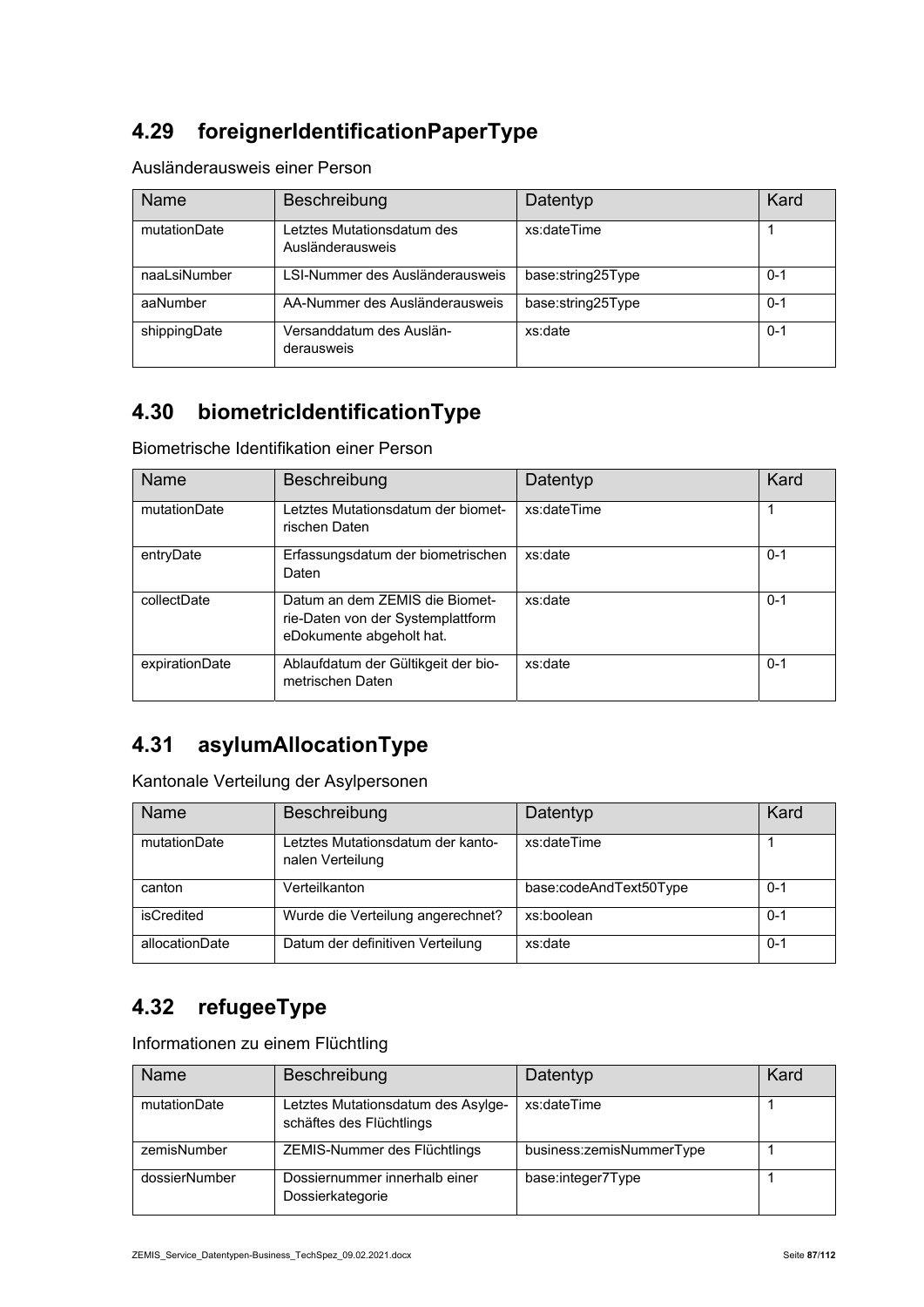## **4.29 foreignerIdentificationPaperType**

#### Ausländerausweis einer Person

| Name         | Beschreibung                                   | Datentyp          | Kard    |
|--------------|------------------------------------------------|-------------------|---------|
| mutationDate | Letztes Mutationsdatum des<br>Ausländerausweis | xs:dateTime       |         |
| naaLsiNumber | LSI-Nummer des Ausländerausweis                | base:string25Type | $0 - 1$ |
| aaNumber     | AA-Nummer des Ausländerausweis                 | base:string25Type | $0 - 1$ |
| shippingDate | Versanddatum des Auslän-<br>derausweis         | xs:date           | $0 - 1$ |

#### **4.30 biometricIdentificationType**

Biometrische Identifikation einer Person

| <b>Name</b>    | Beschreibung                                                                                    | Datentyp    | Kard    |
|----------------|-------------------------------------------------------------------------------------------------|-------------|---------|
| mutationDate   | Letztes Mutationsdatum der biomet-<br>rischen Daten                                             | xs:dateTime |         |
| entryDate      | Erfassungsdatum der biometrischen<br>Daten                                                      | xs:date     | $0 - 1$ |
| collectDate    | Datum an dem ZEMIS die Biomet-<br>rie-Daten von der Systemplattform<br>eDokumente abgeholt hat. | xs:date     | $0 - 1$ |
| expirationDate | Ablaufdatum der Gültikgeit der bio-<br>metrischen Daten                                         | xs:date     | $0 - 1$ |

#### **4.31 asylumAllocationType**

Kantonale Verteilung der Asylpersonen

| <b>Name</b>    | Beschreibung                                          | Datentyp               | Kard    |
|----------------|-------------------------------------------------------|------------------------|---------|
| mutationDate   | Letztes Mutationsdatum der kanto-<br>nalen Verteilung | xs:dateTime            |         |
| canton         | Verteilkanton                                         | base:codeAndText50Type | $0 - 1$ |
| isCredited     | Wurde die Verteilung angerechnet?                     | xs:boolean             | $0 - 1$ |
| allocationDate | Datum der definitiven Verteilung                      | xs:date                | $0 - 1$ |

#### **4.32 refugeeType**

Informationen zu einem Flüchtling

| Name          | Beschreibung                                                   | Datentyp                 | Kard |
|---------------|----------------------------------------------------------------|--------------------------|------|
| mutationDate  | Letztes Mutationsdatum des Asylge-<br>schäftes des Flüchtlings | xs:dateTime              |      |
| zemisNumber   | ZEMIS-Nummer des Flüchtlings                                   | business:zemisNummerType |      |
| dossierNumber | Dossiernummer innerhalb einer<br>Dossierkategorie              | base:integer7Type        |      |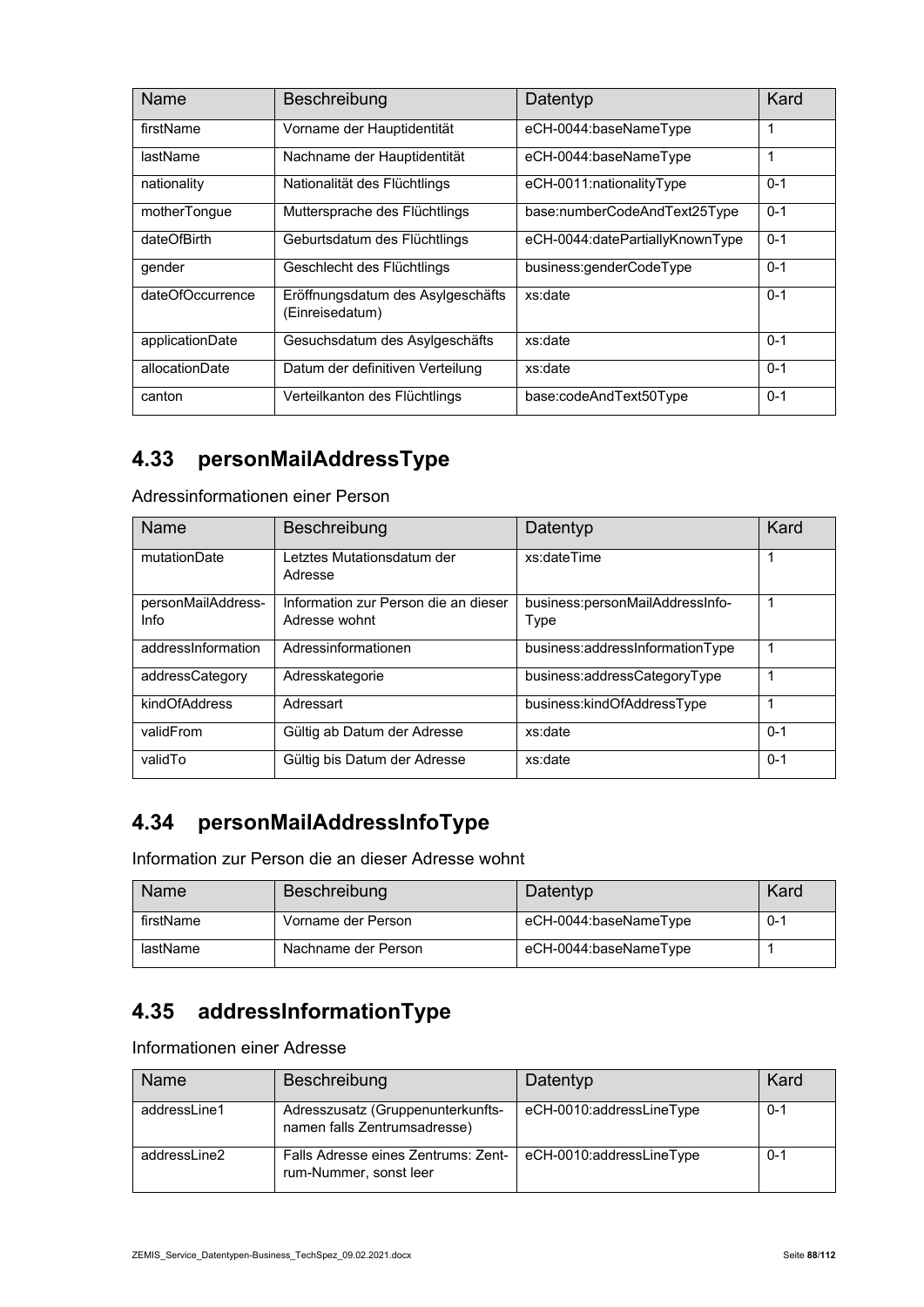| Name             | <b>Beschreibung</b>                                  | Datentyp                        | Kard    |
|------------------|------------------------------------------------------|---------------------------------|---------|
| firstName        | Vorname der Hauptidentität                           | eCH-0044:baseNameType           | 1       |
| lastName         | Nachname der Hauptidentität                          | eCH-0044:baseNameType           | 1       |
| nationality      | Nationalität des Flüchtlings                         | eCH-0011:nationalityType        | $0 - 1$ |
| motherTonque     | Muttersprache des Flüchtlings                        | base:numberCodeAndText25Type    | $0 - 1$ |
| dateOfBirth      | Geburtsdatum des Flüchtlings                         | eCH-0044:datePartiallyKnownType | $0 - 1$ |
| gender           | Geschlecht des Flüchtlings                           | business:genderCodeType         | $0 - 1$ |
| dateOfOccurrence | Eröffnungsdatum des Asylgeschäfts<br>(Einreisedatum) | xs:date                         | $0 - 1$ |
| applicationDate  | Gesuchsdatum des Asylgeschäfts                       | xs:date                         | $0 - 1$ |
| allocationDate   | Datum der definitiven Verteilung                     | xs:date                         | $0 - 1$ |
| canton           | Verteilkanton des Flüchtlings                        | base:codeAndText50Type          | $0 - 1$ |

#### **4.33 personMailAddressType**

Adressinformationen einer Person

| Name                       | Beschreibung                                          | Datentyp                                | Kard    |
|----------------------------|-------------------------------------------------------|-----------------------------------------|---------|
| mutationDate               | Letztes Mutationsdatum der<br>Adresse                 | xs:dateTime                             |         |
| personMailAddress-<br>Info | Information zur Person die an dieser<br>Adresse wohnt | business:personMailAddressInfo-<br>Type |         |
| addressInformation         | Adressinformationen                                   | business:addressInformationType         |         |
| addressCategory            | Adresskategorie                                       | business:addressCategoryType            |         |
| kindOfAddress              | Adressart                                             | business:kindOfAddressType              |         |
| validFrom                  | Gültig ab Datum der Adresse                           | xs:date                                 | $0 - 1$ |
| validTo                    | Gültig bis Datum der Adresse                          | xs:date                                 | $0 - 1$ |

#### **4.34 personMailAddressInfoType**

Information zur Person die an dieser Adresse wohnt

| Name      | Beschreibung        | Datentyp              | Kard    |
|-----------|---------------------|-----------------------|---------|
| firstName | Vorname der Person  | eCH-0044:baseNameType | $0 - 1$ |
| lastName  | Nachname der Person | eCH-0044:baseNameType |         |

#### **4.35 addressInformationType**

Informationen einer Adresse

| Name         | Beschreibung                                                      | Datentyp                 | Kard    |
|--------------|-------------------------------------------------------------------|--------------------------|---------|
| addressLine1 | Adresszusatz (Gruppenunterkunfts-<br>namen falls Zentrumsadresse) | eCH-0010:addressLineType | $0 - 1$ |
| addressLine2 | Falls Adresse eines Zentrums: Zent-<br>rum-Nummer, sonst leer     | eCH-0010:addressLineType | $0 - 1$ |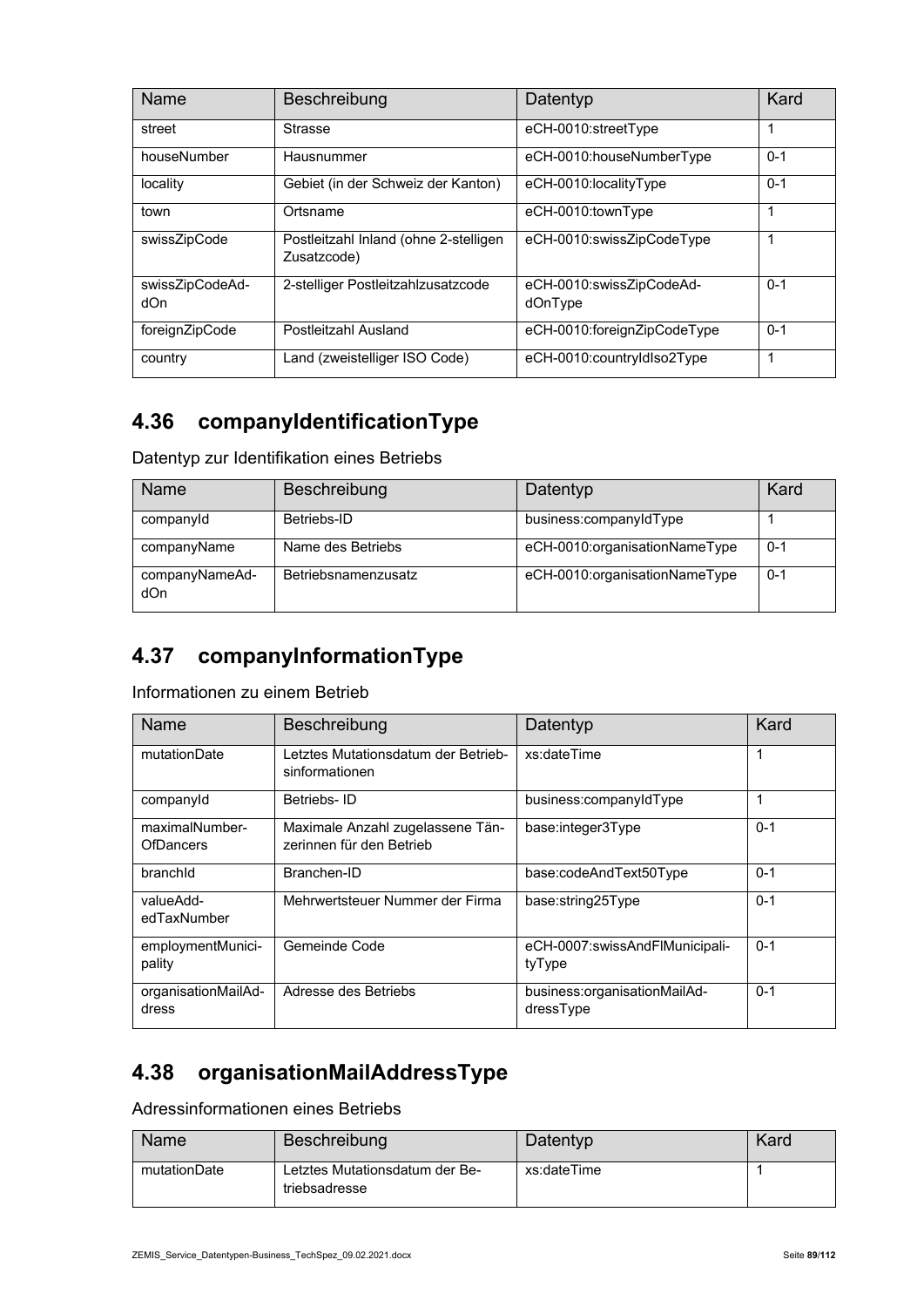| Name                   | Beschreibung                                         | Datentyp                            | Kard    |
|------------------------|------------------------------------------------------|-------------------------------------|---------|
| street                 | <b>Strasse</b>                                       | eCH-0010:streetType                 |         |
| houseNumber            | Hausnummer                                           | eCH-0010:houseNumberType            | $0 - 1$ |
| locality               | Gebiet (in der Schweiz der Kanton)                   | eCH-0010:localityType               | $0 - 1$ |
| town                   | Ortsname                                             | eCH-0010:townType                   |         |
| swissZipCode           | Postleitzahl Inland (ohne 2-stelligen<br>Zusatzcode) | eCH-0010:swissZipCodeType           | 1       |
| swissZipCodeAd-<br>dOn | 2-stelliger Postleitzahlzusatzcode                   | eCH-0010:swissZipCodeAd-<br>dOnType | $0 - 1$ |
| foreignZipCode         | Postleitzahl Ausland                                 | eCH-0010:foreignZipCodeType         | $0 - 1$ |
| country                | Land (zweistelliger ISO Code)                        | eCH-0010:countryIdIso2Type          | 1       |

#### **4.36 companyIdentificationType**

Datentyp zur Identifikation eines Betriebs

| Name                  | Beschreibung        | Datentyp                      | Kard    |
|-----------------------|---------------------|-------------------------------|---------|
| companyId             | Betriebs-ID         | business:companyIdType        |         |
| companyName           | Name des Betriebs   | eCH-0010:organisationNameType | $0 - 1$ |
| companyNameAd-<br>dOn | Betriebsnamenzusatz | eCH-0010:organisationNameType | $0 - 1$ |

#### **4.37 companyInformationType**

Informationen zu einem Betrieb

| <b>Name</b>                        | Beschreibung                                                 | Datentyp                                  | Kard    |
|------------------------------------|--------------------------------------------------------------|-------------------------------------------|---------|
| mutationDate                       | Letztes Mutationsdatum der Betrieb-<br>sinformationen        | xs:dateTime                               | 1       |
| companyld                          | Betriebs-ID                                                  | business:companyIdType                    | 1       |
| maximalNumber-<br><b>OfDancers</b> | Maximale Anzahl zugelassene Tän-<br>zerinnen für den Betrieb | base:integer3Type                         | $0 - 1$ |
| branchid                           | Branchen-ID                                                  | base:codeAndText50Type                    | $0 - 1$ |
| valueAdd-<br>edTaxNumber           | Mehrwertsteuer Nummer der Firma                              | base:string25Type                         | $0 - 1$ |
| employmentMunici-<br>pality        | Gemeinde Code                                                | eCH-0007:swissAndFlMunicipali-<br>tyType  | $0 - 1$ |
| organisationMailAd-<br>dress       | Adresse des Betriebs                                         | business:organisationMailAd-<br>dressType | $0 - 1$ |

## **4.38 organisationMailAddressType**

Adressinformationen eines Betriebs

| Name         | Beschreibung                                    | Datentyp    | Kard |
|--------------|-------------------------------------------------|-------------|------|
| mutationDate | Letztes Mutationsdatum der Be-<br>triebsadresse | xs:dateTime |      |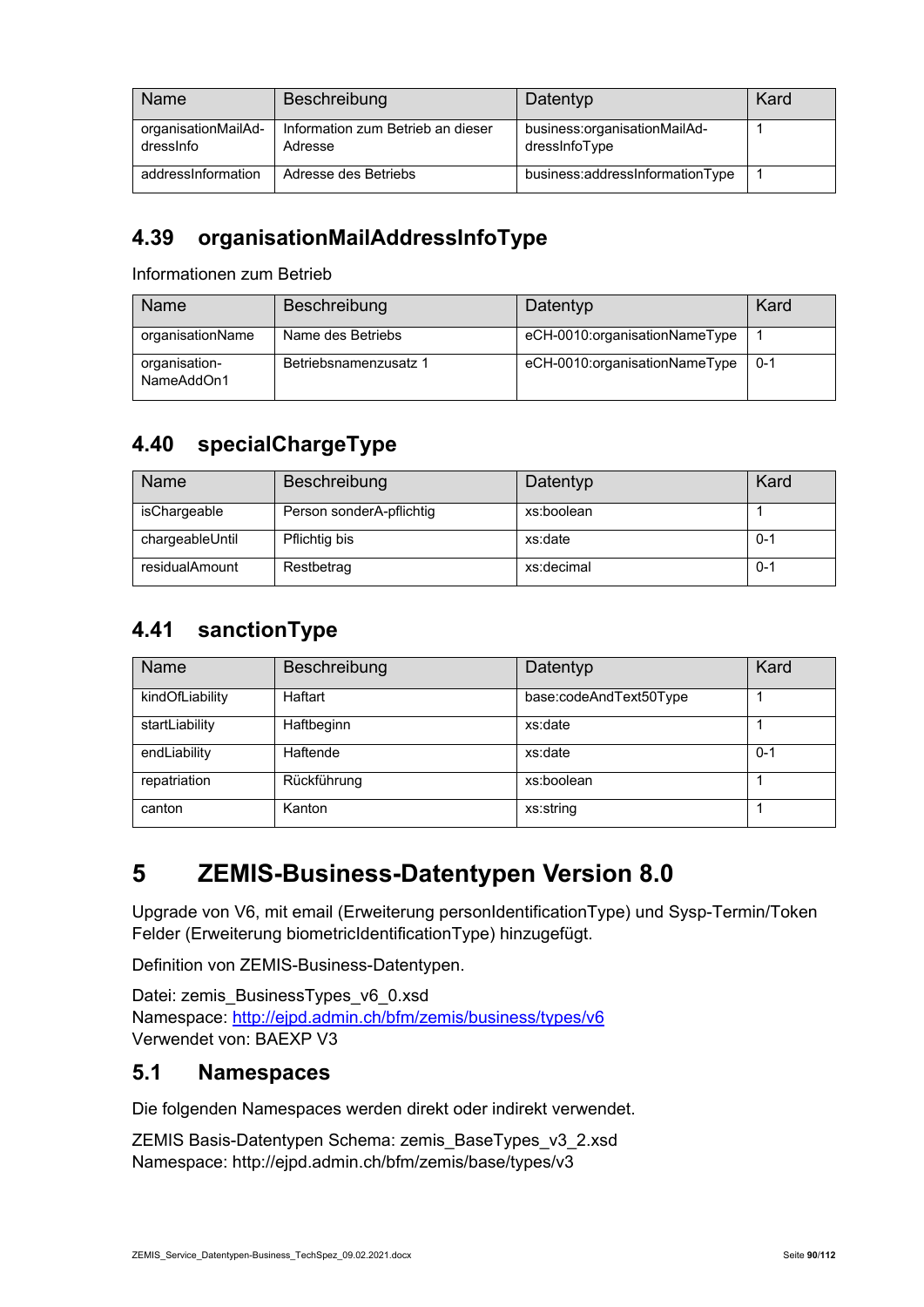| Name                             | Beschreibung                                 | Datentyp                                      | Kard |
|----------------------------------|----------------------------------------------|-----------------------------------------------|------|
| organisationMailAd-<br>dressinfo | Information zum Betrieb an dieser<br>Adresse | business:organisationMailAd-<br>dressinfoType |      |
| addressInformation               | Adresse des Betriebs                         | business:addressInformationType               |      |

#### **4.39 organisationMailAddressInfoType**

Informationen zum Betrieb

| Name                        | Beschreibung          | Datentyp                      | Kard    |
|-----------------------------|-----------------------|-------------------------------|---------|
| organisationName            | Name des Betriebs     | eCH-0010:organisationNameType |         |
| organisation-<br>NameAddOn1 | Betriebsnamenzusatz 1 | eCH-0010:organisationNameType | $0 - 1$ |

#### **4.40 specialChargeType**

| <b>Name</b>     | <b>Beschreibung</b>      | Datentyp   | Kard    |
|-----------------|--------------------------|------------|---------|
| isChargeable    | Person sonderA-pflichtig | xs:boolean |         |
| chargeableUntil | Pflichtig bis            | xs:date    | $0 - 1$ |
| residualAmount  | Restbetrag               | xs:decimal | $0 - 1$ |

#### **4.41 sanctionType**

| <b>Name</b>     | Beschreibung | Datentyp               | Kard    |
|-----------------|--------------|------------------------|---------|
| kindOfLiability | Haftart      | base:codeAndText50Type |         |
| startLiability  | Haftbeginn   | xs:date                |         |
| endLiability    | Haftende     | xs:date                | $0 - 1$ |
| repatriation    | Rückführung  | xs:boolean             |         |
| canton          | Kanton       | xs:string              |         |

## **5 ZEMIS-Business-Datentypen Version 8.0**

Upgrade von V6, mit email (Erweiterung personIdentificationType) und Sysp-Termin/Token Felder (Erweiterung biometricIdentificationType) hinzugefügt.

Definition von ZEMIS-Business-Datentypen.

Datei: zemis\_BusinessTypes\_v6\_0.xsd Namespace: http://ejpd.admin.ch/bfm/zemis/business/types/v6 Verwendet von: BAEXP V3

#### **5.1 Namespaces**

Die folgenden Namespaces werden direkt oder indirekt verwendet.

ZEMIS Basis-Datentypen Schema: zemis\_BaseTypes\_v3\_2.xsd Namespace: http://ejpd.admin.ch/bfm/zemis/base/types/v3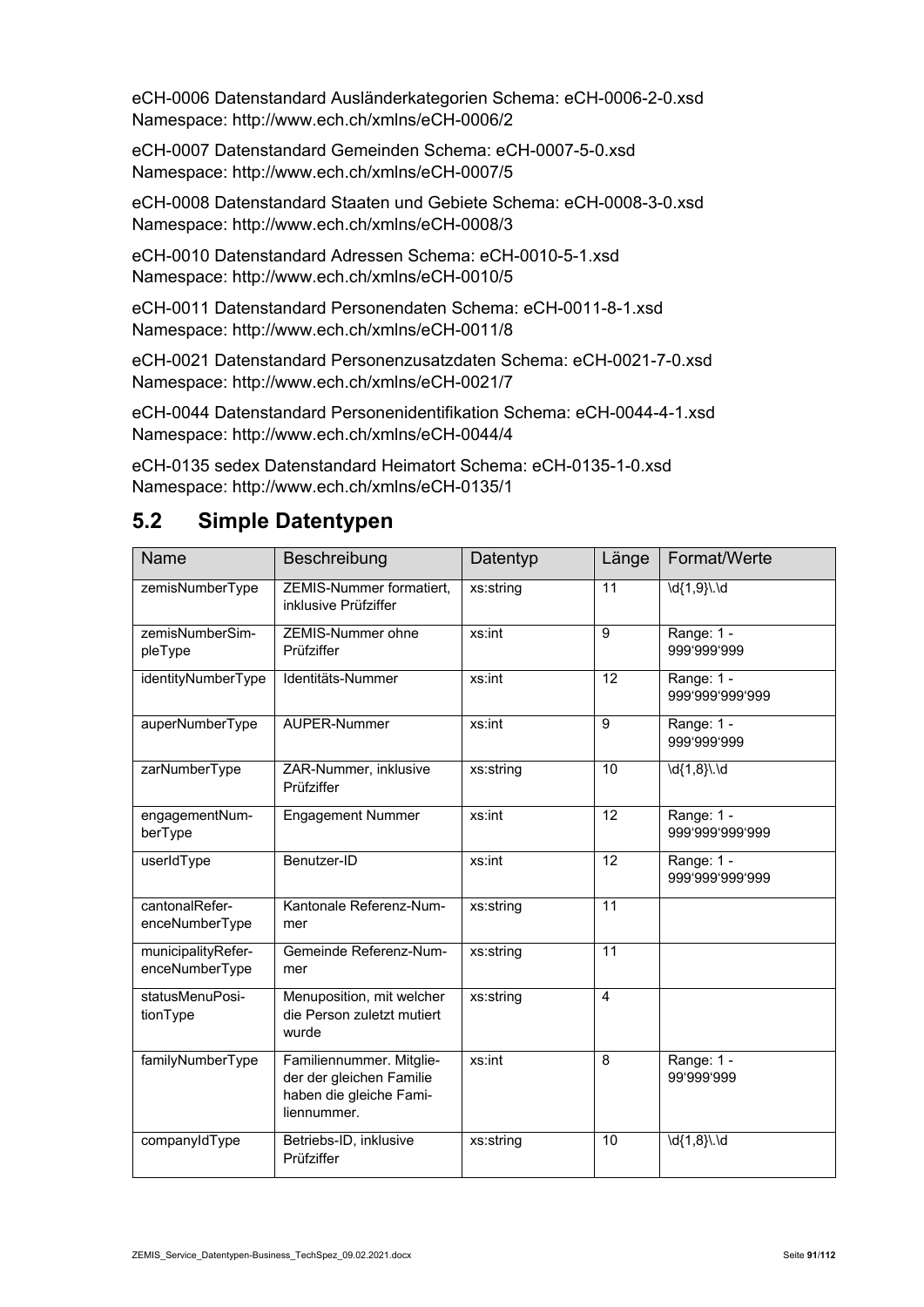eCH-0006 Datenstandard Ausländerkategorien Schema: eCH-0006-2-0.xsd Namespace: http://www.ech.ch/xmlns/eCH-0006/2

eCH-0007 Datenstandard Gemeinden Schema: eCH-0007-5-0.xsd Namespace: http://www.ech.ch/xmlns/eCH-0007/5

eCH-0008 Datenstandard Staaten und Gebiete Schema: eCH-0008-3-0.xsd Namespace: http://www.ech.ch/xmlns/eCH-0008/3

eCH-0010 Datenstandard Adressen Schema: eCH-0010-5-1.xsd Namespace: http://www.ech.ch/xmlns/eCH-0010/5

eCH-0011 Datenstandard Personendaten Schema: eCH-0011-8-1.xsd Namespace: http://www.ech.ch/xmlns/eCH-0011/8

eCH-0021 Datenstandard Personenzusatzdaten Schema: eCH-0021-7-0.xsd Namespace: http://www.ech.ch/xmlns/eCH-0021/7

eCH-0044 Datenstandard Personenidentifikation Schema: eCH-0044-4-1.xsd Namespace: http://www.ech.ch/xmlns/eCH-0044/4

eCH-0135 sedex Datenstandard Heimatort Schema: eCH-0135-1-0.xsd Namespace: http://www.ech.ch/xmlns/eCH-0135/1

#### **5.2 Simple Datentypen**

| Name                                 | Beschreibung                                                                                   | Datentyp  | Länge           | Format/Werte                  |
|--------------------------------------|------------------------------------------------------------------------------------------------|-----------|-----------------|-------------------------------|
| zemisNumberType                      | ZEMIS-Nummer formatiert,<br>inklusive Prüfziffer                                               | xs:string | 11              | \d{1,9}\.\d                   |
| zemisNumberSim-<br>pleType           | ZEMIS-Nummer ohne<br>Prüfziffer                                                                | xs:int    | 9               | Range: $1 -$<br>999'999'999   |
| identityNumberType                   | Identitäts-Nummer                                                                              | xs:int    | 12              | Range: 1 -<br>999'999'999'999 |
| auperNumberType                      | AUPER-Nummer                                                                                   | xs:int    | 9               | Range: 1 -<br>999'999'999     |
| zarNumberType                        | ZAR-Nummer, inklusive<br>Prüfziffer                                                            | xs:string | 10              | $\overline{d{1,8}}$ . \d      |
| engagementNum-<br>berType            | <b>Engagement Nummer</b>                                                                       | xs:int    | 12              | Range: 1 -<br>999'999'999'999 |
| userIdType                           | Benutzer-ID                                                                                    | xs:int    | 12              | Range: 1 -<br>999'999'999'999 |
| cantonalRefer-<br>enceNumberType     | Kantonale Referenz-Num-<br>mer                                                                 | xs:string | 11              |                               |
| municipalityRefer-<br>enceNumberType | Gemeinde Referenz-Num-<br>mer                                                                  | xs:string | $\overline{11}$ |                               |
| statusMenuPosi-<br>tionType          | Menuposition, mit welcher<br>die Person zuletzt mutiert<br>wurde                               | xs:string | $\overline{4}$  |                               |
| familyNumberType                     | Familiennummer. Mitglie-<br>der der gleichen Familie<br>haben die gleiche Fami-<br>liennummer. | xs:int    | 8               | Range: 1 -<br>99'999'999      |
| companyIdType                        | Betriebs-ID, inklusive<br>Prüfziffer                                                           | xs:string | 10              | $\overline{d{1,8}}$ . \d      |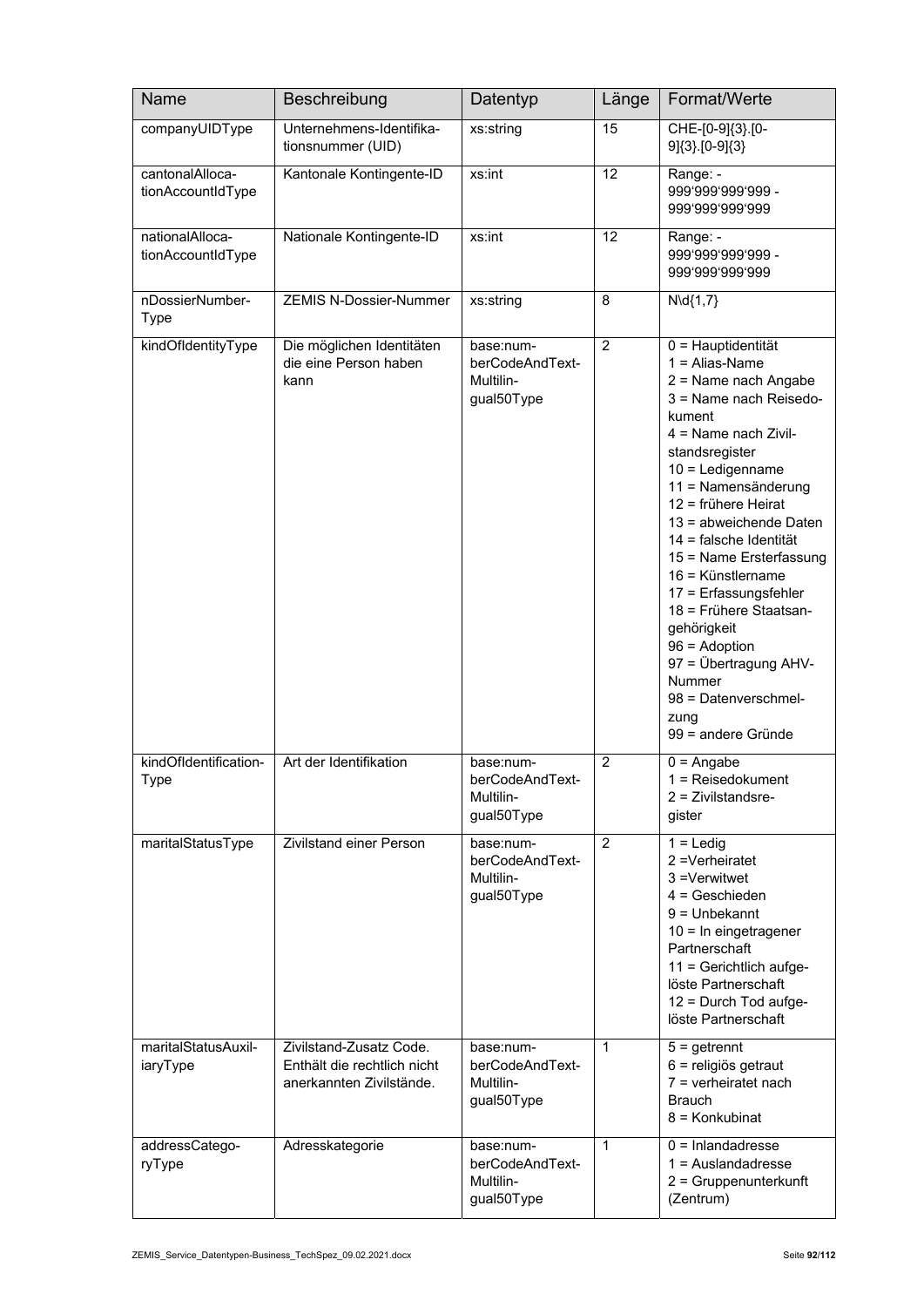| Name                                 | Beschreibung                                                                       | Datentyp                                                | Länge          | Format/Werte                                                                                                                                                                                                                                                                                                                                                                                                                                                                                         |
|--------------------------------------|------------------------------------------------------------------------------------|---------------------------------------------------------|----------------|------------------------------------------------------------------------------------------------------------------------------------------------------------------------------------------------------------------------------------------------------------------------------------------------------------------------------------------------------------------------------------------------------------------------------------------------------------------------------------------------------|
| companyUIDType                       | Unternehmens-Identifika-<br>tionsnummer (UID)                                      | xs:string                                               | 15             | CHE-[0-9]{3}.[0-<br>$9$ $[3]$ $[0-9]$ $\{3\}$                                                                                                                                                                                                                                                                                                                                                                                                                                                        |
| cantonalAlloca-<br>tionAccountIdType | Kantonale Kontingente-ID                                                           | xs:int                                                  | 12             | Range: -<br>999'999'999'999 -<br>999'999'999'999                                                                                                                                                                                                                                                                                                                                                                                                                                                     |
| nationalAlloca-<br>tionAccountIdType | Nationale Kontingente-ID                                                           | xs:int                                                  | 12             | Range: -<br>999'999'999'999 -<br>999'999'999'999                                                                                                                                                                                                                                                                                                                                                                                                                                                     |
| nDossierNumber-<br><b>Type</b>       | <b>ZEMIS N-Dossier-Nummer</b>                                                      | xs:string                                               | 8              | $N\cdotp(1,7)$                                                                                                                                                                                                                                                                                                                                                                                                                                                                                       |
| kindOfldentityType                   | Die möglichen Identitäten<br>die eine Person haben<br>kann                         | base:num-<br>berCodeAndText-<br>Multilin-<br>gual50Type | $\overline{2}$ | 0 = Hauptidentität<br>$1 =$ Alias-Name<br>2 = Name nach Angabe<br>3 = Name nach Reisedo-<br>kument<br>$4 =$ Name nach Zivil-<br>standsregister<br>$10 =$ Ledigenname<br>11 = Namensänderung<br>12 = frühere Heirat<br>13 = abweichende Daten<br>14 = falsche Identität<br>15 = Name Ersterfassung<br>16 = Künstlername<br>17 = Erfassungsfehler<br>18 = Frühere Staatsan-<br>gehörigkeit<br>$96 =$ Adoption<br>97 = Übertragung AHV-<br>Nummer<br>98 = Datenverschmel-<br>zung<br>99 = andere Gründe |
| kindOfIdentification-<br>Type        | Art der Identifikation                                                             | base:num-<br>berCodeAndText-<br>Multilin-<br>gual50Type | $\overline{2}$ | $\overline{0}$ = Angabe<br>$1 =$ Reisedokument<br>2 = Zivilstandsre-<br>gister                                                                                                                                                                                                                                                                                                                                                                                                                       |
| maritalStatusType                    | <b>Zivilstand einer Person</b>                                                     | base:num-<br>berCodeAndText-<br>Multilin-<br>gual50Type | $\overline{c}$ | $1 =$ Ledig<br>2 = Verheiratet<br>3 =Verwitwet<br>$4 =$ Geschieden<br>$9 =$ Unbekannt<br>10 = In eingetragener<br>Partnerschaft<br>11 = Gerichtlich aufge-<br>löste Partnerschaft<br>12 = Durch Tod aufge-<br>löste Partnerschaft                                                                                                                                                                                                                                                                    |
| maritalStatusAuxil-<br>iaryType      | Zivilstand-Zusatz Code.<br>Enthält die rechtlich nicht<br>anerkannten Zivilstände. | base:num-<br>berCodeAndText-<br>Multilin-<br>gual50Type | $\mathbf{1}$   | $5 =$ getrennt<br>6 = religiös getraut<br>$7$ = verheiratet nach<br><b>Brauch</b><br>8 = Konkubinat                                                                                                                                                                                                                                                                                                                                                                                                  |
| addressCatego-<br>ryType             | Adresskategorie                                                                    | base:num-<br>berCodeAndText-<br>Multilin-<br>gual50Type | 1              | $0 = Inlanda$ dresse<br>$1 =$ Auslandadresse<br>2 = Gruppenunterkunft<br>(Zentrum)                                                                                                                                                                                                                                                                                                                                                                                                                   |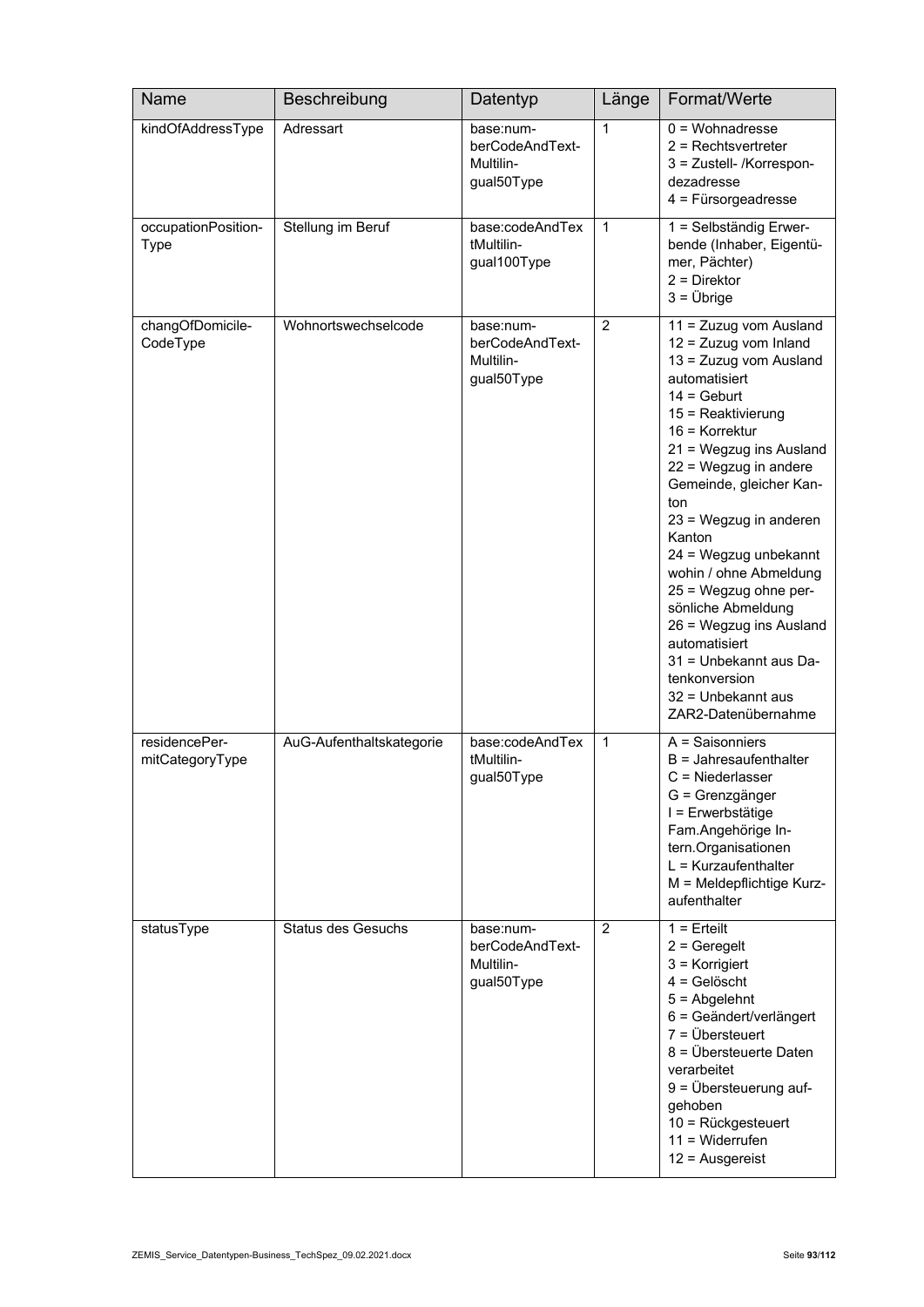| Name                               | Beschreibung              | Datentyp                                                | Länge        | Format/Werte                                                                                                                                                                                                                                                                                                                                                                                                                                                                                                                |
|------------------------------------|---------------------------|---------------------------------------------------------|--------------|-----------------------------------------------------------------------------------------------------------------------------------------------------------------------------------------------------------------------------------------------------------------------------------------------------------------------------------------------------------------------------------------------------------------------------------------------------------------------------------------------------------------------------|
| kindOfAddressType                  | Adressart                 | base:num-<br>berCodeAndText-<br>Multilin-<br>gual50Type | $\mathbf{1}$ | $0 =$ Wohnadresse<br>$2$ = Rechtsvertreter<br>3 = Zustell- /Korrespon-<br>dezadresse<br>$4$ = Fürsorgeadresse                                                                                                                                                                                                                                                                                                                                                                                                               |
| occupationPosition-<br><b>Type</b> | Stellung im Beruf         | base:codeAndTex<br>tMultilin-<br>gual100Type            | $\mathbf{1}$ | 1 = Selbständig Erwer-<br>bende (Inhaber, Eigentü-<br>mer, Pächter)<br>$2 =$ Direktor<br>$3 = \ddot{\cup}$ brige                                                                                                                                                                                                                                                                                                                                                                                                            |
| changOfDomicile-<br>CodeType       | Wohnortswechselcode       | base:num-<br>berCodeAndText-<br>Multilin-<br>gual50Type | 2            | 11 = Zuzug vom Ausland<br>$12 = Zuzug$ vom Inland<br>13 = Zuzug vom Ausland<br>automatisiert<br>$14 = \text{Gebut}$<br>15 = Reaktivierung<br>16 = Korrektur<br>21 = Wegzug ins Ausland<br>22 = Wegzug in andere<br>Gemeinde, gleicher Kan-<br>ton<br>23 = Wegzug in anderen<br>Kanton<br>24 = Wegzug unbekannt<br>wohin / ohne Abmeldung<br>25 = Wegzug ohne per-<br>sönliche Abmeldung<br>26 = Wegzug ins Ausland<br>automatisiert<br>31 = Unbekannt aus Da-<br>tenkonversion<br>32 = Unbekannt aus<br>ZAR2-Datenübernahme |
| residencePer-<br>mitCategoryType   | AuG-Aufenthaltskategorie  | base:codeAndTex<br>tMultilin-<br>gual50Type             | $\mathbf{1}$ | $A =$ Saisonniers<br>$B =$ Jahresaufenthalter<br>$C =$ Niederlasser<br>G = Grenzgänger<br>I = Erwerbstätige<br>Fam.Angehörige In-<br>tern.Organisationen<br>$L = Kurzaufenthalter$<br>M = Meldepflichtige Kurz-<br>aufenthalter                                                                                                                                                                                                                                                                                             |
| statusType                         | <b>Status des Gesuchs</b> | base:num-<br>berCodeAndText-<br>Multilin-<br>gual50Type | 2            | $1 =$ Erteilt<br>$2 =$ Geregelt<br>$3$ = Korrigiert<br>$4 =$ Gelöscht<br>$5 =$ Abgelehnt<br>6 = Geändert/verlängert<br>$7 = \ddot{\cup}$ bersteuert<br>8 = Übersteuerte Daten<br>verarbeitet<br>$9 = \ddot{\cup}$ bersteuerung auf-<br>gehoben<br>10 = Rückgesteuert<br>$11 = Widerrufen$<br>$12$ = Ausgereist                                                                                                                                                                                                              |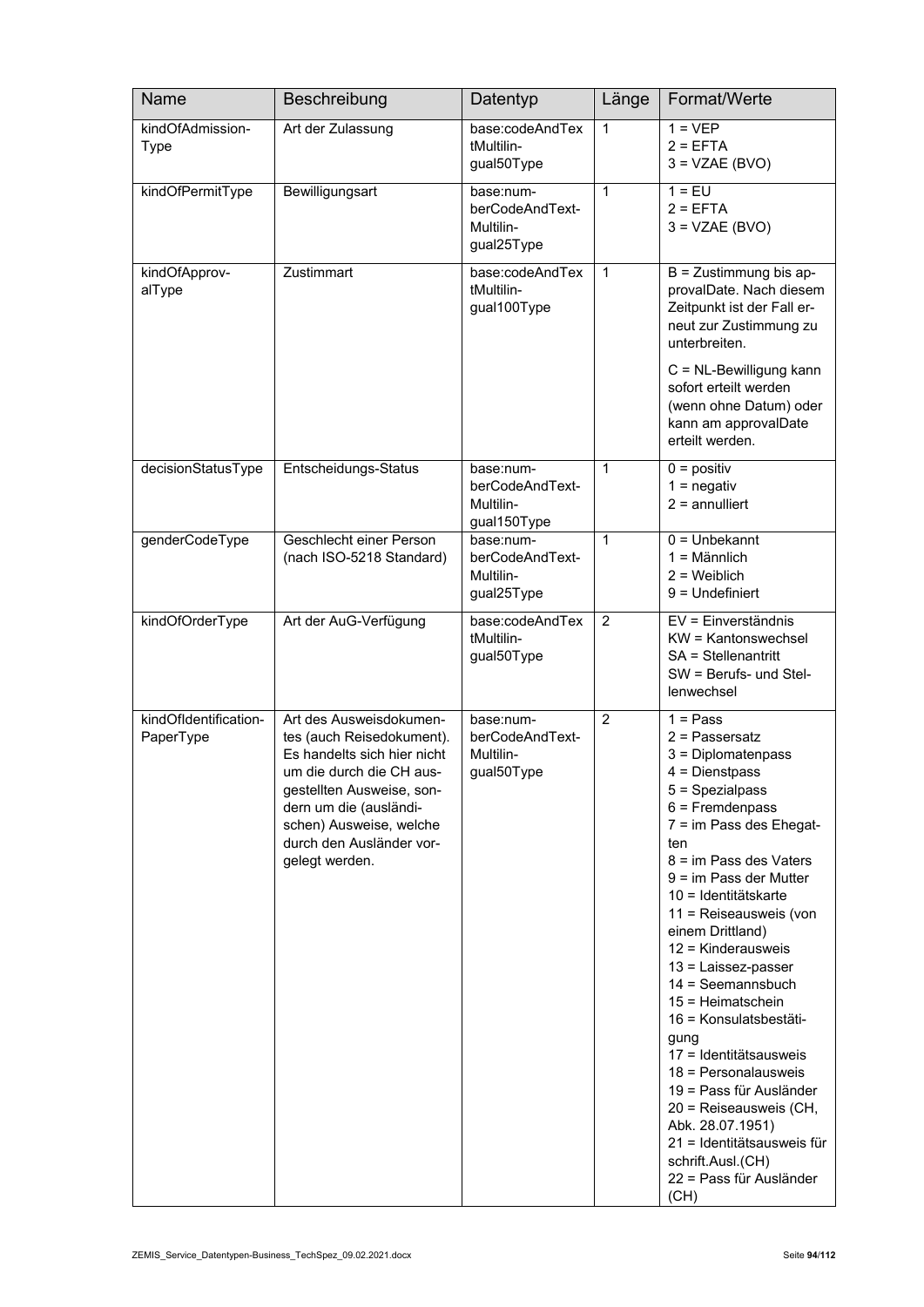| Name                               | Beschreibung                                                                                                                                                                                                                                    | Datentyp                                                 | Länge          | Format/Werte                                                                                                                                                                                                                                                                                                                                                                                                                                                                                                                                                                                                               |
|------------------------------------|-------------------------------------------------------------------------------------------------------------------------------------------------------------------------------------------------------------------------------------------------|----------------------------------------------------------|----------------|----------------------------------------------------------------------------------------------------------------------------------------------------------------------------------------------------------------------------------------------------------------------------------------------------------------------------------------------------------------------------------------------------------------------------------------------------------------------------------------------------------------------------------------------------------------------------------------------------------------------------|
| kindOfAdmission-<br>Type           | Art der Zulassung                                                                                                                                                                                                                               | base:codeAndTex<br>tMultilin-<br>gual50Type              | $\mathbf{1}$   | $1 = VEP$<br>$2 = EFTA$<br>$3 = VZAE(BVO)$                                                                                                                                                                                                                                                                                                                                                                                                                                                                                                                                                                                 |
| kindOfPermitType                   | Bewilligungsart                                                                                                                                                                                                                                 | base:num-<br>berCodeAndText-<br>Multilin-<br>gual25Type  | $\mathbf{1}$   | $1 = EU$<br>$2 = EFTA$<br>$3 = VZAE(BVO)$                                                                                                                                                                                                                                                                                                                                                                                                                                                                                                                                                                                  |
| kindOfApprov-<br>alType            | Zustimmart                                                                                                                                                                                                                                      | base:codeAndTex<br>tMultilin-<br>gual100Type             | 1              | $B = Z$ ustimmung bis ap-<br>provalDate. Nach diesem<br>Zeitpunkt ist der Fall er-<br>neut zur Zustimmung zu<br>unterbreiten.<br>C = NL-Bewilligung kann<br>sofort erteilt werden<br>(wenn ohne Datum) oder<br>kann am approvalDate<br>erteilt werden.                                                                                                                                                                                                                                                                                                                                                                     |
| decisionStatusType                 | Entscheidungs-Status                                                                                                                                                                                                                            | base:num-<br>berCodeAndText-<br>Multilin-<br>gual150Type | $\mathbf{1}$   | $0 =$ positiv<br>$1 =$ negativ<br>$2 =$ annulliert                                                                                                                                                                                                                                                                                                                                                                                                                                                                                                                                                                         |
| genderCodeType                     | Geschlecht einer Person<br>(nach ISO-5218 Standard)                                                                                                                                                                                             | base:num-<br>berCodeAndText-<br>Multilin-<br>gual25Type  | $\mathbf{1}$   | $0 =$ Unbekannt<br>$1 =$ Männlich<br>$2$ = Weiblich<br>$9 =$ Undefiniert                                                                                                                                                                                                                                                                                                                                                                                                                                                                                                                                                   |
| kindOfOrderType                    | Art der AuG-Verfügung                                                                                                                                                                                                                           | base:codeAndTex<br>tMultilin-<br>gual50Type              | 2              | EV = Einverständnis<br>KW = Kantonswechsel<br>SA = Stellenantritt<br>SW = Berufs- und Stel-<br>lenwechsel                                                                                                                                                                                                                                                                                                                                                                                                                                                                                                                  |
| kindOfIdentification-<br>PaperType | Art des Ausweisdokumen-<br>tes (auch Reisedokument).<br>Es handelts sich hier nicht<br>um die durch die CH aus-<br>gestellten Ausweise, son-<br>dern um die (ausländi-<br>schen) Ausweise, welche<br>durch den Ausländer vor-<br>gelegt werden. | base:num-<br>berCodeAndText-<br>Multilin-<br>gual50Type  | $\overline{2}$ | $1 = Pass$<br>$2$ = Passersatz<br>3 = Diplomatenpass<br>$4 =$ Dienstpass<br>5 = Spezialpass<br>$6$ = Fremdenpass<br>7 = im Pass des Ehegat-<br>ten<br>$8 = im$ Pass des Vaters<br>9 = im Pass der Mutter<br>10 = Identitätskarte<br>11 = Reiseausweis (von<br>einem Drittland)<br>12 = Kinderausweis<br>13 = Laissez-passer<br>14 = Seemannsbuch<br>$15 = Heimatschein$<br>16 = Konsulatsbestäti-<br>gung<br>17 = Identitätsausweis<br>18 = Personalausweis<br>19 = Pass für Ausländer<br>20 = Reiseausweis (CH,<br>Abk. 28.07.1951)<br>21 = Identitätsausweis für<br>schrift.Ausl.(CH)<br>22 = Pass für Ausländer<br>(CH) |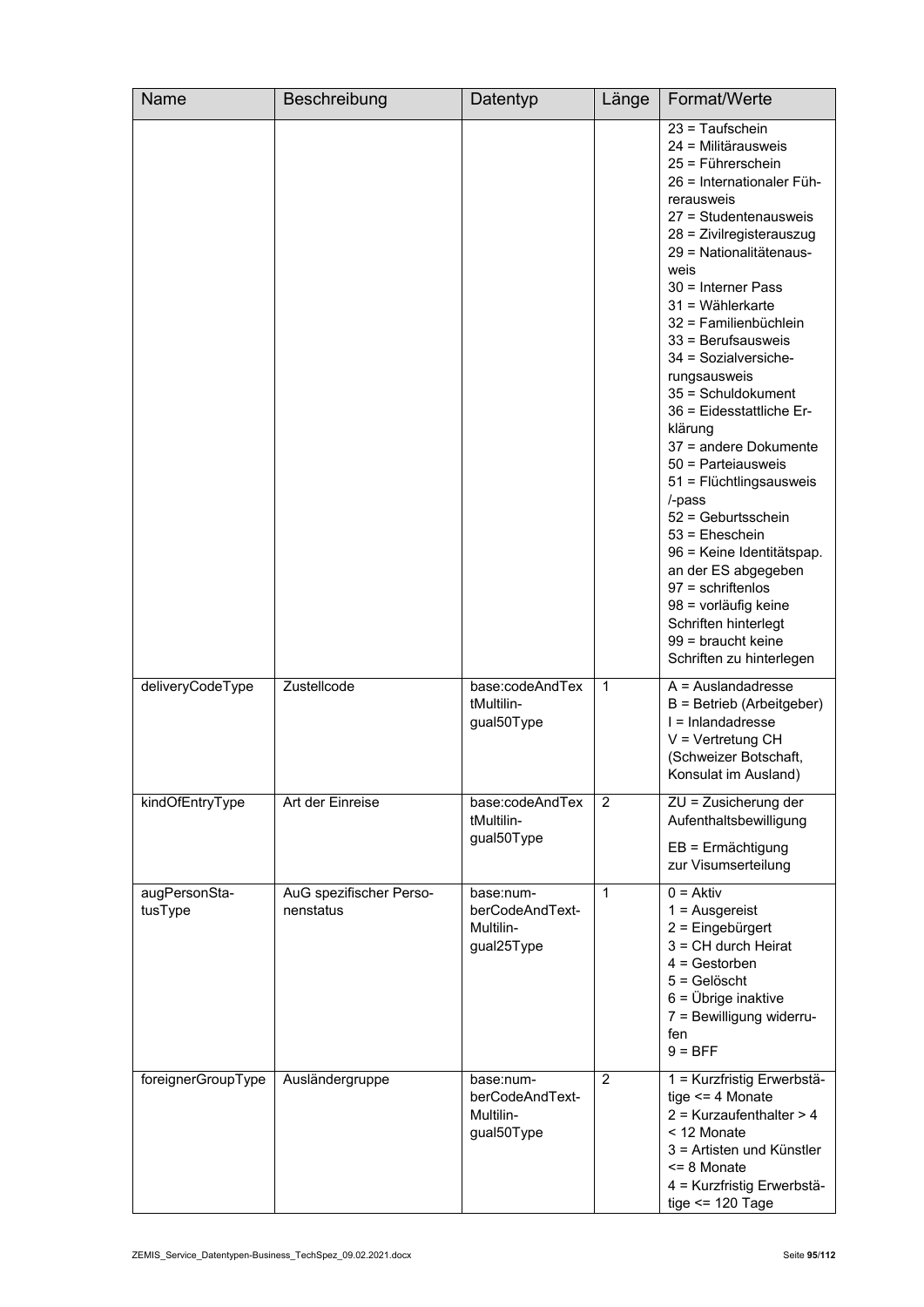| Name                     | Beschreibung                         | Datentyp                                                | Länge          | Format/Werte                                                                                                                                                                                                                                                                                                                                                                                                                                                                                                                                                                                                                                                                                                |
|--------------------------|--------------------------------------|---------------------------------------------------------|----------------|-------------------------------------------------------------------------------------------------------------------------------------------------------------------------------------------------------------------------------------------------------------------------------------------------------------------------------------------------------------------------------------------------------------------------------------------------------------------------------------------------------------------------------------------------------------------------------------------------------------------------------------------------------------------------------------------------------------|
|                          |                                      |                                                         |                | $23 =$ Taufschein<br>24 = Militärausweis<br>25 = Führerschein<br>26 = Internationaler Füh-<br>rerausweis<br>27 = Studentenausweis<br>28 = Zivilregisterauszug<br>29 = Nationalitätenaus-<br>weis<br>30 = Interner Pass<br>$31 =$ Wählerkarte<br>32 = Familienbüchlein<br>33 = Berufsausweis<br>34 = Sozialversiche-<br>rungsausweis<br>35 = Schuldokument<br>36 = Eidesstattliche Er-<br>klärung<br>37 = andere Dokumente<br>50 = Parteiausweis<br>51 = Flüchtlingsausweis<br>/-pass<br>52 = Geburtsschein<br>$53$ = Eheschein<br>96 = Keine Identitätspap.<br>an der ES abgegeben<br>$97$ = schriftenlos<br>98 = vorläufig keine<br>Schriften hinterlegt<br>99 = braucht keine<br>Schriften zu hinterlegen |
| deliveryCodeType         | Zustellcode                          | base:codeAndTex<br>tMultilin-<br>gual50Type             | 1              | $A =$ Auslandadresse<br>B = Betrieb (Arbeitgeber)<br>I = Inlandadresse<br>$V = V$ ertretung CH<br>(Schweizer Botschaft,<br>Konsulat im Ausland)                                                                                                                                                                                                                                                                                                                                                                                                                                                                                                                                                             |
| kindOfEntryType          | Art der Einreise                     | base:codeAndTex<br>tMultilin-<br>gual50Type             | 2              | ZU = Zusicherung der<br>Aufenthaltsbewilligung<br>$EB = Ermächtigung$<br>zur Visumserteilung                                                                                                                                                                                                                                                                                                                                                                                                                                                                                                                                                                                                                |
| augPersonSta-<br>tusType | AuG spezifischer Perso-<br>nenstatus | base:num-<br>berCodeAndText-<br>Multilin-<br>gual25Type | 1              | $0 = Aktiv$<br>$1 =$ Ausgereist<br>2 = Eingebürgert<br>3 = CH durch Heirat<br>$4 =$ Gestorben<br>$5 =$ Gelöscht<br>$6 = \ddot{\text{U}}$ brige inaktive<br>7 = Bewilligung widerru-<br>fen<br>$9 = BFF$                                                                                                                                                                                                                                                                                                                                                                                                                                                                                                     |
| foreignerGroupType       | Ausländergruppe                      | base:num-<br>berCodeAndText-<br>Multilin-<br>gual50Type | $\overline{2}$ | 1 = Kurzfristig Erwerbstä-<br>tige $\leq$ 4 Monate<br>$2$ = Kurzaufenthalter > 4<br>< 12 Monate<br>3 = Artisten und Künstler<br><= 8 Monate<br>4 = Kurzfristig Erwerbstä-<br>tige $\le$ 120 Tage                                                                                                                                                                                                                                                                                                                                                                                                                                                                                                            |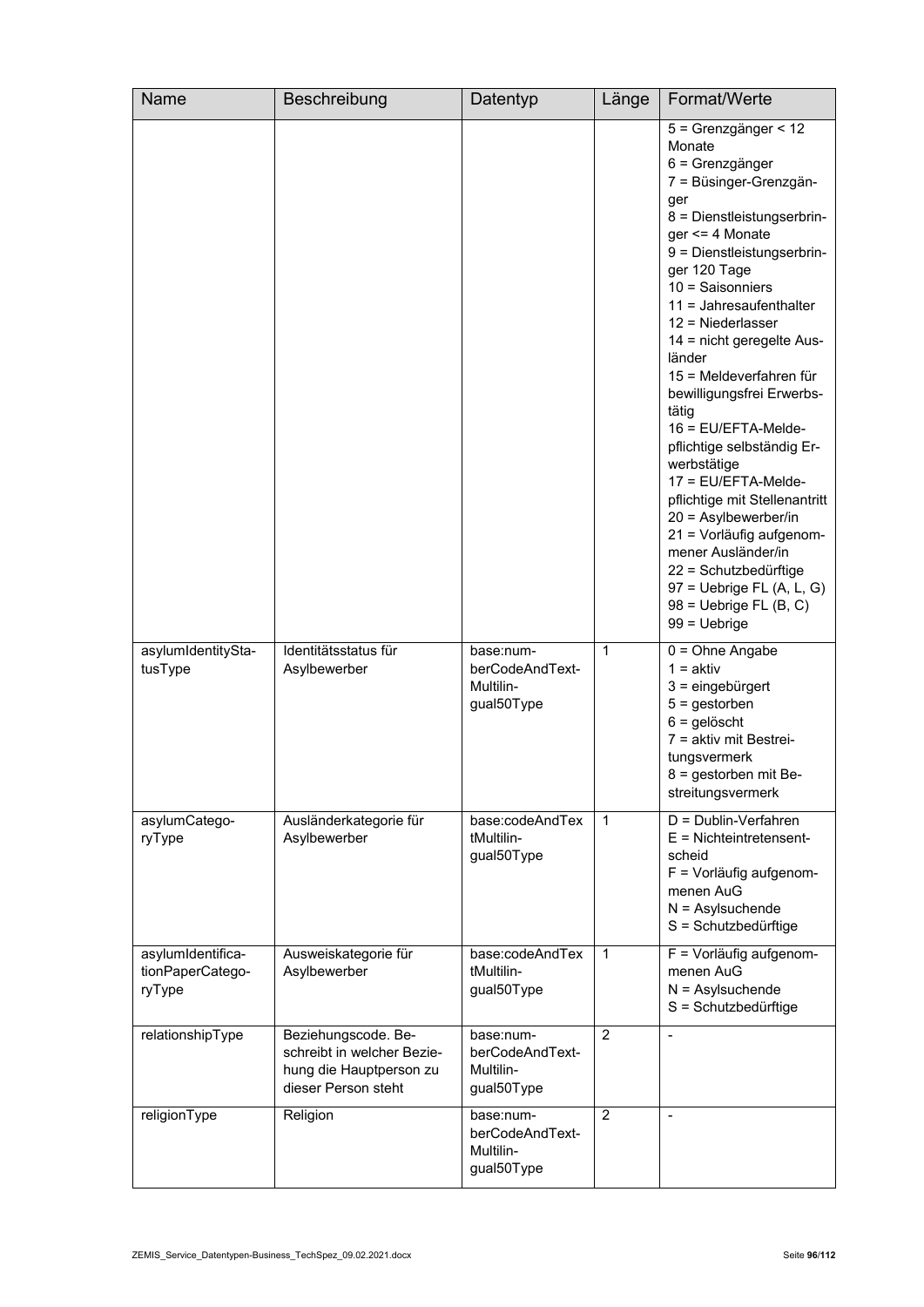| <b>Name</b>                                     | Beschreibung                                                                                        | Datentyp                                                | Länge          | Format/Werte                                                                                                                                                                                                                                                                                                                                                                                                                                                                                                                                                                                                                                                                          |
|-------------------------------------------------|-----------------------------------------------------------------------------------------------------|---------------------------------------------------------|----------------|---------------------------------------------------------------------------------------------------------------------------------------------------------------------------------------------------------------------------------------------------------------------------------------------------------------------------------------------------------------------------------------------------------------------------------------------------------------------------------------------------------------------------------------------------------------------------------------------------------------------------------------------------------------------------------------|
|                                                 |                                                                                                     |                                                         |                | 5 = Grenzgänger < 12<br>Monate<br>6 = Grenzgänger<br>7 = Büsinger-Grenzgän-<br>ger<br>8 = Dienstleistungserbrin-<br>ger $\leq$ 4 Monate<br>9 = Dienstleistungserbrin-<br>ger 120 Tage<br>$10 =$ Saisonniers<br>$11 =$ Jahresaufenthalter<br>$12$ = Niederlasser<br>14 = nicht geregelte Aus-<br>länder<br>15 = Meldeverfahren für<br>bewilligungsfrei Erwerbs-<br>tätig<br>16 = EU/EFTA-Melde-<br>pflichtige selbständig Er-<br>werbstätige<br>17 = EU/EFTA-Melde-<br>pflichtige mit Stellenantritt<br>$20 =$ Asylbewerber/in<br>21 = Vorläufig aufgenom-<br>mener Ausländer/in<br>22 = Schutzbedürftige<br>$97$ = Uebrige FL (A, L, G)<br>$98$ = Uebrige FL (B, C)<br>$99 = Uebrige$ |
| asylumIdentitySta-<br>tusType                   | Identitätsstatus für<br>Asylbewerber                                                                | base:num-<br>berCodeAndText-<br>Multilin-<br>gual50Type | 1              | $0 = Ohne$ Angabe<br>$1 = aktiv$<br>$3 =$ eingebürgert<br>$5 =$ gestorben<br>$6 =$ gelöscht<br>7 = aktiv mit Bestrei-<br>tungsvermerk<br>8 = gestorben mit Be-<br>streitungsvermerk                                                                                                                                                                                                                                                                                                                                                                                                                                                                                                   |
| asylumCatego-<br>ryType                         | Ausländerkategorie für<br>Asylbewerber                                                              | base:codeAndTex<br>tMultilin-<br>gual50Type             | 1              | D = Dublin-Verfahren<br>$E =$ Nichteintretensent-<br>scheid<br>F = Vorläufig aufgenom-<br>menen AuG<br>$N =$ Asylsuchende<br>S = Schutzbedürftige                                                                                                                                                                                                                                                                                                                                                                                                                                                                                                                                     |
| asylumIdentifica-<br>tionPaperCatego-<br>ryType | Ausweiskategorie für<br>Asylbewerber                                                                | base:codeAndTex<br>tMultilin-<br>gual50Type             | 1              | F = Vorläufig aufgenom-<br>menen AuG<br>$N =$ Asylsuchende<br>S = Schutzbedürftige                                                                                                                                                                                                                                                                                                                                                                                                                                                                                                                                                                                                    |
| relationshipType                                | Beziehungscode. Be-<br>schreibt in welcher Bezie-<br>hung die Hauptperson zu<br>dieser Person steht | base:num-<br>berCodeAndText-<br>Multilin-<br>gual50Type | $\overline{2}$ | $\blacksquare$                                                                                                                                                                                                                                                                                                                                                                                                                                                                                                                                                                                                                                                                        |
| religionType                                    | Religion                                                                                            | base:num-<br>berCodeAndText-<br>Multilin-<br>gual50Type | 2              |                                                                                                                                                                                                                                                                                                                                                                                                                                                                                                                                                                                                                                                                                       |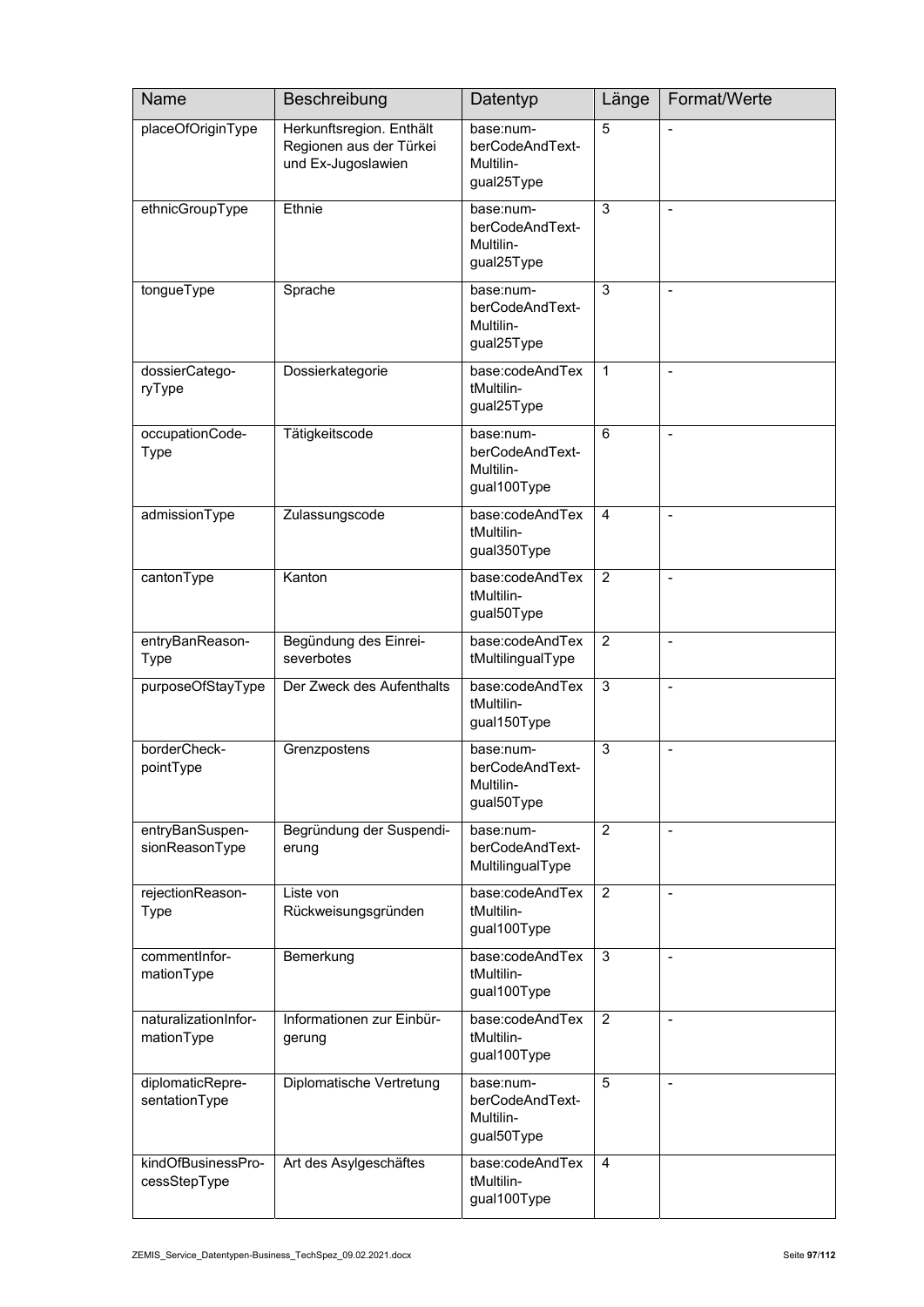| Name                               | Beschreibung                                                              | Datentyp                                                 | Länge          | Format/Werte   |
|------------------------------------|---------------------------------------------------------------------------|----------------------------------------------------------|----------------|----------------|
| placeOfOriginType                  | Herkunftsregion. Enthält<br>Regionen aus der Türkei<br>und Ex-Jugoslawien | base:num-<br>berCodeAndText-<br>Multilin-<br>gual25Type  | 5              |                |
| ethnicGroupType                    | Ethnie                                                                    | base:num-<br>berCodeAndText-<br>Multilin-<br>gual25Type  | $\sqrt{3}$     | $\overline{a}$ |
| tongueType                         | Sprache                                                                   | base:num-<br>berCodeAndText-<br>Multilin-<br>gual25Type  | 3              | $\blacksquare$ |
| dossierCatego-<br>ryType           | Dossierkategorie                                                          | base:codeAndTex<br>tMultilin-<br>gual25Type              | $\mathbf{1}$   |                |
| occupationCode-<br><b>Type</b>     | Tätigkeitscode                                                            | base:num-<br>berCodeAndText-<br>Multilin-<br>gual100Type | 6              | $\overline{a}$ |
| admissionType                      | Zulassungscode                                                            | base:codeAndTex<br>tMultilin-<br>gual350Type             | $\overline{4}$ | $\overline{a}$ |
| cantonType                         | Kanton                                                                    | base:codeAndTex<br>tMultilin-<br>gual50Type              | $\overline{2}$ | $\blacksquare$ |
| entryBanReason-<br><b>Type</b>     | Begündung des Einrei-<br>severbotes                                       | base:codeAndTex<br>tMultilingualType                     | $\overline{2}$ | $\overline{a}$ |
| purposeOfStayType                  | Der Zweck des Aufenthalts                                                 | base:codeAndTex<br>tMultilin-<br>gual150Type             | 3              | $\overline{a}$ |
| borderCheck-<br>pointType          | Grenzpostens                                                              | base:num-<br>berCodeAndText-<br>Multilin-<br>gual50Type  | $\sqrt{3}$     | $\blacksquare$ |
| entryBanSuspen-<br>sionReasonType  | Begründung der Suspendi-<br>erung                                         | base:num-<br>berCodeAndText-<br>MultilingualType         | $\overline{2}$ | $\blacksquare$ |
| rejectionReason-<br><b>Type</b>    | Liste von<br>Rückweisungsgründen                                          | base:codeAndTex<br>tMultilin-<br>gual100Type             | $\overline{2}$ |                |
| commentInfor-<br>mationType        | Bemerkung                                                                 | base:codeAndTex<br>tMultilin-<br>gual100Type             | 3              | $\overline{a}$ |
| naturalizationInfor-<br>mationType | Informationen zur Einbür-<br>gerung                                       | base:codeAndTex<br>tMultilin-<br>gual100Type             | $\overline{2}$ | $\overline{a}$ |
| diplomaticRepre-<br>sentationType  | Diplomatische Vertretung                                                  | base:num-<br>berCodeAndText-<br>Multilin-<br>gual50Type  | 5              | $\overline{a}$ |
| kindOfBusinessPro-<br>cessStepType | Art des Asylgeschäftes                                                    | base:codeAndTex<br>tMultilin-<br>gual100Type             | 4              |                |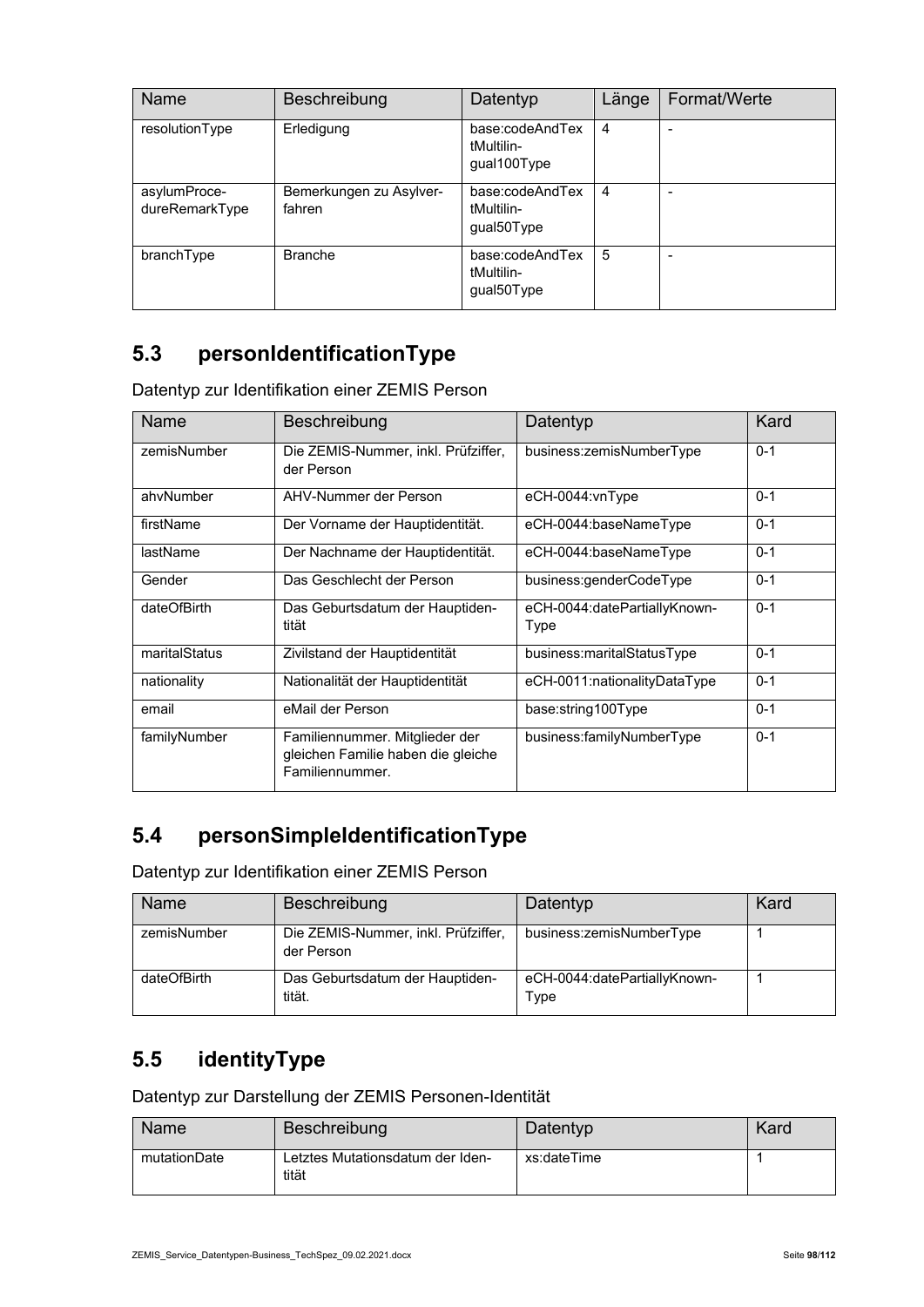| <b>Name</b>                    | Beschreibung                      | Datentyp                                     | Länge          | Format/Werte |
|--------------------------------|-----------------------------------|----------------------------------------------|----------------|--------------|
| resolutionType                 | Erledigung                        | base:codeAndTex<br>tMultilin-<br>gual100Type | $\overline{4}$ |              |
| asylumProce-<br>dureRemarkType | Bemerkungen zu Asylver-<br>fahren | base:codeAndTex<br>tMultilin-<br>gual50Type  | $\overline{4}$ |              |
| branchType                     | <b>Branche</b>                    | base:codeAndTex<br>tMultilin-<br>gual50Type  | 5              |              |

## **5.3 personIdentificationType**

Datentyp zur Identifikation einer ZEMIS Person

| Name          | Beschreibung                                                                            | Datentyp                             | Kard    |
|---------------|-----------------------------------------------------------------------------------------|--------------------------------------|---------|
| zemisNumber   | Die ZEMIS-Nummer, inkl. Prüfziffer,<br>der Person                                       | business:zemisNumberType             | $0 - 1$ |
| ahvNumber     | AHV-Nummer der Person                                                                   | eCH-0044:vnType                      | $0 - 1$ |
| firstName     | Der Vorname der Hauptidentität.                                                         | eCH-0044:baseNameType                | $0 - 1$ |
| lastName      | Der Nachname der Hauptidentität.                                                        | eCH-0044:baseNameType                | $0 - 1$ |
| Gender        | Das Geschlecht der Person                                                               | business:genderCodeType              | $0 - 1$ |
| dateOfBirth   | Das Geburtsdatum der Hauptiden-<br>tität                                                | eCH-0044:datePartiallyKnown-<br>Type | $0 - 1$ |
| maritalStatus | Zivilstand der Hauptidentität                                                           | business:maritalStatusType           | $0 - 1$ |
| nationality   | Nationalität der Hauptidentität                                                         | eCH-0011:nationalityDataType         | $0 - 1$ |
| email         | eMail der Person                                                                        | base:string100Type                   | $0 - 1$ |
| familyNumber  | Familiennummer. Mitglieder der<br>gleichen Familie haben die gleiche<br>Familiennummer. | business:familyNumberType            | $0 - 1$ |

#### **5.4 personSimpleIdentificationType**

Datentyp zur Identifikation einer ZEMIS Person

| Name        | Beschreibung                                      | Datentyp                             | Kard |
|-------------|---------------------------------------------------|--------------------------------------|------|
| zemisNumber | Die ZEMIS-Nummer, inkl. Prüfziffer,<br>der Person | business:zemisNumberType             |      |
| dateOfBirth | Das Geburtsdatum der Hauptiden-<br>tität.         | eCH-0044:datePartiallyKnown-<br>Type |      |

#### **5.5 identityType**

Datentyp zur Darstellung der ZEMIS Personen-Identität

| Name         | Beschreibung                              | Datentyp    | Kard |
|--------------|-------------------------------------------|-------------|------|
| mutationDate | Letztes Mutationsdatum der Iden-<br>tität | xs:dateTime |      |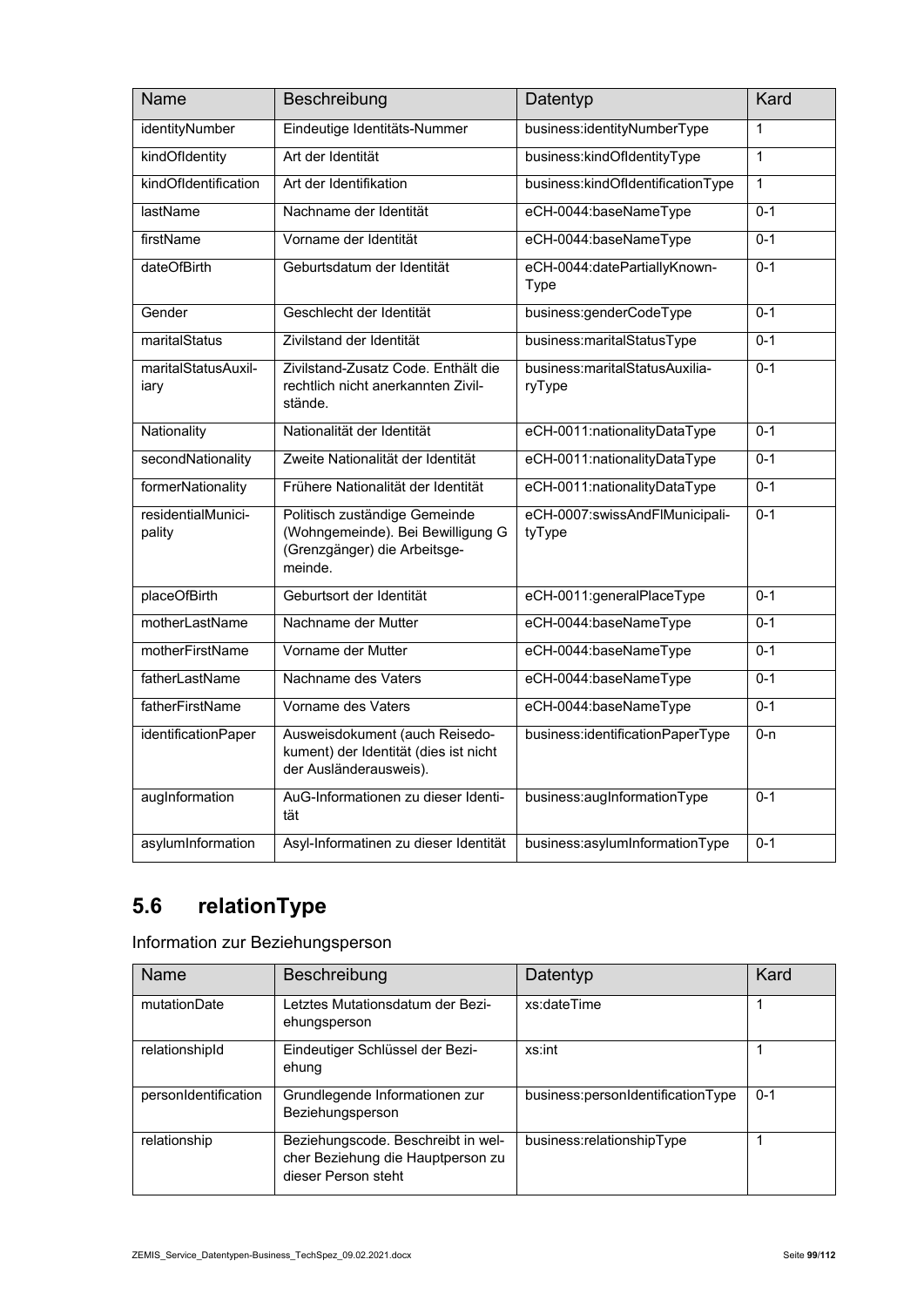| Name                         | Beschreibung                                                                                                  | Datentyp                                 | Kard         |
|------------------------------|---------------------------------------------------------------------------------------------------------------|------------------------------------------|--------------|
| identityNumber               | Eindeutige Identitäts-Nummer                                                                                  | business:identityNumberType              | $\mathbf{1}$ |
| kindOfIdentity               | Art der Identität                                                                                             | business:kindOfIdentityType              | $\mathbf{1}$ |
| kindOfIdentification         | Art der Identifikation                                                                                        | business:kindOfldentificationType        | $\mathbf{1}$ |
| lastName                     | Nachname der Identität                                                                                        | eCH-0044:baseNameType                    | $0 - 1$      |
| firstName                    | Vorname der Identität                                                                                         | eCH-0044:baseNameType                    | $0 - 1$      |
| dateOfBirth                  | Geburtsdatum der Identität                                                                                    | eCH-0044:datePartiallyKnown-<br>Type     | $0 - 1$      |
| Gender                       | Geschlecht der Identität                                                                                      | business:genderCodeType                  | $0 - 1$      |
| maritalStatus                | Zivilstand der Identität                                                                                      | business:maritalStatusType               | $0 - 1$      |
| maritalStatusAuxil-<br>iary  | Zivilstand-Zusatz Code, Enthält die<br>rechtlich nicht anerkannten Zivil-<br>stände.                          | business:maritalStatusAuxilia-<br>ryType | $0 - 1$      |
| Nationality                  | Nationalität der Identität                                                                                    | eCH-0011:nationalityDataType             | $0 - 1$      |
| secondNationality            | Zweite Nationalität der Identität                                                                             | eCH-0011:nationalityDataType             | $0 - 1$      |
| formerNationality            | Frühere Nationalität der Identität                                                                            | eCH-0011:nationalityDataType             | $0 - 1$      |
| residentialMunici-<br>pality | Politisch zuständige Gemeinde<br>(Wohngemeinde). Bei Bewilligung G<br>(Grenzgänger) die Arbeitsge-<br>meinde. | eCH-0007:swissAndFlMunicipali-<br>tyType | $0 - 1$      |
| placeOfBirth                 | Geburtsort der Identität                                                                                      | eCH-0011:generalPlaceType                | $0 - 1$      |
| motherLastName               | Nachname der Mutter                                                                                           | eCH-0044:baseNameType                    | $0 - 1$      |
| motherFirstName              | Vorname der Mutter                                                                                            | eCH-0044:baseNameType                    | $0 - 1$      |
| fatherLastName               | Nachname des Vaters                                                                                           | eCH-0044:baseNameType                    | $0 - 1$      |
| fatherFirstName              | Vorname des Vaters                                                                                            | eCH-0044:baseNameType                    | $0 - 1$      |
| identificationPaper          | Ausweisdokument (auch Reisedo-<br>kument) der Identität (dies ist nicht<br>der Ausländerausweis).             | business:identificationPaperType         | $0 - n$      |
| augInformation               | AuG-Informationen zu dieser Identi-<br>tät                                                                    | business:augInformationType              | $0 - 1$      |
| asylumInformation            | Asyl-Informatinen zu dieser Identität                                                                         | business:asylumInformationType           | $0 - 1$      |

## **5.6 relationType**

Information zur Beziehungsperson

| Name                 | Beschreibung                                                                                   | Datentyp                          | Kard    |
|----------------------|------------------------------------------------------------------------------------------------|-----------------------------------|---------|
| mutationDate         | etztes Mutationsdatum der Bezi-<br>ehungsperson                                                | xs:dateTime                       |         |
| relationshipId       | Eindeutiger Schlüssel der Bezi-<br>ehung                                                       | xs:int                            |         |
| personIdentification | Grundlegende Informationen zur<br>Beziehungsperson                                             | business:personIdentificationType | $0 - 1$ |
| relationship         | Beziehungscode. Beschreibt in wel-<br>cher Beziehung die Hauptperson zu<br>dieser Person steht | business:relationshipType         |         |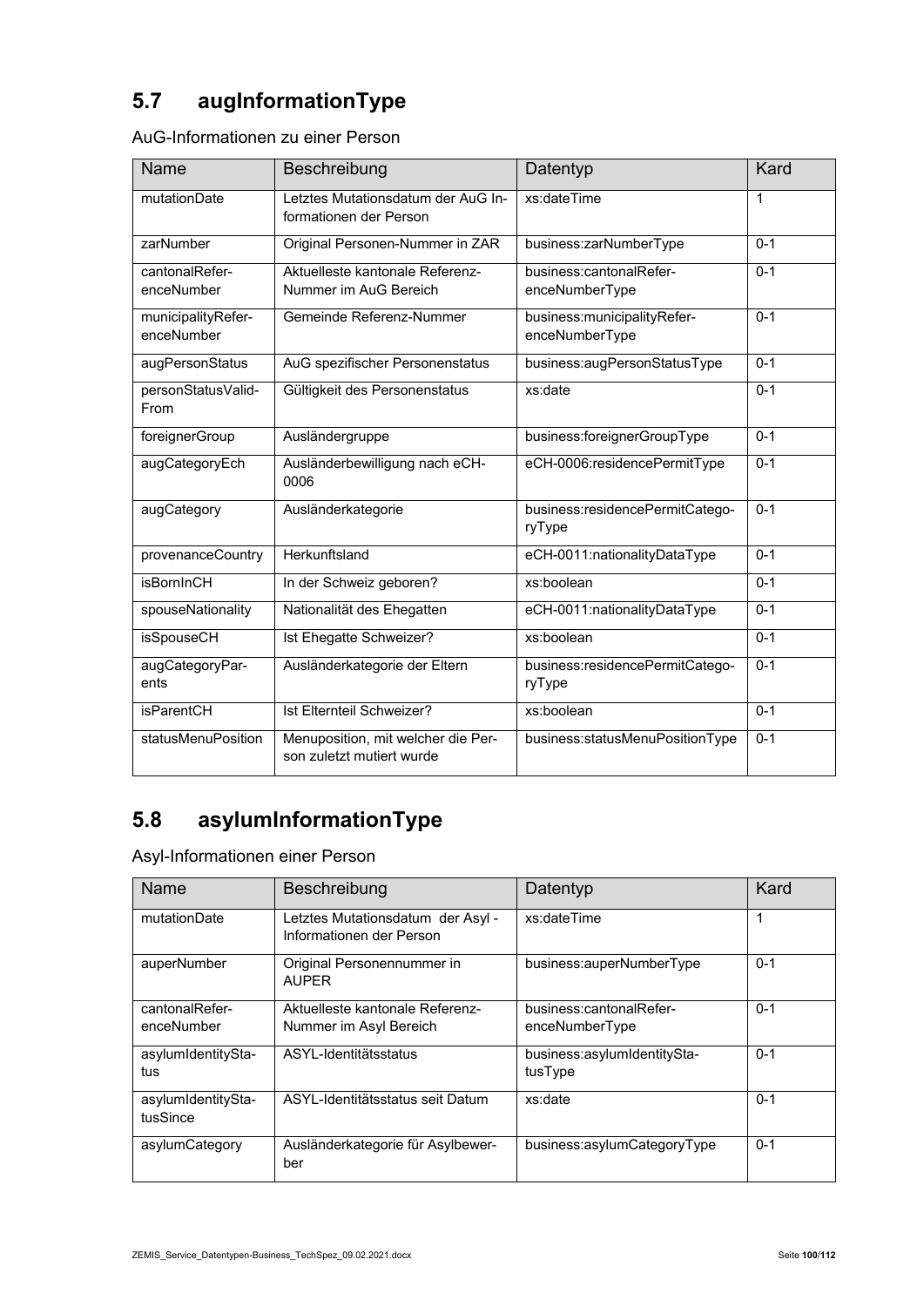# **5.7 augInformationType**

| AuG-Informationen zu einer Person |  |  |
|-----------------------------------|--|--|
|-----------------------------------|--|--|

| Name                             | Beschreibung                                                    | Datentyp                                        | Kard        |
|----------------------------------|-----------------------------------------------------------------|-------------------------------------------------|-------------|
| mutationDate                     | Letztes Mutationsdatum der AuG In-<br>formationen der Person    | xs:dateTime                                     | $\mathbf 1$ |
| zarNumber                        | Original Personen-Nummer in ZAR                                 | business:zarNumberType                          | $0 - 1$     |
| cantonalRefer-<br>enceNumber     | Aktuelleste kantonale Referenz-<br>Nummer im AuG Bereich        | business:cantonalRefer-<br>enceNumberType       | $0 - 1$     |
| municipalityRefer-<br>enceNumber | Gemeinde Referenz-Nummer                                        | business: municipality Refer-<br>enceNumberType | $0 - 1$     |
| augPersonStatus                  | AuG spezifischer Personenstatus                                 | business:augPersonStatusType                    | $0 - 1$     |
| personStatusValid-<br>From       | Gültigkeit des Personenstatus                                   | xs:date                                         | $0 - 1$     |
| foreignerGroup                   | Ausländergruppe                                                 | business:foreignerGroupType                     | $0 - 1$     |
| augCategoryEch                   | Ausländerbewilligung nach eCH-<br>0006                          | eCH-0006:residencePermitType                    | $0 - 1$     |
| augCategory                      | Ausländerkategorie                                              | business:residencePermitCatego-<br>ryType       | $0 - 1$     |
| provenanceCountry                | Herkunftsland                                                   | eCH-0011:nationalityDataType                    | $0 - 1$     |
| <b>isBornInCH</b>                | In der Schweiz geboren?                                         | xs:boolean                                      | $0 - 1$     |
| spouseNationality                | Nationalität des Ehegatten                                      | eCH-0011:nationalityDataType                    | $0 - 1$     |
| <b>isSpouseCH</b>                | Ist Ehegatte Schweizer?                                         | xs:boolean                                      | $0 - 1$     |
| augCategoryPar-<br>ents          | Ausländerkategorie der Eltern                                   | business:residencePermitCatego-<br>ryType       | $0 - 1$     |
| <b>isParentCH</b>                | Ist Elternteil Schweizer?                                       | xs:boolean                                      | $0 - 1$     |
| statusMenuPosition               | Menuposition, mit welcher die Per-<br>son zuletzt mutiert wurde | business:statusMenuPositionType                 | $0 - 1$     |

## **5.8 asylumInformationType**

Asyl-Informationen einer Person

| Name                           | Beschreibung                                                  | Datentyp                                  | Kard    |
|--------------------------------|---------------------------------------------------------------|-------------------------------------------|---------|
| mutationDate                   | Letztes Mutationsdatum der Asyl -<br>Informationen der Person | xs:dateTime                               | 1       |
| auperNumber                    | Original Personennummer in<br><b>AUPER</b>                    | business:auperNumberType                  | $0 - 1$ |
| cantonalRefer-<br>enceNumber   | Aktuelleste kantonale Referenz-<br>Nummer im Asyl Bereich     | business:cantonalRefer-<br>enceNumberType | $0 - 1$ |
| asylumIdentitySta-<br>tus      | ASYL-Identitätsstatus                                         | business:asylumIdentitySta-<br>tusType    | $0 - 1$ |
| asylumIdentitySta-<br>tusSince | ASYL-Identitätsstatus seit Datum                              | xs:date                                   | $0 - 1$ |
| asylumCategory                 | Ausländerkategorie für Asylbewer-<br>ber                      | business:asylumCategoryType               | $0 - 1$ |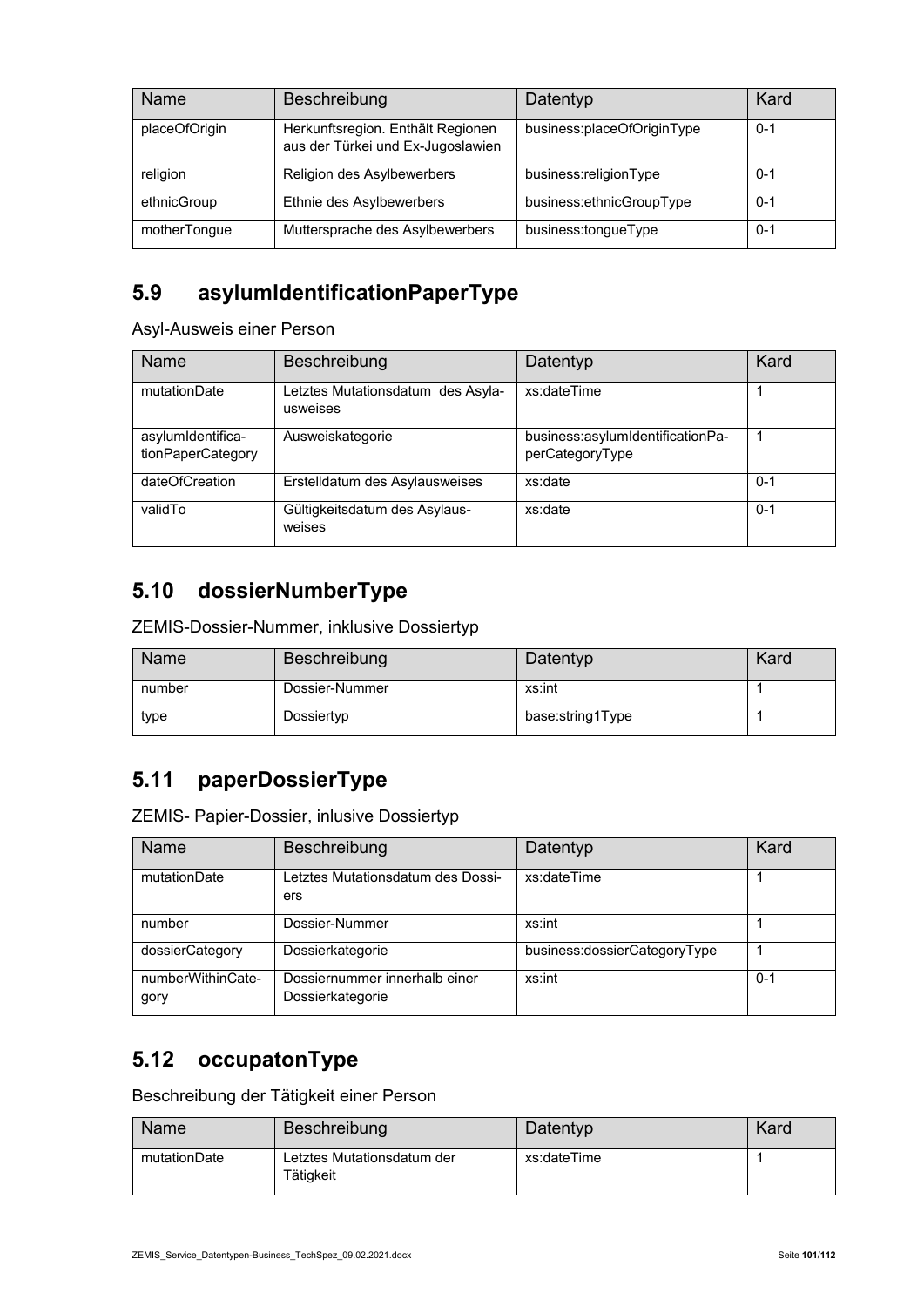| Name          | Beschreibung                                                           | Datentyp                   | Kard    |
|---------------|------------------------------------------------------------------------|----------------------------|---------|
| placeOfOrigin | Herkunftsregion. Enthält Regionen<br>aus der Türkei und Ex-Jugoslawien | business:placeOfOriginType | $0 - 1$ |
| religion      | Religion des Asylbewerbers                                             | business:religionType      | 0-1     |
| ethnicGroup   | Ethnie des Asylbewerbers                                               | business:ethnicGroupType   | $0 - 1$ |
| motherTongue  | Muttersprache des Asylbewerbers                                        | business:tongueType        | $0 - 1$ |

#### **5.9 asylumIdentificationPaperType**

Asyl-Ausweis einer Person

| Name                                   | Beschreibung                                  | Datentyp                                            | Kard    |
|----------------------------------------|-----------------------------------------------|-----------------------------------------------------|---------|
| mutationDate                           | Letztes Mutationsdatum des Asyla-<br>usweises | xs:dateTime                                         |         |
| asylumIdentifica-<br>tionPaperCategory | Ausweiskategorie                              | business:asylumIdentificationPa-<br>perCategoryType |         |
| dateOfCreation                         | Erstelldatum des Asylausweises                | xs:date                                             | $0 - 1$ |
| validTo                                | Gültigkeitsdatum des Asylaus-<br>weises       | xs:date                                             | $0 - 1$ |

#### **5.10 dossierNumberType**

ZEMIS-Dossier-Nummer, inklusive Dossiertyp

| Name   | Beschreibung   | Datentyp         | Kard |
|--------|----------------|------------------|------|
| number | Dossier-Nummer | xs:int           |      |
| type   | Dossiertyp     | base:string1Type |      |

#### **5.11 paperDossierType**

ZEMIS- Papier-Dossier, inlusive Dossiertyp

| Name                      | Beschreibung                                      | Datentyp                     | Kard    |
|---------------------------|---------------------------------------------------|------------------------------|---------|
| mutationDate              | Letztes Mutationsdatum des Dossi-<br>ers          | xs:dateTime                  |         |
| number                    | Dossier-Nummer                                    | xs:int                       |         |
| dossierCategory           | Dossierkategorie                                  | business:dossierCategoryType |         |
| numberWithinCate-<br>gory | Dossiernummer innerhalb einer<br>Dossierkategorie | xs:int                       | $0 - 1$ |

#### **5.12 occupatonType**

Beschreibung der Tätigkeit einer Person

| Name         | Beschreibung                            | Datentyp    | Kard |
|--------------|-----------------------------------------|-------------|------|
| mutationDate | Letztes Mutationsdatum der<br>Tätigkeit | xs:dateTime |      |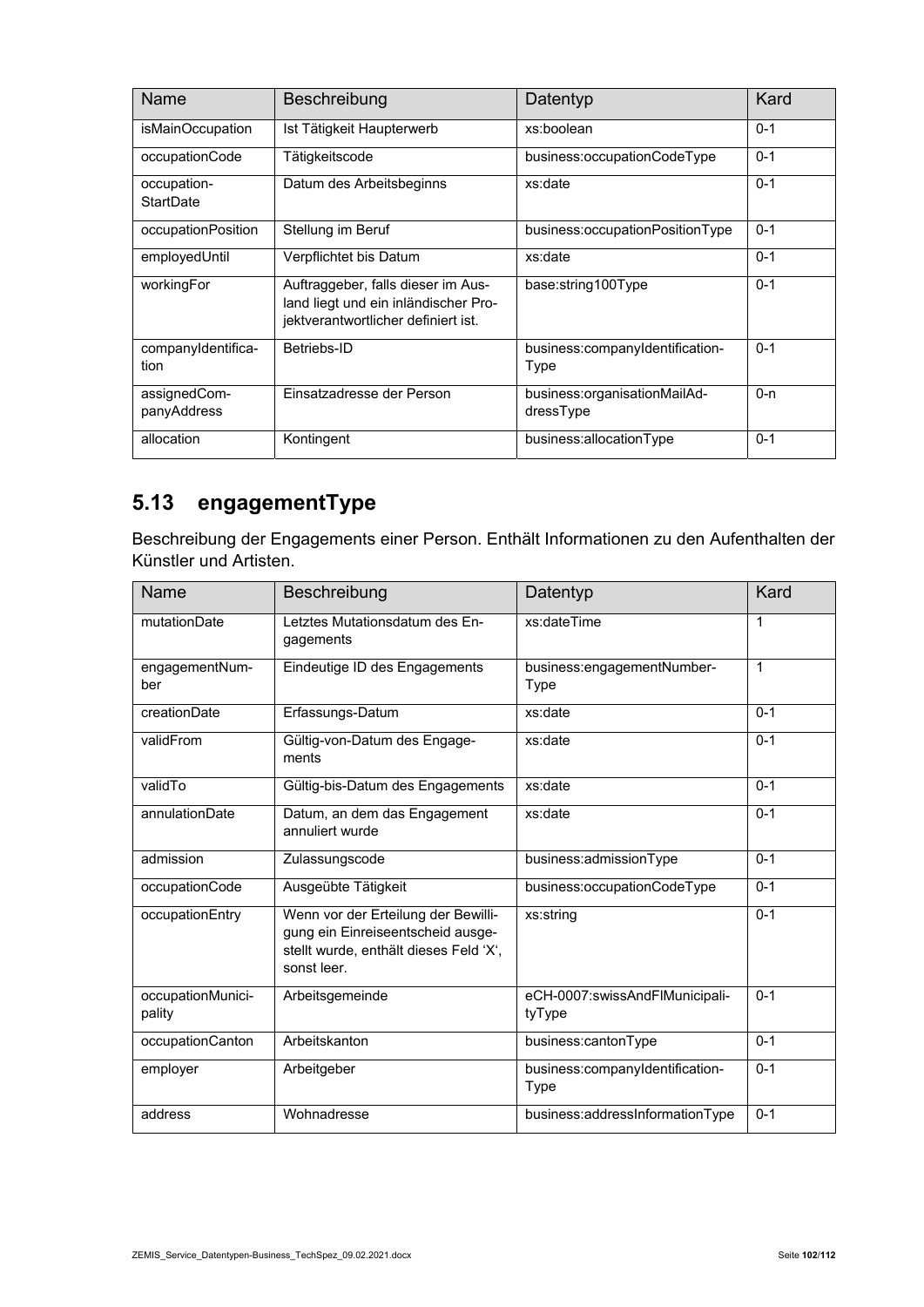| <b>Name</b>                 | Beschreibung                                                                                                      | Datentyp                                  | Kard    |
|-----------------------------|-------------------------------------------------------------------------------------------------------------------|-------------------------------------------|---------|
| isMainOccupation            | Ist Tätigkeit Haupterwerb                                                                                         | xs:boolean                                | $0 - 1$ |
| occupationCode              | Tätigkeitscode                                                                                                    | business:occupationCodeType               | $0 - 1$ |
| occupation-<br>StartDate    | Datum des Arbeitsbeginns                                                                                          | xs:date                                   | $0 - 1$ |
| occupationPosition          | Stellung im Beruf                                                                                                 | business:occupationPositionType           | $0 - 1$ |
| employedUntil               | Verpflichtet bis Datum                                                                                            | xs:date                                   | $0 - 1$ |
| workingFor                  | Auftraggeber, falls dieser im Aus-<br>land liegt und ein inländischer Pro-<br>jektverantwortlicher definiert ist. | base:string100Type                        | $0 - 1$ |
| companyIdentifica-<br>tion  | Betriebs-ID                                                                                                       | business:companyIdentification-<br>Type   | $0 - 1$ |
| assignedCom-<br>panyAddress | Einsatzadresse der Person                                                                                         | business:organisationMailAd-<br>dressType | $0 - n$ |
| allocation                  | Kontingent                                                                                                        | business:allocationType                   | $0 - 1$ |

## **5.13 engagementType**

Beschreibung der Engagements einer Person. Enthält Informationen zu den Aufenthalten der Künstler und Artisten.

| Name                        | Beschreibung                                                                                                                      | Datentyp                                 | Kard    |
|-----------------------------|-----------------------------------------------------------------------------------------------------------------------------------|------------------------------------------|---------|
| mutationDate                | Letztes Mutationsdatum des En-<br>gagements                                                                                       | xs:dateTime                              | 1       |
| engagementNum-<br>ber       | Eindeutige ID des Engagements                                                                                                     | business:engagementNumber-<br>Type       | 1       |
| creationDate                | Erfassungs-Datum                                                                                                                  | xs:date                                  | $0 - 1$ |
| validFrom                   | Gültig-von-Datum des Engage-<br>ments                                                                                             | xs:date                                  | $0 - 1$ |
| validTo                     | Gültig-bis-Datum des Engagements                                                                                                  | xs:date                                  | $0 - 1$ |
| annulationDate              | Datum, an dem das Engagement<br>annuliert wurde                                                                                   | xs:date                                  | $0 - 1$ |
| admission                   | Zulassungscode                                                                                                                    | business:admissionType                   | $0 - 1$ |
| occupationCode              | Ausgeübte Tätigkeit                                                                                                               | business:occupationCodeType              | $0 - 1$ |
| occupationEntry             | Wenn vor der Erteilung der Bewilli-<br>gung ein Einreiseentscheid ausge-<br>stellt wurde, enthält dieses Feld 'X',<br>sonst leer. | xs:string                                | $0 - 1$ |
| occupationMunici-<br>pality | Arbeitsgemeinde                                                                                                                   | eCH-0007:swissAndFlMunicipali-<br>tyType | $0 - 1$ |
| occupationCanton            | Arbeitskanton                                                                                                                     | business:cantonType                      | $0 - 1$ |
| employer                    | Arbeitgeber                                                                                                                       | business:companyIdentification-<br>Type  | $0 - 1$ |
| address                     | Wohnadresse                                                                                                                       | business:addressInformationType          | $0 - 1$ |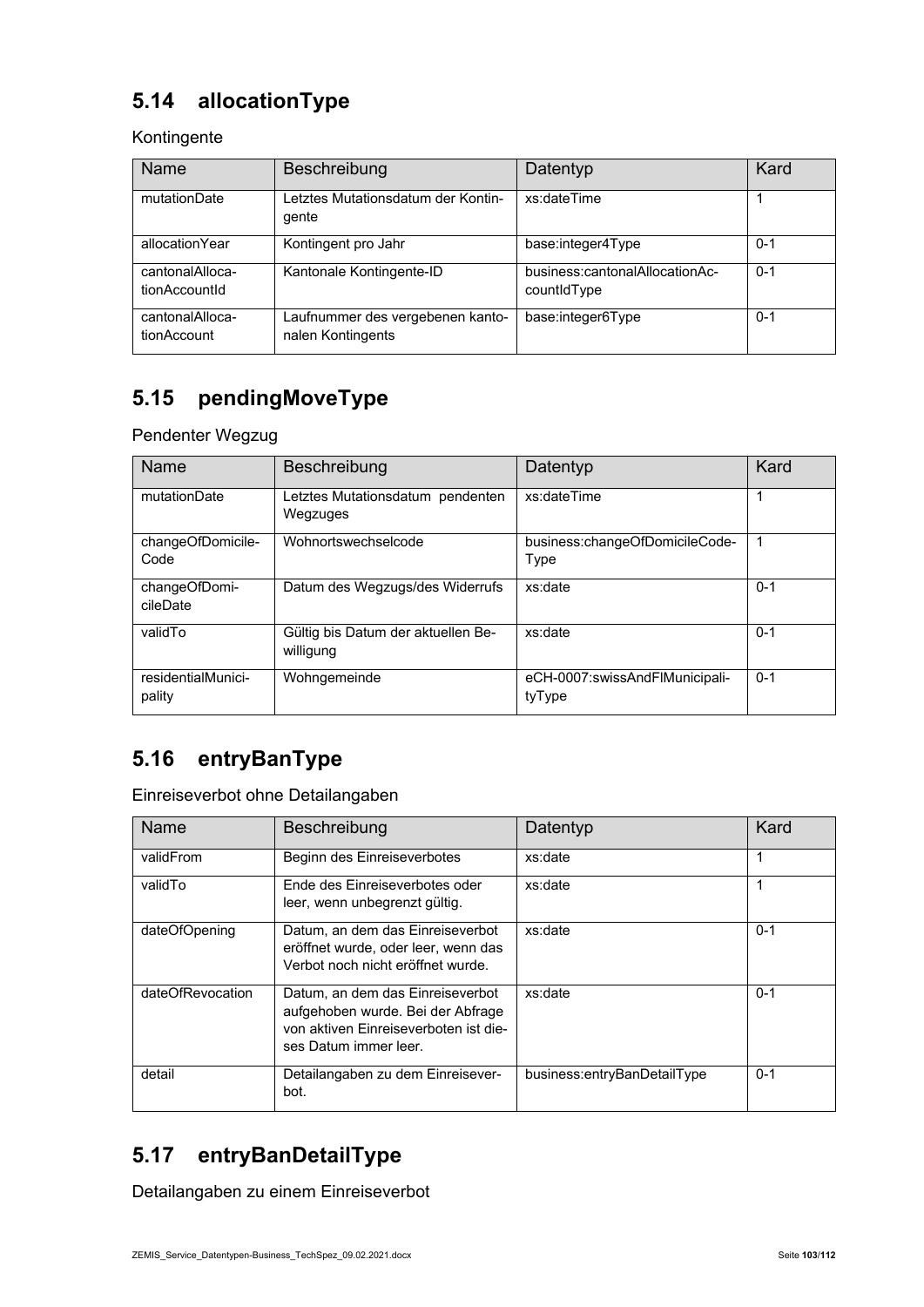## **5.14 allocationType**

Kontingente

| <b>Name</b>                      | Beschreibung                                          | Datentyp                                      | Kard    |
|----------------------------------|-------------------------------------------------------|-----------------------------------------------|---------|
| mutationDate                     | Letztes Mutationsdatum der Kontin-<br>gente           | xs:dateTime                                   |         |
| allocationYear                   | Kontingent pro Jahr                                   | base:integer4Type                             | $0 - 1$ |
| cantonalAlloca-<br>tionAccountId | Kantonale Kontingente-ID                              | business:cantonalAllocationAc-<br>countidType | $0 - 1$ |
| cantonalAlloca-<br>tionAccount   | Laufnummer des vergebenen kanto-<br>nalen Kontingents | base:integer6Type                             | $0 - 1$ |

## **5.15 pendingMoveType**

Pendenter Wegzug

| Name                         | <b>Beschreibung</b>                             | Datentyp                                 | Kard    |
|------------------------------|-------------------------------------------------|------------------------------------------|---------|
| mutationDate                 | Letztes Mutationsdatum pendenten<br>Wegzuges    | xs:dateTime                              | 1       |
| changeOfDomicile-<br>Code    | Wohnortswechselcode                             | business:changeOfDomicileCode-<br>Type   | -1      |
| changeOfDomi-<br>cileDate    | Datum des Wegzugs/des Widerrufs                 | xs:date                                  | $0 - 1$ |
| validTo                      | Gültig bis Datum der aktuellen Be-<br>willigung | xs:date                                  | $0 - 1$ |
| residentialMunici-<br>pality | Wohngemeinde                                    | eCH-0007:swissAndFlMunicipali-<br>tyType | $0 - 1$ |

## **5.16 entryBanType**

Einreiseverbot ohne Detailangaben

| Name             | Beschreibung                                                                                                                            | Datentyp                    | Kard    |
|------------------|-----------------------------------------------------------------------------------------------------------------------------------------|-----------------------------|---------|
| validFrom        | Beginn des Einreiseverbotes                                                                                                             | xs:date                     | 1       |
| validTo          | Ende des Finreiseverbotes oder<br>leer, wenn unbegrenzt gültig.                                                                         | xs:date                     |         |
| dateOfOpening    | Datum, an dem das Einreiseverbot<br>eröffnet wurde, oder leer, wenn das<br>Verbot noch nicht eröffnet wurde.                            | xs:date                     | $0 - 1$ |
| dateOfRevocation | Datum, an dem das Einreiseverbot<br>aufgehoben wurde. Bei der Abfrage<br>von aktiven Finreiseverboten ist die-<br>ses Datum immer leer. | xs:date                     | $0 - 1$ |
| detail           | Detailangaben zu dem Einreisever-<br>bot.                                                                                               | business:entryBanDetailType | $0 - 1$ |

#### **5.17 entryBanDetailType**

Detailangaben zu einem Einreiseverbot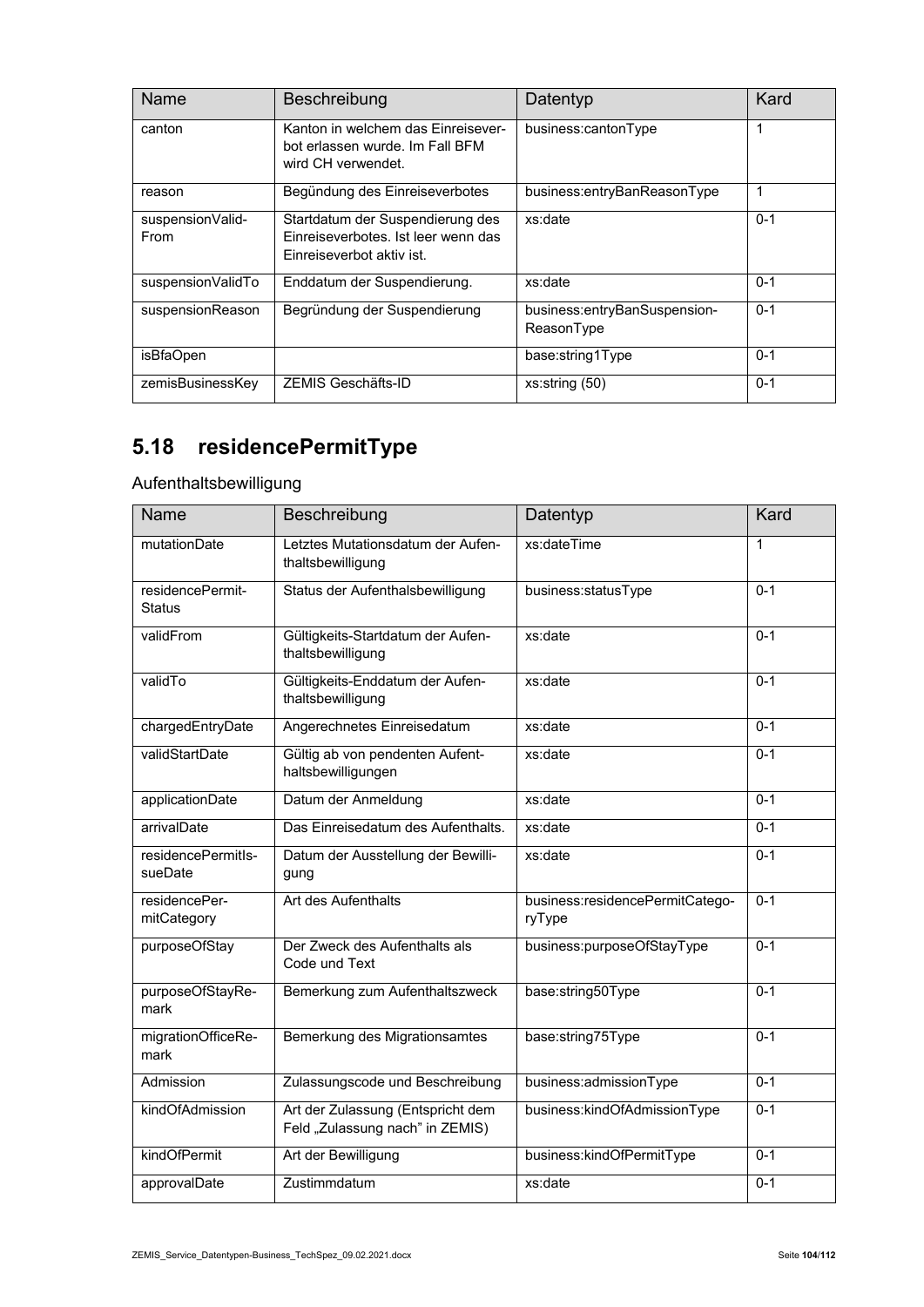| Name                     | Beschreibung                                                                                         | Datentyp                                   | Kard    |
|--------------------------|------------------------------------------------------------------------------------------------------|--------------------------------------------|---------|
| canton                   | Kanton in welchem das Finreisever-<br>bot erlassen wurde. Im Fall BFM<br>wird CH verwendet.          | business:cantonType                        | 1       |
| reason                   | Begündung des Einreiseverbotes                                                                       | business:entryBanReasonType                | 1       |
| suspensionValid-<br>From | Startdatum der Suspendierung des<br>Finreiseverbotes. Ist leer wenn das<br>Finreiseverbot aktiv ist. | xs:date                                    | $0 - 1$ |
| suspensionValidTo        | Enddatum der Suspendierung.                                                                          | xs:date                                    | $0 - 1$ |
| suspensionReason         | Begründung der Suspendierung                                                                         | business:entryBanSuspension-<br>ReasonType | $0 - 1$ |
| isBfaOpen                |                                                                                                      | base:string1Type                           | $0 - 1$ |
| zemisBusinessKey         | ZEMIS Geschäfts-ID                                                                                   | xs:string(50)                              | $0 - 1$ |

# **5.18 residencePermitType**

Aufenthaltsbewilligung

| Name                              | Beschreibung                                                         | Datentyp                                  | Kard         |
|-----------------------------------|----------------------------------------------------------------------|-------------------------------------------|--------------|
| mutationDate                      | Letztes Mutationsdatum der Aufen-<br>thaltsbewilligung               | xs:dateTime                               | $\mathbf{1}$ |
| residencePermit-<br><b>Status</b> | Status der Aufenthalsbewilligung                                     | business:statusType                       | $0 - 1$      |
| validFrom                         | Gültigkeits-Startdatum der Aufen-<br>thaltsbewilligung               | xs:date                                   | $0 - 1$      |
| validTo                           | Gültigkeits-Enddatum der Aufen-<br>thaltsbewilligung                 | xs:date                                   | $0 - 1$      |
| chargedEntryDate                  | Angerechnetes Einreisedatum                                          | xs:date                                   | $0 - 1$      |
| validStartDate                    | Gültig ab von pendenten Aufent-<br>haltsbewilligungen                | xs:date                                   | $0 - 1$      |
| applicationDate                   | Datum der Anmeldung                                                  | xs:date                                   | $0 - 1$      |
| arrivalDate                       | Das Einreisedatum des Aufenthalts.                                   | xs:date                                   | $0 - 1$      |
| residencePermitls-<br>sueDate     | Datum der Ausstellung der Bewilli-<br>gung                           | xs:date                                   | $0 - 1$      |
| residencePer-<br>mitCategory      | Art des Aufenthalts                                                  | business:residencePermitCatego-<br>ryType | $0 - 1$      |
| purposeOfStay                     | Der Zweck des Aufenthalts als<br>Code und Text                       | business:purposeOfStayType                | $0 - 1$      |
| purposeOfStayRe-<br>mark          | Bemerkung zum Aufenthaltszweck                                       | base:string50Type                         | $0 - 1$      |
| migrationOfficeRe-<br>mark        | Bemerkung des Migrationsamtes                                        | base:string75Type                         | $0 - 1$      |
| Admission                         | Zulassungscode und Beschreibung                                      | business:admissionType                    | $0 - 1$      |
| kindOfAdmission                   | Art der Zulassung (Entspricht dem<br>Feld "Zulassung nach" in ZEMIS) | business:kindOfAdmissionType              | $0 - 1$      |
| kindOfPermit                      | Art der Bewilligung                                                  | business:kindOfPermitType                 | $0 - 1$      |
| approvalDate                      | Zustimmdatum                                                         | xs:date                                   | $0 - 1$      |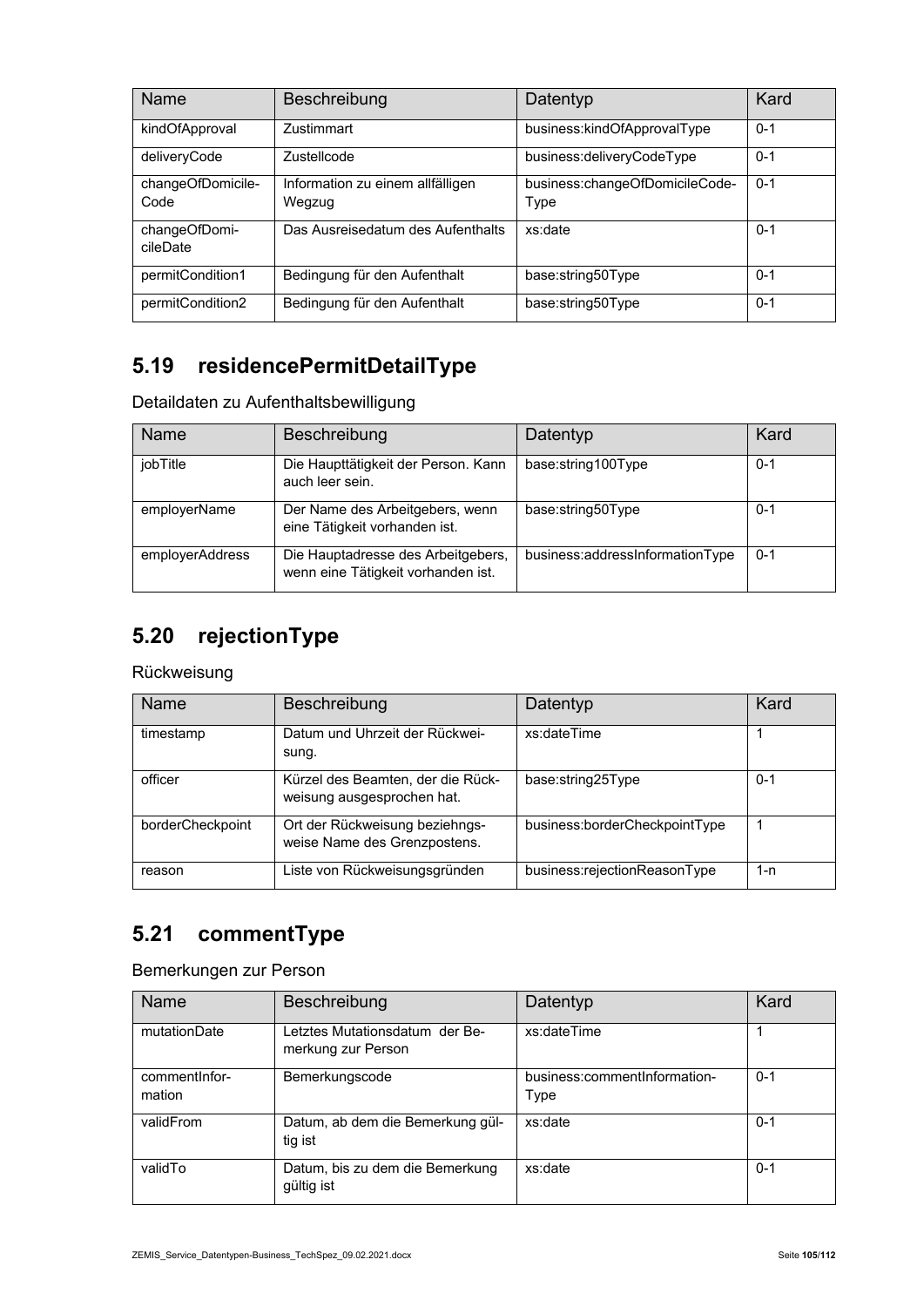| Name                      | Beschreibung                               | Datentyp                               | Kard    |
|---------------------------|--------------------------------------------|----------------------------------------|---------|
| kindOfApproval            | Zustimmart                                 | business:kindOfApprovalType            | $0 - 1$ |
| deliveryCode              | <b>Zustellcode</b>                         | business:deliveryCodeType              | $0 - 1$ |
| changeOfDomicile-<br>Code | Information zu einem allfälligen<br>Wegzug | business:changeOfDomicileCode-<br>Type | $0 - 1$ |
| changeOfDomi-<br>cileDate | Das Ausreisedatum des Aufenthalts          | xs:date                                | $0 - 1$ |
| permitCondition1          | Bedingung für den Aufenthalt               | base:string50Type                      | $0 - 1$ |
| permitCondition2          | Bedingung für den Aufenthalt               | base:string50Type                      | $0 - 1$ |

## **5.19 residencePermitDetailType**

| Detaildaten zu Aufenthaltsbewilligung |  |
|---------------------------------------|--|
|---------------------------------------|--|

| Name            | Beschreibung                                                             | Datentyp                        | Kard    |
|-----------------|--------------------------------------------------------------------------|---------------------------------|---------|
| jobTitle        | Die Haupttätigkeit der Person. Kann<br>auch leer sein.                   | base:string100Type              | $0 - 1$ |
| employerName    | Der Name des Arbeitgebers, wenn<br>eine Tätigkeit vorhanden ist.         | base:string50Type               | $0 - 1$ |
| employerAddress | Die Hauptadresse des Arbeitgebers,<br>wenn eine Tätigkeit vorhanden ist. | business:addressInformationType | $0 - 1$ |

## **5.20 rejectionType**

#### Rückweisung

| <b>Name</b>      | Beschreibung                                                    | Datentyp                      | Kard    |
|------------------|-----------------------------------------------------------------|-------------------------------|---------|
| timestamp        | Datum und Uhrzeit der Rückwei-<br>sung.                         | xs:dateTime                   |         |
| officer          | Kürzel des Beamten, der die Rück-<br>weisung ausgesprochen hat. | base:string25Type             | $0 - 1$ |
| borderCheckpoint | Ort der Rückweisung beziehngs-<br>weise Name des Grenzpostens.  | business:borderCheckpointType |         |
| reason           | Liste von Rückweisungsgründen                                   | business:rejectionReasonType  | 1-n     |

## **5.21 commentType**

#### Bemerkungen zur Person

| <b>Name</b>              | Beschreibung                                         | Datentyp                             | Kard    |
|--------------------------|------------------------------------------------------|--------------------------------------|---------|
| mutationDate             | Letztes Mutationsdatum der Be-<br>merkung zur Person | xs:dateTime                          |         |
| comment Infor-<br>mation | Bemerkungscode                                       | business:commentInformation-<br>Type | $0 - 1$ |
| validFrom                | Datum, ab dem die Bemerkung gül-<br>tig ist          | xs:date                              | $0 - 1$ |
| validTo                  | Datum, bis zu dem die Bemerkung<br>gültig ist        | xs:date                              | $0 - 1$ |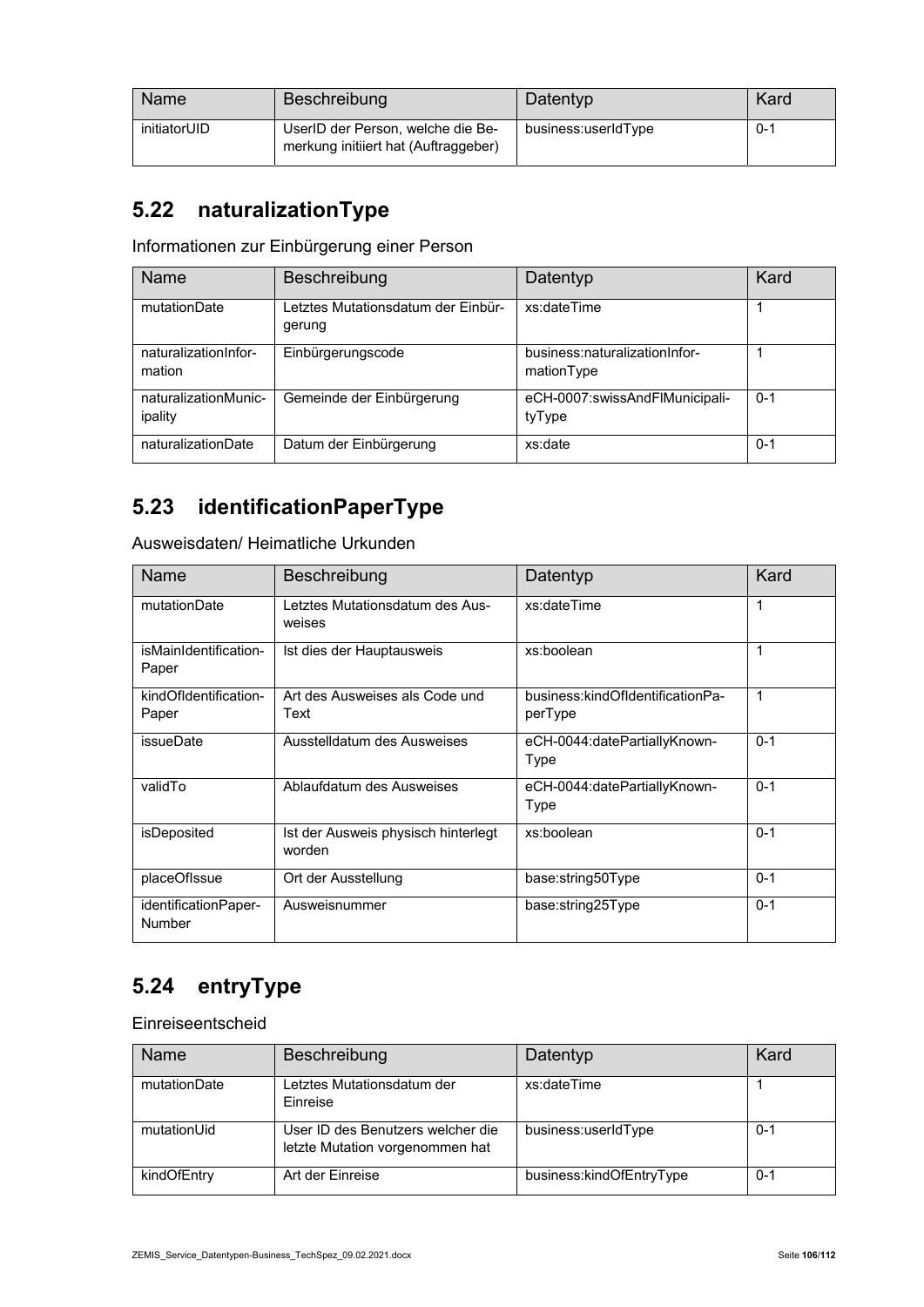| Name         | Beschreibung                                                              | Datentyp            | Kard    |
|--------------|---------------------------------------------------------------------------|---------------------|---------|
| initiatorUID | UserID der Person, welche die Be-<br>merkung initiiert hat (Auftraggeber) | business:userIdType | $0 - 1$ |

## **5.22 naturalizationType**

Informationen zur Einbürgerung einer Person

| Name                            | Beschreibung                                | Datentyp                                    | Kard    |
|---------------------------------|---------------------------------------------|---------------------------------------------|---------|
| mutationDate                    | etztes Mutationsdatum der Einbür-<br>gerung | xs:dateTime                                 |         |
| naturalizationInfor-<br>mation  | Einbürgerungscode                           | business:naturalizationInfor-<br>mationType |         |
| naturalizationMunic-<br>ipality | Gemeinde der Einbürgerung                   | eCH-0007:swissAndFlMunicipali-<br>tyType    | $0 - 1$ |
| naturalizationDate              | Datum der Einbürgerung                      | xs:date                                     | $0 - 1$ |

## **5.23 identificationPaperType**

Ausweisdaten/ Heimatliche Urkunden

| <b>Name</b>                    | Beschreibung                                  | Datentyp                                    | Kard    |
|--------------------------------|-----------------------------------------------|---------------------------------------------|---------|
| mutationDate                   | Letztes Mutationsdatum des Aus-<br>weises     | xs:dateTime                                 | 1       |
| isMainIdentification-<br>Paper | Ist dies der Hauptausweis                     | xs:boolean                                  | 1       |
| kindOfIdentification-<br>Paper | Art des Ausweises als Code und<br>Text        | business:kindOfIdentificationPa-<br>perType | 1       |
| issueDate                      | Ausstelldatum des Ausweises                   | eCH-0044:datePartiallyKnown-<br>Type        | $0 - 1$ |
| validTo                        | Ablaufdatum des Ausweises                     | eCH-0044:datePartiallyKnown-<br>Type        | $0 - 1$ |
| isDeposited                    | Ist der Ausweis physisch hinterlegt<br>worden | xs:boolean                                  | $0 - 1$ |
| placeOfIssue                   | Ort der Ausstellung                           | base:string50Type                           | $0 - 1$ |
| identificationPaper-<br>Number | Ausweisnummer                                 | base:string25Type                           | $0 - 1$ |

# **5.24 entryType**

Einreiseentscheid

| Name         | Beschreibung                                                         | Datentyp                 | Kard    |
|--------------|----------------------------------------------------------------------|--------------------------|---------|
| mutationDate | Letztes Mutationsdatum der<br>Einreise                               | xs:dateTime              |         |
| mutationUid  | User ID des Benutzers welcher die<br>letzte Mutation vorgenommen hat | business:userIdType      | $0 - 1$ |
| kindOfEntry  | Art der Einreise                                                     | business:kindOfEntryType | $0 - 1$ |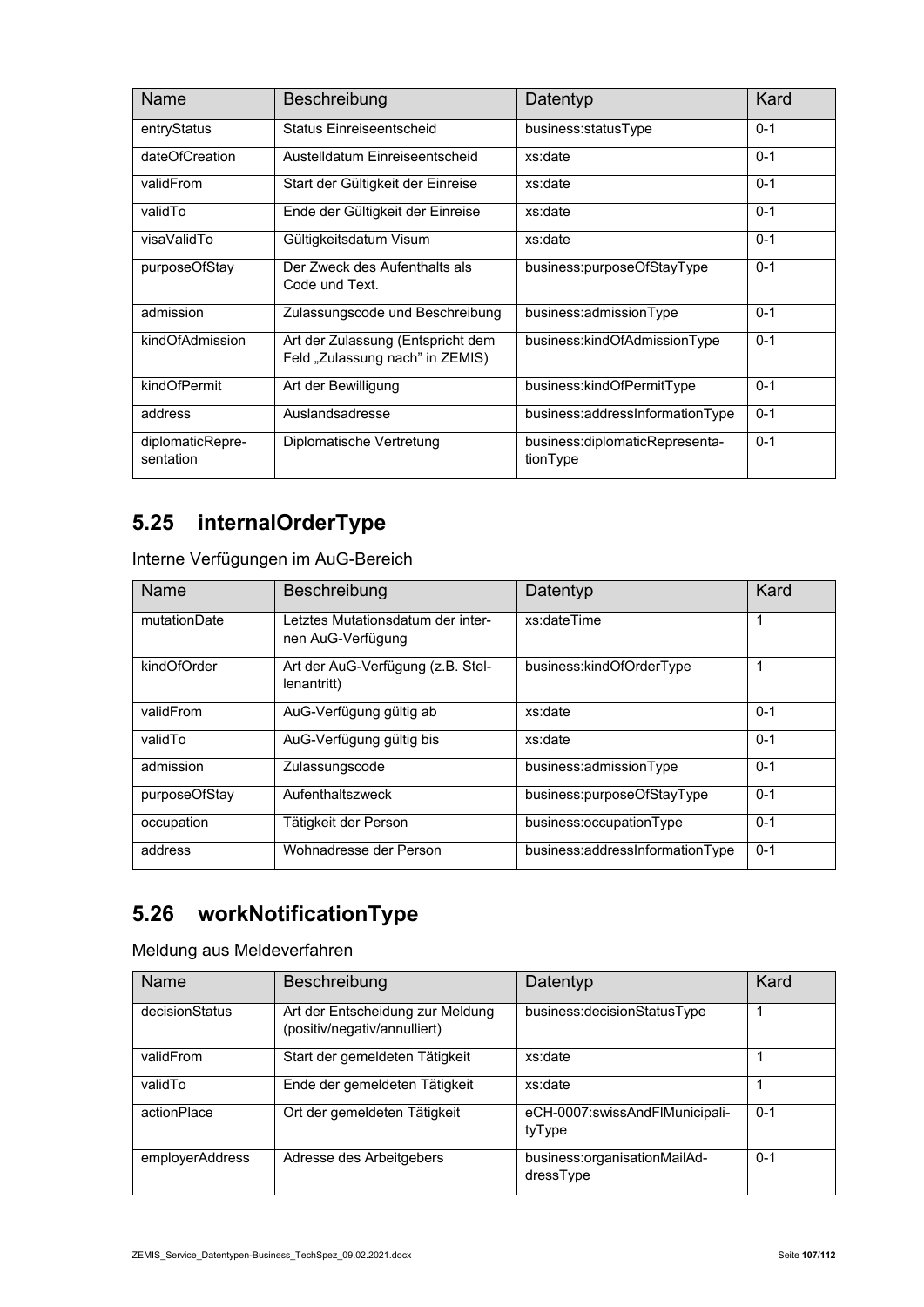| <b>Name</b>                   | Beschreibung                                                         | Datentyp                                   | Kard    |
|-------------------------------|----------------------------------------------------------------------|--------------------------------------------|---------|
| entryStatus                   | Status Finreiseentscheid                                             | business:statusType                        | $0 - 1$ |
| dateOfCreation                | Austelldatum Einreiseentscheid                                       | xs:date                                    | $0 - 1$ |
| validFrom                     | Start der Gültigkeit der Einreise                                    | xs:date                                    | $0 - 1$ |
| validTo                       | Ende der Gültigkeit der Einreise                                     | xs:date                                    | $0 - 1$ |
| visaValidTo                   | Gültigkeitsdatum Visum                                               | xs:date                                    | $0 - 1$ |
| purposeOfStay                 | Der Zweck des Aufenthalts als<br>Code und Text.                      | business:purposeOfStayType                 | $0 - 1$ |
| admission                     | Zulassungscode und Beschreibung                                      | business:admissionType                     | $0 - 1$ |
| kindOfAdmission               | Art der Zulassung (Entspricht dem<br>Feld "Zulassung nach" in ZEMIS) | business:kindOfAdmissionType               | $0 - 1$ |
| kindOfPermit                  | Art der Bewilligung                                                  | business:kindOfPermitType                  | $0 - 1$ |
| address                       | Auslandsadresse                                                      | business:addressInformationType            | $0 - 1$ |
| diplomaticRepre-<br>sentation | Diplomatische Vertretung                                             | business:diplomaticRepresenta-<br>tionType | $0 - 1$ |

## **5.25 internalOrderType**

Interne Verfügungen im AuG-Bereich

| Name          | Beschreibung                                           | Datentyp                        | Kard    |
|---------------|--------------------------------------------------------|---------------------------------|---------|
| mutationDate  | Letztes Mutationsdatum der inter-<br>nen AuG-Verfügung | xs:dateTime                     | 1       |
| kindOfOrder   | Art der AuG-Verfügung (z.B. Stel-<br>lenantritt)       | business:kindOfOrderType        | 1       |
| validFrom     | AuG-Verfügung gültig ab                                | xs:date                         | $0 - 1$ |
| validTo       | AuG-Verfügung gültig bis                               | xs:date                         | $0 - 1$ |
| admission     | Zulassungscode                                         | business:admissionType          | $0 - 1$ |
| purposeOfStay | Aufenthaltszweck                                       | business:purposeOfStayType      | $0 - 1$ |
| occupation    | Tätigkeit der Person                                   | business:occupationType         | $0 - 1$ |
| address       | Wohnadresse der Person                                 | business:addressInformationType | $0 - 1$ |

## **5.26 workNotificationType**

Meldung aus Meldeverfahren

| Name            | Beschreibung                                                     | Datentyp                                  | Kard    |
|-----------------|------------------------------------------------------------------|-------------------------------------------|---------|
| decisionStatus  | Art der Entscheidung zur Meldung<br>(positiv/negativ/annulliert) | business:decisionStatusType               |         |
| validFrom       | Start der gemeldeten Tätigkeit                                   | xs:date                                   |         |
| validTo         | Ende der gemeldeten Tätigkeit                                    | xs:date                                   |         |
| actionPlace     | Ort der gemeldeten Tätigkeit                                     | eCH-0007:swissAndFlMunicipali-<br>tyType  | $0 - 1$ |
| employerAddress | Adresse des Arbeitgebers                                         | business:organisationMailAd-<br>dressType | $0 - 1$ |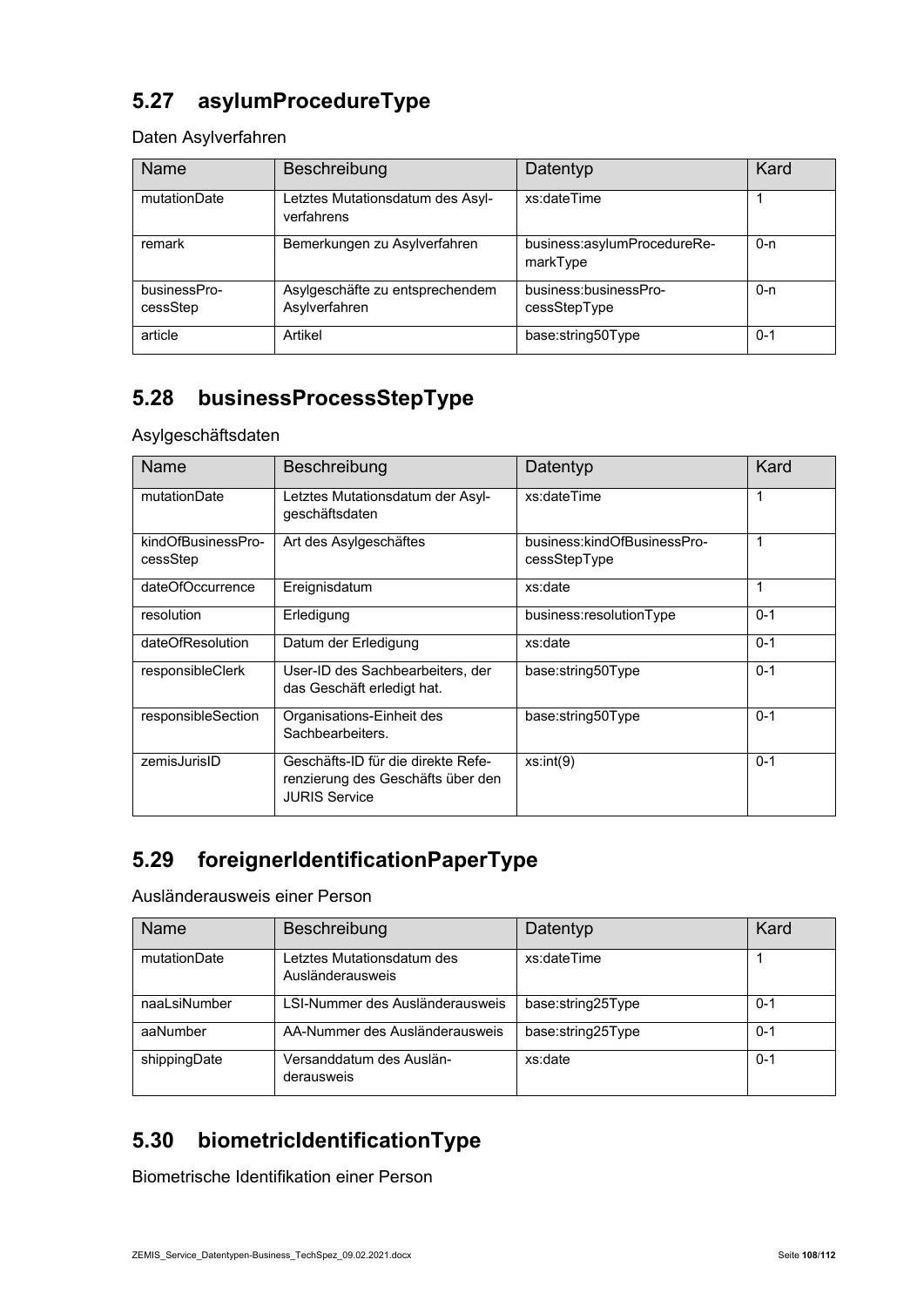## **5.27 asylumProcedureType**

Daten Asylverfahren

| Name                     | Beschreibung                                     | Datentyp                                | Kard    |
|--------------------------|--------------------------------------------------|-----------------------------------------|---------|
| mutationDate             | Letztes Mutationsdatum des Asyl-<br>verfahrens   | xs:dateTime                             |         |
| remark                   | Bemerkungen zu Asylverfahren                     | business:asylumProcedureRe-<br>markType | $0 - n$ |
| businessPro-<br>cessStep | Asylgeschäfte zu entsprechendem<br>Asylverfahren | business:businessPro-<br>cessStepType   | $0 - n$ |
| article                  | Artikel                                          | base:string50Type                       | $0 - 1$ |

#### **5.28 businessProcessStepType**

Asylgeschäftsdaten

| Name                           | Beschreibung                                                                                    | Datentyp                                    | Kard    |
|--------------------------------|-------------------------------------------------------------------------------------------------|---------------------------------------------|---------|
| mutationDate                   | Letztes Mutationsdatum der Asyl-<br>geschäftsdaten                                              | xs:dateTime                                 | 1       |
| kindOfBusinessPro-<br>cessStep | Art des Asylgeschäftes                                                                          | business:kindOfBusinessPro-<br>cessStepType | 1       |
| dateOfOccurrence               | Ereignisdatum                                                                                   | xs:date                                     | 1       |
| resolution                     | Erledigung                                                                                      | business:resolutionType                     | $0 - 1$ |
| dateOfResolution               | Datum der Erledigung                                                                            | xs:date                                     | $0 - 1$ |
| responsibleClerk               | User-ID des Sachbearbeiters, der<br>das Geschäft erledigt hat.                                  | base:string50Type                           | $0 - 1$ |
| responsibleSection             | Organisations-Einheit des<br>Sachbearbeiters.                                                   | base:string50Type                           | $0 - 1$ |
| zemisJurisID                   | Geschäfts-ID für die direkte Refe-<br>renzierung des Geschäfts über den<br><b>JURIS Service</b> | xs:int(9)                                   | $0 - 1$ |

#### **5.29 foreignerIdentificationPaperType**

Ausländerausweis einer Person

| Name         | Beschreibung                                   | Datentyp          | Kard    |
|--------------|------------------------------------------------|-------------------|---------|
| mutationDate | Letztes Mutationsdatum des<br>Ausländerausweis | xs:dateTime       |         |
| naaLsiNumber | LSI-Nummer des Ausländerausweis                | base:string25Type | $0 - 1$ |
| aaNumber     | AA-Nummer des Ausländerausweis                 | base:string25Type | $0 - 1$ |
| shippingDate | Versanddatum des Auslän-<br>derausweis         | xs:date           | $0 - 1$ |

## **5.30 biometricIdentificationType**

Biometrische Identifikation einer Person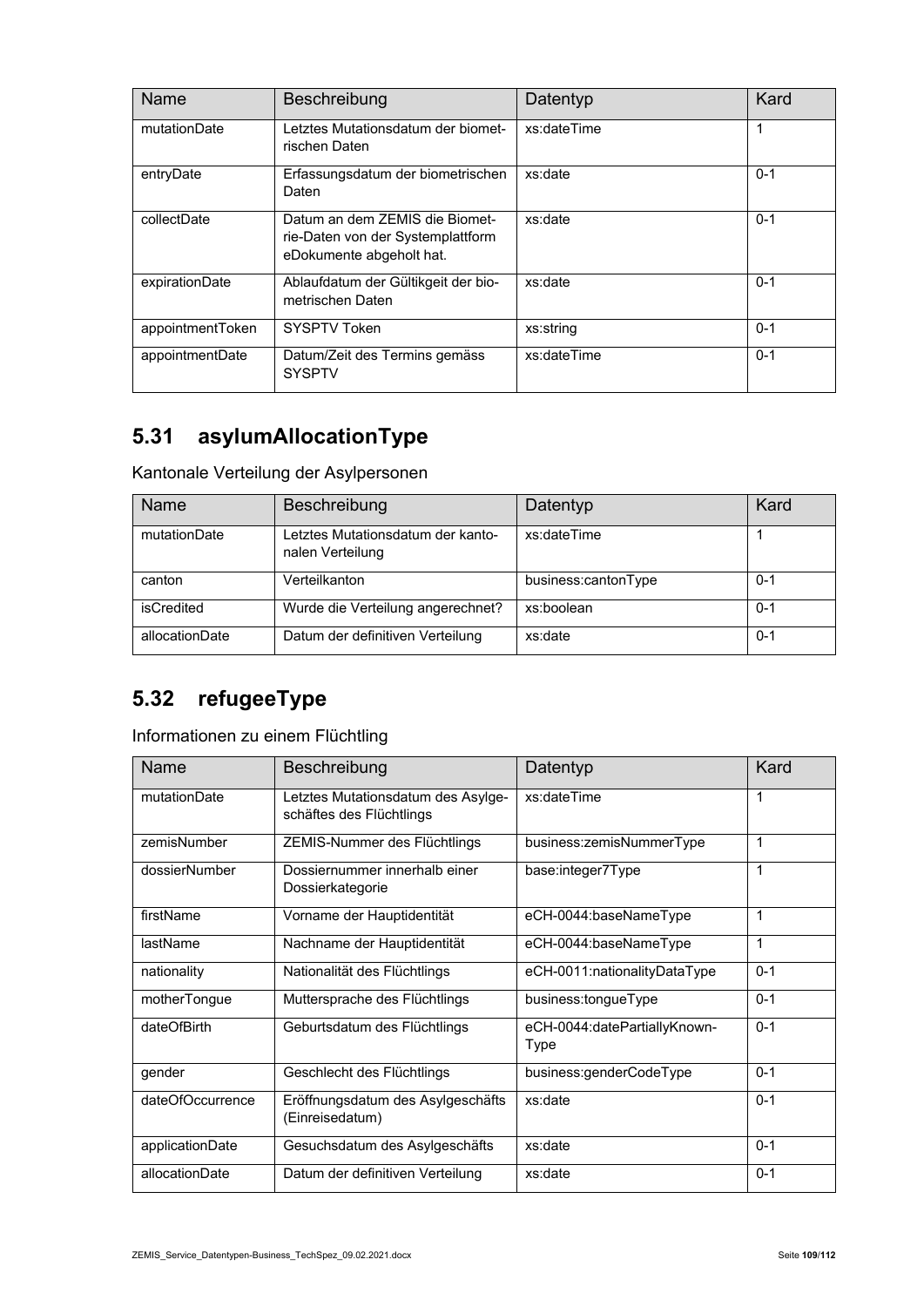| Name             | Beschreibung                                                                                    | Datentyp    | Kard    |
|------------------|-------------------------------------------------------------------------------------------------|-------------|---------|
| mutationDate     | Letztes Mutationsdatum der biomet-<br>rischen Daten                                             | xs:dateTime | 1       |
| entryDate        | Erfassungsdatum der biometrischen<br>Daten                                                      | xs:date     | $0 - 1$ |
| collectDate      | Datum an dem ZEMIS die Biomet-<br>rie-Daten von der Systemplattform<br>eDokumente abgeholt hat. | xs:date     | $0 - 1$ |
| expirationDate   | Ablaufdatum der Gültikgeit der bio-<br>metrischen Daten                                         | xs:date     | $0 - 1$ |
| appointmentToken | SYSPTV Token                                                                                    | xs:string   | $0 - 1$ |
| appointmentDate  | Datum/Zeit des Termins gemäss<br><b>SYSPTV</b>                                                  | xs:dateTime | $0 - 1$ |

## **5.31 asylumAllocationType**

Kantonale Verteilung der Asylpersonen

| <b>Name</b>    | Beschreibung                                          | Datentyp            | Kard    |
|----------------|-------------------------------------------------------|---------------------|---------|
| mutationDate   | Letztes Mutationsdatum der kanto-<br>nalen Verteilung | xs:dateTime         |         |
| canton         | Verteilkanton                                         | business:cantonType | $0 - 1$ |
| isCredited     | Wurde die Verteilung angerechnet?                     | xs:boolean          | $0 - 1$ |
| allocationDate | Datum der definitiven Verteilung                      | xs:date             | $0 - 1$ |

# **5.32 refugeeType**

Informationen zu einem Flüchtling

| Name             | Beschreibung                                                   | Datentyp                             | Kard    |
|------------------|----------------------------------------------------------------|--------------------------------------|---------|
| mutationDate     | Letztes Mutationsdatum des Asylge-<br>schäftes des Flüchtlings | xs:dateTime                          | 1       |
| zemisNumber      | ZEMIS-Nummer des Flüchtlings                                   | business:zemisNummerType             | 1       |
| dossierNumber    | Dossiernummer innerhalb einer<br>Dossierkategorie              | base:integer7Type                    | 1       |
| firstName        | Vorname der Hauptidentität                                     | eCH-0044:baseNameType                | 1       |
| lastName         | Nachname der Hauptidentität                                    | eCH-0044:baseNameType                | 1       |
| nationality      | Nationalität des Flüchtlings                                   | eCH-0011:nationalityDataType         | $0 - 1$ |
| motherTongue     | Muttersprache des Flüchtlings                                  | business:tongueType                  | $0 - 1$ |
| dateOfBirth      | Geburtsdatum des Flüchtlings                                   | eCH-0044:datePartiallyKnown-<br>Type | $0 - 1$ |
| gender           | Geschlecht des Flüchtlings                                     | business:genderCodeType              | $0 - 1$ |
| dateOfOccurrence | Eröffnungsdatum des Asylgeschäfts<br>(Einreisedatum)           | xs:date                              | $0 - 1$ |
| applicationDate  | Gesuchsdatum des Asylgeschäfts                                 | xs:date                              | $0 - 1$ |
| allocationDate   | Datum der definitiven Verteilung                               | xs:date                              | $0 - 1$ |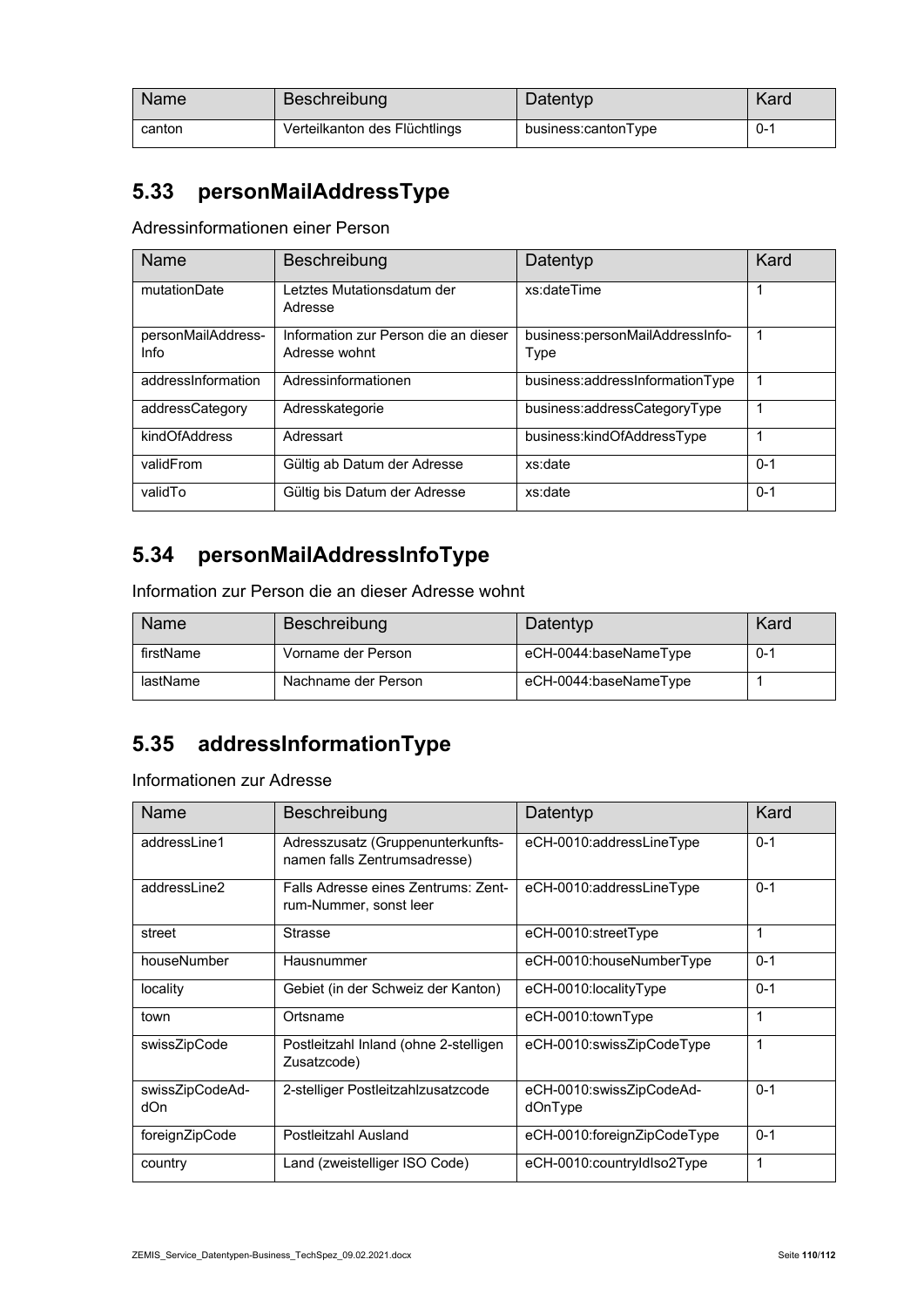| <b>Name</b> | Beschreibung                  | Datentyp            | Kard    |
|-------------|-------------------------------|---------------------|---------|
| canton      | Verteilkanton des Flüchtlings | business:cantonType | $0 - 1$ |

#### **5.33 personMailAddressType**

Adressinformationen einer Person

| Name                       | Beschreibung                                          | Datentyp                                | Kard    |
|----------------------------|-------------------------------------------------------|-----------------------------------------|---------|
| mutationDate               | Letztes Mutationsdatum der<br>Adresse                 | xs:dateTime                             |         |
| personMailAddress-<br>Info | Information zur Person die an dieser<br>Adresse wohnt | business:personMailAddressInfo-<br>Type | -1      |
| addressInformation         | Adressinformationen                                   | business:addressInformationType         |         |
| addressCategory            | Adresskategorie                                       | business:addressCategoryType            |         |
| kindOfAddress              | Adressart                                             | business:kindOfAddressType              |         |
| validFrom                  | Gültig ab Datum der Adresse                           | xs:date                                 | $0 - 1$ |
| validTo                    | Gültig bis Datum der Adresse                          | xs:date                                 | $0 - 1$ |

# **5.34 personMailAddressInfoType**

Information zur Person die an dieser Adresse wohnt

| <b>Name</b> | Beschreibung        | Datentyp              | Kard    |
|-------------|---------------------|-----------------------|---------|
| firstName   | Vorname der Person  | eCH-0044:baseNameType | $0 - 1$ |
| lastName    | Nachname der Person | eCH-0044:baseNameType |         |

### **5.35 addressInformationType**

Informationen zur Adresse

| Name                   | Beschreibung                                                      | Datentyp                            | Kard    |
|------------------------|-------------------------------------------------------------------|-------------------------------------|---------|
| addressLine1           | Adresszusatz (Gruppenunterkunfts-<br>namen falls Zentrumsadresse) | eCH-0010:addressLineType            | $0 - 1$ |
| addressLine2           | Falls Adresse eines Zentrums: Zent-<br>rum-Nummer, sonst leer     | eCH-0010:addressLineType            | $0 - 1$ |
| street                 | <b>Strasse</b>                                                    | eCH-0010:streetType                 | 1       |
| houseNumber            | Hausnummer                                                        | eCH-0010:houseNumberType            | $0 - 1$ |
| locality               | Gebiet (in der Schweiz der Kanton)                                | eCH-0010:localityType               | $0 - 1$ |
| town                   | Ortsname                                                          | eCH-0010:townType                   | 1       |
| swissZipCode           | Postleitzahl Inland (ohne 2-stelligen<br>Zusatzcode)              | eCH-0010:swissZipCodeType           | 1       |
| swissZipCodeAd-<br>dOn | 2-stelliger Postleitzahlzusatzcode                                | eCH-0010:swissZipCodeAd-<br>dOnType | $0 - 1$ |
| foreignZipCode         | Postleitzahl Ausland                                              | eCH-0010:foreignZipCodeType         | $0 - 1$ |
| country                | Land (zweistelliger ISO Code)                                     | eCH-0010:countryIdIso2Type          | 1       |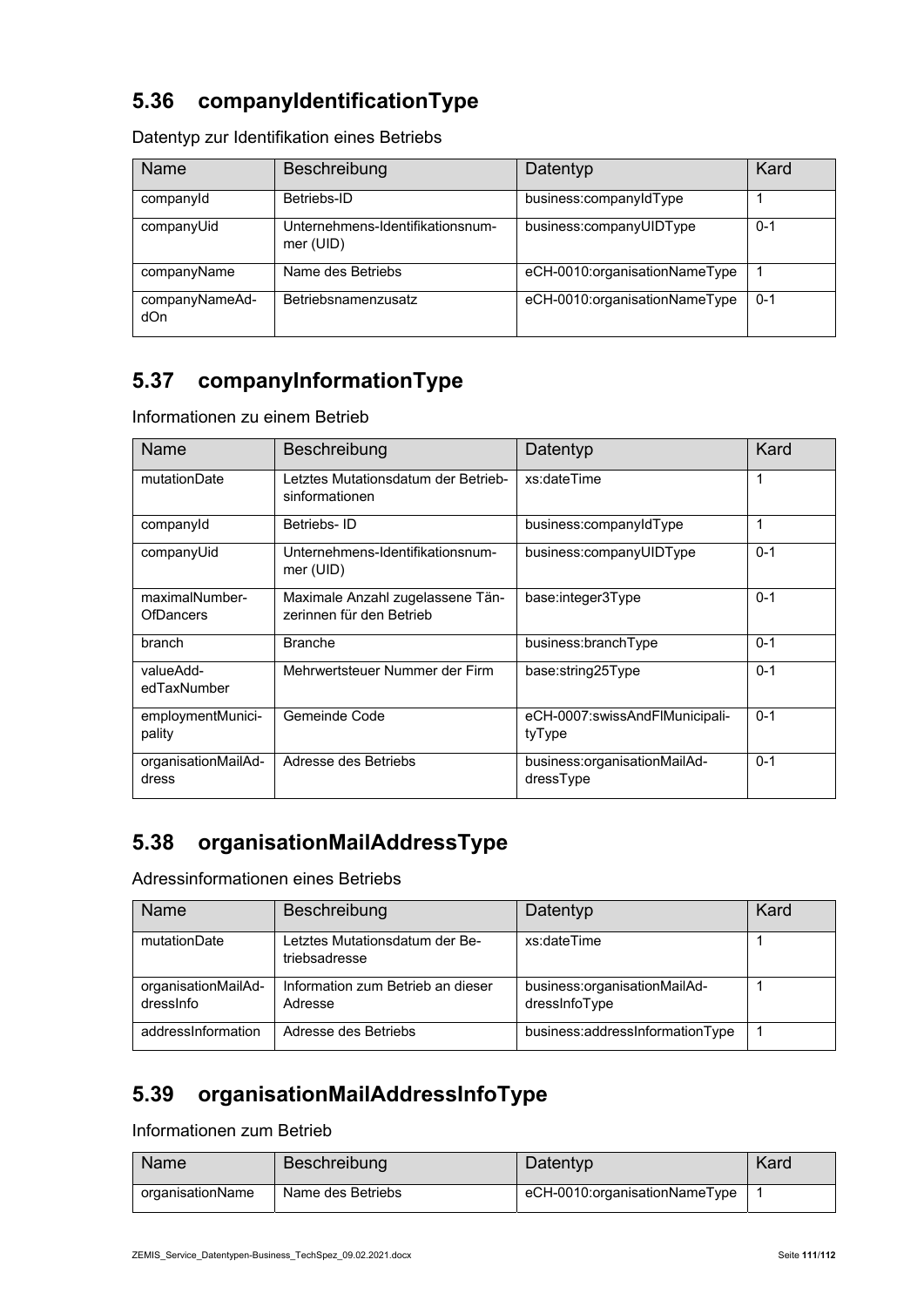#### **5.36 companyIdentificationType**

| <b>Name</b>           | Beschreibung                                  | Datentyp                      | Kard    |
|-----------------------|-----------------------------------------------|-------------------------------|---------|
| companyld             | Betriebs-ID                                   | business:companyIdType        |         |
| companyUid            | Unternehmens-Identifikationsnum-<br>mer (UID) | business:companyUIDType       | $0 - 1$ |
| companyName           | Name des Betriebs                             | eCH-0010:organisationNameType |         |
| companyNameAd-<br>dOn | Betriebsnamenzusatz                           | eCH-0010:organisationNameType | $0 - 1$ |

Datentyp zur Identifikation eines Betriebs

#### **5.37 companyInformationType**

Informationen zu einem Betrieb

| Name                               | Beschreibung                                                 | Datentyp                                  | Kard    |
|------------------------------------|--------------------------------------------------------------|-------------------------------------------|---------|
| mutationDate                       | Letztes Mutationsdatum der Betrieb-<br>sinformationen        | xs:dateTime                               | 1       |
| companyId                          | Betriebs-ID                                                  | business:companyIdType                    | 1       |
| companyUid                         | Unternehmens-Identifikationsnum-<br>mer (UID)                | business:companyUIDType                   | $0 - 1$ |
| maximalNumber-<br><b>OfDancers</b> | Maximale Anzahl zugelassene Tän-<br>zerinnen für den Betrieb | base:integer3Type                         | $0 - 1$ |
| branch                             | <b>Branche</b>                                               | business:branchType                       | $0 - 1$ |
| valueAdd-<br>edTaxNumber           | Mehrwertsteuer Nummer der Firm                               | base:string25Type                         | $0 - 1$ |
| employmentMunici-<br>pality        | Gemeinde Code                                                | eCH-0007:swissAndFlMunicipali-<br>tyType  | $0 - 1$ |
| organisationMailAd-<br>dress       | Adresse des Betriebs                                         | business:organisationMailAd-<br>dressType | $0 - 1$ |

## **5.38 organisationMailAddressType**

Adressinformationen eines Betriebs

| Name                             | <b>Beschreibung</b>                             | Datentyp                                      | Kard |
|----------------------------------|-------------------------------------------------|-----------------------------------------------|------|
| mutationDate                     | Letztes Mutationsdatum der Be-<br>triebsadresse | xs:dateTime                                   |      |
| organisationMailAd-<br>dressinfo | Information zum Betrieb an dieser<br>Adresse    | business:organisationMailAd-<br>dressInfoType |      |
| addressInformation               | Adresse des Betriebs                            | business:addressInformationType               |      |

#### **5.39 organisationMailAddressInfoType**

Informationen zum Betrieb

| <b>Name</b>      | <b>Beschreibung</b> | Datentyp                      | Kard |
|------------------|---------------------|-------------------------------|------|
| organisationName | Name des Betriebs   | eCH-0010:organisationNameType |      |